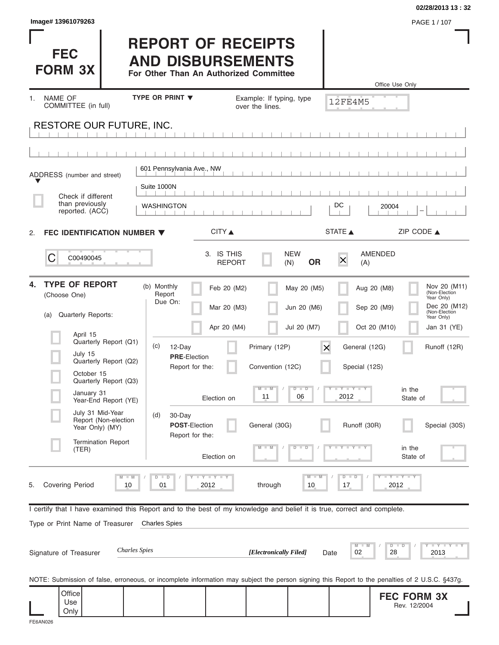|                                                                                                                                                |                                                   |                                                                                                 |                             |                                |                            |                                    | 02/28/2013 13:32                                            |
|------------------------------------------------------------------------------------------------------------------------------------------------|---------------------------------------------------|-------------------------------------------------------------------------------------------------|-----------------------------|--------------------------------|----------------------------|------------------------------------|-------------------------------------------------------------|
| Image# 13961079263                                                                                                                             |                                                   |                                                                                                 |                             |                                |                            |                                    | PAGE 1 / 107                                                |
| <b>FEC</b><br><b>FORM 3X</b>                                                                                                                   |                                                   | <b>REPORT OF RECEIPTS</b><br><b>AND DISBURSEMENTS</b><br>For Other Than An Authorized Committee |                             |                                |                            | Office Use Only                    |                                                             |
| <b>NAME OF</b><br>1.                                                                                                                           | TYPE OR PRINT V                                   |                                                                                                 | Example: If typing, type    |                                |                            |                                    |                                                             |
| COMMITTEE (in full)                                                                                                                            |                                                   |                                                                                                 | over the lines.             |                                | <b>12FE4M5</b>             |                                    |                                                             |
| <b>RESTORE OUR FUTURE, INC.</b>                                                                                                                |                                                   |                                                                                                 |                             |                                |                            |                                    |                                                             |
|                                                                                                                                                |                                                   |                                                                                                 |                             |                                |                            |                                    |                                                             |
| ADDRESS (number and street)                                                                                                                    | 601 Pennsylvania Ave., NW                         |                                                                                                 |                             |                                |                            |                                    |                                                             |
| Check if different                                                                                                                             | Suite 1000N                                       |                                                                                                 |                             |                                |                            |                                    |                                                             |
| than previously<br>reported. (ACC)                                                                                                             | <b>WASHINGTON</b>                                 |                                                                                                 |                             |                                | DC                         | 20004                              |                                                             |
| FEC IDENTIFICATION NUMBER ▼<br>2.                                                                                                              |                                                   | CITY ▲                                                                                          |                             |                                | <b>STATE</b>               | ZIP CODE $\triangle$               |                                                             |
| С<br>C00490045                                                                                                                                 |                                                   | 3. IS THIS<br><b>REPORT</b>                                                                     |                             | <b>NEW</b><br><b>OR</b><br>(N) | X<br>(A)                   | AMENDED                            |                                                             |
| <b>TYPE OF REPORT</b><br>4.<br>(Choose One)                                                                                                    | (b) Monthly<br>Report<br>Due On:                  | Feb 20 (M2)<br>Mar 20 (M3)                                                                      |                             | May 20 (M5)<br>Jun 20 (M6)     |                            | Aug 20 (M8)<br>Sep 20 (M9)         | Nov 20 (M11)<br>(Non-Election<br>Year Only)<br>Dec 20 (M12) |
| Quarterly Reports:<br>(a)                                                                                                                      |                                                   |                                                                                                 |                             |                                |                            |                                    | (Non-Election<br>Year Only)                                 |
| April 15                                                                                                                                       |                                                   | Apr 20 (M4)                                                                                     |                             | Jul 20 (M7)                    |                            | Oct 20 (M10)                       | Jan 31 (YE)                                                 |
| Quarterly Report (Q1)<br>July 15<br>Quarterly Report (Q2)                                                                                      | (c)<br>12-Day<br><b>PRE-Election</b>              |                                                                                                 | Primary (12P)               | $\times$                       | General (12G)              |                                    | Runoff (12R)                                                |
| October 15<br>Quarterly Report (Q3)                                                                                                            |                                                   | Report for the:                                                                                 | Convention (12C)<br>$M - M$ | $D$ $D$                        | Special (12S)<br>Y FYLY LY |                                    |                                                             |
| January 31<br>Year-End Report (YE)                                                                                                             |                                                   | Election on                                                                                     | 11                          | 06                             | 2012                       | in the<br>State of                 |                                                             |
| July 31 Mid-Year<br>Report (Non-election<br>Year Only) (MY)                                                                                    | (d)<br>30-Day<br>POST-Election<br>Report for the: |                                                                                                 | General (30G)               |                                | Runoff (30R)               |                                    | Special (30S)                                               |
| <b>Termination Report</b><br>(TER)                                                                                                             |                                                   | Election on                                                                                     |                             | D<br>D                         |                            | in the<br>State of                 |                                                             |
| $M - M$<br><b>Covering Period</b><br>10<br>5.                                                                                                  | $D$ $D$<br>01                                     | <b>LY LY LY</b><br>2012                                                                         | through                     | $M - 1$<br>10                  | $D - D$<br>17              | $I - Y - I - Y - I - Y$<br>2012    |                                                             |
| I certify that I have examined this Report and to the best of my knowledge and belief it is true, correct and complete.                        |                                                   |                                                                                                 |                             |                                |                            |                                    |                                                             |
| Type or Print Name of Treasurer                                                                                                                | <b>Charles Spies</b>                              |                                                                                                 |                             |                                |                            |                                    |                                                             |
| <b>Charles</b> Spies<br>Signature of Treasurer                                                                                                 |                                                   |                                                                                                 | [Electronically Filed]      |                                | M<br>02<br>Date            | $D$ $D$<br>28                      | Y FY FY FY<br>2013                                          |
|                                                                                                                                                |                                                   |                                                                                                 |                             |                                |                            |                                    |                                                             |
| NOTE: Submission of false, erroneous, or incomplete information may subject the person signing this Report to the penalties of 2 U.S.C. §437g. |                                                   |                                                                                                 |                             |                                |                            |                                    |                                                             |
| Office<br>Use<br>Only                                                                                                                          |                                                   |                                                                                                 |                             |                                |                            | <b>FEC FORM 3X</b><br>Rev. 12/2004 |                                                             |

| mage# 13961079263 |  |  |
|-------------------|--|--|
|-------------------|--|--|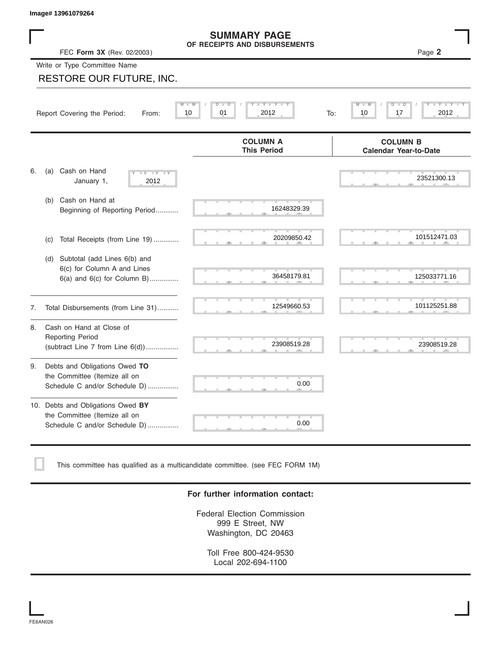## FEC **Form 3X** (Rev. 02/2003 ) Page **2 SUMMARY PAGE OF RECEIPTS AND DISBURSEMENTS**

|    | Image# 13961079264                                                                                    |                                                      |                                                 |
|----|-------------------------------------------------------------------------------------------------------|------------------------------------------------------|-------------------------------------------------|
|    | FEC Form 3X (Rev. 02/2003)                                                                            | <b>SUMMARY PAGE</b><br>OF RECEIPTS AND DISBURSEMENTS | Page 2                                          |
|    | Write or Type Committee Name                                                                          |                                                      |                                                 |
|    | <b>RESTORE OUR FUTURE, INC.</b>                                                                       |                                                      |                                                 |
|    | Report Covering the Period:<br>From:                                                                  | Y I Y<br>M<br>D<br>D<br>10<br>01<br>2012<br>To:      | D<br>10<br>2012<br>17                           |
|    |                                                                                                       | <b>COLUMN A</b><br><b>This Period</b>                | <b>COLUMN B</b><br><b>Calendar Year-to-Date</b> |
| 6. | Cash on Hand<br>(a)<br>$-Y - Y - Y$<br>January 1,<br>2012                                             |                                                      | 23521300.13                                     |
|    | Cash on Hand at<br>(b)<br>Beginning of Reporting Period                                               | 16248329.39                                          |                                                 |
|    | Total Receipts (from Line 19)<br>(c)                                                                  | 20209850.42                                          | 101512471.03                                    |
|    | Subtotal (add Lines 6(b) and<br>(d)<br>6(c) for Column A and Lines<br>$6(a)$ and $6(c)$ for Column B) | 36458179.81                                          | 125033771.16                                    |
| 7. | Total Disbursements (from Line 31)                                                                    | 12549660.53                                          | 101125251.88                                    |
| 8. | Cash on Hand at Close of<br><b>Reporting Period</b><br>(subtract Line $7$ from Line $6(d)$ )          | 23908519.28                                          | 23908519.28                                     |
| 9. | Debts and Obligations Owed TO<br>the Committee (Itemize all on<br>Schedule C and/or Schedule D)       | 0.00                                                 |                                                 |
|    | 10. Debts and Obligations Owed BY<br>the Committee (Itemize all on<br>Schedule C and/or Schedule D)   | 0.00                                                 |                                                 |

This committee has qualified as a multicandidate committee. (see FEC FORM 1M)

## **For further information contact:**

Federal Election Commission 999 E Street, NW Washington, DC 20463

Toll Free 800-424-9530 Local 202-694-1100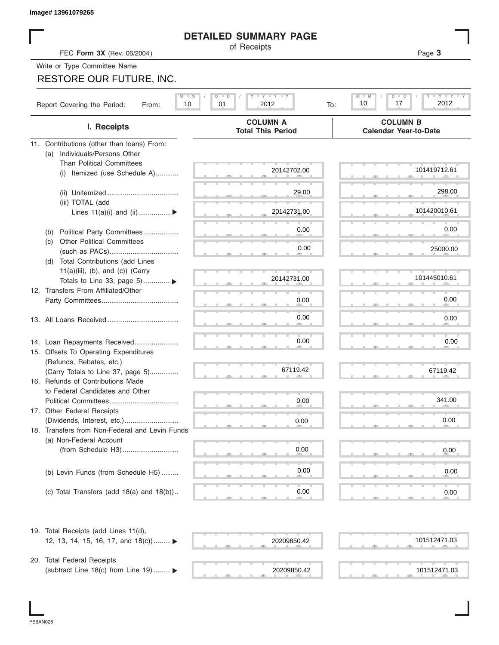| Image# 13961079265                                    |                                                 |                                                           |
|-------------------------------------------------------|-------------------------------------------------|-----------------------------------------------------------|
|                                                       | <b>DETAILED SUMMARY PAGE</b>                    |                                                           |
| FEC Form 3X (Rev. 06/2004)                            | of Receipts                                     | Page 3                                                    |
| Write or Type Committee Name                          |                                                 |                                                           |
| RESTORE OUR FUTURE, INC.                              |                                                 |                                                           |
|                                                       |                                                 |                                                           |
| $M$ $M$<br>Report Covering the Period:<br>10<br>From: | <b>LY LY LY</b><br>$D$ $D$<br>01<br>2012<br>To: | $Y = Y = Y = Y$<br>$M - M$<br>$D$ $D$<br>2012<br>10<br>17 |
| I. Receipts                                           | <b>COLUMN A</b><br><b>Total This Period</b>     | <b>COLUMN B</b><br><b>Calendar Year-to-Date</b>           |
| 11. Contributions (other than loans) From:            |                                                 |                                                           |
| Individuals/Persons Other<br>(a)                      |                                                 |                                                           |
| <b>Than Political Committees</b>                      | 20142702.00                                     | 101419712.61                                              |
| Itemized (use Schedule A)<br>(i)                      |                                                 |                                                           |
|                                                       | 29.00                                           | 298.00                                                    |
| (iii) TOTAL (add                                      |                                                 |                                                           |
| Lines $11(a)(i)$ and $(ii)$                           | 20142731.00                                     | 101420010.61                                              |
|                                                       |                                                 |                                                           |
| Political Party Committees<br>(b)                     | 0.00                                            | 0.00                                                      |
| <b>Other Political Committees</b><br>(C)              |                                                 |                                                           |
|                                                       | 0.00                                            | 25000.00                                                  |
| (d) Total Contributions (add Lines                    |                                                 |                                                           |
| $11(a)(iii)$ , (b), and (c)) (Carry                   |                                                 |                                                           |
| Totals to Line 33, page 5) ▶                          | 20142731.00                                     | 101445010.61                                              |
| 12. Transfers From Affiliated/Other                   |                                                 |                                                           |
|                                                       | 0.00                                            | 0.00                                                      |
|                                                       |                                                 |                                                           |
|                                                       | 0.00                                            | 0.00                                                      |
|                                                       |                                                 |                                                           |
| 14. Loan Repayments Received                          | 0.00                                            | 0.00                                                      |
| 15. Offsets To Operating Expenditures                 |                                                 |                                                           |
| (Refunds, Rebates, etc.)                              |                                                 |                                                           |
| (Carry Totals to Line 37, page 5)                     | 67119.42                                        | 67119.42                                                  |
| 16. Refunds of Contributions Made                     |                                                 |                                                           |
| to Federal Candidates and Other                       |                                                 | 341.00                                                    |
| Political Committees                                  | 0.00                                            |                                                           |
| 17. Other Federal Receipts                            |                                                 | 0.00                                                      |
| 18. Transfers from Non-Federal and Levin Funds        | 0.00                                            |                                                           |
| (a) Non-Federal Account                               |                                                 |                                                           |
|                                                       | 0.00                                            | 0.00                                                      |
|                                                       |                                                 |                                                           |
| (b) Levin Funds (from Schedule H5)                    | 0.00                                            | 0.00                                                      |
|                                                       |                                                 |                                                           |
| (c) Total Transfers (add $18(a)$ and $18(b)$ )        | 0.00                                            | 0.00                                                      |
|                                                       |                                                 |                                                           |
| 19. Total Receipts (add Lines 11(d),                  |                                                 |                                                           |
| 12, 13, 14, 15, 16, 17, and 18(c)) ▶                  | 20209850.42                                     | 101512471.03                                              |
|                                                       |                                                 |                                                           |
| 20. Total Federal Receipts                            | 20209850.42                                     | 101512471.03                                              |
| (subtract Line 18(c) from Line 19)  ▶                 |                                                 |                                                           |

I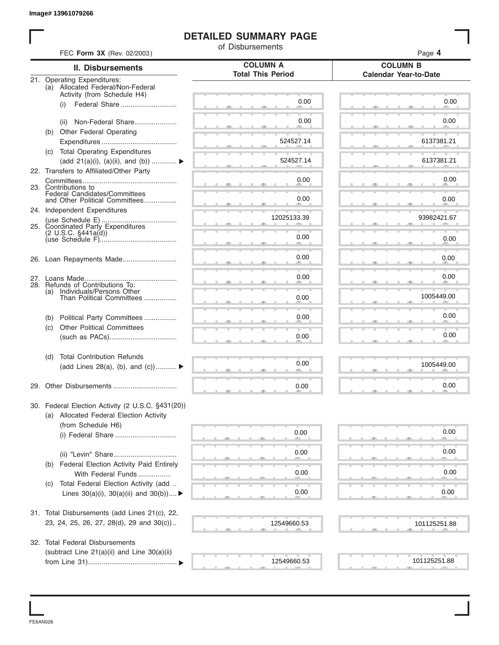# **DETAILED SUMMARY PAGE**

|                                                                      | <b>DETAILED SUMMARY PAGE</b>                |                                                 |
|----------------------------------------------------------------------|---------------------------------------------|-------------------------------------------------|
| FEC Form 3X (Rev. 02/2003)                                           | of Disbursements                            | Page 4                                          |
| II. Disbursements                                                    | <b>COLUMN A</b><br><b>Total This Period</b> | <b>COLUMN B</b><br><b>Calendar Year-to-Date</b> |
| 21. Operating Expenditures:<br>(a) Allocated Federal/Non-Federal     |                                             |                                                 |
| Activity (from Schedule H4)                                          |                                             |                                                 |
| Federal Share<br>(i)                                                 | 0.00                                        | 0.00                                            |
|                                                                      | 0.00                                        | 0.00                                            |
| (ii) Non-Federal Share<br>(b) Other Federal Operating                |                                             |                                                 |
|                                                                      | 524527.14                                   | 6137381.21                                      |
| (c) Total Operating Expenditures                                     |                                             |                                                 |
| (add 21(a)(i), (a)(ii), and (b))                                     | 524527.14                                   | 6137381.21                                      |
| 22. Transfers to Affiliated/Other Party                              |                                             |                                                 |
|                                                                      | 0.00                                        | 0.00                                            |
| 23. Contributions to<br>Federal Candidates/Committees                |                                             |                                                 |
| and Other Political Committees                                       | 0.00                                        | 0.00                                            |
| 24. Independent Expenditures                                         | 12025133.39                                 | 93982421.67                                     |
| 25. Coordinated Party Expenditures                                   |                                             |                                                 |
|                                                                      | 0.00                                        | 0.00                                            |
|                                                                      |                                             |                                                 |
|                                                                      | 0.00                                        | 0.00                                            |
|                                                                      |                                             |                                                 |
|                                                                      | 0.00                                        | 0.00                                            |
| 28. Refunds of Contributions To:<br>Individuals/Persons Other<br>(a) |                                             |                                                 |
| Than Political Committees                                            | 0.00                                        | 1005449.00                                      |
|                                                                      |                                             |                                                 |
| Political Party Committees<br>(b)                                    | 0.00                                        | 0.00                                            |
| <b>Other Political Committees</b><br>(c)                             |                                             |                                                 |
|                                                                      | 0.00                                        | 0.00                                            |
| <b>Total Contribution Refunds</b><br>(d)                             |                                             |                                                 |
| (add Lines 28(a), (b), and (c))                                      | 0.00                                        | 1005449.00                                      |
|                                                                      |                                             |                                                 |
|                                                                      | 0.00                                        | 0.00                                            |
| 30. Federal Election Activity (2 U.S.C. §431(20))                    |                                             |                                                 |
| (a) Allocated Federal Election Activity                              |                                             |                                                 |
| (from Schedule H6)                                                   |                                             |                                                 |
|                                                                      | 0.00                                        | 0.00                                            |
|                                                                      |                                             |                                                 |
|                                                                      | 0.00                                        | 0.00                                            |
| (b) Federal Election Activity Paid Entirely                          |                                             |                                                 |
| With Federal Funds                                                   | 0.00                                        | 0.00                                            |
| Total Federal Election Activity (add<br>(C)                          |                                             |                                                 |
| Lines $30(a)(i)$ , $30(a)(ii)$ and $30(b))$                          | 0.00                                        | 0.00                                            |
| 31. Total Disbursements (add Lines 21(c), 22,                        |                                             |                                                 |
| 23, 24, 25, 26, 27, 28(d), 29 and 30(c))                             | 12549660.53                                 |                                                 |
|                                                                      |                                             | 101125251.88                                    |
| 32. Total Federal Disbursements                                      |                                             |                                                 |
| (subtract Line 21(a)(ii) and Line 30(a)(ii)                          |                                             |                                                 |
|                                                                      | 12549660.53                                 | 101125251.88                                    |

FE6AN026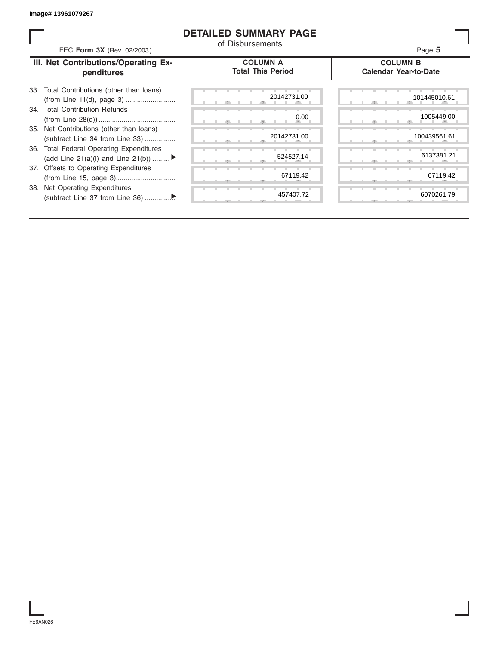## **DETAILED SUMMARY PAGE**

| FEC Form 3X (Rev. 02/2003)                                                     | <b>DETAILED SUMMARY PAGE</b><br>of Disbursements | Page 5                                          |
|--------------------------------------------------------------------------------|--------------------------------------------------|-------------------------------------------------|
| III. Net Contributions/Operating Ex-<br>penditures                             | <b>COLUMN A</b><br><b>Total This Period</b>      | <b>COLUMN B</b><br><b>Calendar Year-to-Date</b> |
| Total Contributions (other than loans)<br>33.                                  | 20142731.00                                      | 101445010.61                                    |
| 34. Total Contribution Refunds                                                 | 0.00                                             | 1005449.00                                      |
| 35. Net Contributions (other than loans)<br>(subtract Line 34 from Line 33)    | 20142731.00                                      | 100439561.61                                    |
| 36. Total Federal Operating Expenditures<br>(add Line 21(a)(i) and Line 21(b)) | 524527.14                                        | 6137381.21                                      |
| 37. Offsets to Operating Expenditures                                          | 67119.42                                         | 67119.42                                        |
| 38. Net Operating Expenditures                                                 | 457407.72                                        | 6070261.79                                      |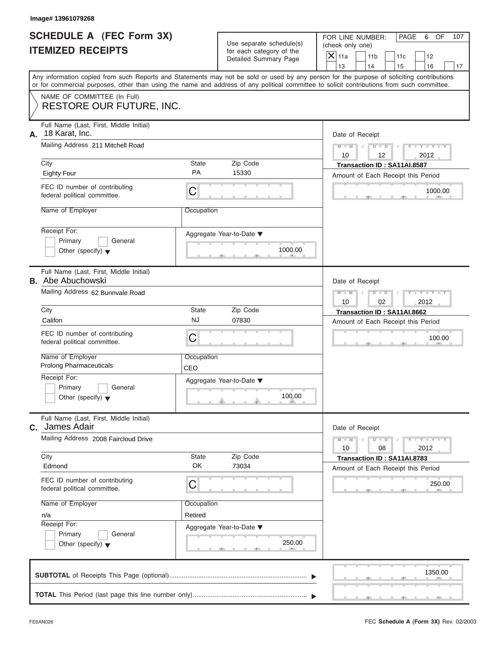| SCHEDULE A (FEC Form 3X) |  |  |
|--------------------------|--|--|
| <b>ITEMIZED RECEIPTS</b> |  |  |

FOR LINE NUMBER: PAGE 6 OF<br>(check only one)

| SCHEDULE A (FEC Form 3X)<br><b>ITEMIZED RECEIPTS</b>                       |                   | Use separate schedule(s)<br>for each category of the | FOR LINE NUMBER:<br>PAGE<br>6<br>OF<br>107<br>(check only one)                                                                                                                                                                                                                          |  |
|----------------------------------------------------------------------------|-------------------|------------------------------------------------------|-----------------------------------------------------------------------------------------------------------------------------------------------------------------------------------------------------------------------------------------------------------------------------------------|--|
|                                                                            |                   | Detailed Summary Page                                | $\overline{X}$ 11a<br>11 <sub>b</sub><br>12<br>11c<br>13<br>14<br>15<br>16<br>17                                                                                                                                                                                                        |  |
|                                                                            |                   |                                                      | Any information copied from such Reports and Statements may not be sold or used by any person for the purpose of soliciting contributions<br>or for commercial purposes, other than using the name and address of any political committee to solicit contributions from such committee. |  |
| NAME OF COMMITTEE (In Full)<br><b>RESTORE OUR FUTURE, INC.</b>             |                   |                                                      |                                                                                                                                                                                                                                                                                         |  |
| Full Name (Last, First, Middle Initial)<br>18 Karat, Inc.<br>А.            |                   |                                                      | Date of Receipt                                                                                                                                                                                                                                                                         |  |
| Mailing Address 211 Mitchell Road<br>City<br><b>State</b>                  |                   | Zip Code                                             | $Y - Y - I$<br>$M - M$<br>D<br>$\blacksquare$<br>2012<br>10<br>12<br>Transaction ID: SA11AI.8587                                                                                                                                                                                        |  |
| <b>Eighty Four</b>                                                         | PA                | 15330                                                | Amount of Each Receipt this Period                                                                                                                                                                                                                                                      |  |
| FEC ID number of contributing<br>federal political committee.              | $\mathsf C$       |                                                      | 1000.00                                                                                                                                                                                                                                                                                 |  |
| Name of Employer                                                           | Occupation        |                                                      |                                                                                                                                                                                                                                                                                         |  |
| Receipt For:<br>Primary<br>General<br>Other (specify) $\blacktriangledown$ |                   | Aggregate Year-to-Date ▼<br>1000.00<br>$-9$          |                                                                                                                                                                                                                                                                                         |  |
| Full Name (Last, First, Middle Initial)<br><b>B.</b> Abe Abuchowski        |                   |                                                      | Date of Receipt                                                                                                                                                                                                                                                                         |  |
| Mailing Address 62 Bunnvale Road                                           |                   |                                                      | $M - M$<br>$D$ $D$<br>02<br>2012<br>10                                                                                                                                                                                                                                                  |  |
| City                                                                       | <b>State</b>      | Zip Code                                             | Transaction ID: SA11AI.8662                                                                                                                                                                                                                                                             |  |
| Califon                                                                    | <b>NJ</b>         | 07830                                                | Amount of Each Receipt this Period                                                                                                                                                                                                                                                      |  |
| FEC ID number of contributing<br>federal political committee.              | C                 |                                                      | 100.00                                                                                                                                                                                                                                                                                  |  |
| Name of Employer<br><b>Prolong Pharmaceuticals</b>                         | Occupation<br>CEO |                                                      |                                                                                                                                                                                                                                                                                         |  |
| Receipt For:                                                               |                   | Aggregate Year-to-Date ▼                             |                                                                                                                                                                                                                                                                                         |  |
| Primary<br>General<br>Other (specify) $\blacktriangledown$                 |                   | 100.00                                               |                                                                                                                                                                                                                                                                                         |  |
| Full Name (Last, First, Middle Initial)<br>James Adair<br>C.               |                   |                                                      | Date of Receipt                                                                                                                                                                                                                                                                         |  |
| Mailing Address 2008 Faircloud Drive                                       |                   |                                                      | $Y = Y = Y - Y$<br>$M - M$<br>D<br>$\Box$<br>08<br>2012<br>10                                                                                                                                                                                                                           |  |
| City                                                                       | <b>State</b>      | Zip Code                                             | Transaction ID: SA11AI.8783                                                                                                                                                                                                                                                             |  |
| Edmond                                                                     | OK                | 73034                                                | Amount of Each Receipt this Period                                                                                                                                                                                                                                                      |  |
| FEC ID number of contributing<br>federal political committee.              | C                 |                                                      | 250.00                                                                                                                                                                                                                                                                                  |  |
| Name of Employer                                                           | Occupation        |                                                      |                                                                                                                                                                                                                                                                                         |  |
| n/a                                                                        | Retired           |                                                      |                                                                                                                                                                                                                                                                                         |  |
| Receipt For:<br>Primary<br>General                                         |                   | Aggregate Year-to-Date ▼                             |                                                                                                                                                                                                                                                                                         |  |
| Other (specify) $\blacktriangledown$                                       |                   | 250.00                                               |                                                                                                                                                                                                                                                                                         |  |
|                                                                            |                   |                                                      | 1350.00                                                                                                                                                                                                                                                                                 |  |
|                                                                            |                   |                                                      |                                                                                                                                                                                                                                                                                         |  |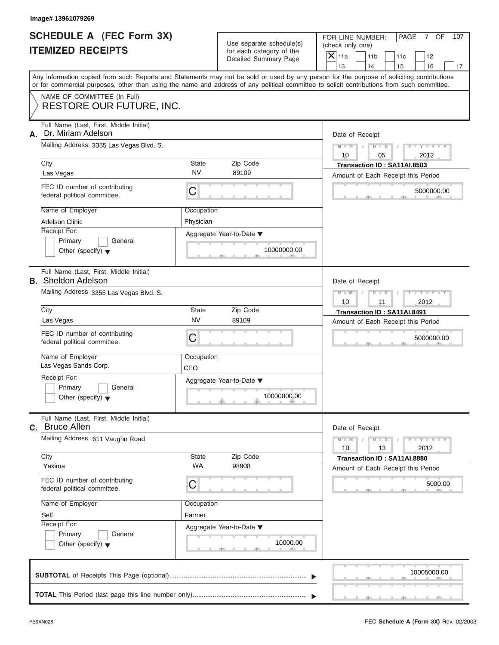| <b>SCHEDULE A (FEC Form 3X)</b> |  |  |
|---------------------------------|--|--|
| <b>ITEMIZED RECEIPTS</b>        |  |  |

FOR LINE NUMBER: PAGE 7 OF<br>(check only one)

| SCHEDULE A (FEC Form 3X)                                                                                                                                                                                                                                                                |                         | Use separate schedule(s)                          | FOR LINE NUMBER:<br>PAGE<br>$\overline{7}$<br>OF<br>107<br>(check only one)        |  |
|-----------------------------------------------------------------------------------------------------------------------------------------------------------------------------------------------------------------------------------------------------------------------------------------|-------------------------|---------------------------------------------------|------------------------------------------------------------------------------------|--|
| <b>ITEMIZED RECEIPTS</b>                                                                                                                                                                                                                                                                |                         | for each category of the<br>Detailed Summary Page | $\mathsf{X}$ 11a<br>11 <sub>b</sub><br>12<br>11c<br>13<br>14<br>16<br>15<br>17     |  |
| Any information copied from such Reports and Statements may not be sold or used by any person for the purpose of soliciting contributions<br>or for commercial purposes, other than using the name and address of any political committee to solicit contributions from such committee. |                         |                                                   |                                                                                    |  |
| NAME OF COMMITTEE (In Full)<br><b>RESTORE OUR FUTURE, INC.</b>                                                                                                                                                                                                                          |                         |                                                   |                                                                                    |  |
| Full Name (Last, First, Middle Initial)<br>Dr. Miriam Adelson<br>А.                                                                                                                                                                                                                     |                         |                                                   | Date of Receipt                                                                    |  |
| Mailing Address 3355 Las Vegas Blvd. S.<br>City                                                                                                                                                                                                                                         | <b>State</b>            | Zip Code                                          | $Y = Y +$<br>$M - M$<br>$D$ $D$<br>2012<br>10<br>05<br>Transaction ID: SA11AI.8503 |  |
| Las Vegas                                                                                                                                                                                                                                                                               | <b>NV</b>               | 89109                                             | Amount of Each Receipt this Period                                                 |  |
| FEC ID number of contributing<br>federal political committee.                                                                                                                                                                                                                           | С                       |                                                   | 5000000.00                                                                         |  |
| Name of Employer<br>Adelson Clinic<br>Receipt For:                                                                                                                                                                                                                                      | Occupation<br>Physician | Aggregate Year-to-Date ▼                          |                                                                                    |  |
| General<br>Primary<br>Other (specify) $\blacktriangledown$                                                                                                                                                                                                                              |                         | 10000000.00                                       |                                                                                    |  |
| Full Name (Last, First, Middle Initial)<br><b>B.</b> Sheldon Adelson                                                                                                                                                                                                                    |                         |                                                   | Date of Receipt                                                                    |  |
| Mailing Address 3355 Las Vegas Blvd. S.                                                                                                                                                                                                                                                 |                         |                                                   | $M - M$<br>$D$ $D$<br>2012<br>10<br>11                                             |  |
| City                                                                                                                                                                                                                                                                                    | <b>State</b>            | Zip Code                                          | Transaction ID: SA11AI.8491                                                        |  |
| Las Vegas                                                                                                                                                                                                                                                                               | <b>NV</b>               | 89109                                             | Amount of Each Receipt this Period                                                 |  |
| FEC ID number of contributing<br>federal political committee.                                                                                                                                                                                                                           | C                       |                                                   | 5000000.00                                                                         |  |
| Name of Employer<br>Las Vegas Sands Corp.                                                                                                                                                                                                                                               | Occupation              |                                                   |                                                                                    |  |
| Receipt For:                                                                                                                                                                                                                                                                            | CEO                     |                                                   |                                                                                    |  |
| Primary<br>General<br>Other (specify) $\blacktriangledown$                                                                                                                                                                                                                              |                         | Aggregate Year-to-Date ▼<br>10000000.00           |                                                                                    |  |
| Full Name (Last, First, Middle Initial)<br>C. Bruce Allen                                                                                                                                                                                                                               |                         |                                                   | Date of Receipt                                                                    |  |
| Mailing Address 611 Vaughn Road                                                                                                                                                                                                                                                         |                         |                                                   | $M - M$<br>$\cdots$ Y $\cdots$ Y $\cdots$<br>D<br>$\Box$<br>10<br>13<br>2012       |  |
| City                                                                                                                                                                                                                                                                                    | <b>State</b>            | Zip Code                                          | Transaction ID: SA11AI.8880                                                        |  |
| Yakima                                                                                                                                                                                                                                                                                  | WA                      | 98908                                             | Amount of Each Receipt this Period                                                 |  |
| FEC ID number of contributing<br>federal political committee.                                                                                                                                                                                                                           | С                       |                                                   | 5000.00                                                                            |  |
| Name of Employer                                                                                                                                                                                                                                                                        | Occupation              |                                                   |                                                                                    |  |
| Self                                                                                                                                                                                                                                                                                    | Farmer                  |                                                   |                                                                                    |  |
| Receipt For:<br>Primary<br>General<br>Other (specify) $\blacktriangledown$                                                                                                                                                                                                              |                         | Aggregate Year-to-Date ▼<br>10000.00              |                                                                                    |  |
|                                                                                                                                                                                                                                                                                         |                         |                                                   | 10005000.00                                                                        |  |
|                                                                                                                                                                                                                                                                                         |                         |                                                   |                                                                                    |  |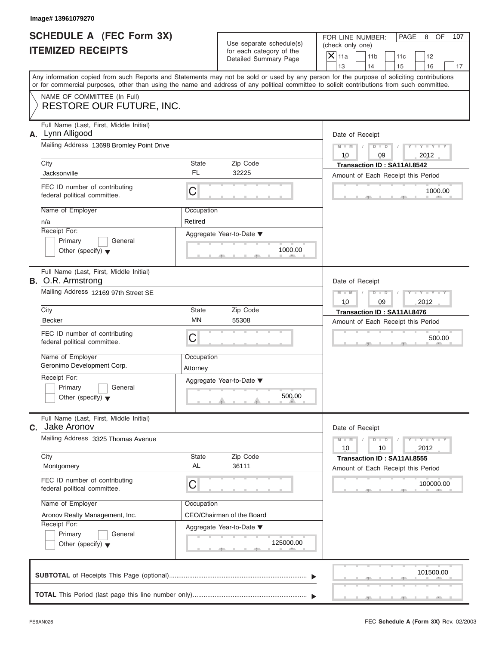|                          | <b>SCHEDULE A (FEC Form 3X)</b> |
|--------------------------|---------------------------------|
| <b>ITEMIZED RECEIPTS</b> |                                 |

FOR LINE NUMBER: PAGE 8 OF<br>(check only one)

| SCHEDULE A (FEC Form 3X)<br><b>ITEMIZED RECEIPTS</b>                                                                                       |                        | Use separate schedule(s)<br>for each category of the | FOR LINE NUMBER:<br>PAGE<br>8<br>OF<br>107<br>(check only one)                                                                            |
|--------------------------------------------------------------------------------------------------------------------------------------------|------------------------|------------------------------------------------------|-------------------------------------------------------------------------------------------------------------------------------------------|
|                                                                                                                                            |                        | Detailed Summary Page                                | $\vert\mathsf{X}\vert$<br>11a<br>11 <sub>b</sub><br>12<br>11c<br>13<br>14<br>15<br>16<br>17                                               |
| or for commercial purposes, other than using the name and address of any political committee to solicit contributions from such committee. |                        |                                                      | Any information copied from such Reports and Statements may not be sold or used by any person for the purpose of soliciting contributions |
| NAME OF COMMITTEE (In Full)<br><b>RESTORE OUR FUTURE, INC.</b>                                                                             |                        |                                                      |                                                                                                                                           |
| Full Name (Last, First, Middle Initial)<br>A. Lynn Alligood                                                                                |                        |                                                      | Date of Receipt                                                                                                                           |
| Mailing Address 13698 Bromley Point Drive<br>City<br>State                                                                                 |                        | Zip Code                                             | $Y = Y = Y$<br>$M - M$<br>$D$ $D$<br>2012<br>10<br>09<br>Transaction ID: SA11AI.8542                                                      |
| Jacksonville                                                                                                                               | <b>FL</b>              | 32225                                                | Amount of Each Receipt this Period                                                                                                        |
| FEC ID number of contributing<br>federal political committee.                                                                              | С                      |                                                      | 1000.00                                                                                                                                   |
| Name of Employer<br>n/a                                                                                                                    | Occupation<br>Retired  |                                                      |                                                                                                                                           |
| Receipt For:<br>Primary<br>General<br>Other (specify) $\blacktriangledown$                                                                 |                        | Aggregate Year-to-Date ▼<br>1000.00<br>$-1$          |                                                                                                                                           |
| Full Name (Last, First, Middle Initial)<br><b>B.</b> O.R. Armstrong                                                                        |                        |                                                      | Date of Receipt                                                                                                                           |
| Mailing Address 12169 97th Street SE                                                                                                       |                        |                                                      | Y TYT<br>$M - M$<br>D<br>$\Box$<br>10<br>09<br>2012                                                                                       |
| City                                                                                                                                       | State<br>MN            | Zip Code                                             | Transaction ID: SA11AI.8476                                                                                                               |
| <b>Becker</b>                                                                                                                              |                        | 55308                                                | Amount of Each Receipt this Period                                                                                                        |
| FEC ID number of contributing<br>federal political committee.                                                                              | С                      |                                                      | 500.00                                                                                                                                    |
| Name of Employer<br>Geronimo Development Corp.                                                                                             | Occupation<br>Attorney |                                                      |                                                                                                                                           |
| Receipt For:                                                                                                                               |                        | Aggregate Year-to-Date ▼                             |                                                                                                                                           |
| Primary<br>General<br>Other (specify) $\blacktriangledown$                                                                                 |                        | 500.00<br>$\theta$ and the set of $\theta$           |                                                                                                                                           |
| Full Name (Last, First, Middle Initial)<br>Jake Aronov<br>C.                                                                               |                        |                                                      | Date of Receipt                                                                                                                           |
| Mailing Address 3325 Thomas Avenue                                                                                                         |                        |                                                      | $Y = Y = Y = Y$<br>$M - M$<br>D<br>$\overline{\phantom{a}}$<br>2012<br>10<br>10                                                           |
| City                                                                                                                                       | State                  | Zip Code                                             | Transaction ID: SA11AI.8555                                                                                                               |
| Montgomery                                                                                                                                 | AL                     | 36111                                                | Amount of Each Receipt this Period                                                                                                        |
| FEC ID number of contributing<br>federal political committee.                                                                              | C                      |                                                      | 100000.00                                                                                                                                 |
| Name of Employer                                                                                                                           | Occupation             |                                                      |                                                                                                                                           |
| Aronov Realty Management, Inc.                                                                                                             |                        | CEO/Chairman of the Board                            |                                                                                                                                           |
| Receipt For:<br>Primary<br>General<br>Other (specify) $\blacktriangledown$                                                                 |                        | Aggregate Year-to-Date ▼<br>125000.00                |                                                                                                                                           |
|                                                                                                                                            |                        |                                                      | 101500.00                                                                                                                                 |
|                                                                                                                                            |                        |                                                      |                                                                                                                                           |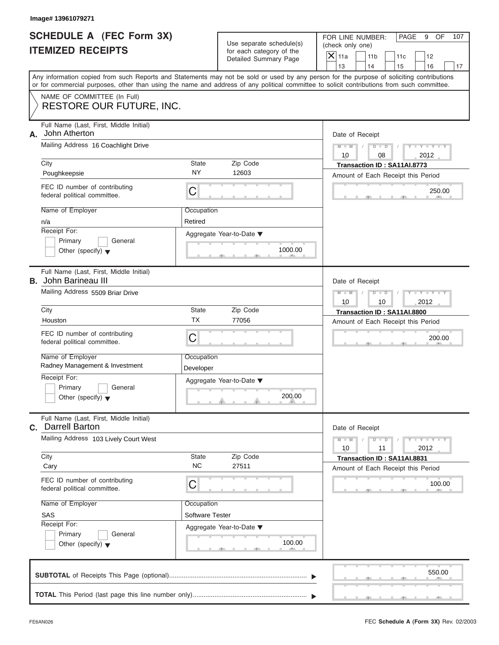| SCHEDULE A (FEC Form 3X) |  |  |
|--------------------------|--|--|
| <b>ITEMIZED RECEIPTS</b> |  |  |

FOR LINE NUMBER: PAGE 9 OF<br>(check only one)

| SCHEDULE A (FEC Form 3X)<br><b>ITEMIZED RECEIPTS</b>                                                                                                                                                                                                                                    |                         | Use separate schedule(s)<br>for each category of the | FOR LINE NUMBER:<br>PAGE<br>9<br>OF<br>107<br>(check only one)                             |  |  |  |
|-----------------------------------------------------------------------------------------------------------------------------------------------------------------------------------------------------------------------------------------------------------------------------------------|-------------------------|------------------------------------------------------|--------------------------------------------------------------------------------------------|--|--|--|
|                                                                                                                                                                                                                                                                                         |                         | Detailed Summary Page                                | $\boldsymbol{\times}$<br>11a<br>11 <sub>b</sub><br>12<br>11c<br>13<br>14<br>15<br>16<br>17 |  |  |  |
| Any information copied from such Reports and Statements may not be sold or used by any person for the purpose of soliciting contributions<br>or for commercial purposes, other than using the name and address of any political committee to solicit contributions from such committee. |                         |                                                      |                                                                                            |  |  |  |
| NAME OF COMMITTEE (In Full)<br><b>RESTORE OUR FUTURE, INC.</b>                                                                                                                                                                                                                          |                         |                                                      |                                                                                            |  |  |  |
| Full Name (Last, First, Middle Initial)<br>John Atherton<br>А.                                                                                                                                                                                                                          |                         |                                                      | Date of Receipt                                                                            |  |  |  |
| Mailing Address 16 Coachlight Drive<br>City                                                                                                                                                                                                                                             | State                   | Zip Code                                             | $Y = Y =$<br>$M - M$<br>$D$ $D$<br>08<br>2012<br>10<br>Transaction ID: SA11AI.8773         |  |  |  |
| Poughkeepsie                                                                                                                                                                                                                                                                            | NΥ                      | 12603                                                | Amount of Each Receipt this Period                                                         |  |  |  |
| FEC ID number of contributing<br>federal political committee.                                                                                                                                                                                                                           | C                       |                                                      | 250.00                                                                                     |  |  |  |
| Name of Employer<br>n/a                                                                                                                                                                                                                                                                 | Occupation<br>Retired   |                                                      |                                                                                            |  |  |  |
| Receipt For:<br>Primary<br>General<br>Other (specify) $\blacktriangledown$                                                                                                                                                                                                              |                         | Aggregate Year-to-Date ▼<br>1000.00<br>. .           |                                                                                            |  |  |  |
| Full Name (Last, First, Middle Initial)<br><b>B.</b> John Barineau III                                                                                                                                                                                                                  |                         |                                                      | Date of Receipt                                                                            |  |  |  |
| Mailing Address 5509 Briar Drive                                                                                                                                                                                                                                                        |                         |                                                      | $M - M$<br>$\Box$<br>D<br>2012<br>10<br>10                                                 |  |  |  |
| City                                                                                                                                                                                                                                                                                    | State<br><b>TX</b>      | Zip Code                                             | Transaction ID: SA11AI.8800                                                                |  |  |  |
| Houston                                                                                                                                                                                                                                                                                 |                         | 77056                                                | Amount of Each Receipt this Period                                                         |  |  |  |
| FEC ID number of contributing<br>federal political committee.                                                                                                                                                                                                                           | C                       |                                                      | 200.00                                                                                     |  |  |  |
| Name of Employer<br>Radney Management & Investment                                                                                                                                                                                                                                      | Occupation<br>Developer |                                                      |                                                                                            |  |  |  |
| Receipt For:                                                                                                                                                                                                                                                                            |                         | Aggregate Year-to-Date ▼                             |                                                                                            |  |  |  |
| Primary<br>General<br>Other (specify) $\blacktriangledown$                                                                                                                                                                                                                              |                         | 200.00<br>$\theta$ and $\theta$ and $\theta$         |                                                                                            |  |  |  |
| Full Name (Last, First, Middle Initial)<br><b>C.</b> Darrell Barton                                                                                                                                                                                                                     |                         |                                                      | Date of Receipt                                                                            |  |  |  |
| Mailing Address 103 Lively Court West                                                                                                                                                                                                                                                   |                         |                                                      | $Y = Y = Y - Y = 1$<br>$M - M$<br>$\overline{D}$<br>$\Box$<br>10<br>2012<br>11             |  |  |  |
| City                                                                                                                                                                                                                                                                                    | State<br>NC.            | Zip Code                                             | Transaction ID: SA11AI.8831                                                                |  |  |  |
| Cary                                                                                                                                                                                                                                                                                    |                         | 27511                                                | Amount of Each Receipt this Period                                                         |  |  |  |
| FEC ID number of contributing<br>federal political committee.                                                                                                                                                                                                                           | С                       |                                                      | 100.00                                                                                     |  |  |  |
| Name of Employer                                                                                                                                                                                                                                                                        | Occupation              |                                                      |                                                                                            |  |  |  |
| SAS<br>Receipt For:                                                                                                                                                                                                                                                                     | <b>Software Tester</b>  |                                                      |                                                                                            |  |  |  |
| Primary<br>General<br>Other (specify) $\blacktriangledown$                                                                                                                                                                                                                              |                         | Aggregate Year-to-Date ▼<br>100.00<br>$-1$           |                                                                                            |  |  |  |
|                                                                                                                                                                                                                                                                                         |                         |                                                      | 550.00                                                                                     |  |  |  |
|                                                                                                                                                                                                                                                                                         |                         |                                                      |                                                                                            |  |  |  |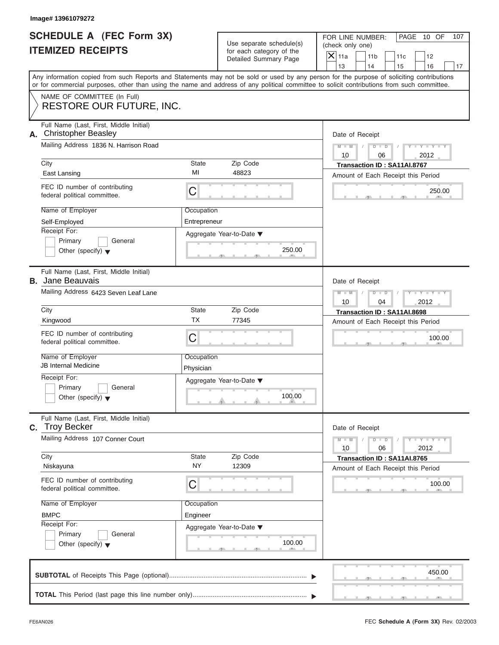# **SCHEDULE A (FEC Form 3X)**

# **ITEMIZED RECEIPTS**

| Image# 13961079272                                                                                                                                                                                                                                                                                   |                                                                                                               |                                                                                                                                                         |
|------------------------------------------------------------------------------------------------------------------------------------------------------------------------------------------------------------------------------------------------------------------------------------------------------|---------------------------------------------------------------------------------------------------------------|---------------------------------------------------------------------------------------------------------------------------------------------------------|
| <b>SCHEDULE A (FEC Form 3X)</b><br><b>ITEMIZED RECEIPTS</b>                                                                                                                                                                                                                                          | Use separate schedule(s)<br>for each category of the<br>Detailed Summary Page                                 | FOR LINE NUMBER:<br>PAGE 10 OF<br>107<br>(check only one)<br>$\overline{X}$ 11a<br>11 <sub>b</sub><br>11c<br>12<br>13<br>14<br>15<br>16<br>17           |
| Any information copied from such Reports and Statements may not be sold or used by any person for the purpose of soliciting contributions<br>or for commercial purposes, other than using the name and address of any political committee to solicit contributions from such committee.              |                                                                                                               |                                                                                                                                                         |
| NAME OF COMMITTEE (In Full)<br><b>RESTORE OUR FUTURE, INC.</b>                                                                                                                                                                                                                                       |                                                                                                               |                                                                                                                                                         |
| Full Name (Last, First, Middle Initial)<br>A. Christopher Beasley<br>Mailing Address 1836 N. Harrison Road<br>City<br>East Lansing<br>FEC ID number of contributing<br>federal political committee.<br>Name of Employer<br>Self-Employed<br>Receipt For:<br>Primary<br>General                       | State<br>Zip Code<br>MI<br>48823<br>C<br>Occupation<br>Entrepreneur<br>Aggregate Year-to-Date ▼               | Date of Receipt<br>$M - M$<br>$D$ $D$<br>$Y - Y - Y$<br>10<br>2012<br>06<br>Transaction ID: SA11AI.8767<br>Amount of Each Receipt this Period<br>250.00 |
| Other (specify) $\blacktriangledown$<br>Full Name (Last, First, Middle Initial)<br><b>B.</b> Jane Beauvais                                                                                                                                                                                           | 250.00                                                                                                        | Date of Receipt                                                                                                                                         |
| Mailing Address 6423 Seven Leaf Lane<br>City<br>Kingwood<br>FEC ID number of contributing<br>federal political committee.<br>Name of Employer<br><b>JB Internal Medicine</b><br>Receipt For:<br>Primary<br>General<br>Other (specify) $\blacktriangledown$                                           | State<br>Zip Code<br><b>TX</b><br>77345<br>C<br>Occupation<br>Physician<br>Aggregate Year-to-Date ▼<br>100.00 | $M - M$<br>$D$ $D$<br>Y I Y I Y I<br>10<br>04<br>2012<br>Transaction ID: SA11AI.8698<br>Amount of Each Receipt this Period<br>100.00                    |
| Full Name (Last, First, Middle Initial)<br>C. Troy Becker<br>Mailing Address 107 Conner Court<br>City<br>Niskayuna<br>FEC ID number of contributing<br>federal political committee.<br>Name of Employer<br><b>BMPC</b><br>Receipt For:<br>Primary<br>General<br>Other (specify) $\blacktriangledown$ | Zip Code<br>State<br><b>NY</b><br>12309<br>С<br>Occupation<br>Engineer<br>Aggregate Year-to-Date ▼<br>100.00  | Date of Receipt<br>$M - M$<br>$Y = Y$<br>$D - D$<br>2012<br>10<br>06<br>Transaction ID: SA11AI.8765<br>Amount of Each Receipt this Period<br>100.00     |
|                                                                                                                                                                                                                                                                                                      |                                                                                                               | 450.00                                                                                                                                                  |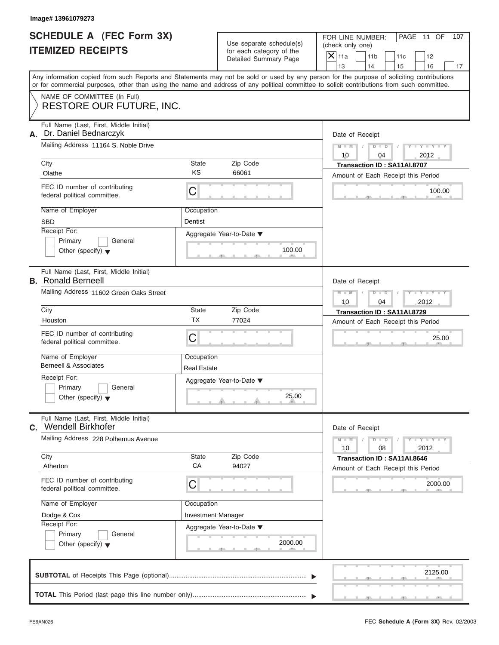# **SCHEDULE A (FEC Form 3X) ITEMIZED RECEIPTS**

| Image# 13961079273                                                                                                                                                                                                                                                                      |                                  |                                                                               |                                                                             |                                                                                                                          |
|-----------------------------------------------------------------------------------------------------------------------------------------------------------------------------------------------------------------------------------------------------------------------------------------|----------------------------------|-------------------------------------------------------------------------------|-----------------------------------------------------------------------------|--------------------------------------------------------------------------------------------------------------------------|
| <b>SCHEDULE A (FEC Form 3X)</b><br><b>ITEMIZED RECEIPTS</b>                                                                                                                                                                                                                             |                                  | Use separate schedule(s)<br>for each category of the<br>Detailed Summary Page | FOR LINE NUMBER:<br>(check only one)<br>$\mathsf{X}$ 11a<br>11 <sub>b</sub> | PAGE 11 OF<br>107<br>11c<br>12                                                                                           |
| Any information copied from such Reports and Statements may not be sold or used by any person for the purpose of soliciting contributions<br>or for commercial purposes, other than using the name and address of any political committee to solicit contributions from such committee. |                                  |                                                                               | 13<br>14                                                                    | 15<br>16<br>17                                                                                                           |
| NAME OF COMMITTEE (In Full)<br><b>RESTORE OUR FUTURE, INC.</b>                                                                                                                                                                                                                          |                                  |                                                                               |                                                                             |                                                                                                                          |
| Full Name (Last, First, Middle Initial)<br>Dr. Daniel Bednarczyk<br>А.<br>Mailing Address 11164 S. Noble Drive                                                                                                                                                                          |                                  |                                                                               | Date of Receipt<br>$M - M$                                                  | $D$ $D$<br>$Y - Y - Y - Y$                                                                                               |
| City<br>Olathe                                                                                                                                                                                                                                                                          | State<br>KS                      | Zip Code<br>66061                                                             | 10                                                                          | 04<br>2012<br>Transaction ID: SA11AI.8707                                                                                |
| FEC ID number of contributing<br>federal political committee.                                                                                                                                                                                                                           | C                                |                                                                               |                                                                             | Amount of Each Receipt this Period<br>100.00                                                                             |
| Name of Employer<br><b>SBD</b><br>Receipt For:<br>Primary<br>General                                                                                                                                                                                                                    | Occupation<br>Dentist            | Aggregate Year-to-Date ▼                                                      |                                                                             |                                                                                                                          |
| Other (specify) $\blacktriangledown$<br>Full Name (Last, First, Middle Initial)<br><b>B.</b> Ronald Berneell<br>Mailing Address 11602 Green Oaks Street                                                                                                                                 |                                  | 100.00                                                                        | Date of Receipt<br>$M - M$<br>$D$ $D$                                       | Y T Y T Y T                                                                                                              |
| City<br>Houston                                                                                                                                                                                                                                                                         | State<br><b>TX</b>               | Zip Code<br>77024                                                             | 10                                                                          | 2012<br>04<br>Transaction ID: SA11AI.8729<br>Amount of Each Receipt this Period                                          |
| FEC ID number of contributing<br>federal political committee.                                                                                                                                                                                                                           | C                                |                                                                               |                                                                             | 25.00                                                                                                                    |
| Name of Employer<br><b>Berneell &amp; Associates</b><br>Receipt For:                                                                                                                                                                                                                    | Occupation<br><b>Real Estate</b> |                                                                               |                                                                             |                                                                                                                          |
| Primary<br>General<br>Other (specify) $\blacktriangledown$                                                                                                                                                                                                                              |                                  | Aggregate Year-to-Date ▼<br>25.00                                             |                                                                             |                                                                                                                          |
| Full Name (Last, First, Middle Initial)<br>C. Wendell Birkhofer                                                                                                                                                                                                                         |                                  |                                                                               | Date of Receipt                                                             |                                                                                                                          |
| Mailing Address 228 Polhemus Avenue<br>City                                                                                                                                                                                                                                             | <b>State</b>                     | Zip Code                                                                      | $M - M$<br>10                                                               | $\mathbf{I}$ $\mathbf{Y}$ $\mathbf{I}$ $\mathbf{Y}$ $\mathbf{I}$<br>$D$ $D$<br>2012<br>08<br>Transaction ID: SA11AI.8646 |
| Atherton<br>FEC ID number of contributing                                                                                                                                                                                                                                               | CA<br>С                          | 94027                                                                         |                                                                             | Amount of Each Receipt this Period<br>2000.00                                                                            |
| federal political committee.<br>Name of Employer                                                                                                                                                                                                                                        | Occupation                       |                                                                               |                                                                             |                                                                                                                          |
| Dodge & Cox<br>Receipt For:<br>Primary<br>General<br>Other (specify) $\blacktriangledown$                                                                                                                                                                                               | <b>Investment Manager</b>        | Aggregate Year-to-Date ▼<br>2000.00                                           |                                                                             |                                                                                                                          |
|                                                                                                                                                                                                                                                                                         |                                  |                                                                               |                                                                             | 2125.00                                                                                                                  |
|                                                                                                                                                                                                                                                                                         |                                  |                                                                               |                                                                             |                                                                                                                          |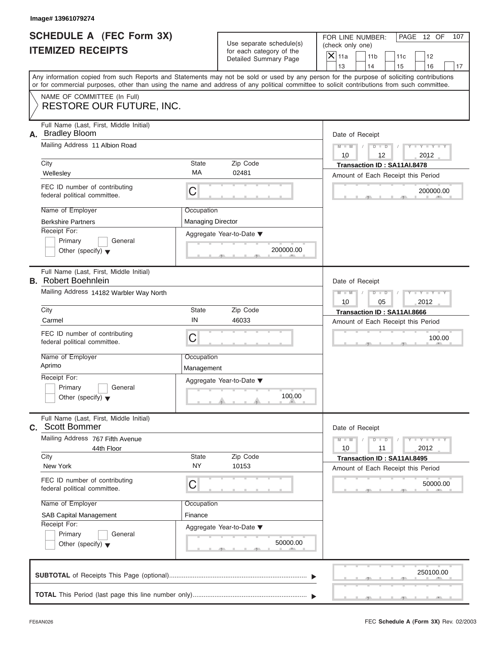|                          | <b>SCHEDULE A (FEC Form 3X)</b> |
|--------------------------|---------------------------------|
| <b>ITEMIZED RECEIPTS</b> |                                 |

|                                                             | Image# 13961079274                                                                                                                         |                                                      |                                       |                                                                                                                                           |
|-------------------------------------------------------------|--------------------------------------------------------------------------------------------------------------------------------------------|------------------------------------------------------|---------------------------------------|-------------------------------------------------------------------------------------------------------------------------------------------|
| <b>SCHEDULE A (FEC Form 3X)</b><br><b>ITEMIZED RECEIPTS</b> |                                                                                                                                            | Use separate schedule(s)<br>for each category of the |                                       | FOR LINE NUMBER:<br>PAGE 12 OF<br>107<br>(check only one)<br>$\mathsf{X}$ 11a<br>11 <sub>b</sub><br>11c<br>12                             |
|                                                             |                                                                                                                                            |                                                      | Detailed Summary Page                 | 13<br>14<br>15<br>16<br>17                                                                                                                |
|                                                             | or for commercial purposes, other than using the name and address of any political committee to solicit contributions from such committee. |                                                      |                                       | Any information copied from such Reports and Statements may not be sold or used by any person for the purpose of soliciting contributions |
|                                                             | NAME OF COMMITTEE (In Full)<br>RESTORE OUR FUTURE, INC.                                                                                    |                                                      |                                       |                                                                                                                                           |
| А.                                                          | Full Name (Last, First, Middle Initial)<br><b>Bradley Bloom</b>                                                                            |                                                      |                                       | Date of Receipt                                                                                                                           |
|                                                             | Mailing Address 11 Albion Road                                                                                                             |                                                      |                                       | $D$ $\Box$ $D$<br>$Y - Y - Y - Y - Y$<br>$M - M$<br>10<br>12<br>2012                                                                      |
|                                                             | City<br>Wellesley                                                                                                                          | State<br>MA                                          | Zip Code<br>02481                     | Transaction ID: SA11AI.8478<br>Amount of Each Receipt this Period                                                                         |
|                                                             | FEC ID number of contributing<br>federal political committee.                                                                              | С                                                    |                                       | 200000.00                                                                                                                                 |
|                                                             | Name of Employer<br><b>Berkshire Partners</b>                                                                                              | Occupation<br><b>Managing Director</b>               |                                       |                                                                                                                                           |
|                                                             | Receipt For:<br>Primary<br>General<br>Other (specify) $\blacktriangledown$                                                                 |                                                      | Aggregate Year-to-Date ▼<br>200000.00 |                                                                                                                                           |
|                                                             | Full Name (Last, First, Middle Initial)<br><b>B.</b> Robert Boehnlein                                                                      |                                                      |                                       | Date of Receipt                                                                                                                           |
|                                                             | Mailing Address 14182 Warbler Way North                                                                                                    |                                                      |                                       | $M - M$<br>$D$ $D$<br>Y I Y I Y I<br>10<br>05<br>2012                                                                                     |
|                                                             | City                                                                                                                                       | State                                                | Zip Code                              | Transaction ID: SA11AI.8666                                                                                                               |
|                                                             | Carmel                                                                                                                                     | IN                                                   | 46033                                 | Amount of Each Receipt this Period                                                                                                        |
|                                                             | FEC ID number of contributing<br>federal political committee.                                                                              | С                                                    |                                       | 100.00                                                                                                                                    |
|                                                             | Name of Employer<br>Aprimo                                                                                                                 | Occupation<br>Management                             |                                       |                                                                                                                                           |
|                                                             | Receipt For:                                                                                                                               |                                                      | Aggregate Year-to-Date ▼              |                                                                                                                                           |
|                                                             | Primary<br>General<br>Other (specify) $\blacktriangledown$                                                                                 |                                                      | 100.00                                |                                                                                                                                           |
|                                                             | Full Name (Last, First, Middle Initial)<br>C. Scott Bommer                                                                                 |                                                      |                                       | Date of Receipt                                                                                                                           |
|                                                             | Mailing Address 767 Fifth Avenue<br>44th Floor                                                                                             |                                                      |                                       | $Y - Y - I$<br>$M - M$<br>$D$ $D$<br>2012<br>10<br>11                                                                                     |
|                                                             | City<br>New York                                                                                                                           | State<br><b>NY</b>                                   | Zip Code<br>10153                     | Transaction ID: SA11AI.8495<br>Amount of Each Receipt this Period                                                                         |
|                                                             | FEC ID number of contributing<br>federal political committee.                                                                              | С                                                    |                                       | 50000.00                                                                                                                                  |
|                                                             | Name of Employer                                                                                                                           | Occupation                                           |                                       |                                                                                                                                           |
|                                                             | <b>SAB Capital Management</b><br>Receipt For:                                                                                              | Finance                                              |                                       |                                                                                                                                           |
|                                                             | Primary<br>General<br>Other (specify) $\blacktriangledown$                                                                                 |                                                      | Aggregate Year-to-Date ▼<br>50000.00  |                                                                                                                                           |
|                                                             |                                                                                                                                            |                                                      |                                       | 250100.00                                                                                                                                 |
|                                                             |                                                                                                                                            |                                                      |                                       |                                                                                                                                           |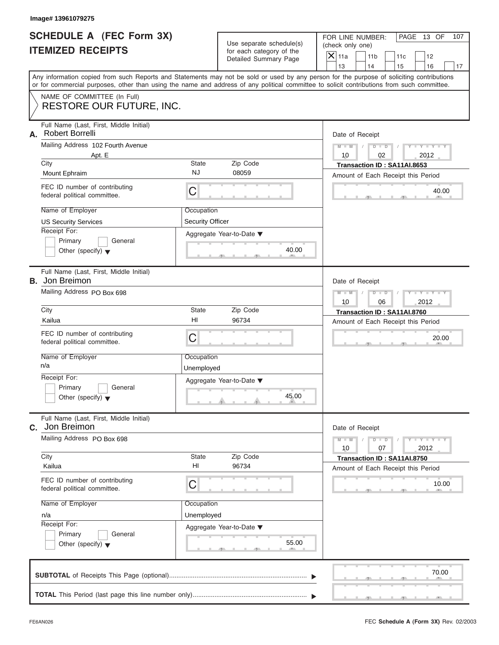|                          | <b>SCHEDULE A (FEC Form 3X)</b> |
|--------------------------|---------------------------------|
| <b>ITEMIZED RECEIPTS</b> |                                 |

| Image# 13961079275                                               |                         |                                                      |                                                                                                                                                                                                                                                                                         |
|------------------------------------------------------------------|-------------------------|------------------------------------------------------|-----------------------------------------------------------------------------------------------------------------------------------------------------------------------------------------------------------------------------------------------------------------------------------------|
| <b>SCHEDULE A (FEC Form 3X)</b><br><b>ITEMIZED RECEIPTS</b>      |                         | Use separate schedule(s)<br>for each category of the | FOR LINE NUMBER:<br>PAGE 13 OF<br>107<br>(check only one)<br>$\mathsf{X}$ 11a<br>11 <sub>b</sub><br>11c<br>12                                                                                                                                                                           |
|                                                                  |                         | Detailed Summary Page                                | 13<br>14<br>16<br>15<br>17                                                                                                                                                                                                                                                              |
|                                                                  |                         |                                                      | Any information copied from such Reports and Statements may not be sold or used by any person for the purpose of soliciting contributions<br>or for commercial purposes, other than using the name and address of any political committee to solicit contributions from such committee. |
| NAME OF COMMITTEE (In Full)<br>RESTORE OUR FUTURE, INC.          |                         |                                                      |                                                                                                                                                                                                                                                                                         |
| Full Name (Last, First, Middle Initial)<br>Robert Borrelli<br>А. |                         |                                                      | Date of Receipt                                                                                                                                                                                                                                                                         |
| Mailing Address 102 Fourth Avenue                                |                         |                                                      | $Y - Y - Y - Y - Y$<br>$M - M$<br>$D - D$                                                                                                                                                                                                                                               |
| Apt. E                                                           |                         |                                                      | 10<br>02<br>2012                                                                                                                                                                                                                                                                        |
| City<br>Mount Ephraim                                            | State<br><b>NJ</b>      | Zip Code<br>08059                                    | Transaction ID: SA11AI.8653                                                                                                                                                                                                                                                             |
| FEC ID number of contributing                                    |                         |                                                      | Amount of Each Receipt this Period<br>40.00                                                                                                                                                                                                                                             |
| federal political committee.                                     | С                       |                                                      |                                                                                                                                                                                                                                                                                         |
| Name of Employer                                                 | Occupation              |                                                      |                                                                                                                                                                                                                                                                                         |
| <b>US Security Services</b>                                      | <b>Security Officer</b> |                                                      |                                                                                                                                                                                                                                                                                         |
| Receipt For:                                                     |                         | Aggregate Year-to-Date ▼                             |                                                                                                                                                                                                                                                                                         |
| Primary<br>General<br>Other (specify) $\blacktriangledown$       |                         | 40.00                                                |                                                                                                                                                                                                                                                                                         |
|                                                                  |                         |                                                      |                                                                                                                                                                                                                                                                                         |
| Full Name (Last, First, Middle Initial)<br><b>B.</b> Jon Breimon |                         |                                                      | Date of Receipt                                                                                                                                                                                                                                                                         |
| Mailing Address PO Box 698                                       |                         |                                                      | $Y - Y - Y - Y - Y$<br>$M - M$<br>$D$ $D$                                                                                                                                                                                                                                               |
|                                                                  |                         |                                                      | 10<br>06<br>2012                                                                                                                                                                                                                                                                        |
| City                                                             | State                   | Zip Code                                             | Transaction ID: SA11AI.8760                                                                                                                                                                                                                                                             |
| Kailua                                                           | H <sub>l</sub>          | 96734                                                | Amount of Each Receipt this Period                                                                                                                                                                                                                                                      |
| FEC ID number of contributing<br>federal political committee.    | С                       |                                                      | 20.00                                                                                                                                                                                                                                                                                   |
| Name of Employer                                                 | Occupation              |                                                      |                                                                                                                                                                                                                                                                                         |
| n/a                                                              | Unemployed              |                                                      |                                                                                                                                                                                                                                                                                         |
| Receipt For:                                                     |                         | Aggregate Year-to-Date ▼                             |                                                                                                                                                                                                                                                                                         |
| Primary<br>General<br>Other (specify) $\blacktriangledown$       |                         | 45.00                                                |                                                                                                                                                                                                                                                                                         |
| Full Name (Last, First, Middle Initial)<br>Jon Breimon<br>С.     |                         |                                                      | Date of Receipt                                                                                                                                                                                                                                                                         |
| Mailing Address PO Box 698                                       |                         |                                                      | $Y = Y$<br>$M - M$<br>$D$ $D$<br>2012<br>10<br>07                                                                                                                                                                                                                                       |
| City                                                             | State                   | Zip Code                                             | Transaction ID: SA11AI.8750                                                                                                                                                                                                                                                             |
| Kailua                                                           | HI                      | 96734                                                | Amount of Each Receipt this Period                                                                                                                                                                                                                                                      |
| FEC ID number of contributing<br>federal political committee.    | С                       |                                                      | 10.00                                                                                                                                                                                                                                                                                   |
| Name of Employer                                                 | Occupation              |                                                      |                                                                                                                                                                                                                                                                                         |
| n/a                                                              | Unemployed              |                                                      |                                                                                                                                                                                                                                                                                         |
| Receipt For:                                                     |                         | Aggregate Year-to-Date ▼                             |                                                                                                                                                                                                                                                                                         |
| Primary<br>General                                               |                         |                                                      |                                                                                                                                                                                                                                                                                         |
| Other (specify) $\blacktriangledown$                             |                         | 55.00                                                |                                                                                                                                                                                                                                                                                         |
|                                                                  |                         |                                                      |                                                                                                                                                                                                                                                                                         |
|                                                                  |                         |                                                      | 70.00                                                                                                                                                                                                                                                                                   |
|                                                                  |                         |                                                      |                                                                                                                                                                                                                                                                                         |
|                                                                  |                         |                                                      |                                                                                                                                                                                                                                                                                         |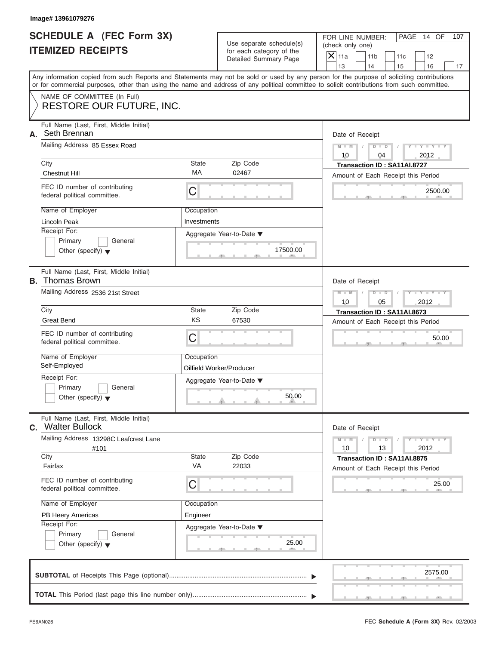| <b>SCHEDULE A (FEC Form 3X)</b> |  |  |
|---------------------------------|--|--|
| <b>ITEMIZED RECEIPTS</b>        |  |  |

|                                                      | Image# 13961079276                                                                                                                                                                                                                                                                      |                                                      |                                    |                                                 |                                                                   |           |                             |     |
|------------------------------------------------------|-----------------------------------------------------------------------------------------------------------------------------------------------------------------------------------------------------------------------------------------------------------------------------------------|------------------------------------------------------|------------------------------------|-------------------------------------------------|-------------------------------------------------------------------|-----------|-----------------------------|-----|
| SCHEDULE A (FEC Form 3X)<br><b>ITEMIZED RECEIPTS</b> |                                                                                                                                                                                                                                                                                         | Use separate schedule(s)<br>for each category of the |                                    | FOR LINE NUMBER:<br>(check only one)<br>$X$ 11a |                                                                   |           | PAGE 14 OF                  | 107 |
|                                                      |                                                                                                                                                                                                                                                                                         |                                                      | Detailed Summary Page              | 13                                              | 11 <sub>b</sub><br>14                                             | 11c<br>15 | 12<br>16                    | 17  |
|                                                      | Any information copied from such Reports and Statements may not be sold or used by any person for the purpose of soliciting contributions<br>or for commercial purposes, other than using the name and address of any political committee to solicit contributions from such committee. |                                                      |                                    |                                                 |                                                                   |           |                             |     |
|                                                      | NAME OF COMMITTEE (In Full)<br><b>RESTORE OUR FUTURE, INC.</b>                                                                                                                                                                                                                          |                                                      |                                    |                                                 |                                                                   |           |                             |     |
| А.                                                   | Full Name (Last, First, Middle Initial)<br>Seth Brennan                                                                                                                                                                                                                                 |                                                      |                                    |                                                 | Date of Receipt                                                   |           |                             |     |
|                                                      | Mailing Address 85 Essex Road                                                                                                                                                                                                                                                           |                                                      |                                    | $M - M$<br>10                                   | $D$ $D$<br>04                                                     |           | $Y - Y - Y - Y - Y$<br>2012 |     |
|                                                      | City                                                                                                                                                                                                                                                                                    | <b>State</b><br>MA                                   | Zip Code                           |                                                 | Transaction ID: SA11AI.8727                                       |           |                             |     |
|                                                      | <b>Chestnut Hill</b>                                                                                                                                                                                                                                                                    |                                                      | 02467                              |                                                 | Amount of Each Receipt this Period                                |           |                             |     |
|                                                      | FEC ID number of contributing<br>federal political committee.                                                                                                                                                                                                                           | C                                                    |                                    |                                                 |                                                                   |           | 2500.00                     |     |
|                                                      | Name of Employer                                                                                                                                                                                                                                                                        | Occupation                                           |                                    |                                                 |                                                                   |           |                             |     |
|                                                      | Lincoln Peak                                                                                                                                                                                                                                                                            | Investments                                          |                                    |                                                 |                                                                   |           |                             |     |
|                                                      | Receipt For:<br>Primary<br>General                                                                                                                                                                                                                                                      |                                                      | Aggregate Year-to-Date ▼           |                                                 |                                                                   |           |                             |     |
|                                                      | Other (specify) $\blacktriangledown$                                                                                                                                                                                                                                                    |                                                      | 17500.00                           |                                                 |                                                                   |           |                             |     |
|                                                      | Full Name (Last, First, Middle Initial)<br><b>B.</b> Thomas Brown                                                                                                                                                                                                                       |                                                      |                                    |                                                 | Date of Receipt                                                   |           |                             |     |
|                                                      | Mailing Address 2536 21st Street                                                                                                                                                                                                                                                        |                                                      |                                    | $M - M$<br>10                                   | $D$ $D$<br>05                                                     |           | $Y - Y - Y - Y - Y$<br>2012 |     |
|                                                      | City                                                                                                                                                                                                                                                                                    | State<br>Zip Code<br>67530                           |                                    |                                                 | Transaction ID: SA11AI.8673                                       |           |                             |     |
|                                                      | <b>Great Bend</b>                                                                                                                                                                                                                                                                       | KS                                                   | Amount of Each Receipt this Period |                                                 |                                                                   |           |                             |     |
|                                                      | FEC ID number of contributing<br>federal political committee.                                                                                                                                                                                                                           | C                                                    |                                    |                                                 |                                                                   |           | 50.00                       |     |
|                                                      | Name of Employer                                                                                                                                                                                                                                                                        | Occupation                                           |                                    |                                                 |                                                                   |           |                             |     |
|                                                      | Self-Employed                                                                                                                                                                                                                                                                           |                                                      | Oilfield Worker/Producer           |                                                 |                                                                   |           |                             |     |
|                                                      | Receipt For:<br>Primary<br>General                                                                                                                                                                                                                                                      |                                                      | Aggregate Year-to-Date ▼           |                                                 |                                                                   |           |                             |     |
|                                                      | Other (specify) $\blacktriangledown$                                                                                                                                                                                                                                                    |                                                      | 50.00                              |                                                 |                                                                   |           |                             |     |
| C.                                                   | Full Name (Last, First, Middle Initial)<br><b>Walter Bullock</b>                                                                                                                                                                                                                        |                                                      |                                    |                                                 | Date of Receipt                                                   |           |                             |     |
|                                                      | Mailing Address 13298C Leafcrest Lane<br>#101                                                                                                                                                                                                                                           |                                                      |                                    | $M - M$<br>10                                   | $D$ $D$<br>13                                                     |           | $Y - Y - Y - I$<br>2012     |     |
|                                                      | City<br>Fairfax                                                                                                                                                                                                                                                                         | State<br>VA                                          | Zip Code<br>22033                  |                                                 | Transaction ID: SA11AI.8875<br>Amount of Each Receipt this Period |           |                             |     |
|                                                      | FEC ID number of contributing<br>federal political committee.                                                                                                                                                                                                                           | C                                                    |                                    |                                                 |                                                                   |           | 25.00                       |     |
|                                                      | Name of Employer                                                                                                                                                                                                                                                                        | Occupation                                           |                                    |                                                 |                                                                   |           |                             |     |
|                                                      | PB Heery Americas                                                                                                                                                                                                                                                                       | Engineer                                             |                                    |                                                 |                                                                   |           |                             |     |
|                                                      | Receipt For:                                                                                                                                                                                                                                                                            |                                                      | Aggregate Year-to-Date ▼           |                                                 |                                                                   |           |                             |     |
|                                                      | Primary<br>General<br>Other (specify) $\blacktriangledown$                                                                                                                                                                                                                              |                                                      | 25.00                              |                                                 |                                                                   |           |                             |     |
|                                                      |                                                                                                                                                                                                                                                                                         |                                                      |                                    |                                                 |                                                                   |           | 2575.00                     |     |
|                                                      |                                                                                                                                                                                                                                                                                         |                                                      |                                    |                                                 |                                                                   |           |                             |     |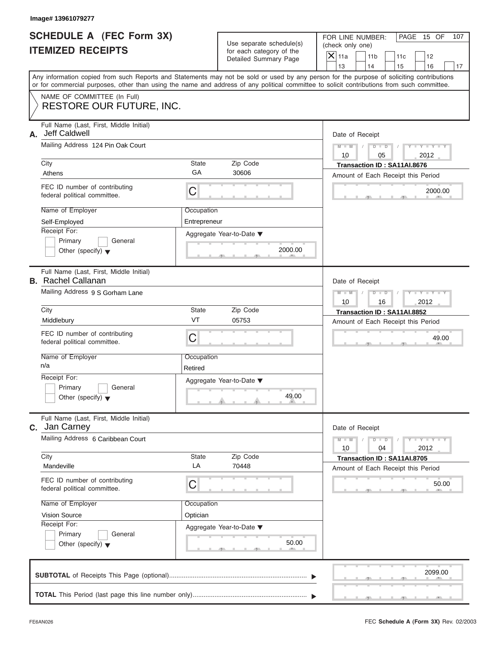| <b>SCHEDULE A (FEC Form 3X)</b> |  |  |
|---------------------------------|--|--|
| <b>ITEMIZED RECEIPTS</b>        |  |  |

| Image# 13961079277            |                                                                                                                                                                                                                                                                                         |                             |                                                                               |                                        |                                                                         |     |                         |     |
|-------------------------------|-----------------------------------------------------------------------------------------------------------------------------------------------------------------------------------------------------------------------------------------------------------------------------------------|-----------------------------|-------------------------------------------------------------------------------|----------------------------------------|-------------------------------------------------------------------------|-----|-------------------------|-----|
|                               | <b>SCHEDULE A (FEC Form 3X)</b><br><b>ITEMIZED RECEIPTS</b>                                                                                                                                                                                                                             |                             | Use separate schedule(s)<br>for each category of the<br>Detailed Summary Page | (check only one)<br>$\overline{X}$ 11a | FOR LINE NUMBER:<br>11 <sub>b</sub>                                     | 11c | PAGE 15 OF<br>12        | 107 |
|                               | Any information copied from such Reports and Statements may not be sold or used by any person for the purpose of soliciting contributions<br>or for commercial purposes, other than using the name and address of any political committee to solicit contributions from such committee. |                             |                                                                               | 13                                     | 14                                                                      | 15  | 16                      | 17  |
|                               | NAME OF COMMITTEE (In Full)<br><b>RESTORE OUR FUTURE, INC.</b>                                                                                                                                                                                                                          |                             |                                                                               |                                        |                                                                         |     |                         |     |
| Jeff Caldwell<br>А.<br>City   | Full Name (Last, First, Middle Initial)<br>Mailing Address 124 Pin Oak Court                                                                                                                                                                                                            | State                       | Zip Code                                                                      | $M - M$<br>10                          | Date of Receipt<br>$D$ $D$<br>05<br>Transaction ID: SA11AI.8676         |     | $Y - Y - Y$<br>2012     |     |
| Athens                        | FEC ID number of contributing<br>federal political committee.                                                                                                                                                                                                                           | GA<br>C                     | 30606                                                                         |                                        | Amount of Each Receipt this Period                                      |     | 2000.00                 |     |
| Self-Employed<br>Receipt For: | Name of Employer<br>Primary<br>General<br>Other (specify) $\blacktriangledown$                                                                                                                                                                                                          | Occupation<br>Entrepreneur  | Aggregate Year-to-Date ▼<br>2000.00                                           |                                        |                                                                         |     |                         |     |
| City                          | Full Name (Last, First, Middle Initial)<br><b>B.</b> Rachel Callanan<br>Mailing Address 9 S Gorham Lane                                                                                                                                                                                 | State                       | Zip Code                                                                      | $M - M$<br>10                          | Date of Receipt<br>$D - I$<br>16                                        |     | $Y - Y - Y - Y$<br>2012 |     |
| Middlebury                    | FEC ID number of contributing<br>federal political committee.                                                                                                                                                                                                                           | VT<br>C                     | 05753                                                                         |                                        | Transaction ID: SA11AI.8852<br>Amount of Each Receipt this Period       |     | 49.00                   |     |
| n/a<br>Receipt For:           | Name of Employer<br>Primary<br>General<br>Other (specify) $\blacktriangledown$                                                                                                                                                                                                          | Occupation<br>Retired       | Aggregate Year-to-Date ▼<br>49.00                                             |                                        |                                                                         |     |                         |     |
| C. Jan Carney                 | Full Name (Last, First, Middle Initial)<br>Mailing Address 6 Caribbean Court                                                                                                                                                                                                            |                             |                                                                               | $M - M$                                | Date of Receipt<br>$D - D$                                              |     | $Y = Y$                 |     |
| City<br>Mandeville            |                                                                                                                                                                                                                                                                                         | State<br>LA                 | Zip Code<br>70448                                                             | 10                                     | 04<br>Transaction ID: SA11AI.8705<br>Amount of Each Receipt this Period |     | 2012                    |     |
| Vision Source<br>Receipt For: | FEC ID number of contributing<br>federal political committee.<br>Name of Employer<br>Primary<br>General<br>Other (specify) $\blacktriangledown$                                                                                                                                         | С<br>Occupation<br>Optician | Aggregate Year-to-Date ▼<br>50.00                                             |                                        |                                                                         |     | 50.00                   |     |
|                               |                                                                                                                                                                                                                                                                                         |                             |                                                                               |                                        |                                                                         |     | 2099.00                 |     |
|                               |                                                                                                                                                                                                                                                                                         |                             |                                                                               |                                        |                                                                         |     |                         |     |

FEC **Schedule A (Form 3X)** Rev. 02/2003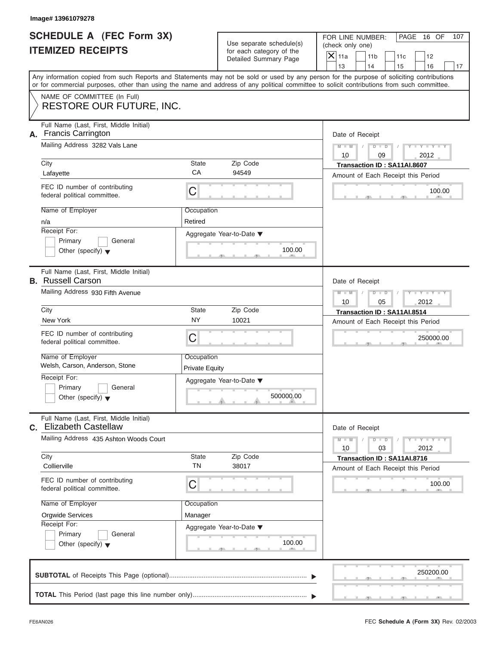| <b>SCHEDULE A (FEC Form 3X)</b> |  |  |
|---------------------------------|--|--|
| <b>ITEMIZED RECEIPTS</b>        |  |  |

| <b>SCHEDULE A (FEC Form 3X)</b><br><b>ITEMIZED RECEIPTS</b><br>Any information copied from such Reports and Statements may not be sold or used by any person for the purpose of soliciting contributions<br>or for commercial purposes, other than using the name and address of any political committee to solicit contributions from such committee.<br>NAME OF COMMITTEE (In Full)<br><b>RESTORE OUR FUTURE, INC.</b> | Use separate schedule(s)<br>for each category of the<br>Detailed Summary Page | FOR LINE NUMBER:<br>PAGE 16 OF<br>107<br>(check only one)<br>$\overline{X}$ 11a<br>11 <sub>b</sub><br>11c<br>12<br>13<br>14<br>15<br>16<br>17<br>Date of Receipt  |
|--------------------------------------------------------------------------------------------------------------------------------------------------------------------------------------------------------------------------------------------------------------------------------------------------------------------------------------------------------------------------------------------------------------------------|-------------------------------------------------------------------------------|-------------------------------------------------------------------------------------------------------------------------------------------------------------------|
|                                                                                                                                                                                                                                                                                                                                                                                                                          |                                                                               |                                                                                                                                                                   |
|                                                                                                                                                                                                                                                                                                                                                                                                                          |                                                                               |                                                                                                                                                                   |
|                                                                                                                                                                                                                                                                                                                                                                                                                          |                                                                               |                                                                                                                                                                   |
| Full Name (Last, First, Middle Initial)<br><b>Francis Carrington</b><br>А.<br>Mailing Address 3282 Vals Lane<br>State<br>City<br>CA<br>Lafayette<br>FEC ID number of contributing<br>C<br>federal political committee.<br>Name of Employer<br>Occupation<br>Retired<br>n/a<br>Receipt For:                                                                                                                               | Zip Code<br>94549<br>Aggregate Year-to-Date ▼                                 | $M - M$<br>$D$ $\Box$ $D$<br>Y TYT<br>10<br>09<br>2012<br>Transaction ID: SA11AI.8607<br>Amount of Each Receipt this Period<br>100.00                             |
| Primary<br>General<br>Other (specify) $\blacktriangledown$<br>Full Name (Last, First, Middle Initial)                                                                                                                                                                                                                                                                                                                    | 100.00                                                                        |                                                                                                                                                                   |
| <b>B.</b> Russell Carson<br>Mailing Address 930 Fifth Avenue<br>City<br>State<br><b>NY</b><br>New York<br>FEC ID number of contributing<br>C<br>federal political committee.<br>Name of Employer<br>Occupation<br>Welsh, Carson, Anderson, Stone<br><b>Private Equity</b><br>Receipt For:<br>Primary<br>General<br>Other (specify) $\blacktriangledown$<br>Full Name (Last, First, Middle Initial)                       | Zip Code<br>10021<br>Aggregate Year-to-Date ▼<br>500000.00                    | Date of Receipt<br>$M - M$<br>$D$ $\Box$ $D$<br>Y I Y I Y I<br>10<br>05<br>2012<br>Transaction ID: SA11AI.8514<br>Amount of Each Receipt this Period<br>250000.00 |
| C. Elizabeth Castellaw<br>Mailing Address 435 Ashton Woods Court<br>City<br>State<br><b>TN</b><br>Collierville<br>FEC ID number of contributing<br>С<br>federal political committee.<br>Name of Employer<br>Occupation<br>Orgwide Services<br>Manager<br>Receipt For:<br>Primary<br>General<br>Other (specify) $\blacktriangledown$                                                                                      | Zip Code<br>38017<br>Aggregate Year-to-Date ▼<br>100.00                       | Date of Receipt<br>$M - M$<br>$Y = Y$<br>$D - D$<br>2012<br>10<br>03<br>Transaction ID: SA11AI.8716<br>Amount of Each Receipt this Period<br>100.00               |
|                                                                                                                                                                                                                                                                                                                                                                                                                          |                                                                               | 250200.00                                                                                                                                                         |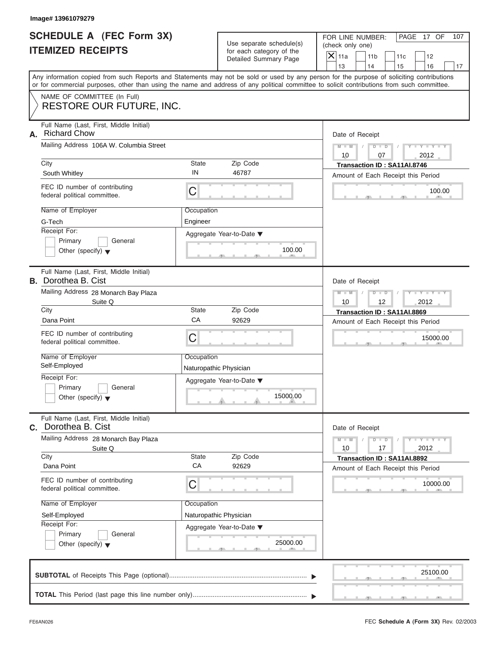|                          | <b>SCHEDULE A (FEC Form 3X)</b> |
|--------------------------|---------------------------------|
| <b>ITEMIZED RECEIPTS</b> |                                 |

| Image# 13961079279                                                                                                                                                                                                                                                                                                                 |                                                                 |                                                                                     |                                                                                                                                                               |
|------------------------------------------------------------------------------------------------------------------------------------------------------------------------------------------------------------------------------------------------------------------------------------------------------------------------------------|-----------------------------------------------------------------|-------------------------------------------------------------------------------------|---------------------------------------------------------------------------------------------------------------------------------------------------------------|
| <b>SCHEDULE A (FEC Form 3X)</b><br><b>ITEMIZED RECEIPTS</b>                                                                                                                                                                                                                                                                        |                                                                 | Use separate schedule(s)<br>for each category of the<br>Detailed Summary Page       | FOR LINE NUMBER:<br>PAGE 17 OF<br>107<br>(check only one)<br>$\overline{X}$ 11a<br>11 <sub>b</sub><br>11c<br>12<br>13<br>14                                   |
| Any information copied from such Reports and Statements may not be sold or used by any person for the purpose of soliciting contributions<br>or for commercial purposes, other than using the name and address of any political committee to solicit contributions from such committee.                                            |                                                                 |                                                                                     | 15<br>16<br>17                                                                                                                                                |
| NAME OF COMMITTEE (In Full)<br><b>RESTORE OUR FUTURE, INC.</b>                                                                                                                                                                                                                                                                     |                                                                 |                                                                                     |                                                                                                                                                               |
| Full Name (Last, First, Middle Initial)<br><b>Richard Chow</b><br>А.<br>Mailing Address 106A W. Columbia Street<br>City<br>South Whitley<br>FEC ID number of contributing                                                                                                                                                          | State<br>IN                                                     | Zip Code<br>46787                                                                   | Date of Receipt<br>$M - M$<br>$D$ $D$<br>$Y - Y - Y$<br>10<br>2012<br>07<br>Transaction ID: SA11AI.8746<br>Amount of Each Receipt this Period                 |
| federal political committee.<br>Name of Employer<br>G-Tech<br>Receipt For:<br>Primary<br>General<br>Other (specify) $\blacktriangledown$                                                                                                                                                                                           | C<br>Occupation<br>Engineer                                     | Aggregate Year-to-Date ▼<br>100.00                                                  | 100.00                                                                                                                                                        |
| Full Name (Last, First, Middle Initial)<br><b>B.</b> Dorothea B. Cist<br>Mailing Address 28 Monarch Bay Plaza<br>Suite Q<br>City<br>Dana Point<br>FEC ID number of contributing<br>federal political committee.<br>Name of Employer<br>Self-Employed<br>Receipt For:<br>Primary<br>General<br>Other (specify) $\blacktriangledown$ | <b>State</b><br>CA<br>C<br>Occupation<br>Naturopathic Physician | Zip Code<br>92629<br>Aggregate Year-to-Date ▼<br>15000.00                           | Date of Receipt<br>$M - M$<br>$D$ $D$<br>$Y = Y + Y + Y$<br>10<br>12<br>2012<br>Transaction ID: SA11AI.8869<br>Amount of Each Receipt this Period<br>15000.00 |
| Full Name (Last, First, Middle Initial)<br>C. Dorothea B. Cist<br>Mailing Address 28 Monarch Bay Plaza<br>Suite Q<br>City<br>Dana Point<br>FEC ID number of contributing<br>federal political committee.<br>Name of Employer<br>Self-Employed<br>Receipt For:<br>Primary<br>General<br>Other (specify) $\blacktriangledown$        | State<br>CA<br>С<br>Occupation                                  | Zip Code<br>92629<br>Naturopathic Physician<br>Aggregate Year-to-Date ▼<br>25000.00 | Date of Receipt<br>$M - M$<br>$Y = Y$<br>$D$ $D$<br>2012<br>10<br>17<br>Transaction ID: SA11AI.8892<br>Amount of Each Receipt this Period<br>10000.00         |
|                                                                                                                                                                                                                                                                                                                                    |                                                                 |                                                                                     | 25100.00                                                                                                                                                      |

FEC **Schedule A (Form 3X)** Rev. 02/2003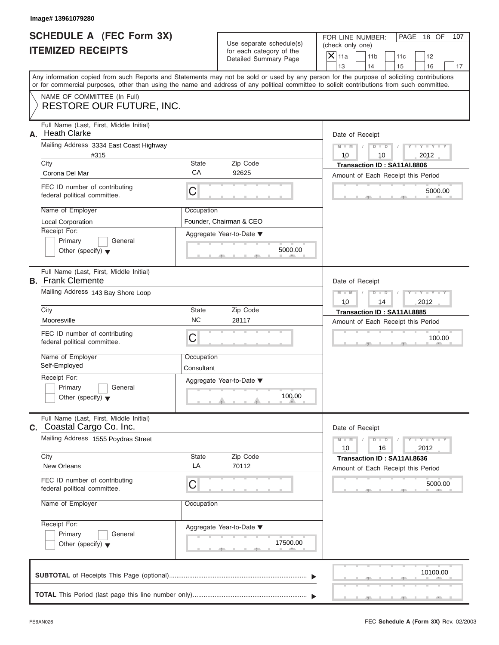| SCHEDULE A (FEC Form 3X) |  |  |
|--------------------------|--|--|
| <b>ITEMIZED RECEIPTS</b> |  |  |

|    | Image# 13961079280                                                                                                                         |                                                                                              |                                                                               |                                                                                                                                                                         |
|----|--------------------------------------------------------------------------------------------------------------------------------------------|----------------------------------------------------------------------------------------------|-------------------------------------------------------------------------------|-------------------------------------------------------------------------------------------------------------------------------------------------------------------------|
|    | <b>SCHEDULE A (FEC Form 3X)</b><br><b>ITEMIZED RECEIPTS</b>                                                                                |                                                                                              | Use separate schedule(s)<br>for each category of the<br>Detailed Summary Page | FOR LINE NUMBER:<br>PAGE 18 OF<br>107<br>(check only one)<br>$\overline{X}$ 11a<br>11 <sub>b</sub><br>11c<br>12                                                         |
|    | or for commercial purposes, other than using the name and address of any political committee to solicit contributions from such committee. |                                                                                              |                                                                               | 13<br>14<br>15<br>16<br>17<br>Any information copied from such Reports and Statements may not be sold or used by any person for the purpose of soliciting contributions |
|    | NAME OF COMMITTEE (In Full)<br><b>RESTORE OUR FUTURE, INC.</b>                                                                             |                                                                                              |                                                                               |                                                                                                                                                                         |
| А. | Full Name (Last, First, Middle Initial)<br><b>Heath Clarke</b><br>Mailing Address 3334 East Coast Highway<br>#315                          |                                                                                              |                                                                               | Date of Receipt<br>$M - M$<br>$D$ $D$<br>$Y - Y - Y$<br>10<br>2012<br>10                                                                                                |
|    | City<br>Corona Del Mar                                                                                                                     | State<br>CA                                                                                  | Zip Code<br>92625                                                             | Transaction ID: SA11AI.8806                                                                                                                                             |
|    | FEC ID number of contributing<br>federal political committee.                                                                              | C                                                                                            |                                                                               | Amount of Each Receipt this Period<br>5000.00                                                                                                                           |
|    | Name of Employer<br><b>Local Corporation</b><br>Receipt For:<br>Primary<br>General                                                         | Occupation                                                                                   | Founder, Chairman & CEO<br>Aggregate Year-to-Date ▼                           |                                                                                                                                                                         |
|    | Other (specify) $\blacktriangledown$<br>Full Name (Last, First, Middle Initial)<br><b>B.</b> Frank Clemente                                |                                                                                              | 5000.00                                                                       | Date of Receipt                                                                                                                                                         |
|    | Mailing Address 143 Bay Shore Loop<br>City                                                                                                 | $M - M$<br>$D$ $D$<br>$Y - Y - Y - Y - T$<br>10<br>14<br>2012<br>Transaction ID: SA11AI.8885 |                                                                               |                                                                                                                                                                         |
|    | Mooresville                                                                                                                                | <b>NC</b>                                                                                    | 28117                                                                         | Amount of Each Receipt this Period                                                                                                                                      |
|    | FEC ID number of contributing<br>federal political committee.                                                                              | C                                                                                            |                                                                               | 100.00                                                                                                                                                                  |
|    | Name of Employer<br>Self-Employed                                                                                                          | Occupation<br>Consultant                                                                     |                                                                               |                                                                                                                                                                         |
|    | Receipt For:<br>Primary<br>General<br>Other (specify) $\blacktriangledown$                                                                 |                                                                                              | Aggregate Year-to-Date ▼<br>100.00                                            |                                                                                                                                                                         |
|    | Full Name (Last, First, Middle Initial)<br>C. Coastal Cargo Co. Inc.                                                                       |                                                                                              |                                                                               | Date of Receipt                                                                                                                                                         |
|    | Mailing Address 1555 Poydras Street<br>City                                                                                                | Zip Code                                                                                     | $M - M$<br>$Y = Y$<br>$D - D$<br>2012<br>10<br>16                             |                                                                                                                                                                         |
|    | <b>New Orleans</b>                                                                                                                         | State<br>LA                                                                                  | 70112                                                                         | Transaction ID: SA11AI.8636<br>Amount of Each Receipt this Period                                                                                                       |
|    | FEC ID number of contributing<br>federal political committee.                                                                              | С                                                                                            |                                                                               | 5000.00                                                                                                                                                                 |
|    | Name of Employer                                                                                                                           | Occupation                                                                                   |                                                                               |                                                                                                                                                                         |
|    | Receipt For:<br>Primary<br>General<br>Other (specify) $\blacktriangledown$                                                                 |                                                                                              | Aggregate Year-to-Date ▼<br>17500.00                                          |                                                                                                                                                                         |
|    |                                                                                                                                            |                                                                                              |                                                                               | 10100.00                                                                                                                                                                |
|    |                                                                                                                                            |                                                                                              |                                                                               |                                                                                                                                                                         |

S S S , , .

a.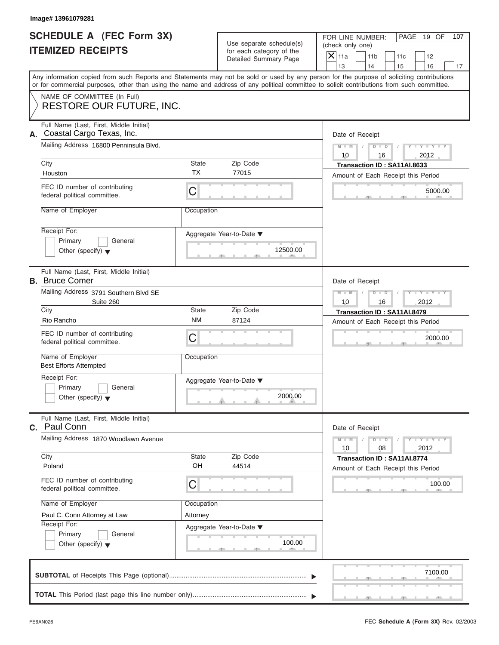| <b>SCHEDULE A (FEC Form 3X)</b> |  |  |
|---------------------------------|--|--|
| <b>ITEMIZED RECEIPTS</b>        |  |  |

|                                                      | Image# 13961079281                                                         |                                                               |                                                                               |                                                                                                                                                                                                                                                                                         |
|------------------------------------------------------|----------------------------------------------------------------------------|---------------------------------------------------------------|-------------------------------------------------------------------------------|-----------------------------------------------------------------------------------------------------------------------------------------------------------------------------------------------------------------------------------------------------------------------------------------|
| SCHEDULE A (FEC Form 3X)<br><b>ITEMIZED RECEIPTS</b> |                                                                            |                                                               | Use separate schedule(s)<br>for each category of the<br>Detailed Summary Page | FOR LINE NUMBER:<br>PAGE 19 OF<br>107<br>(check only one)<br>$\overline{X}$ 11a<br>11 <sub>b</sub><br>11c<br>12                                                                                                                                                                         |
|                                                      |                                                                            |                                                               |                                                                               | 13<br>14<br>15<br>16<br>17                                                                                                                                                                                                                                                              |
|                                                      |                                                                            |                                                               |                                                                               | Any information copied from such Reports and Statements may not be sold or used by any person for the purpose of soliciting contributions<br>or for commercial purposes, other than using the name and address of any political committee to solicit contributions from such committee. |
|                                                      | NAME OF COMMITTEE (In Full)                                                |                                                               |                                                                               |                                                                                                                                                                                                                                                                                         |
|                                                      | <b>RESTORE OUR FUTURE, INC.</b>                                            |                                                               |                                                                               |                                                                                                                                                                                                                                                                                         |
| А.                                                   | Full Name (Last, First, Middle Initial)<br>Coastal Cargo Texas, Inc.       |                                                               |                                                                               | Date of Receipt                                                                                                                                                                                                                                                                         |
|                                                      | Mailing Address 16800 Penninsula Blvd.                                     |                                                               |                                                                               | $Y - Y - Y - Y - Y$<br>$M - M$<br>$D$ $D$                                                                                                                                                                                                                                               |
|                                                      | City                                                                       | State                                                         | Zip Code                                                                      | 10<br>2012<br>16<br>Transaction ID: SA11AI.8633                                                                                                                                                                                                                                         |
|                                                      | Houston                                                                    | <b>TX</b>                                                     | 77015                                                                         | Amount of Each Receipt this Period                                                                                                                                                                                                                                                      |
|                                                      | FEC ID number of contributing<br>federal political committee.              | C                                                             |                                                                               | 5000.00                                                                                                                                                                                                                                                                                 |
|                                                      | Name of Employer                                                           | Occupation                                                    |                                                                               |                                                                                                                                                                                                                                                                                         |
|                                                      | Receipt For:<br>Primary<br>General<br>Other (specify) $\blacktriangledown$ |                                                               | Aggregate Year-to-Date ▼<br>12500.00                                          |                                                                                                                                                                                                                                                                                         |
|                                                      | Full Name (Last, First, Middle Initial)<br><b>B.</b> Bruce Comer           |                                                               |                                                                               | Date of Receipt                                                                                                                                                                                                                                                                         |
|                                                      | Mailing Address 3791 Southern Blvd SE<br>Suite 260                         | Y TY TY<br>$M - M$<br>$D$ $D$<br>10<br>16<br>2012             |                                                                               |                                                                                                                                                                                                                                                                                         |
|                                                      | City                                                                       | State                                                         | Zip Code                                                                      | Transaction ID: SA11AI.8479                                                                                                                                                                                                                                                             |
|                                                      | Rio Rancho                                                                 | <b>NM</b>                                                     | 87124                                                                         | Amount of Each Receipt this Period                                                                                                                                                                                                                                                      |
|                                                      | FEC ID number of contributing<br>federal political committee.              | C                                                             |                                                                               | 2000.00                                                                                                                                                                                                                                                                                 |
|                                                      | Name of Employer<br><b>Best Efforts Attempted</b>                          | Occupation                                                    |                                                                               |                                                                                                                                                                                                                                                                                         |
|                                                      | Receipt For:                                                               |                                                               | Aggregate Year-to-Date ▼                                                      |                                                                                                                                                                                                                                                                                         |
|                                                      | Primary<br>General<br>Other (specify) $\blacktriangledown$                 |                                                               | 2000.00                                                                       |                                                                                                                                                                                                                                                                                         |
| C.                                                   | Full Name (Last, First, Middle Initial)<br>Paul Conn                       |                                                               |                                                                               | Date of Receipt                                                                                                                                                                                                                                                                         |
|                                                      | Mailing Address 1870 Woodlawn Avenue                                       | $Y - Y - Y - Y - I$<br>$M - M$<br>$D$ $D$<br>2012<br>10<br>08 |                                                                               |                                                                                                                                                                                                                                                                                         |
|                                                      | City<br>Poland                                                             | <b>State</b><br>OH                                            | Zip Code<br>44514                                                             | Transaction ID: SA11AI.8774<br>Amount of Each Receipt this Period                                                                                                                                                                                                                       |
|                                                      | FEC ID number of contributing<br>federal political committee.              | C                                                             |                                                                               | 100.00                                                                                                                                                                                                                                                                                  |
|                                                      | Name of Employer                                                           | Occupation                                                    |                                                                               |                                                                                                                                                                                                                                                                                         |
|                                                      | Paul C. Conn Attorney at Law                                               | Attorney                                                      |                                                                               |                                                                                                                                                                                                                                                                                         |
|                                                      | Receipt For:<br>Primary<br>General                                         |                                                               | Aggregate Year-to-Date ▼                                                      |                                                                                                                                                                                                                                                                                         |
|                                                      | Other (specify) $\blacktriangledown$                                       |                                                               | 100.00                                                                        |                                                                                                                                                                                                                                                                                         |
|                                                      |                                                                            |                                                               |                                                                               | 7100.00                                                                                                                                                                                                                                                                                 |
|                                                      |                                                                            |                                                               |                                                                               |                                                                                                                                                                                                                                                                                         |
|                                                      |                                                                            |                                                               |                                                                               |                                                                                                                                                                                                                                                                                         |

S S S , , .

a.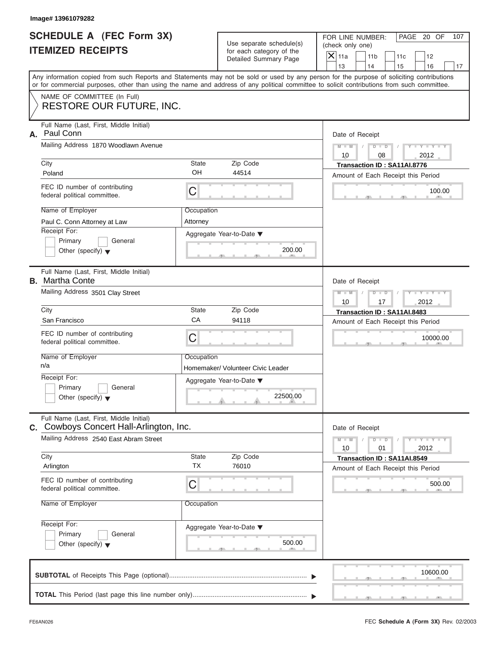| <b>SCHEDULE A (FEC Form 3X)</b> |  |  |
|---------------------------------|--|--|
| <b>ITEMIZED RECEIPTS</b>        |  |  |

|    | Image# 13961079282                                                                                                                         |                                                                    |                                                                               |                                                                                                                                           |     |  |
|----|--------------------------------------------------------------------------------------------------------------------------------------------|--------------------------------------------------------------------|-------------------------------------------------------------------------------|-------------------------------------------------------------------------------------------------------------------------------------------|-----|--|
|    | SCHEDULE A (FEC Form 3X)<br><b>ITEMIZED RECEIPTS</b>                                                                                       |                                                                    | Use separate schedule(s)<br>for each category of the<br>Detailed Summary Page | FOR LINE NUMBER:<br>PAGE 20 OF<br>(check only one)<br>$\mathsf{X} _{\mathsf{11a}}$<br>11 <sub>b</sub><br>11c<br>12                        | 107 |  |
|    |                                                                                                                                            |                                                                    |                                                                               | 13<br>14<br>15<br>16                                                                                                                      | 17  |  |
|    | or for commercial purposes, other than using the name and address of any political committee to solicit contributions from such committee. |                                                                    |                                                                               | Any information copied from such Reports and Statements may not be sold or used by any person for the purpose of soliciting contributions |     |  |
|    | NAME OF COMMITTEE (In Full)                                                                                                                |                                                                    |                                                                               |                                                                                                                                           |     |  |
|    | RESTORE OUR FUTURE, INC.                                                                                                                   |                                                                    |                                                                               |                                                                                                                                           |     |  |
|    | Full Name (Last, First, Middle Initial)                                                                                                    |                                                                    |                                                                               |                                                                                                                                           |     |  |
| А. | Paul Conn<br>Mailing Address 1870 Woodlawn Avenue                                                                                          |                                                                    |                                                                               | Date of Receipt                                                                                                                           |     |  |
|    |                                                                                                                                            |                                                                    |                                                                               | $D$ $D$<br>$Y - Y - Y - Y - Y$<br>$M - M$<br>10<br>2012<br>08                                                                             |     |  |
|    | City                                                                                                                                       | State                                                              | Zip Code                                                                      | Transaction ID: SA11AI.8776                                                                                                               |     |  |
|    | Poland                                                                                                                                     | OH                                                                 | 44514                                                                         | Amount of Each Receipt this Period                                                                                                        |     |  |
|    | FEC ID number of contributing<br>federal political committee.                                                                              | C                                                                  |                                                                               | 100.00                                                                                                                                    |     |  |
|    | Name of Employer                                                                                                                           | Occupation                                                         |                                                                               |                                                                                                                                           |     |  |
|    | Paul C. Conn Attorney at Law                                                                                                               | Attorney                                                           |                                                                               |                                                                                                                                           |     |  |
|    | Receipt For:                                                                                                                               |                                                                    | Aggregate Year-to-Date ▼                                                      |                                                                                                                                           |     |  |
|    | Primary<br>General<br>Other (specify) $\blacktriangledown$                                                                                 |                                                                    | 200.00                                                                        |                                                                                                                                           |     |  |
|    |                                                                                                                                            |                                                                    |                                                                               |                                                                                                                                           |     |  |
|    | Full Name (Last, First, Middle Initial)<br><b>B.</b> Martha Conte                                                                          |                                                                    |                                                                               | Date of Receipt                                                                                                                           |     |  |
|    | Mailing Address 3501 Clay Street                                                                                                           |                                                                    |                                                                               | $Y - Y - Y - Y - Y$<br>$M - M$<br>$D$ $\Box$ $D$                                                                                          |     |  |
|    |                                                                                                                                            |                                                                    |                                                                               | 2012<br>10<br>17                                                                                                                          |     |  |
|    | City<br>San Francisco                                                                                                                      | State<br>CA                                                        | Zip Code<br>94118                                                             | Transaction ID: SA11AI.8483                                                                                                               |     |  |
|    |                                                                                                                                            |                                                                    |                                                                               | Amount of Each Receipt this Period                                                                                                        |     |  |
|    | FEC ID number of contributing<br>federal political committee.                                                                              | C                                                                  |                                                                               | 10000.00                                                                                                                                  |     |  |
|    | Name of Employer                                                                                                                           | Occupation                                                         |                                                                               |                                                                                                                                           |     |  |
|    | n/a                                                                                                                                        |                                                                    | Homemaker/ Volunteer Civic Leader                                             |                                                                                                                                           |     |  |
|    | Receipt For:<br>Primary<br>General                                                                                                         |                                                                    | Aggregate Year-to-Date ▼                                                      |                                                                                                                                           |     |  |
|    | Other (specify) $\blacktriangledown$                                                                                                       |                                                                    | 22500.00                                                                      |                                                                                                                                           |     |  |
|    | Full Name (Last, First, Middle Initial)<br>C. Cowboys Concert Hall-Arlington, Inc.                                                         |                                                                    |                                                                               | Date of Receipt                                                                                                                           |     |  |
|    | Mailing Address 2540 East Abram Street                                                                                                     | $Y = Y$<br>$M - M$<br>$\overline{D}$<br>$\Box$<br>2012<br>10<br>01 |                                                                               |                                                                                                                                           |     |  |
|    | City                                                                                                                                       | State                                                              | Zip Code                                                                      | Transaction ID: SA11AI.8549                                                                                                               |     |  |
|    | Arlington                                                                                                                                  | <b>TX</b>                                                          | 76010                                                                         | Amount of Each Receipt this Period                                                                                                        |     |  |
|    | FEC ID number of contributing<br>federal political committee.                                                                              | С                                                                  |                                                                               | 500.00                                                                                                                                    |     |  |
|    | Name of Employer                                                                                                                           | Occupation                                                         |                                                                               |                                                                                                                                           |     |  |
|    | Receipt For:                                                                                                                               |                                                                    | Aggregate Year-to-Date ▼                                                      |                                                                                                                                           |     |  |
|    | Primary<br>General                                                                                                                         |                                                                    |                                                                               |                                                                                                                                           |     |  |
|    | Other (specify) $\blacktriangledown$                                                                                                       |                                                                    | 500.00                                                                        |                                                                                                                                           |     |  |
|    |                                                                                                                                            |                                                                    |                                                                               |                                                                                                                                           |     |  |
|    |                                                                                                                                            |                                                                    |                                                                               | 10600.00                                                                                                                                  |     |  |
|    |                                                                                                                                            |                                                                    |                                                                               |                                                                                                                                           |     |  |
|    |                                                                                                                                            |                                                                    |                                                                               |                                                                                                                                           |     |  |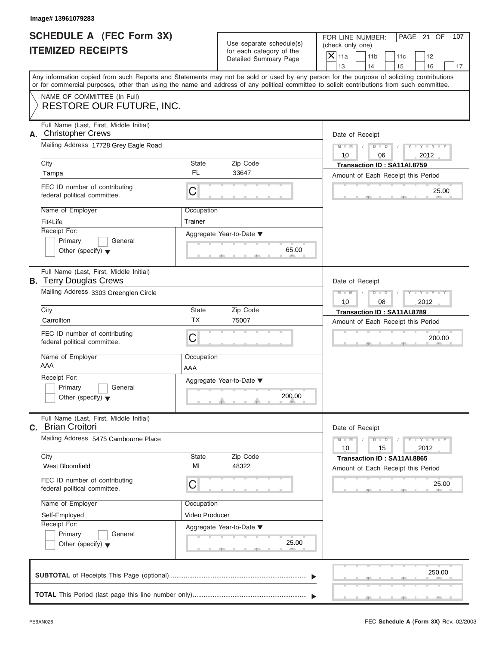|                          | <b>SCHEDULE A (FEC Form 3X)</b> |
|--------------------------|---------------------------------|
| <b>ITEMIZED RECEIPTS</b> |                                 |

| Image# 13961079283                                                                                                 |                   |                                                                               |                                                                                                                                                                                                                                                                                         |
|--------------------------------------------------------------------------------------------------------------------|-------------------|-------------------------------------------------------------------------------|-----------------------------------------------------------------------------------------------------------------------------------------------------------------------------------------------------------------------------------------------------------------------------------------|
| <b>SCHEDULE A (FEC Form 3X)</b><br><b>ITEMIZED RECEIPTS</b>                                                        |                   | Use separate schedule(s)<br>for each category of the<br>Detailed Summary Page | FOR LINE NUMBER:<br>PAGE 21 OF<br>107<br>(check only one)<br>$\mathsf{X} _{\mathsf{11a}}$<br>11 <sub>b</sub><br>11c<br>12<br>13<br>14<br>15<br>16<br>17                                                                                                                                 |
|                                                                                                                    |                   |                                                                               | Any information copied from such Reports and Statements may not be sold or used by any person for the purpose of soliciting contributions<br>or for commercial purposes, other than using the name and address of any political committee to solicit contributions from such committee. |
| NAME OF COMMITTEE (In Full)<br><b>RESTORE OUR FUTURE, INC.</b>                                                     |                   |                                                                               |                                                                                                                                                                                                                                                                                         |
| Full Name (Last, First, Middle Initial)<br><b>Christopher Crews</b><br>А.<br>Mailing Address 17728 Grey Eagle Road |                   |                                                                               | Date of Receipt                                                                                                                                                                                                                                                                         |
|                                                                                                                    |                   |                                                                               | $D$ $D$<br>$Y - Y - Y - Y - Y$<br>$M - M$<br>10<br>2012<br>06                                                                                                                                                                                                                           |
| City                                                                                                               | State             | Zip Code                                                                      | Transaction ID: SA11AI.8759                                                                                                                                                                                                                                                             |
| Tampa                                                                                                              | <b>FL</b>         | 33647                                                                         | Amount of Each Receipt this Period                                                                                                                                                                                                                                                      |
| FEC ID number of contributing<br>federal political committee.                                                      | C                 |                                                                               | 25.00                                                                                                                                                                                                                                                                                   |
| Name of Employer                                                                                                   | Occupation        |                                                                               |                                                                                                                                                                                                                                                                                         |
| Fit4Life                                                                                                           | Trainer           |                                                                               |                                                                                                                                                                                                                                                                                         |
| Receipt For:<br>Primary<br>General<br>Other (specify) $\blacktriangledown$                                         |                   | Aggregate Year-to-Date ▼<br>65.00                                             |                                                                                                                                                                                                                                                                                         |
| Full Name (Last, First, Middle Initial)<br><b>B.</b> Terry Douglas Crews                                           |                   |                                                                               | Date of Receipt                                                                                                                                                                                                                                                                         |
| Mailing Address 3303 Greenglen Circle                                                                              |                   | $M - M$<br>$D$ $\Box$ $D$<br>$Y - Y - Y - Y - Y$<br>2012<br>10<br>08          |                                                                                                                                                                                                                                                                                         |
| City                                                                                                               | State             | Zip Code                                                                      | Transaction ID: SA11AI.8789                                                                                                                                                                                                                                                             |
| Carrollton                                                                                                         | <b>TX</b>         | 75007                                                                         | Amount of Each Receipt this Period                                                                                                                                                                                                                                                      |
| FEC ID number of contributing<br>federal political committee.                                                      | C                 |                                                                               | 200.00                                                                                                                                                                                                                                                                                  |
| Name of Employer<br>AAA                                                                                            | Occupation<br>AAA |                                                                               |                                                                                                                                                                                                                                                                                         |
| Receipt For:                                                                                                       |                   | Aggregate Year-to-Date ▼                                                      |                                                                                                                                                                                                                                                                                         |
| Primary<br>General<br>Other (specify) $\blacktriangledown$                                                         |                   | 200.00                                                                        |                                                                                                                                                                                                                                                                                         |
| Full Name (Last, First, Middle Initial)<br>C. Brian Croitori                                                       |                   |                                                                               | Date of Receipt                                                                                                                                                                                                                                                                         |
| Mailing Address 5475 Cambourne Place                                                                               |                   |                                                                               | $Y = Y$<br>$M - M$<br>$D$ $D$<br>2012<br>10<br>15                                                                                                                                                                                                                                       |
| City<br>West Bloomfield                                                                                            | State<br>MI       | Zip Code<br>48322                                                             | Transaction ID: SA11AI.8865<br>Amount of Each Receipt this Period                                                                                                                                                                                                                       |
| FEC ID number of contributing<br>federal political committee.                                                      | C                 |                                                                               | 25.00                                                                                                                                                                                                                                                                                   |
| Name of Employer                                                                                                   | Occupation        |                                                                               |                                                                                                                                                                                                                                                                                         |
| Self-Employed                                                                                                      | Video Producer    |                                                                               |                                                                                                                                                                                                                                                                                         |
| Receipt For:<br>Primary                                                                                            |                   | Aggregate Year-to-Date ▼                                                      |                                                                                                                                                                                                                                                                                         |
| General<br>Other (specify) $\blacktriangledown$                                                                    |                   | 25.00                                                                         |                                                                                                                                                                                                                                                                                         |
|                                                                                                                    |                   |                                                                               | 250.00                                                                                                                                                                                                                                                                                  |
|                                                                                                                    |                   |                                                                               |                                                                                                                                                                                                                                                                                         |

J.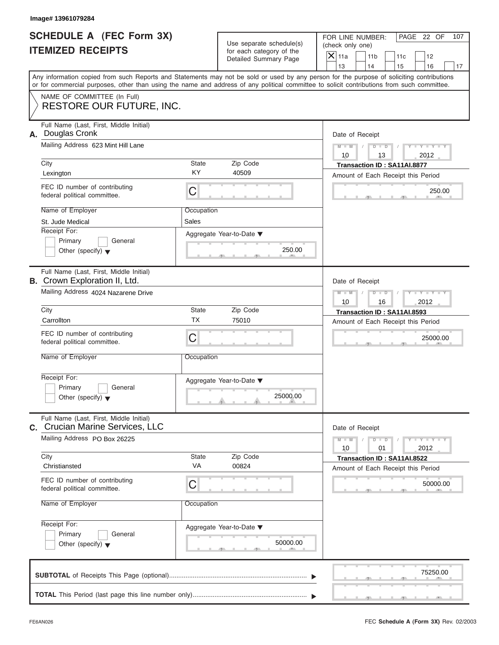| <b>SCHEDULE A (FEC Form 3X)</b> |  |  |
|---------------------------------|--|--|
| <b>ITEMIZED RECEIPTS</b>        |  |  |

| <b>SCHEDULE A (FEC Form 3X)</b><br>PAGE 22 OF<br>FOR LINE NUMBER:<br>107<br>Use separate schedule(s)<br>(check only one)<br><b>ITEMIZED RECEIPTS</b><br>for each category of the<br>$\overline{X}$ 11a<br>11 <sub>b</sub><br>11c<br>12<br>Detailed Summary Page<br>13<br>14<br>15<br>16<br>17<br>Any information copied from such Reports and Statements may not be sold or used by any person for the purpose of soliciting contributions<br>or for commercial purposes, other than using the name and address of any political committee to solicit contributions from such committee.<br>NAME OF COMMITTEE (In Full)<br><b>RESTORE OUR FUTURE, INC.</b><br>Full Name (Last, First, Middle Initial)<br>Douglas Cronk<br>Date of Receipt<br>Mailing Address 623 Mint Hill Lane<br>$M - M$<br>$D$ $D$<br>$Y - Y - Y$<br>10<br>13<br>2012<br>State<br>Zip Code<br>City<br>Transaction ID: SA11AI.8877<br>KY<br>40509<br>Lexington<br>Amount of Each Receipt this Period<br>FEC ID number of contributing<br>С<br>250.00<br>federal political committee.<br>Name of Employer<br>Occupation<br>Sales<br>St. Jude Medical<br>Receipt For:<br>Aggregate Year-to-Date ▼<br>Primary<br>General<br>250.00<br>Other (specify) $\blacktriangledown$<br>Full Name (Last, First, Middle Initial)<br>Date of Receipt<br>Mailing Address 4024 Nazarene Drive<br>$M - M$<br>$D - I$<br>$Y - Y - Y - T$<br>10<br>16<br>2012<br>City<br>State<br>Zip Code<br>Transaction ID: SA11AI.8593<br><b>TX</b><br>Carrollton<br>75010<br>Amount of Each Receipt this Period<br>FEC ID number of contributing<br>C<br>25000.00<br>federal political committee.<br>Name of Employer<br>Occupation<br>Receipt For:<br>Aggregate Year-to-Date ▼<br>Primary<br>General<br>25000.00<br>Other (specify) $\blacktriangledown$<br>Full Name (Last, First, Middle Initial)<br>Date of Receipt<br>Mailing Address PO Box 26225<br>$M - M$<br>$Y = Y$<br>$D - D$<br>2012<br>10<br>01<br>Zip Code<br>City<br>State<br>Transaction ID: SA11AI.8522<br>VA<br>00824<br>Christiansted<br>Amount of Each Receipt this Period<br>FEC ID number of contributing<br>С<br>50000.00<br>federal political committee.<br>Name of Employer<br>Occupation<br>Receipt For:<br>Aggregate Year-to-Date ▼<br>Primary<br>General<br>50000.00<br>Other (specify) $\blacktriangledown$<br>75250.00 | Image# 13961079284 |  |  |
|----------------------------------------------------------------------------------------------------------------------------------------------------------------------------------------------------------------------------------------------------------------------------------------------------------------------------------------------------------------------------------------------------------------------------------------------------------------------------------------------------------------------------------------------------------------------------------------------------------------------------------------------------------------------------------------------------------------------------------------------------------------------------------------------------------------------------------------------------------------------------------------------------------------------------------------------------------------------------------------------------------------------------------------------------------------------------------------------------------------------------------------------------------------------------------------------------------------------------------------------------------------------------------------------------------------------------------------------------------------------------------------------------------------------------------------------------------------------------------------------------------------------------------------------------------------------------------------------------------------------------------------------------------------------------------------------------------------------------------------------------------------------------------------------------------------------------------------------------------------------------------------------------------------------------------------------------------------------------------------------------------------------------------------------------------------------------------------------------------------------------------------------------------------------------------------------------------------------------------------------------------------------------------------------------------------------------------------|--------------------|--|--|
| А.<br><b>B.</b> Crown Exploration II, Ltd.                                                                                                                                                                                                                                                                                                                                                                                                                                                                                                                                                                                                                                                                                                                                                                                                                                                                                                                                                                                                                                                                                                                                                                                                                                                                                                                                                                                                                                                                                                                                                                                                                                                                                                                                                                                                                                                                                                                                                                                                                                                                                                                                                                                                                                                                                             |                    |  |  |
|                                                                                                                                                                                                                                                                                                                                                                                                                                                                                                                                                                                                                                                                                                                                                                                                                                                                                                                                                                                                                                                                                                                                                                                                                                                                                                                                                                                                                                                                                                                                                                                                                                                                                                                                                                                                                                                                                                                                                                                                                                                                                                                                                                                                                                                                                                                                        |                    |  |  |
|                                                                                                                                                                                                                                                                                                                                                                                                                                                                                                                                                                                                                                                                                                                                                                                                                                                                                                                                                                                                                                                                                                                                                                                                                                                                                                                                                                                                                                                                                                                                                                                                                                                                                                                                                                                                                                                                                                                                                                                                                                                                                                                                                                                                                                                                                                                                        |                    |  |  |
|                                                                                                                                                                                                                                                                                                                                                                                                                                                                                                                                                                                                                                                                                                                                                                                                                                                                                                                                                                                                                                                                                                                                                                                                                                                                                                                                                                                                                                                                                                                                                                                                                                                                                                                                                                                                                                                                                                                                                                                                                                                                                                                                                                                                                                                                                                                                        |                    |  |  |
| C. Crucian Marine Services, LLC                                                                                                                                                                                                                                                                                                                                                                                                                                                                                                                                                                                                                                                                                                                                                                                                                                                                                                                                                                                                                                                                                                                                                                                                                                                                                                                                                                                                                                                                                                                                                                                                                                                                                                                                                                                                                                                                                                                                                                                                                                                                                                                                                                                                                                                                                                        |                    |  |  |
|                                                                                                                                                                                                                                                                                                                                                                                                                                                                                                                                                                                                                                                                                                                                                                                                                                                                                                                                                                                                                                                                                                                                                                                                                                                                                                                                                                                                                                                                                                                                                                                                                                                                                                                                                                                                                                                                                                                                                                                                                                                                                                                                                                                                                                                                                                                                        |                    |  |  |
|                                                                                                                                                                                                                                                                                                                                                                                                                                                                                                                                                                                                                                                                                                                                                                                                                                                                                                                                                                                                                                                                                                                                                                                                                                                                                                                                                                                                                                                                                                                                                                                                                                                                                                                                                                                                                                                                                                                                                                                                                                                                                                                                                                                                                                                                                                                                        |                    |  |  |
|                                                                                                                                                                                                                                                                                                                                                                                                                                                                                                                                                                                                                                                                                                                                                                                                                                                                                                                                                                                                                                                                                                                                                                                                                                                                                                                                                                                                                                                                                                                                                                                                                                                                                                                                                                                                                                                                                                                                                                                                                                                                                                                                                                                                                                                                                                                                        |                    |  |  |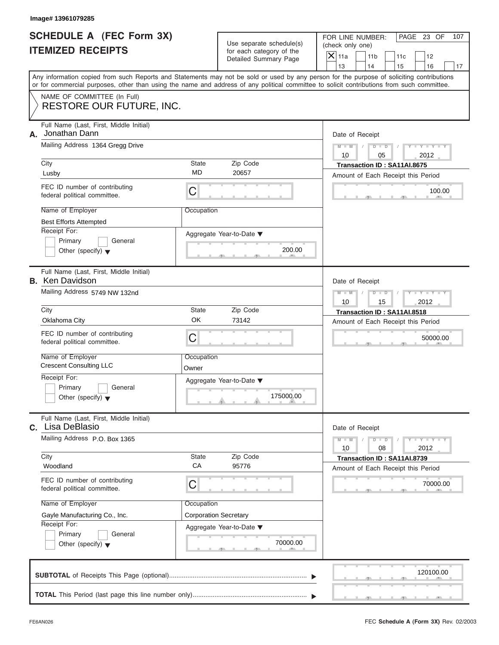| <b>SCHEDULE A (FEC Form 3X)</b> |  |  |
|---------------------------------|--|--|
| <b>ITEMIZED RECEIPTS</b>        |  |  |

|                                                             | Image# 13961079285                                                                                                                                                                                                                                                                      |                              |                                                      |                        |                                                         |     |                             |     |
|-------------------------------------------------------------|-----------------------------------------------------------------------------------------------------------------------------------------------------------------------------------------------------------------------------------------------------------------------------------------|------------------------------|------------------------------------------------------|------------------------|---------------------------------------------------------|-----|-----------------------------|-----|
| <b>SCHEDULE A (FEC Form 3X)</b><br><b>ITEMIZED RECEIPTS</b> |                                                                                                                                                                                                                                                                                         |                              | Use separate schedule(s)<br>for each category of the |                        | FOR LINE NUMBER:<br>(check only one)<br>11 <sub>b</sub> | 11c | PAGE 23 OF<br>12            | 107 |
|                                                             |                                                                                                                                                                                                                                                                                         |                              | Detailed Summary Page                                | $\mathsf{X}$ 11a<br>13 | 14                                                      | 15  | 16                          | 17  |
|                                                             | Any information copied from such Reports and Statements may not be sold or used by any person for the purpose of soliciting contributions<br>or for commercial purposes, other than using the name and address of any political committee to solicit contributions from such committee. |                              |                                                      |                        |                                                         |     |                             |     |
|                                                             | NAME OF COMMITTEE (In Full)<br><b>RESTORE OUR FUTURE, INC.</b>                                                                                                                                                                                                                          |                              |                                                      |                        |                                                         |     |                             |     |
| А.                                                          | Full Name (Last, First, Middle Initial)<br>Jonathan Dann                                                                                                                                                                                                                                |                              |                                                      |                        | Date of Receipt                                         |     |                             |     |
|                                                             | Mailing Address 1364 Gregg Drive                                                                                                                                                                                                                                                        |                              |                                                      | $M - M$<br>10          | $D$ $D$<br>05                                           |     | $Y - Y - Y - Y - Y$<br>2012 |     |
|                                                             | City                                                                                                                                                                                                                                                                                    | State                        | Zip Code                                             |                        | Transaction ID: SA11AI.8675                             |     |                             |     |
|                                                             | Lusby                                                                                                                                                                                                                                                                                   | <b>MD</b>                    | 20657                                                |                        | Amount of Each Receipt this Period                      |     |                             |     |
|                                                             | FEC ID number of contributing<br>federal political committee.                                                                                                                                                                                                                           | С                            |                                                      |                        |                                                         |     | 100.00                      |     |
|                                                             | Name of Employer                                                                                                                                                                                                                                                                        | Occupation                   |                                                      |                        |                                                         |     |                             |     |
|                                                             | <b>Best Efforts Attempted</b>                                                                                                                                                                                                                                                           |                              |                                                      |                        |                                                         |     |                             |     |
|                                                             | Receipt For:                                                                                                                                                                                                                                                                            |                              | Aggregate Year-to-Date ▼                             |                        |                                                         |     |                             |     |
|                                                             | Primary<br>General<br>Other (specify) $\blacktriangledown$                                                                                                                                                                                                                              |                              | 200.00                                               |                        |                                                         |     |                             |     |
|                                                             |                                                                                                                                                                                                                                                                                         |                              |                                                      |                        |                                                         |     |                             |     |
|                                                             | Full Name (Last, First, Middle Initial)<br><b>B.</b> Ken Davidson                                                                                                                                                                                                                       |                              |                                                      |                        | Date of Receipt                                         |     |                             |     |
|                                                             | Mailing Address 5749 NW 132nd                                                                                                                                                                                                                                                           |                              |                                                      | $M - M$                | $D - I - D$                                             |     | Y TY TY                     |     |
|                                                             |                                                                                                                                                                                                                                                                                         |                              |                                                      | 10                     | 15                                                      |     | 2012                        |     |
|                                                             | City                                                                                                                                                                                                                                                                                    | State                        | Zip Code                                             |                        | Transaction ID: SA11AI.8518                             |     |                             |     |
|                                                             | OK<br>Oklahoma City<br>73142                                                                                                                                                                                                                                                            |                              |                                                      |                        | Amount of Each Receipt this Period                      |     |                             |     |
|                                                             | FEC ID number of contributing<br>federal political committee.                                                                                                                                                                                                                           | С                            |                                                      |                        |                                                         |     | 50000.00                    |     |
|                                                             | Name of Employer<br><b>Crescent Consulting LLC</b>                                                                                                                                                                                                                                      | Occupation<br>Owner          |                                                      |                        |                                                         |     |                             |     |
|                                                             | Receipt For:                                                                                                                                                                                                                                                                            |                              | Aggregate Year-to-Date ▼                             |                        |                                                         |     |                             |     |
|                                                             | Primary<br>General<br>Other (specify) $\blacktriangledown$                                                                                                                                                                                                                              |                              | 175000.00                                            |                        |                                                         |     |                             |     |
|                                                             | Full Name (Last, First, Middle Initial)<br>C. Lisa DeBlasio                                                                                                                                                                                                                             |                              |                                                      |                        | Date of Receipt                                         |     |                             |     |
|                                                             | Mailing Address P.O. Box 1365                                                                                                                                                                                                                                                           |                              |                                                      |                        | $D$ $D$<br>08                                           |     | $T - Y = T - Y$<br>2012     |     |
|                                                             | City                                                                                                                                                                                                                                                                                    | State                        | Zip Code                                             |                        | Transaction ID: SA11AI.8739                             |     |                             |     |
|                                                             | Woodland                                                                                                                                                                                                                                                                                | CA                           | 95776                                                |                        | Amount of Each Receipt this Period                      |     |                             |     |
|                                                             | FEC ID number of contributing<br>federal political committee.                                                                                                                                                                                                                           | С                            |                                                      |                        |                                                         |     | 70000.00                    |     |
|                                                             | Name of Employer                                                                                                                                                                                                                                                                        | Occupation                   |                                                      |                        |                                                         |     |                             |     |
|                                                             | Gayle Manufacturing Co., Inc.                                                                                                                                                                                                                                                           | <b>Corporation Secretary</b> |                                                      |                        |                                                         |     |                             |     |
|                                                             | Receipt For:                                                                                                                                                                                                                                                                            |                              | Aggregate Year-to-Date ▼                             |                        |                                                         |     |                             |     |
|                                                             | Primary<br>General                                                                                                                                                                                                                                                                      |                              | 70000.00                                             |                        |                                                         |     |                             |     |
|                                                             | Other (specify) $\blacktriangledown$                                                                                                                                                                                                                                                    |                              |                                                      |                        |                                                         |     |                             |     |
|                                                             |                                                                                                                                                                                                                                                                                         |                              |                                                      |                        |                                                         |     | 120100.00                   |     |
|                                                             |                                                                                                                                                                                                                                                                                         |                              |                                                      |                        |                                                         |     |                             |     |
|                                                             |                                                                                                                                                                                                                                                                                         |                              |                                                      |                        |                                                         |     |                             |     |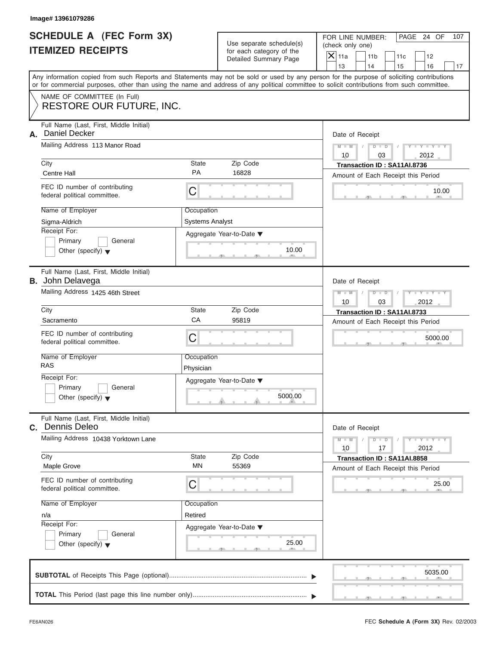| SCHEDULE A (FEC Form 3X) |  |  |
|--------------------------|--|--|
| <b>ITEMIZED RECEIPTS</b> |  |  |

| Image# 13961079286                                                         |                                                      |                                     |                                                                                                                                                                                                                                                                                         |  |
|----------------------------------------------------------------------------|------------------------------------------------------|-------------------------------------|-----------------------------------------------------------------------------------------------------------------------------------------------------------------------------------------------------------------------------------------------------------------------------------------|--|
| SCHEDULE A (FEC Form 3X)<br><b>ITEMIZED RECEIPTS</b>                       | Use separate schedule(s)<br>for each category of the |                                     | FOR LINE NUMBER:<br>PAGE 24 OF<br>107<br>(check only one)<br>$\mathsf{X}$ 11a                                                                                                                                                                                                           |  |
|                                                                            |                                                      | Detailed Summary Page               | 11 <sub>b</sub><br>11c<br>12<br>13<br>14<br>15<br>16<br>17                                                                                                                                                                                                                              |  |
|                                                                            |                                                      |                                     | Any information copied from such Reports and Statements may not be sold or used by any person for the purpose of soliciting contributions<br>or for commercial purposes, other than using the name and address of any political committee to solicit contributions from such committee. |  |
| NAME OF COMMITTEE (In Full)<br><b>RESTORE OUR FUTURE, INC.</b>             |                                                      |                                     |                                                                                                                                                                                                                                                                                         |  |
| Full Name (Last, First, Middle Initial)<br><b>Daniel Decker</b><br>А.      |                                                      |                                     | Date of Receipt                                                                                                                                                                                                                                                                         |  |
| Mailing Address 113 Manor Road                                             |                                                      |                                     |                                                                                                                                                                                                                                                                                         |  |
| City<br><b>Centre Hall</b>                                                 | State<br><b>PA</b>                                   | Zip Code<br>16828                   | Transaction ID: SA11AI.8736<br>Amount of Each Receipt this Period                                                                                                                                                                                                                       |  |
| FEC ID number of contributing<br>federal political committee.              | C                                                    |                                     | 10.00                                                                                                                                                                                                                                                                                   |  |
| Name of Employer<br>Sigma-Aldrich                                          | Occupation<br><b>Systems Analyst</b>                 |                                     |                                                                                                                                                                                                                                                                                         |  |
| Receipt For:<br>Primary<br>General<br>Other (specify) $\blacktriangledown$ |                                                      | Aggregate Year-to-Date ▼<br>10.00   |                                                                                                                                                                                                                                                                                         |  |
| Full Name (Last, First, Middle Initial)<br><b>B.</b> John Delavega         |                                                      |                                     | Date of Receipt                                                                                                                                                                                                                                                                         |  |
| Mailing Address 1425 46th Street                                           | Y FY FY FY<br>$M - M$<br>$D - D$<br>2012<br>10<br>03 |                                     |                                                                                                                                                                                                                                                                                         |  |
| City                                                                       | State                                                | Zip Code                            | Transaction ID: SA11AI.8733                                                                                                                                                                                                                                                             |  |
| Sacramento                                                                 | CA                                                   | 95819                               | Amount of Each Receipt this Period                                                                                                                                                                                                                                                      |  |
| FEC ID number of contributing<br>federal political committee.              | C                                                    |                                     | 5000.00                                                                                                                                                                                                                                                                                 |  |
| Name of Employer<br><b>RAS</b>                                             | Occupation<br>Physician                              |                                     |                                                                                                                                                                                                                                                                                         |  |
| Receipt For:<br>Primary<br>General<br>Other (specify) $\blacktriangledown$ |                                                      | Aggregate Year-to-Date ▼<br>5000.00 |                                                                                                                                                                                                                                                                                         |  |
| Full Name (Last, First, Middle Initial)<br>Dennis Deleo<br>C.              |                                                      |                                     | Date of Receipt                                                                                                                                                                                                                                                                         |  |
| Mailing Address 10438 Yorktown Lane                                        |                                                      |                                     |                                                                                                                                                                                                                                                                                         |  |
| City<br>Maple Grove                                                        | State<br>MN                                          | Zip Code<br>55369                   | Transaction ID: SA11AI.8858<br>Amount of Each Receipt this Period                                                                                                                                                                                                                       |  |
| FEC ID number of contributing<br>federal political committee.              | С                                                    |                                     | 25.00                                                                                                                                                                                                                                                                                   |  |
| Name of Employer                                                           | Occupation                                           |                                     |                                                                                                                                                                                                                                                                                         |  |
| n/a                                                                        | Retired                                              |                                     |                                                                                                                                                                                                                                                                                         |  |
| Receipt For:<br>Primary<br>General                                         |                                                      | Aggregate Year-to-Date ▼            |                                                                                                                                                                                                                                                                                         |  |
| Other (specify) $\blacktriangledown$                                       |                                                      | 25.00                               |                                                                                                                                                                                                                                                                                         |  |
|                                                                            |                                                      |                                     | 5035.00                                                                                                                                                                                                                                                                                 |  |
|                                                                            |                                                      |                                     |                                                                                                                                                                                                                                                                                         |  |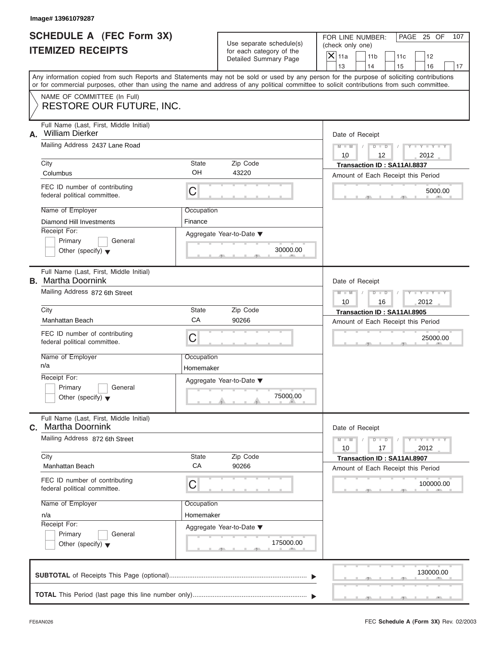|                          | SCHEDULE A (FEC Form 3X) |
|--------------------------|--------------------------|
| <b>ITEMIZED RECEIPTS</b> |                          |

|    | Image# 13961079287                                                                                                         |                                                               |                                                                               |                                                                                                                                                                                                                                                                                                                       |
|----|----------------------------------------------------------------------------------------------------------------------------|---------------------------------------------------------------|-------------------------------------------------------------------------------|-----------------------------------------------------------------------------------------------------------------------------------------------------------------------------------------------------------------------------------------------------------------------------------------------------------------------|
|    | SCHEDULE A (FEC Form 3X)<br><b>ITEMIZED RECEIPTS</b>                                                                       |                                                               | Use separate schedule(s)<br>for each category of the<br>Detailed Summary Page | FOR LINE NUMBER:<br>PAGE 25 OF<br>107<br>(check only one)<br>$\mathsf{X} _{\mathsf{11a}}$<br>11 <sub>b</sub><br>11c<br>12                                                                                                                                                                                             |
|    |                                                                                                                            |                                                               |                                                                               | 13<br>14<br>15<br>16<br>17<br>Any information copied from such Reports and Statements may not be sold or used by any person for the purpose of soliciting contributions<br>or for commercial purposes, other than using the name and address of any political committee to solicit contributions from such committee. |
|    | NAME OF COMMITTEE (In Full)<br><b>RESTORE OUR FUTURE, INC.</b>                                                             |                                                               |                                                                               |                                                                                                                                                                                                                                                                                                                       |
| А. | Full Name (Last, First, Middle Initial)<br><b>William Dierker</b><br>Mailing Address 2437 Lane Road                        |                                                               |                                                                               | Date of Receipt<br>$D$ $D$<br>$Y - Y - Y - Y - Y$<br>$M - M$                                                                                                                                                                                                                                                          |
|    | City<br>Columbus                                                                                                           | <b>State</b><br>OH                                            | Zip Code<br>43220                                                             | 10<br>12<br>2012<br>Transaction ID: SA11AI.8837                                                                                                                                                                                                                                                                       |
|    | FEC ID number of contributing<br>federal political committee.                                                              | C                                                             |                                                                               | Amount of Each Receipt this Period<br>5000.00                                                                                                                                                                                                                                                                         |
|    | Name of Employer<br>Diamond Hill Investments<br>Receipt For:<br>Primary<br>General<br>Other (specify) $\blacktriangledown$ | Occupation<br>Finance                                         | Aggregate Year-to-Date ▼<br>30000.00                                          |                                                                                                                                                                                                                                                                                                                       |
|    | Full Name (Last, First, Middle Initial)<br><b>B.</b> Martha Doornink                                                       |                                                               |                                                                               | Date of Receipt                                                                                                                                                                                                                                                                                                       |
|    | Mailing Address 872 6th Street                                                                                             | Y TYTTYTTY<br>$M - M$<br>$D$ $\Box$ $D$<br>10<br>16<br>2012   |                                                                               |                                                                                                                                                                                                                                                                                                                       |
|    | City<br><b>Manhattan Beach</b>                                                                                             | <b>State</b><br>CA                                            | Zip Code<br>90266                                                             | Transaction ID: SA11AI.8905<br>Amount of Each Receipt this Period                                                                                                                                                                                                                                                     |
|    | FEC ID number of contributing<br>federal political committee.                                                              | C                                                             |                                                                               | 25000.00                                                                                                                                                                                                                                                                                                              |
|    | Name of Employer<br>n/a                                                                                                    | Occupation<br>Homemaker                                       |                                                                               |                                                                                                                                                                                                                                                                                                                       |
|    | Receipt For:<br>Primary<br>General<br>Other (specify) $\blacktriangledown$                                                 |                                                               | Aggregate Year-to-Date ▼<br>75000.00                                          |                                                                                                                                                                                                                                                                                                                       |
| C. | Full Name (Last, First, Middle Initial)<br>Martha Doornink                                                                 |                                                               |                                                                               | Date of Receipt                                                                                                                                                                                                                                                                                                       |
|    | Mailing Address 872 6th Street                                                                                             | $Y - Y - Y - Y - I$<br>$M - M$<br>$D$ $D$<br>2012<br>10<br>17 |                                                                               |                                                                                                                                                                                                                                                                                                                       |
|    | City<br>Manhattan Beach                                                                                                    | State<br>CA                                                   | Zip Code<br>90266                                                             | Transaction ID: SA11AI.8907<br>Amount of Each Receipt this Period                                                                                                                                                                                                                                                     |
|    | FEC ID number of contributing<br>federal political committee.                                                              | C                                                             |                                                                               | 100000.00                                                                                                                                                                                                                                                                                                             |
|    | Name of Employer<br>n/a<br>Receipt For:                                                                                    | Occupation<br>Homemaker                                       | Aggregate Year-to-Date ▼                                                      |                                                                                                                                                                                                                                                                                                                       |
|    | Primary<br>General<br>Other (specify) $\blacktriangledown$                                                                 |                                                               | 175000.00                                                                     |                                                                                                                                                                                                                                                                                                                       |
|    |                                                                                                                            |                                                               |                                                                               | 130000.00                                                                                                                                                                                                                                                                                                             |
|    |                                                                                                                            |                                                               |                                                                               |                                                                                                                                                                                                                                                                                                                       |

 $\overline{y}$  , . . . . . . . . . . .  $\overline{y}$  , .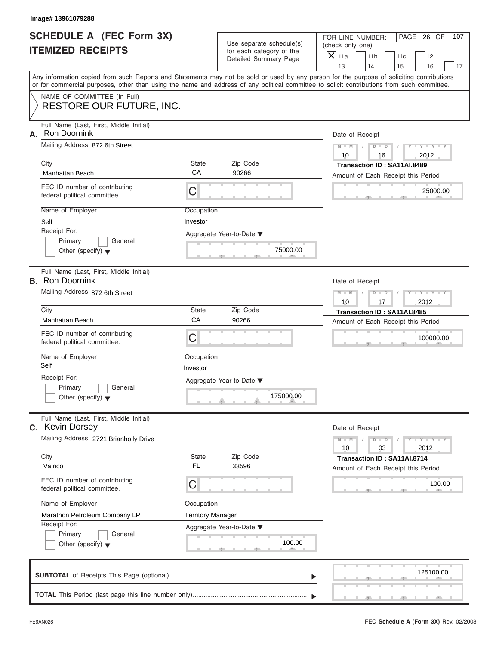| <b>SCHEDULE A (FEC Form 3X)</b> |  |  |
|---------------------------------|--|--|
| <b>ITEMIZED RECEIPTS</b>        |  |  |

|    | Image# 13961079288                                                                                                                                                                                                                                                                                                         |                                                                   |                                                                               |                                                                                                                                                                   |
|----|----------------------------------------------------------------------------------------------------------------------------------------------------------------------------------------------------------------------------------------------------------------------------------------------------------------------------|-------------------------------------------------------------------|-------------------------------------------------------------------------------|-------------------------------------------------------------------------------------------------------------------------------------------------------------------|
|    | <b>SCHEDULE A (FEC Form 3X)</b><br><b>ITEMIZED RECEIPTS</b>                                                                                                                                                                                                                                                                |                                                                   | Use separate schedule(s)<br>for each category of the<br>Detailed Summary Page | FOR LINE NUMBER:<br>PAGE 26 OF<br>107<br>(check only one)<br>$\mathsf{X}$ 11a<br>11 <sub>b</sub><br>11c<br>12<br>14                                               |
|    | or for commercial purposes, other than using the name and address of any political committee to solicit contributions from such committee.                                                                                                                                                                                 |                                                                   |                                                                               | 13<br>15<br>16<br>17<br>Any information copied from such Reports and Statements may not be sold or used by any person for the purpose of soliciting contributions |
|    | NAME OF COMMITTEE (In Full)<br><b>RESTORE OUR FUTURE, INC.</b>                                                                                                                                                                                                                                                             |                                                                   |                                                                               |                                                                                                                                                                   |
| А. | Full Name (Last, First, Middle Initial)<br><b>Ron Doornink</b><br>Mailing Address 872 6th Street<br>City<br>Manhattan Beach<br>FEC ID number of contributing<br>federal political committee.<br>Name of Employer<br>Self<br>Receipt For:<br>Primary<br>General                                                             | State<br>CA<br>C<br>Occupation<br>Investor                        | Zip Code<br>90266<br>Aggregate Year-to-Date ▼<br>75000.00                     | Date of Receipt<br>$M - M$<br>$D$ $D$<br>$Y - Y - Y$<br>10<br>2012<br>16<br>Transaction ID: SA11AI.8489<br>Amount of Each Receipt this Period<br>25000.00         |
|    | Other (specify) $\blacktriangledown$<br>Full Name (Last, First, Middle Initial)<br><b>B.</b> Ron Doornink<br>Mailing Address 872 6th Street<br>City                                                                                                                                                                        | State                                                             | Zip Code                                                                      | Date of Receipt<br>$D - I$<br>$M - M$<br>$Y - Y - Y - Y - T$<br>10<br>17<br>2012                                                                                  |
|    | Manhattan Beach<br>FEC ID number of contributing<br>federal political committee.<br>Name of Employer<br>Self<br>Receipt For:<br>Primary<br>General<br>Other (specify) $\blacktriangledown$                                                                                                                                 | CA<br>C<br>Occupation<br>Investor                                 | 90266<br>Aggregate Year-to-Date ▼<br>175000.00                                | Transaction ID: SA11AI.8485<br>Amount of Each Receipt this Period<br>100000.00                                                                                    |
|    | Full Name (Last, First, Middle Initial)<br>C. Kevin Dorsey<br>Mailing Address 2721 Brianholly Drive<br>City<br>Valrico<br>FEC ID number of contributing<br>federal political committee.<br>Name of Employer<br>Marathon Petroleum Company LP<br>Receipt For:<br>Primary<br>General<br>Other (specify) $\blacktriangledown$ | State<br><b>FL</b><br>С<br>Occupation<br><b>Territory Manager</b> | Zip Code<br>33596<br>Aggregate Year-to-Date ▼<br>100.00                       | Date of Receipt<br>$M - M$<br>$Y = Y$<br>$D - D$<br>2012<br>10<br>03<br>Transaction ID: SA11AI.8714<br>Amount of Each Receipt this Period<br>100.00               |
|    |                                                                                                                                                                                                                                                                                                                            |                                                                   |                                                                               | 125100.00                                                                                                                                                         |
|    |                                                                                                                                                                                                                                                                                                                            |                                                                   |                                                                               |                                                                                                                                                                   |

S S S , , .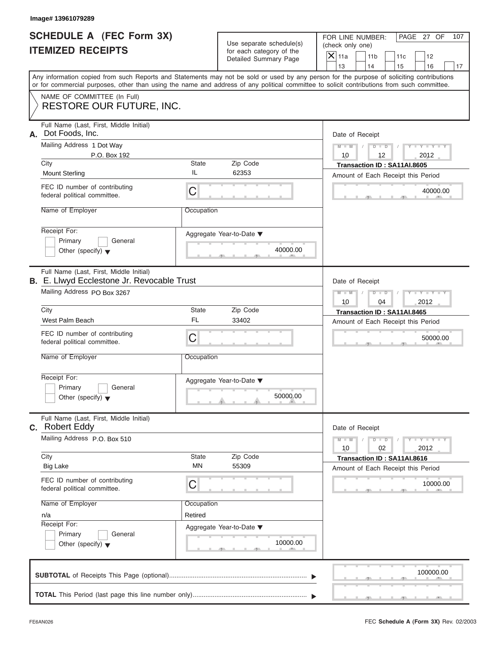|                          | <b>SCHEDULE A (FEC Form 3X)</b> |
|--------------------------|---------------------------------|
| <b>ITEMIZED RECEIPTS</b> |                                 |

|    | Image# 13961079289                                                                                                                                                                                                                                                                                          |                                                  |                                                                               |                                                                                                                                                               |
|----|-------------------------------------------------------------------------------------------------------------------------------------------------------------------------------------------------------------------------------------------------------------------------------------------------------------|--------------------------------------------------|-------------------------------------------------------------------------------|---------------------------------------------------------------------------------------------------------------------------------------------------------------|
|    | <b>SCHEDULE A (FEC Form 3X)</b><br><b>ITEMIZED RECEIPTS</b>                                                                                                                                                                                                                                                 |                                                  | Use separate schedule(s)<br>for each category of the<br>Detailed Summary Page | FOR LINE NUMBER:<br>PAGE 27 OF<br>107<br>(check only one)<br>$\mathsf{X}$ 11a<br>11 <sub>b</sub><br>11c<br>12<br>13<br>14<br>15<br>16<br>17                   |
|    | Any information copied from such Reports and Statements may not be sold or used by any person for the purpose of soliciting contributions<br>or for commercial purposes, other than using the name and address of any political committee to solicit contributions from such committee.                     |                                                  |                                                                               |                                                                                                                                                               |
|    | NAME OF COMMITTEE (In Full)<br><b>RESTORE OUR FUTURE, INC.</b>                                                                                                                                                                                                                                              |                                                  |                                                                               |                                                                                                                                                               |
| А. | Full Name (Last, First, Middle Initial)<br>Dot Foods, Inc.<br>Mailing Address 1 Dot Way<br>P.O. Box 192<br>City<br><b>Mount Sterling</b><br>FEC ID number of contributing<br>federal political committee.<br>Name of Employer<br>Receipt For:<br>Primary<br>General<br>Other (specify) $\blacktriangledown$ | State<br>IL<br>C<br>Occupation                   | Zip Code<br>62353<br>Aggregate Year-to-Date ▼<br>40000.00                     | Date of Receipt<br>$M - M$<br>$D$ $D$<br>$Y - Y - Y$<br>10<br>12<br>2012<br>Transaction ID: SA11AI.8605<br>Amount of Each Receipt this Period<br>40000.00     |
|    | Full Name (Last, First, Middle Initial)<br>B. E. Llwyd Ecclestone Jr. Revocable Trust<br>Mailing Address PO Box 3267<br>City<br>West Palm Beach                                                                                                                                                             | State<br>FL.                                     | Zip Code<br>33402                                                             | Date of Receipt<br>$M - M$<br>$D$ $D$<br>$Y = Y + Y + Y$<br>10<br>04<br>2012<br>Transaction ID: SA11AI.8465<br>Amount of Each Receipt this Period             |
|    | FEC ID number of contributing<br>federal political committee.<br>Name of Employer<br>Receipt For:<br>Primary<br>General<br>Other (specify) $\blacktriangledown$                                                                                                                                             | C<br>Occupation                                  | Aggregate Year-to-Date ▼<br>50000.00                                          | 50000.00                                                                                                                                                      |
|    | Full Name (Last, First, Middle Initial)<br>C. Robert Eddy<br>Mailing Address P.O. Box 510<br>City<br><b>Big Lake</b><br>FEC ID number of contributing<br>federal political committee.<br>Name of Employer<br>n/a<br>Receipt For:<br>Primary<br>General<br>Other (specify) $\blacktriangledown$              | State<br><b>MN</b><br>С<br>Occupation<br>Retired | Zip Code<br>55309<br>Aggregate Year-to-Date ▼<br>10000.00                     | Date of Receipt<br>$M - M$<br>$T - Y = T - Y$<br>$D$ $D$<br>2012<br>10<br>02<br>Transaction ID: SA11AI.8616<br>Amount of Each Receipt this Period<br>10000.00 |
|    |                                                                                                                                                                                                                                                                                                             |                                                  |                                                                               | 100000.00                                                                                                                                                     |
|    |                                                                                                                                                                                                                                                                                                             |                                                  |                                                                               |                                                                                                                                                               |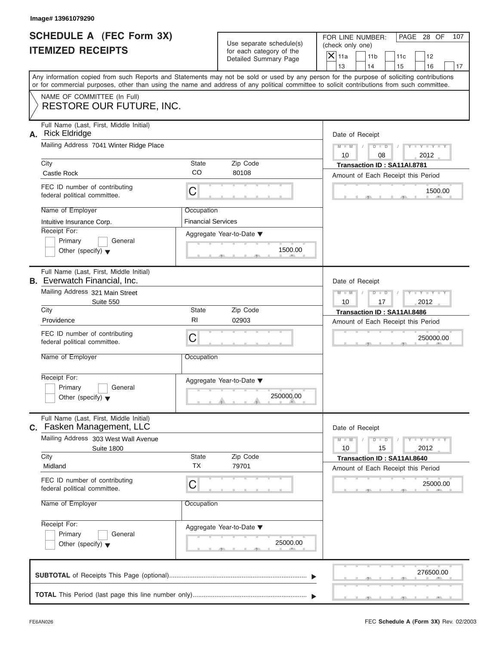| <b>SCHEDULE A (FEC Form 3X)</b> |  |  |
|---------------------------------|--|--|
| <b>ITEMIZED RECEIPTS</b>        |  |  |

|    | Image# 13961079290                                                                                                                                                                                                                                                                                                      |                                                                    |                                                                               |                                                                                                                                                                 |
|----|-------------------------------------------------------------------------------------------------------------------------------------------------------------------------------------------------------------------------------------------------------------------------------------------------------------------------|--------------------------------------------------------------------|-------------------------------------------------------------------------------|-----------------------------------------------------------------------------------------------------------------------------------------------------------------|
|    | <b>SCHEDULE A (FEC Form 3X)</b><br><b>ITEMIZED RECEIPTS</b>                                                                                                                                                                                                                                                             |                                                                    | Use separate schedule(s)<br>for each category of the<br>Detailed Summary Page | FOR LINE NUMBER:<br>PAGE 28 OF<br>107<br>(check only one)<br>$\mathsf{X}$ 11a<br>11 <sub>b</sub><br>11c<br>12<br>13<br>14<br>17                                 |
|    | Any information copied from such Reports and Statements may not be sold or used by any person for the purpose of soliciting contributions<br>or for commercial purposes, other than using the name and address of any political committee to solicit contributions from such committee.                                 |                                                                    |                                                                               | 15<br>16                                                                                                                                                        |
|    | NAME OF COMMITTEE (In Full)<br><b>RESTORE OUR FUTURE, INC.</b>                                                                                                                                                                                                                                                          |                                                                    |                                                                               |                                                                                                                                                                 |
| А. | Full Name (Last, First, Middle Initial)<br><b>Rick Eldridge</b><br>Mailing Address 7041 Winter Ridge Place<br>City<br>Castle Rock<br>FEC ID number of contributing<br>federal political committee.<br>Name of Employer<br>Intuitive Insurance Corp.<br>Receipt For:<br>Primary<br>General                               | State<br><b>CO</b><br>С<br>Occupation<br><b>Financial Services</b> | Zip Code<br>80108<br>Aggregate Year-to-Date ▼<br>1500.00                      | Date of Receipt<br>$M - M$<br>$D$ $\Box$ $D$<br>$Y - Y - Y$<br>10<br>08<br>2012<br>Transaction ID: SA11AI.8781<br>Amount of Each Receipt this Period<br>1500.00 |
|    | Other (specify) $\blacktriangledown$<br>Full Name (Last, First, Middle Initial)<br><b>B.</b> Everwatch Financial, Inc.<br>Mailing Address 321 Main Street<br>Suite 550<br>City<br>Providence<br>FEC ID number of contributing<br>federal political committee.<br>Name of Employer                                       | State<br>RI<br>C<br>Occupation                                     | Zip Code<br>02903                                                             | Date of Receipt<br>$M - M$<br>$D - I$<br>Y TY TY<br>10<br>17<br>2012<br>Transaction ID: SA11AI.8486<br>Amount of Each Receipt this Period<br>250000.00          |
|    | Receipt For:<br>Primary<br>General<br>Other (specify) $\blacktriangledown$                                                                                                                                                                                                                                              |                                                                    | Aggregate Year-to-Date ▼<br>250000.00                                         |                                                                                                                                                                 |
|    | Full Name (Last, First, Middle Initial)<br>C. Fasken Management, LLC<br>Mailing Address 303 West Wall Avenue<br><b>Suite 1800</b><br>City<br>Midland<br>FEC ID number of contributing<br>federal political committee.<br>Name of Employer<br>Receipt For:<br>Primary<br>General<br>Other (specify) $\blacktriangledown$ | State<br><b>TX</b><br>С<br>Occupation                              | Zip Code<br>79701<br>Aggregate Year-to-Date ▼<br>25000.00                     | Date of Receipt<br>$M - M$<br>$Y = Y$<br>$D - D$<br>2012<br>10<br>15<br>Transaction ID: SA11AI.8640<br>Amount of Each Receipt this Period<br>25000.00           |
|    |                                                                                                                                                                                                                                                                                                                         |                                                                    |                                                                               | 276500.00                                                                                                                                                       |
|    |                                                                                                                                                                                                                                                                                                                         |                                                                    |                                                                               |                                                                                                                                                                 |

FEC **Schedule A (Form 3X)** Rev. 02/2003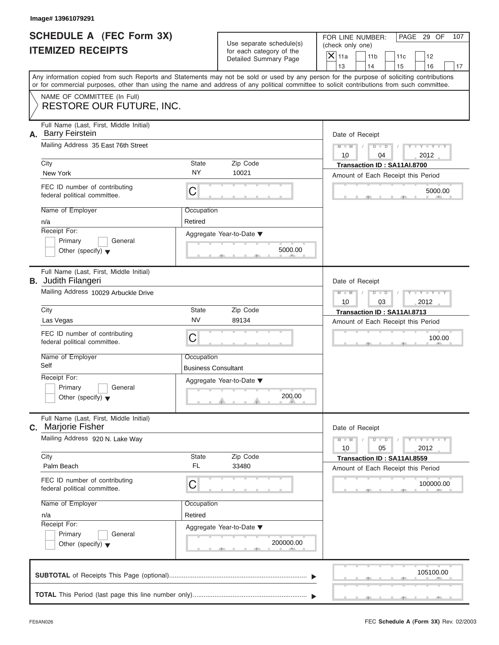|                          | <b>SCHEDULE A (FEC Form 3X)</b> |
|--------------------------|---------------------------------|
| <b>ITEMIZED RECEIPTS</b> |                                 |

|                                                             | Image# 13961079291                                                                                                                         |                                                      |                          |                                                                                                                                           |
|-------------------------------------------------------------|--------------------------------------------------------------------------------------------------------------------------------------------|------------------------------------------------------|--------------------------|-------------------------------------------------------------------------------------------------------------------------------------------|
| <b>SCHEDULE A (FEC Form 3X)</b><br><b>ITEMIZED RECEIPTS</b> |                                                                                                                                            | Use separate schedule(s)<br>for each category of the |                          | FOR LINE NUMBER:<br>PAGE 29 OF<br>107<br>(check only one)<br>$\mathsf{X}$ 11a<br>11 <sub>b</sub><br>11c<br>12                             |
|                                                             |                                                                                                                                            |                                                      | Detailed Summary Page    | 13<br>14<br>15<br>16<br>17                                                                                                                |
|                                                             | or for commercial purposes, other than using the name and address of any political committee to solicit contributions from such committee. |                                                      |                          | Any information copied from such Reports and Statements may not be sold or used by any person for the purpose of soliciting contributions |
|                                                             | NAME OF COMMITTEE (In Full)<br>RESTORE OUR FUTURE, INC.                                                                                    |                                                      |                          |                                                                                                                                           |
| А.                                                          | Full Name (Last, First, Middle Initial)<br><b>Barry Feirstein</b>                                                                          |                                                      |                          | Date of Receipt                                                                                                                           |
|                                                             | Mailing Address 35 East 76th Street                                                                                                        |                                                      |                          | $D$ $\Box$ $D$<br>$Y - Y - Y - Y - Y$<br>$M - M$<br>10<br>2012<br>04                                                                      |
|                                                             | City                                                                                                                                       | State                                                | Zip Code                 | Transaction ID: SA11AI.8700                                                                                                               |
|                                                             | New York                                                                                                                                   | <b>NY</b>                                            | 10021                    | Amount of Each Receipt this Period                                                                                                        |
|                                                             | FEC ID number of contributing<br>federal political committee.                                                                              | С                                                    |                          | 5000.00                                                                                                                                   |
|                                                             | Name of Employer<br>n/a                                                                                                                    | Occupation<br>Retired                                |                          |                                                                                                                                           |
|                                                             | Receipt For:                                                                                                                               |                                                      | Aggregate Year-to-Date ▼ |                                                                                                                                           |
|                                                             | Primary<br>General                                                                                                                         |                                                      |                          |                                                                                                                                           |
|                                                             | Other (specify) $\blacktriangledown$                                                                                                       |                                                      | 5000.00                  |                                                                                                                                           |
|                                                             | Full Name (Last, First, Middle Initial)<br><b>B.</b> Judith Filangeri                                                                      |                                                      |                          | Date of Receipt                                                                                                                           |
|                                                             | Mailing Address 10029 Arbuckle Drive                                                                                                       |                                                      |                          | $M - M$<br>$D$ $D$<br>Y I Y I Y I                                                                                                         |
|                                                             | City                                                                                                                                       | State                                                | Zip Code                 | 10<br>03<br>2012<br>Transaction ID: SA11AI.8713                                                                                           |
|                                                             | Las Vegas                                                                                                                                  | <b>NV</b>                                            | 89134                    | Amount of Each Receipt this Period                                                                                                        |
|                                                             | FEC ID number of contributing<br>federal political committee.                                                                              | С                                                    |                          | 100.00                                                                                                                                    |
|                                                             | Name of Employer                                                                                                                           | Occupation                                           |                          |                                                                                                                                           |
|                                                             | Self                                                                                                                                       | <b>Business Consultant</b>                           |                          |                                                                                                                                           |
|                                                             | Receipt For:                                                                                                                               |                                                      | Aggregate Year-to-Date ▼ |                                                                                                                                           |
|                                                             | Primary<br>General<br>Other (specify) $\blacktriangledown$                                                                                 |                                                      | 200.00                   |                                                                                                                                           |
|                                                             | Full Name (Last, First, Middle Initial)<br>C. Marjorie Fisher                                                                              |                                                      |                          | Date of Receipt                                                                                                                           |
|                                                             | Mailing Address 920 N. Lake Way                                                                                                            |                                                      |                          | $Y = Y = Y + Y$<br>$M - M$<br>$D$ $D$<br>2012<br>10<br>05                                                                                 |
|                                                             | City                                                                                                                                       | State                                                | Zip Code                 | Transaction ID: SA11AI.8559                                                                                                               |
|                                                             | Palm Beach                                                                                                                                 | FL                                                   | 33480                    | Amount of Each Receipt this Period                                                                                                        |
|                                                             | FEC ID number of contributing<br>federal political committee.                                                                              | С                                                    |                          | 100000.00                                                                                                                                 |
|                                                             | Name of Employer                                                                                                                           | Occupation                                           |                          |                                                                                                                                           |
|                                                             | n/a                                                                                                                                        | Retired                                              |                          |                                                                                                                                           |
|                                                             | Receipt For:                                                                                                                               |                                                      | Aggregate Year-to-Date ▼ |                                                                                                                                           |
|                                                             | Primary<br>General<br>Other (specify) $\blacktriangledown$                                                                                 |                                                      | 200000.00                |                                                                                                                                           |
|                                                             |                                                                                                                                            |                                                      |                          | 105100.00                                                                                                                                 |
|                                                             |                                                                                                                                            |                                                      |                          |                                                                                                                                           |
|                                                             |                                                                                                                                            |                                                      |                          |                                                                                                                                           |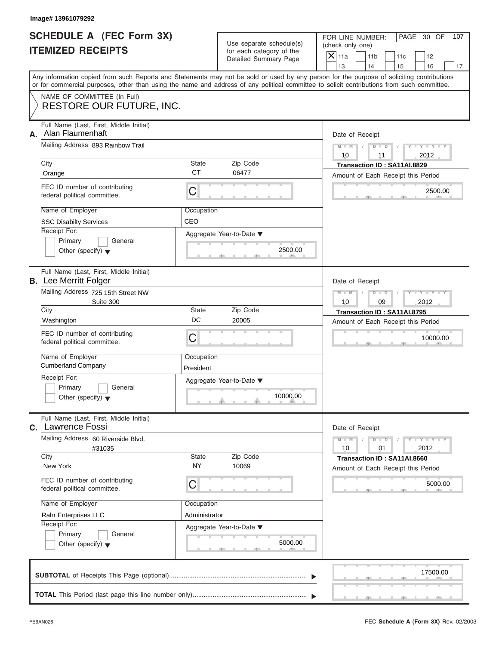|                          | SCHEDULE A (FEC Form 3X) |
|--------------------------|--------------------------|
| <b>ITEMIZED RECEIPTS</b> |                          |

| Image# 13961079292                                                                                                                                                                                                                                                                                                                               |                                                                                                                    |                                                                                                                                                          |
|--------------------------------------------------------------------------------------------------------------------------------------------------------------------------------------------------------------------------------------------------------------------------------------------------------------------------------------------------|--------------------------------------------------------------------------------------------------------------------|----------------------------------------------------------------------------------------------------------------------------------------------------------|
| <b>SCHEDULE A (FEC Form 3X)</b><br><b>ITEMIZED RECEIPTS</b>                                                                                                                                                                                                                                                                                      | Use separate schedule(s)<br>for each category of the<br>Detailed Summary Page                                      | FOR LINE NUMBER:<br>PAGE 30 OF<br>107<br>(check only one)<br>$\mathsf{X}$ 11a<br>11 <sub>b</sub><br>11c<br>12<br>13<br>14<br>15<br>16<br>17              |
| Any information copied from such Reports and Statements may not be sold or used by any person for the purpose of soliciting contributions<br>or for commercial purposes, other than using the name and address of any political committee to solicit contributions from such committee.                                                          |                                                                                                                    |                                                                                                                                                          |
| NAME OF COMMITTEE (In Full)<br><b>RESTORE OUR FUTURE, INC.</b>                                                                                                                                                                                                                                                                                   |                                                                                                                    |                                                                                                                                                          |
| Full Name (Last, First, Middle Initial)<br>Alan Flaumenhaft<br>А.<br>Mailing Address 893 Rainbow Trail<br>City<br>Orange<br>FEC ID number of contributing<br>federal political committee.                                                                                                                                                        | State<br>Zip Code<br><b>CT</b><br>06477<br>C                                                                       | Date of Receipt<br>$M - M$<br>$D$ $D$<br>$Y - Y - Y$<br>10<br>2012<br>11<br>Transaction ID: SA11AI.8829<br>Amount of Each Receipt this Period<br>2500.00 |
| Name of Employer<br><b>SSC Disabilty Services</b><br>Receipt For:<br>Primary<br>General<br>Other (specify) $\blacktriangledown$                                                                                                                                                                                                                  | Occupation<br>CEO<br>Aggregate Year-to-Date ▼<br>2500.00                                                           |                                                                                                                                                          |
| Full Name (Last, First, Middle Initial)<br><b>B.</b> Lee Merritt Folger<br>Mailing Address 725 15th Street NW<br>Suite 300<br>City<br>Washington<br>FEC ID number of contributing<br>federal political committee.<br>Name of Employer<br><b>Cumberland Company</b><br>Receipt For:<br>Primary<br>General<br>Other (specify) $\blacktriangledown$ | State<br>Zip Code<br>DC<br>20005<br>C<br>Occupation<br>President<br>Aggregate Year-to-Date ▼<br>10000.00           | Date of Receipt<br>$M - M$<br>$D$ $D$<br>Y TYT<br>10<br>09<br>2012<br>Transaction ID: SA11AI.8795<br>Amount of Each Receipt this Period<br>10000.00      |
| Full Name (Last, First, Middle Initial)<br>C. Lawrence Fossi<br>Mailing Address 60 Riverside Blvd.<br>#31035<br>City<br>New York<br>FEC ID number of contributing<br>federal political committee.<br>Name of Employer<br>Rahr Enterprises LLC<br>Receipt For:<br>Primary<br>General<br>Other (specify) $\blacktriangledown$                      | Zip Code<br>State<br><b>NY</b><br>10069<br>С<br>Occupation<br>Administrator<br>Aggregate Year-to-Date ▼<br>5000.00 | Date of Receipt<br>$M - M$<br>$Y = Y$<br>$D$ $D$<br>2012<br>10<br>01<br>Transaction ID: SA11AI.8660<br>Amount of Each Receipt this Period<br>5000.00     |
|                                                                                                                                                                                                                                                                                                                                                  |                                                                                                                    | 17500.00                                                                                                                                                 |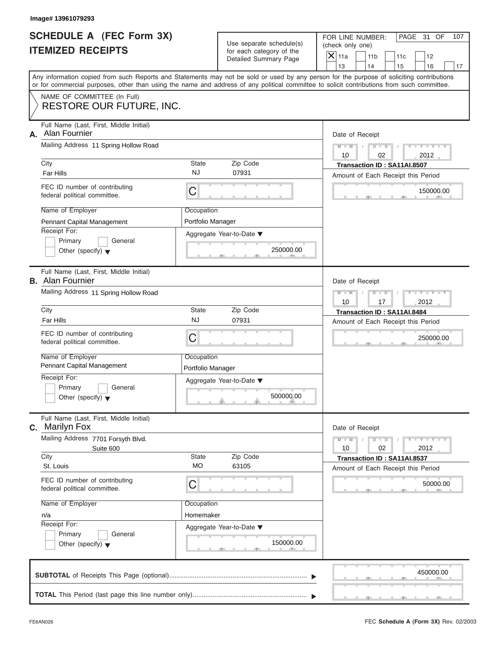| <b>SCHEDULE A (FEC Form 3X)</b> |  |  |
|---------------------------------|--|--|
| <b>ITEMIZED RECEIPTS</b>        |  |  |

|    | Image# 13961079293                                                                                |                                 |                                                                               |                                                                                                                                                                                                                                                                                                                       |
|----|---------------------------------------------------------------------------------------------------|---------------------------------|-------------------------------------------------------------------------------|-----------------------------------------------------------------------------------------------------------------------------------------------------------------------------------------------------------------------------------------------------------------------------------------------------------------------|
|    | SCHEDULE A (FEC Form 3X)<br><b>ITEMIZED RECEIPTS</b>                                              |                                 | Use separate schedule(s)<br>for each category of the<br>Detailed Summary Page | FOR LINE NUMBER:<br>PAGE 31 OF<br>107<br>(check only one)<br>$\mathsf{X}$ 11a<br>11 <sub>b</sub><br>11c<br>12                                                                                                                                                                                                         |
|    |                                                                                                   |                                 |                                                                               | 13<br>14<br>15<br>16<br>17<br>Any information copied from such Reports and Statements may not be sold or used by any person for the purpose of soliciting contributions<br>or for commercial purposes, other than using the name and address of any political committee to solicit contributions from such committee. |
|    | NAME OF COMMITTEE (In Full)<br><b>RESTORE OUR FUTURE, INC.</b>                                    |                                 |                                                                               |                                                                                                                                                                                                                                                                                                                       |
| А. | Full Name (Last, First, Middle Initial)<br>Alan Fournier<br>Mailing Address 11 Spring Hollow Road |                                 |                                                                               | Date of Receipt                                                                                                                                                                                                                                                                                                       |
|    |                                                                                                   |                                 |                                                                               | $D$ $D$<br>$Y - Y - Y - Y - I$<br>$M - M$<br>10<br>02<br>2012                                                                                                                                                                                                                                                         |
|    | City<br>Far Hills                                                                                 | State<br>NJ                     | Zip Code<br>07931                                                             | Transaction ID: SA11AI.8507<br>Amount of Each Receipt this Period                                                                                                                                                                                                                                                     |
|    | FEC ID number of contributing<br>federal political committee.                                     | C                               |                                                                               | 150000.00                                                                                                                                                                                                                                                                                                             |
|    | Name of Employer<br>Pennant Capital Management                                                    | Occupation<br>Portfolio Manager |                                                                               |                                                                                                                                                                                                                                                                                                                       |
|    | Receipt For:<br>Primary<br>General<br>Other (specify) $\blacktriangledown$                        |                                 | Aggregate Year-to-Date ▼<br>250000.00                                         |                                                                                                                                                                                                                                                                                                                       |
|    | Full Name (Last, First, Middle Initial)<br><b>B.</b> Alan Fournier                                |                                 |                                                                               | Date of Receipt                                                                                                                                                                                                                                                                                                       |
|    | Mailing Address 11 Spring Hollow Road                                                             |                                 |                                                                               | $M - M$<br>$D$ $\Box$ $D$<br>$Y - Y - Y - Y - Y$<br>2012<br>10<br>17                                                                                                                                                                                                                                                  |
|    | City                                                                                              | State                           | Zip Code                                                                      | Transaction ID: SA11AI.8484                                                                                                                                                                                                                                                                                           |
|    | Far Hills                                                                                         | <b>NJ</b>                       | 07931                                                                         | Amount of Each Receipt this Period                                                                                                                                                                                                                                                                                    |
|    | FEC ID number of contributing<br>federal political committee.                                     | C                               |                                                                               | 250000.00                                                                                                                                                                                                                                                                                                             |
|    | Name of Employer<br>Pennant Capital Management                                                    | Occupation<br>Portfolio Manager |                                                                               |                                                                                                                                                                                                                                                                                                                       |
|    | Receipt For:<br>Primary<br>General<br>Other (specify) $\blacktriangledown$                        |                                 | Aggregate Year-to-Date ▼<br>500000.00                                         |                                                                                                                                                                                                                                                                                                                       |
|    | Full Name (Last, First, Middle Initial)<br><b>C.</b> Marilyn Fox                                  |                                 |                                                                               | Date of Receipt                                                                                                                                                                                                                                                                                                       |
|    | Mailing Address 7701 Forsyth Blvd.<br>Suite 600                                                   |                                 |                                                                               | $Y - Y - Y - Y - I$<br>$M - M$<br>$D$ $D$<br>2012<br>10<br>02                                                                                                                                                                                                                                                         |
|    | City<br>St. Louis                                                                                 | State<br><b>MO</b>              | Zip Code<br>63105                                                             | Transaction ID: SA11AI.8537<br>Amount of Each Receipt this Period                                                                                                                                                                                                                                                     |
|    | FEC ID number of contributing<br>federal political committee.                                     | С                               |                                                                               | 50000.00                                                                                                                                                                                                                                                                                                              |
|    | Name of Employer                                                                                  | Occupation                      |                                                                               |                                                                                                                                                                                                                                                                                                                       |
|    | n/a<br>Receipt For:                                                                               | Homemaker                       |                                                                               |                                                                                                                                                                                                                                                                                                                       |
|    | Primary<br>General<br>Other (specify) $\blacktriangledown$                                        |                                 | Aggregate Year-to-Date ▼<br>150000.00                                         |                                                                                                                                                                                                                                                                                                                       |
|    |                                                                                                   |                                 |                                                                               | 450000.00                                                                                                                                                                                                                                                                                                             |
|    |                                                                                                   |                                 |                                                                               |                                                                                                                                                                                                                                                                                                                       |

FEC **Schedule A (Form 3X)** Rev. 02/2003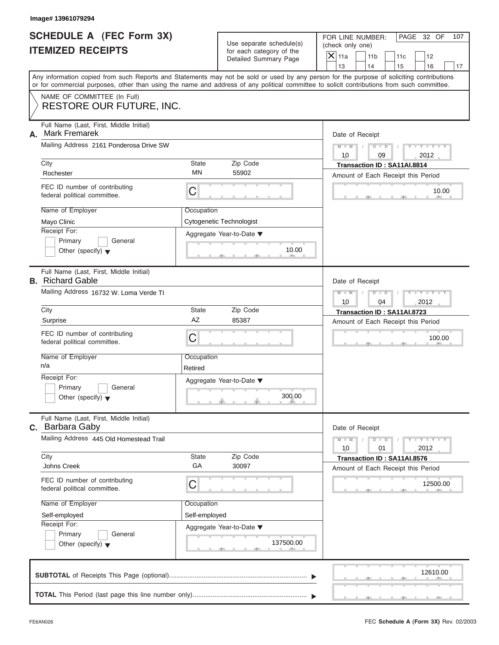| <b>SCHEDULE A (FEC Form 3X)</b> |  |  |
|---------------------------------|--|--|
| <b>ITEMIZED RECEIPTS</b>        |  |  |

|    | Image# 13961079294                                                                                                                         |               |                                                      |                                                                                                                                           |     |
|----|--------------------------------------------------------------------------------------------------------------------------------------------|---------------|------------------------------------------------------|-------------------------------------------------------------------------------------------------------------------------------------------|-----|
|    | <b>SCHEDULE A (FEC Form 3X)</b><br><b>ITEMIZED RECEIPTS</b>                                                                                |               | Use separate schedule(s)<br>for each category of the | FOR LINE NUMBER:<br>PAGE 32 OF<br>(check only one)<br>$X$ 11a<br>11 <sub>b</sub><br>11c<br>12                                             | 107 |
|    |                                                                                                                                            |               | Detailed Summary Page                                | 13<br>14<br>15<br>16                                                                                                                      | 17  |
|    | or for commercial purposes, other than using the name and address of any political committee to solicit contributions from such committee. |               |                                                      | Any information copied from such Reports and Statements may not be sold or used by any person for the purpose of soliciting contributions |     |
|    | NAME OF COMMITTEE (In Full)<br>RESTORE OUR FUTURE, INC.                                                                                    |               |                                                      |                                                                                                                                           |     |
|    | Full Name (Last, First, Middle Initial)                                                                                                    |               |                                                      |                                                                                                                                           |     |
| А. | <b>Mark Fremarek</b>                                                                                                                       |               |                                                      | Date of Receipt                                                                                                                           |     |
|    | Mailing Address 2161 Ponderosa Drive SW                                                                                                    |               |                                                      | $Y - Y - Y - Y - Y$<br>$D$ $D$<br>$M - M$<br>10<br>2012<br>09                                                                             |     |
|    | City                                                                                                                                       | State         | Zip Code                                             | Transaction ID: SA11AI.8814                                                                                                               |     |
|    | Rochester                                                                                                                                  | MN            | 55902                                                | Amount of Each Receipt this Period                                                                                                        |     |
|    | FEC ID number of contributing<br>federal political committee.                                                                              | С             |                                                      | 10.00                                                                                                                                     |     |
|    | Name of Employer                                                                                                                           | Occupation    |                                                      |                                                                                                                                           |     |
|    | Mayo Clinic                                                                                                                                |               | Cytogenetic Technologist                             |                                                                                                                                           |     |
|    | Receipt For:                                                                                                                               |               | Aggregate Year-to-Date ▼                             |                                                                                                                                           |     |
|    | Primary<br>General<br>Other (specify) $\blacktriangledown$                                                                                 |               | 10.00                                                |                                                                                                                                           |     |
|    |                                                                                                                                            |               |                                                      |                                                                                                                                           |     |
|    | Full Name (Last, First, Middle Initial)<br><b>B.</b> Richard Gable                                                                         |               |                                                      | Date of Receipt                                                                                                                           |     |
|    | Mailing Address 16732 W. Loma Verde TI                                                                                                     |               |                                                      | Y T Y T Y T<br>$M - M$<br>$D$ $D$                                                                                                         |     |
|    |                                                                                                                                            |               |                                                      | 10<br>04<br>2012                                                                                                                          |     |
|    | City                                                                                                                                       | State<br>AZ   | Zip Code                                             | Transaction ID: SA11AI.8723                                                                                                               |     |
|    | Surprise                                                                                                                                   |               | 85387                                                | Amount of Each Receipt this Period                                                                                                        |     |
|    | FEC ID number of contributing<br>federal political committee.                                                                              | C             |                                                      | 100.00                                                                                                                                    |     |
|    | Name of Employer                                                                                                                           | Occupation    |                                                      |                                                                                                                                           |     |
|    | n/a                                                                                                                                        | Retired       |                                                      |                                                                                                                                           |     |
|    | Receipt For:                                                                                                                               |               | Aggregate Year-to-Date ▼                             |                                                                                                                                           |     |
|    | Primary<br>General<br>Other (specify) $\blacktriangledown$                                                                                 |               | 300.00                                               |                                                                                                                                           |     |
|    | Full Name (Last, First, Middle Initial)<br>c. Barbara Gaby                                                                                 |               |                                                      | Date of Receipt                                                                                                                           |     |
|    | Mailing Address 445 Old Homestead Trail                                                                                                    |               |                                                      | $Y - Y - Y - Y - I$<br>$M - M$<br>$D$ $D$<br>2012<br>10<br>01                                                                             |     |
|    | City                                                                                                                                       | State         | Zip Code                                             | Transaction ID: SA11AI.8576                                                                                                               |     |
|    | Johns Creek                                                                                                                                | GA            | 30097                                                | Amount of Each Receipt this Period                                                                                                        |     |
|    | FEC ID number of contributing<br>federal political committee.                                                                              | С             |                                                      | 12500.00                                                                                                                                  |     |
|    | Name of Employer                                                                                                                           | Occupation    |                                                      |                                                                                                                                           |     |
|    | Self-employed                                                                                                                              | Self-employed |                                                      |                                                                                                                                           |     |
|    | Receipt For:                                                                                                                               |               | Aggregate Year-to-Date ▼                             |                                                                                                                                           |     |
|    | Primary<br>General                                                                                                                         |               | 137500.00                                            |                                                                                                                                           |     |
|    | Other (specify) $\blacktriangledown$                                                                                                       |               |                                                      |                                                                                                                                           |     |
|    |                                                                                                                                            |               |                                                      |                                                                                                                                           |     |
|    |                                                                                                                                            |               |                                                      | 12610.00                                                                                                                                  |     |
|    |                                                                                                                                            |               |                                                      |                                                                                                                                           |     |
|    |                                                                                                                                            |               |                                                      |                                                                                                                                           |     |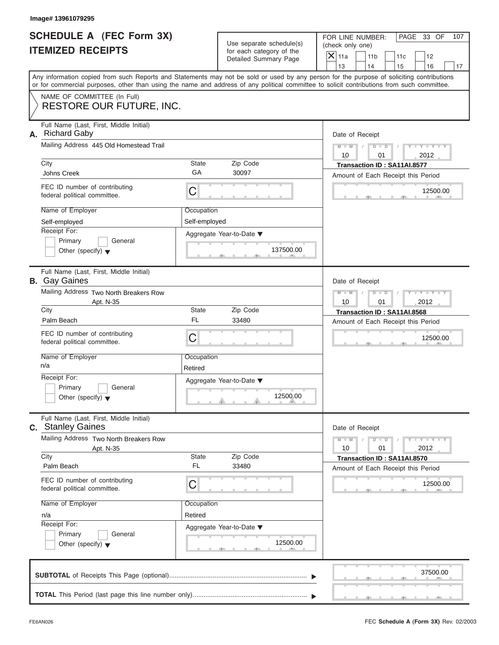| SCHEDULE A (FEC Form 3X) |  |  |
|--------------------------|--|--|
| <b>ITEMIZED RECEIPTS</b> |  |  |

|    | Image# 13961079295                                                                                                                         |                       |                                                                               |                                                                      |                                                                   |     |                             |     |
|----|--------------------------------------------------------------------------------------------------------------------------------------------|-----------------------|-------------------------------------------------------------------------------|----------------------------------------------------------------------|-------------------------------------------------------------------|-----|-----------------------------|-----|
|    | SCHEDULE A (FEC Form 3X)<br><b>ITEMIZED RECEIPTS</b>                                                                                       |                       | Use separate schedule(s)<br>for each category of the<br>Detailed Summary Page | FOR LINE NUMBER:<br>(check only one)<br>$\mathsf{X} _{\mathsf{11a}}$ | 11 <sub>b</sub>                                                   | 11c | PAGE 33 OF<br>12            | 107 |
|    | Any information copied from such Reports and Statements may not be sold or used by any person for the purpose of soliciting contributions  |                       |                                                                               | 13                                                                   | 14                                                                | 15  | 16                          | 17  |
|    | or for commercial purposes, other than using the name and address of any political committee to solicit contributions from such committee. |                       |                                                                               |                                                                      |                                                                   |     |                             |     |
|    | NAME OF COMMITTEE (In Full)<br>RESTORE OUR FUTURE, INC.                                                                                    |                       |                                                                               |                                                                      |                                                                   |     |                             |     |
| А. | Full Name (Last, First, Middle Initial)<br><b>Richard Gaby</b>                                                                             |                       |                                                                               | Date of Receipt                                                      |                                                                   |     |                             |     |
|    | Mailing Address 445 Old Homestead Trail                                                                                                    |                       |                                                                               | $M - M$<br>10                                                        | $D$ $D$<br>01                                                     |     | $Y - Y - Y - Y - Y$<br>2012 |     |
|    | City                                                                                                                                       | State                 | Zip Code                                                                      |                                                                      | Transaction ID: SA11AI.8577                                       |     |                             |     |
|    | Johns Creek                                                                                                                                | GA                    | 30097                                                                         |                                                                      | Amount of Each Receipt this Period                                |     |                             |     |
|    | FEC ID number of contributing<br>federal political committee.                                                                              | C                     |                                                                               |                                                                      |                                                                   |     | 12500.00                    |     |
|    | Name of Employer                                                                                                                           | Occupation            |                                                                               |                                                                      |                                                                   |     |                             |     |
|    | Self-employed                                                                                                                              | Self-employed         |                                                                               |                                                                      |                                                                   |     |                             |     |
|    | Receipt For:<br>Primary<br>General<br>Other (specify) $\blacktriangledown$                                                                 |                       | Aggregate Year-to-Date ▼<br>137500.00                                         |                                                                      |                                                                   |     |                             |     |
|    | Full Name (Last, First, Middle Initial)<br><b>B.</b> Gay Gaines                                                                            |                       |                                                                               | Date of Receipt                                                      |                                                                   |     |                             |     |
|    | Mailing Address Two North Breakers Row                                                                                                     |                       |                                                                               | $M - M$                                                              | $D$ $\Box$ $D$                                                    |     | $Y - Y - Y - Y - Y$         |     |
|    | Apt. N-35<br>City                                                                                                                          | State                 | Zip Code                                                                      | 10                                                                   | 01<br>Transaction ID: SA11AI.8568                                 |     | 2012                        |     |
|    | Palm Beach                                                                                                                                 | <b>FL</b>             | 33480                                                                         |                                                                      | Amount of Each Receipt this Period                                |     |                             |     |
|    | FEC ID number of contributing<br>federal political committee.                                                                              | C                     |                                                                               |                                                                      |                                                                   |     | 12500.00                    |     |
|    | Name of Employer<br>n/a                                                                                                                    | Occupation<br>Retired |                                                                               |                                                                      |                                                                   |     |                             |     |
|    | Receipt For:<br>Primary<br>General<br>Other (specify) $\blacktriangledown$                                                                 |                       | Aggregate Year-to-Date ▼<br>12500.00                                          |                                                                      |                                                                   |     |                             |     |
|    | Full Name (Last, First, Middle Initial)<br>c. Stanley Gaines                                                                               |                       |                                                                               | Date of Receipt                                                      |                                                                   |     |                             |     |
|    | Mailing Address Two North Breakers Row<br>Apt. N-35                                                                                        |                       |                                                                               | $M - M$<br>10                                                        | $D$ $D$<br>01                                                     |     | $Y - Y - Y - Y - I$<br>2012 |     |
|    | City<br>Palm Beach                                                                                                                         | State<br><b>FL</b>    | Zip Code<br>33480                                                             |                                                                      | Transaction ID: SA11AI.8570<br>Amount of Each Receipt this Period |     |                             |     |
|    | FEC ID number of contributing<br>federal political committee.                                                                              | С                     |                                                                               |                                                                      |                                                                   |     | 12500.00                    |     |
|    | Name of Employer                                                                                                                           | Occupation            |                                                                               |                                                                      |                                                                   |     |                             |     |
|    | n/a                                                                                                                                        | Retired               |                                                                               |                                                                      |                                                                   |     |                             |     |
|    | Receipt For:<br>Primary<br>General                                                                                                         |                       | Aggregate Year-to-Date ▼                                                      |                                                                      |                                                                   |     |                             |     |
|    | Other (specify) $\blacktriangledown$                                                                                                       |                       | 12500.00                                                                      |                                                                      |                                                                   |     |                             |     |
|    |                                                                                                                                            |                       |                                                                               |                                                                      |                                                                   |     | 37500.00                    |     |
|    |                                                                                                                                            |                       |                                                                               |                                                                      |                                                                   |     |                             |     |

J.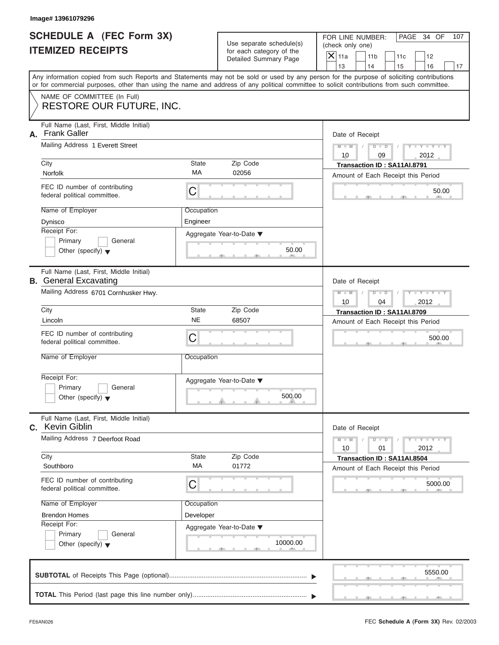| SCHEDULE A (FEC Form 3X) |  |  |
|--------------------------|--|--|
| <b>ITEMIZED RECEIPTS</b> |  |  |

|    | Image# 13961079296                                                      |                    |                                                                               |                                                                                                                                                                                                                                                                                         |
|----|-------------------------------------------------------------------------|--------------------|-------------------------------------------------------------------------------|-----------------------------------------------------------------------------------------------------------------------------------------------------------------------------------------------------------------------------------------------------------------------------------------|
|    | SCHEDULE A (FEC Form 3X)<br><b>ITEMIZED RECEIPTS</b>                    |                    | Use separate schedule(s)<br>for each category of the<br>Detailed Summary Page | FOR LINE NUMBER:<br>PAGE 34 OF<br>107<br>(check only one)<br>$\mathsf{X}$ 11a<br>11 <sub>b</sub><br>11c<br>12                                                                                                                                                                           |
|    |                                                                         |                    |                                                                               | 13<br>14<br>15<br>16<br>17                                                                                                                                                                                                                                                              |
|    |                                                                         |                    |                                                                               | Any information copied from such Reports and Statements may not be sold or used by any person for the purpose of soliciting contributions<br>or for commercial purposes, other than using the name and address of any political committee to solicit contributions from such committee. |
|    | NAME OF COMMITTEE (In Full)                                             |                    |                                                                               |                                                                                                                                                                                                                                                                                         |
|    | <b>RESTORE OUR FUTURE, INC.</b>                                         |                    |                                                                               |                                                                                                                                                                                                                                                                                         |
| А. | Full Name (Last, First, Middle Initial)<br><b>Frank Galler</b>          |                    |                                                                               | Date of Receipt                                                                                                                                                                                                                                                                         |
|    | Mailing Address 1 Everett Street<br>Zip Code                            |                    |                                                                               | $D$ $D$<br>$Y - Y - Y - Y - Y$<br>$M - M$<br>10<br>09<br>2012                                                                                                                                                                                                                           |
|    | City                                                                    | State<br>МA        | Transaction ID: SA11AI.8791                                                   |                                                                                                                                                                                                                                                                                         |
|    | Norfolk                                                                 |                    | 02056                                                                         | Amount of Each Receipt this Period                                                                                                                                                                                                                                                      |
|    | FEC ID number of contributing<br>federal political committee.           | C                  |                                                                               | 50.00                                                                                                                                                                                                                                                                                   |
|    | Name of Employer                                                        | Occupation         |                                                                               |                                                                                                                                                                                                                                                                                         |
|    | Dynisco                                                                 | Engineer           |                                                                               |                                                                                                                                                                                                                                                                                         |
|    | Receipt For:<br>Primary<br>General                                      |                    | Aggregate Year-to-Date ▼                                                      |                                                                                                                                                                                                                                                                                         |
|    | Other (specify) $\blacktriangledown$                                    |                    | 50.00                                                                         |                                                                                                                                                                                                                                                                                         |
|    | Full Name (Last, First, Middle Initial)<br><b>B.</b> General Excavating |                    | Date of Receipt                                                               |                                                                                                                                                                                                                                                                                         |
|    | Mailing Address 6701 Cornhusker Hwy.                                    |                    | $M - M$<br>$D$ $D$<br>$Y = Y + Y + Y$                                         |                                                                                                                                                                                                                                                                                         |
|    |                                                                         |                    |                                                                               | 2012<br>10<br>04                                                                                                                                                                                                                                                                        |
|    | City<br>Lincoln                                                         | State<br><b>NE</b> | Zip Code<br>68507                                                             | Transaction ID: SA11AI.8709<br>Amount of Each Receipt this Period                                                                                                                                                                                                                       |
|    | FEC ID number of contributing                                           |                    |                                                                               |                                                                                                                                                                                                                                                                                         |
|    | federal political committee.                                            | C                  |                                                                               | 500.00                                                                                                                                                                                                                                                                                  |
|    | Name of Employer                                                        | Occupation         |                                                                               |                                                                                                                                                                                                                                                                                         |
|    | Receipt For:                                                            |                    | Aggregate Year-to-Date ▼                                                      |                                                                                                                                                                                                                                                                                         |
|    | Primary<br>General<br>Other (specify) $\blacktriangledown$              |                    | 500.00                                                                        |                                                                                                                                                                                                                                                                                         |
| C. | Full Name (Last, First, Middle Initial)<br><b>Kevin Giblin</b>          |                    | Date of Receipt                                                               |                                                                                                                                                                                                                                                                                         |
|    | Mailing Address 7 Deerfoot Road                                         |                    |                                                                               | $Y - Y - Y - Y - I$<br>$M - M$<br>$D$ $D$<br>2012<br>10<br>01                                                                                                                                                                                                                           |
|    | City<br>Southboro                                                       | State<br>МA        | Zip Code<br>01772                                                             | Transaction ID: SA11AI.8504<br>Amount of Each Receipt this Period                                                                                                                                                                                                                       |
|    | FEC ID number of contributing<br>federal political committee.           | C                  |                                                                               | 5000.00                                                                                                                                                                                                                                                                                 |
|    | Name of Employer                                                        | Occupation         |                                                                               |                                                                                                                                                                                                                                                                                         |
|    | <b>Brendon Homes</b>                                                    | Developer          |                                                                               |                                                                                                                                                                                                                                                                                         |
|    | Receipt For:<br>Primary<br>General                                      |                    | Aggregate Year-to-Date ▼                                                      |                                                                                                                                                                                                                                                                                         |
|    | Other (specify) $\blacktriangledown$                                    |                    | 10000.00                                                                      |                                                                                                                                                                                                                                                                                         |
|    |                                                                         |                    |                                                                               | 5550.00                                                                                                                                                                                                                                                                                 |
|    |                                                                         |                    |                                                                               |                                                                                                                                                                                                                                                                                         |
|    |                                                                         |                    |                                                                               |                                                                                                                                                                                                                                                                                         |

 $S = 1 - 1 - 2$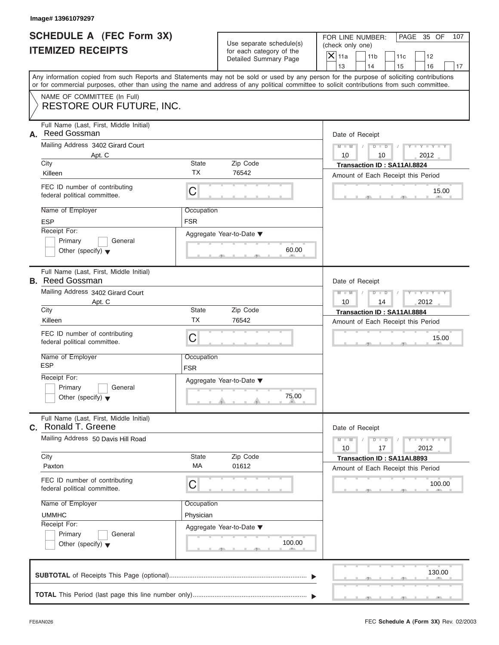# **SCHEDULE A (FEC Form 3X) ITEMIZED RECEIPTS**

|    | Image# 13961079297                                                                                                                                                                                                                                                                                                                                |                                                                                                     |                                                                               |                                                                                                                                                               |
|----|---------------------------------------------------------------------------------------------------------------------------------------------------------------------------------------------------------------------------------------------------------------------------------------------------------------------------------------------------|-----------------------------------------------------------------------------------------------------|-------------------------------------------------------------------------------|---------------------------------------------------------------------------------------------------------------------------------------------------------------|
|    | <b>SCHEDULE A (FEC Form 3X)</b><br><b>ITEMIZED RECEIPTS</b>                                                                                                                                                                                                                                                                                       |                                                                                                     | Use separate schedule(s)<br>for each category of the<br>Detailed Summary Page | FOR LINE NUMBER:<br>PAGE 35 OF<br>107<br>(check only one)<br>$\mathsf{X}$ 11a<br>11 <sub>b</sub><br>11c<br>12<br>13<br>14<br>15<br>16<br>17                   |
|    | Any information copied from such Reports and Statements may not be sold or used by any person for the purpose of soliciting contributions<br>or for commercial purposes, other than using the name and address of any political committee to solicit contributions from such committee.                                                           |                                                                                                     |                                                                               |                                                                                                                                                               |
|    | NAME OF COMMITTEE (In Full)<br><b>RESTORE OUR FUTURE, INC.</b>                                                                                                                                                                                                                                                                                    |                                                                                                     |                                                                               |                                                                                                                                                               |
| А. | Full Name (Last, First, Middle Initial)<br>Reed Gossman<br>Mailing Address 3402 Girard Court<br>Apt. C<br>City<br>Killeen<br>FEC ID number of contributing<br>federal political committee.<br>Name of Employer<br><b>ESP</b><br>Receipt For:<br>Primary<br>General                                                                                | State<br><b>TX</b><br>C<br>Occupation<br><b>FSR</b>                                                 | Zip Code<br>76542<br>Aggregate Year-to-Date ▼<br>60.00                        | Date of Receipt<br>$M - M$<br>$D$ $D$<br>$Y - Y - Y$<br>Y L<br>10<br>2012<br>10<br>Transaction ID: SA11AI.8824<br>Amount of Each Receipt this Period<br>15.00 |
|    | Other (specify) $\blacktriangledown$<br>Full Name (Last, First, Middle Initial)<br><b>B.</b> Reed Gossman<br>Mailing Address 3402 Girard Court<br>Apt. C<br>City                                                                                                                                                                                  | Date of Receipt<br>$M - M$<br>Y TY TY<br>$D$ $D$<br>10<br>14<br>2012<br>Transaction ID: SA11AI.8884 |                                                                               |                                                                                                                                                               |
|    | Killeen<br>FEC ID number of contributing<br>federal political committee.<br>Name of Employer<br><b>ESP</b><br>Receipt For:<br>Primary<br>General                                                                                                                                                                                                  | <b>TX</b><br>C<br>Occupation<br><b>FSR</b>                                                          | 76542<br>Aggregate Year-to-Date ▼                                             | Amount of Each Receipt this Period<br>15.00                                                                                                                   |
|    | Other (specify) $\blacktriangledown$<br>Full Name (Last, First, Middle Initial)<br>C. Ronald T. Greene<br>Mailing Address 50 Davis Hill Road<br>City<br>Paxton<br>FEC ID number of contributing<br>federal political committee.<br>Name of Employer<br><b>UMMHC</b><br>Receipt For:<br>Primary<br>General<br>Other (specify) $\blacktriangledown$ | State<br>MA<br>С<br>Occupation<br>Physician                                                         | 75.00<br>Zip Code<br>01612<br>Aggregate Year-to-Date ▼<br>100.00              | Date of Receipt<br>$M - M$<br>$Y = Y$<br>$D$ $D$<br>2012<br>10<br>17<br>Transaction ID: SA11AI.8893<br>Amount of Each Receipt this Period<br>100.00           |
|    |                                                                                                                                                                                                                                                                                                                                                   |                                                                                                     |                                                                               | 130.00                                                                                                                                                        |
|    |                                                                                                                                                                                                                                                                                                                                                   |                                                                                                     |                                                                               |                                                                                                                                                               |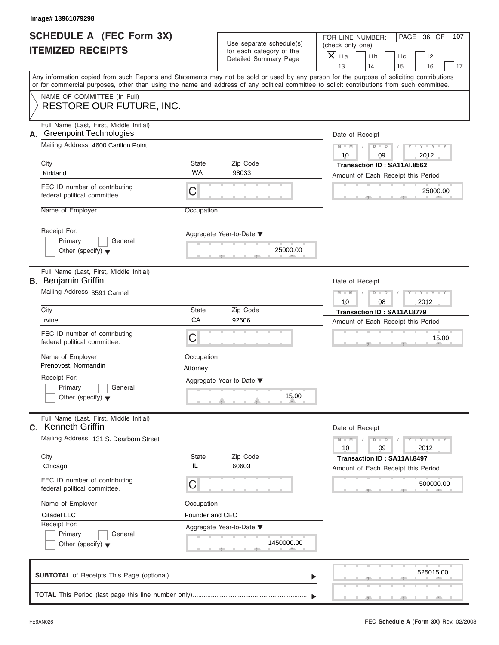| <b>SCHEDULE A (FEC Form 3X)</b> |  |  |
|---------------------------------|--|--|
| <b>ITEMIZED RECEIPTS</b>        |  |  |

|                                                      | Image# 13961079298                                                                                                                         |                        |                                                               |                                                                                                                                           |
|------------------------------------------------------|--------------------------------------------------------------------------------------------------------------------------------------------|------------------------|---------------------------------------------------------------|-------------------------------------------------------------------------------------------------------------------------------------------|
| SCHEDULE A (FEC Form 3X)<br><b>ITEMIZED RECEIPTS</b> |                                                                                                                                            |                        | Use separate schedule(s)<br>for each category of the          | FOR LINE NUMBER:<br>PAGE 36 OF<br>107<br>(check only one)                                                                                 |
|                                                      |                                                                                                                                            |                        | Detailed Summary Page                                         | $X$ 11a<br>11 <sub>b</sub><br>11c<br>12<br>13<br>14<br>15<br>16<br>17                                                                     |
|                                                      | or for commercial purposes, other than using the name and address of any political committee to solicit contributions from such committee. |                        |                                                               | Any information copied from such Reports and Statements may not be sold or used by any person for the purpose of soliciting contributions |
|                                                      | NAME OF COMMITTEE (In Full)<br>RESTORE OUR FUTURE, INC.                                                                                    |                        |                                                               |                                                                                                                                           |
| А.                                                   | Full Name (Last, First, Middle Initial)<br><b>Greenpoint Technologies</b>                                                                  |                        |                                                               | Date of Receipt                                                                                                                           |
|                                                      | Mailing Address 4600 Carillon Point                                                                                                        |                        |                                                               | $D$ $D$<br>$Y - Y - Y - Y - Y$<br>$M - M$<br>10<br>09<br>2012                                                                             |
|                                                      | City<br>Kirkland                                                                                                                           | <b>State</b><br>WA     | Zip Code<br>98033                                             | Transaction ID: SA11AI.8562<br>Amount of Each Receipt this Period                                                                         |
|                                                      | FEC ID number of contributing<br>federal political committee.                                                                              | C                      |                                                               | 25000.00                                                                                                                                  |
|                                                      | Name of Employer                                                                                                                           | Occupation             |                                                               |                                                                                                                                           |
|                                                      | Receipt For:<br>Primary<br>General<br>Other (specify) $\blacktriangledown$                                                                 |                        | Aggregate Year-to-Date ▼<br>25000.00                          |                                                                                                                                           |
|                                                      | Full Name (Last, First, Middle Initial)<br><b>B.</b> Benjamin Griffin                                                                      |                        | Date of Receipt                                               |                                                                                                                                           |
|                                                      | Mailing Address 3591 Carmel                                                                                                                |                        | $Y - Y - Y - Y - Y$<br>$M - M$<br>$D$ $D$<br>10<br>08<br>2012 |                                                                                                                                           |
|                                                      | City                                                                                                                                       | <b>State</b>           | Zip Code                                                      | Transaction ID: SA11AI.8779                                                                                                               |
|                                                      | Irvine                                                                                                                                     | CA                     | 92606                                                         | Amount of Each Receipt this Period                                                                                                        |
|                                                      | FEC ID number of contributing<br>federal political committee.                                                                              | C                      |                                                               | 15.00                                                                                                                                     |
|                                                      | Name of Employer<br>Prenovost, Normandin                                                                                                   | Occupation<br>Attorney |                                                               |                                                                                                                                           |
|                                                      | Receipt For:<br>Primary<br>General<br>Other (specify) $\blacktriangledown$                                                                 |                        | Aggregate Year-to-Date ▼<br>15.00                             |                                                                                                                                           |
| C.                                                   | Full Name (Last, First, Middle Initial)<br><b>Kenneth Griffin</b>                                                                          |                        | Date of Receipt                                               |                                                                                                                                           |
|                                                      | Mailing Address 131 S. Dearborn Street                                                                                                     |                        |                                                               | $Y = Y$<br>$M - M$<br>$D$ $D$<br>2012<br>10<br>09                                                                                         |
|                                                      | City<br>Chicago                                                                                                                            | <b>State</b><br>IL     | Zip Code<br>60603                                             | Transaction ID: SA11AI.8497<br>Amount of Each Receipt this Period                                                                         |
|                                                      | FEC ID number of contributing<br>federal political committee.                                                                              | C                      |                                                               | 500000.00                                                                                                                                 |
|                                                      | Name of Employer                                                                                                                           | Occupation             |                                                               |                                                                                                                                           |
|                                                      | Citadel LLC<br>Receipt For:                                                                                                                | Founder and CEO        |                                                               |                                                                                                                                           |
|                                                      | Primary<br>General<br>Other (specify) $\blacktriangledown$                                                                                 |                        | Aggregate Year-to-Date ▼<br>1450000.00                        |                                                                                                                                           |
|                                                      |                                                                                                                                            |                        |                                                               | 525015.00                                                                                                                                 |
|                                                      |                                                                                                                                            |                        |                                                               |                                                                                                                                           |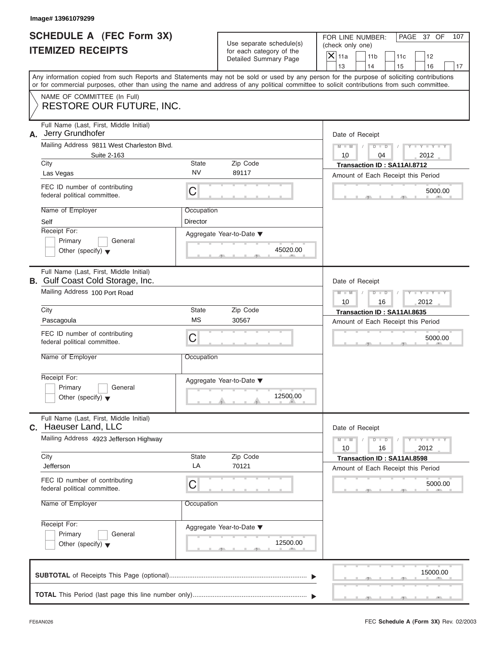|                          | <b>SCHEDULE A (FEC Form 3X)</b> |
|--------------------------|---------------------------------|
| <b>ITEMIZED RECEIPTS</b> |                                 |

| Image# 13961079299                                                          |                                                               |                                                                               |                                                                                                                                                                                                                                                                                                                       |  |  |
|-----------------------------------------------------------------------------|---------------------------------------------------------------|-------------------------------------------------------------------------------|-----------------------------------------------------------------------------------------------------------------------------------------------------------------------------------------------------------------------------------------------------------------------------------------------------------------------|--|--|
| SCHEDULE A (FEC Form 3X)<br><b>ITEMIZED RECEIPTS</b>                        |                                                               | Use separate schedule(s)<br>for each category of the<br>Detailed Summary Page | FOR LINE NUMBER:<br>PAGE 37 OF<br>107<br>(check only one)<br>$\mathsf{X} _{\mathsf{11a}}$<br>11 <sub>b</sub><br>11c<br>12                                                                                                                                                                                             |  |  |
|                                                                             |                                                               |                                                                               | 13<br>14<br>15<br>16<br>17<br>Any information copied from such Reports and Statements may not be sold or used by any person for the purpose of soliciting contributions<br>or for commercial purposes, other than using the name and address of any political committee to solicit contributions from such committee. |  |  |
| NAME OF COMMITTEE (In Full)<br>RESTORE OUR FUTURE, INC.                     |                                                               |                                                                               |                                                                                                                                                                                                                                                                                                                       |  |  |
| Full Name (Last, First, Middle Initial)<br>Jerry Grundhofer<br>А.           |                                                               |                                                                               | Date of Receipt                                                                                                                                                                                                                                                                                                       |  |  |
| Mailing Address 9811 West Charleston Blvd.<br>Suite 2-163                   |                                                               |                                                                               | $D$ $D$<br>$Y - Y - Y - Y - Y$<br>$M - M$<br>10<br>04<br>2012                                                                                                                                                                                                                                                         |  |  |
| City<br>Las Vegas                                                           | <b>State</b><br><b>NV</b>                                     | Zip Code<br>89117                                                             | Transaction ID: SA11AI.8712<br>Amount of Each Receipt this Period                                                                                                                                                                                                                                                     |  |  |
| FEC ID number of contributing<br>federal political committee.               | C                                                             |                                                                               | 5000.00                                                                                                                                                                                                                                                                                                               |  |  |
| Name of Employer<br>Self                                                    | Occupation<br>Director                                        |                                                                               |                                                                                                                                                                                                                                                                                                                       |  |  |
| Receipt For:<br>Primary<br>General<br>Other (specify) $\blacktriangledown$  |                                                               | Aggregate Year-to-Date ▼<br>45020.00                                          |                                                                                                                                                                                                                                                                                                                       |  |  |
| Full Name (Last, First, Middle Initial)<br>B. Gulf Coast Cold Storage, Inc. |                                                               |                                                                               | Date of Receipt                                                                                                                                                                                                                                                                                                       |  |  |
| Mailing Address 100 Port Road                                               | $Y - Y - Y - Y - Y$<br>$M - M$<br>$D$ $D$<br>10<br>16<br>2012 |                                                                               |                                                                                                                                                                                                                                                                                                                       |  |  |
| City<br>Pascagoula                                                          | <b>State</b><br><b>MS</b>                                     | Zip Code<br>30567                                                             | Transaction ID: SA11AI.8635                                                                                                                                                                                                                                                                                           |  |  |
| FEC ID number of contributing<br>federal political committee.               | C                                                             |                                                                               | Amount of Each Receipt this Period<br>5000.00                                                                                                                                                                                                                                                                         |  |  |
| Name of Employer                                                            | Occupation                                                    |                                                                               |                                                                                                                                                                                                                                                                                                                       |  |  |
| Receipt For:<br>Primary<br>General<br>Other (specify) $\blacktriangledown$  | Aggregate Year-to-Date ▼<br>12500.00                          |                                                                               |                                                                                                                                                                                                                                                                                                                       |  |  |
| Full Name (Last, First, Middle Initial)<br>Haeuser Land, LLC<br>C.          |                                                               |                                                                               | Date of Receipt                                                                                                                                                                                                                                                                                                       |  |  |
| Mailing Address 4923 Jefferson Highway                                      |                                                               |                                                                               | $Y = Y$<br>$M - M$<br>$D$ $D$<br>2012<br>10<br>16                                                                                                                                                                                                                                                                     |  |  |
| City<br>Jefferson                                                           | State<br>LA                                                   | Zip Code<br>70121                                                             | Transaction ID: SA11AI.8598<br>Amount of Each Receipt this Period                                                                                                                                                                                                                                                     |  |  |
| FEC ID number of contributing<br>federal political committee.               | C                                                             |                                                                               | 5000.00                                                                                                                                                                                                                                                                                                               |  |  |
| Name of Employer                                                            | Occupation                                                    |                                                                               |                                                                                                                                                                                                                                                                                                                       |  |  |
| Receipt For:<br>Primary<br>General<br>Other (specify) $\blacktriangledown$  |                                                               | Aggregate Year-to-Date ▼<br>12500.00                                          |                                                                                                                                                                                                                                                                                                                       |  |  |
|                                                                             |                                                               |                                                                               | 15000.00                                                                                                                                                                                                                                                                                                              |  |  |
|                                                                             |                                                               |                                                                               |                                                                                                                                                                                                                                                                                                                       |  |  |

FEC **Schedule A (Form 3X)** Rev. 02/2003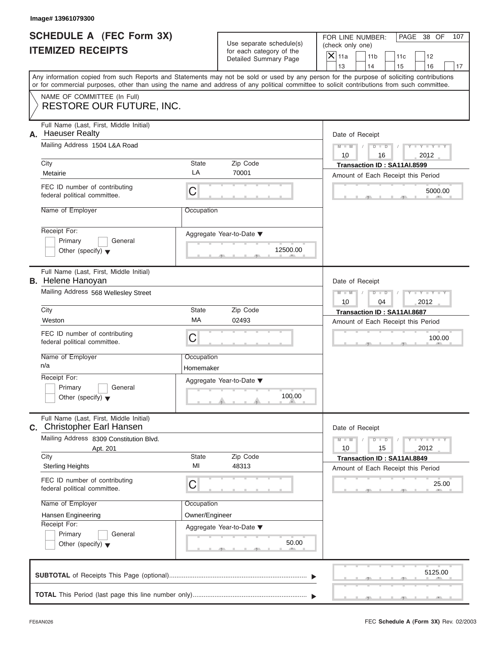| <b>SCHEDULE A (FEC Form 3X)</b> |  |  |
|---------------------------------|--|--|
| <b>ITEMIZED RECEIPTS</b>        |  |  |

|    | Image# 13961079300                                                                                                                                                                                                                                                                                                                                       |                                                  |                                                                               |                                                                                                                                                          |
|----|----------------------------------------------------------------------------------------------------------------------------------------------------------------------------------------------------------------------------------------------------------------------------------------------------------------------------------------------------------|--------------------------------------------------|-------------------------------------------------------------------------------|----------------------------------------------------------------------------------------------------------------------------------------------------------|
|    | <b>SCHEDULE A (FEC Form 3X)</b><br><b>ITEMIZED RECEIPTS</b>                                                                                                                                                                                                                                                                                              |                                                  | Use separate schedule(s)<br>for each category of the<br>Detailed Summary Page | FOR LINE NUMBER:<br>PAGE 38 OF<br>107<br>(check only one)<br>$\overline{X}$ 11a<br>11 <sub>b</sub><br>11c<br>12<br>13<br>14<br>15<br>16<br>17            |
|    | or for commercial purposes, other than using the name and address of any political committee to solicit contributions from such committee.                                                                                                                                                                                                               |                                                  |                                                                               | Any information copied from such Reports and Statements may not be sold or used by any person for the purpose of soliciting contributions                |
|    | NAME OF COMMITTEE (In Full)<br><b>RESTORE OUR FUTURE, INC.</b>                                                                                                                                                                                                                                                                                           |                                                  |                                                                               |                                                                                                                                                          |
| А. | Full Name (Last, First, Middle Initial)<br><b>Haeuser Realty</b><br>Mailing Address 1504 L&A Road<br>City<br>Metairie<br>FEC ID number of contributing<br>federal political committee.<br>Name of Employer<br>Receipt For:<br>Primary<br>General                                                                                                         | State<br>LA<br>C<br>Occupation                   | Zip Code<br>70001<br>Aggregate Year-to-Date ▼                                 | Date of Receipt<br>$M - M$<br>$D$ $D$<br>$Y - Y - Y$<br>10<br>2012<br>16<br>Transaction ID: SA11AI.8599<br>Amount of Each Receipt this Period<br>5000.00 |
|    | Other (specify) $\blacktriangledown$<br>Full Name (Last, First, Middle Initial)<br><b>B.</b> Helene Hanoyan<br>Mailing Address 568 Wellesley Street                                                                                                                                                                                                      |                                                  | 12500.00                                                                      | Date of Receipt<br>$M - M$<br>$D$ $D$<br>$Y - Y - Y - Y - T$<br>10<br>04<br>2012                                                                         |
|    | City<br>Weston<br>FEC ID number of contributing<br>federal political committee.<br>Name of Employer<br>n/a<br>Receipt For:<br>Primary<br>General<br>Other (specify) $\blacktriangledown$                                                                                                                                                                 | State<br>MA<br>C<br>Occupation<br>Homemaker      | Zip Code<br>02493<br>Aggregate Year-to-Date ▼<br>100.00                       | Transaction ID: SA11AI.8687<br>Amount of Each Receipt this Period<br>100.00                                                                              |
|    | Full Name (Last, First, Middle Initial)<br>C. Christopher Earl Hansen<br>Mailing Address 8309 Constitution Blvd.<br>Apt. 201<br>City<br><b>Sterling Heights</b><br>FEC ID number of contributing<br>federal political committee.<br>Name of Employer<br>Hansen Engineering<br>Receipt For:<br>Primary<br>General<br>Other (specify) $\blacktriangledown$ | State<br>MI<br>С<br>Occupation<br>Owner/Engineer | Zip Code<br>48313<br>Aggregate Year-to-Date ▼<br>50.00                        | Date of Receipt<br>$M - M$<br>$Y = Y$<br>$D - D$<br>2012<br>10<br>15<br>Transaction ID: SA11AI.8849<br>Amount of Each Receipt this Period<br>25.00       |
|    |                                                                                                                                                                                                                                                                                                                                                          |                                                  |                                                                               | 5125.00                                                                                                                                                  |
|    |                                                                                                                                                                                                                                                                                                                                                          |                                                  |                                                                               |                                                                                                                                                          |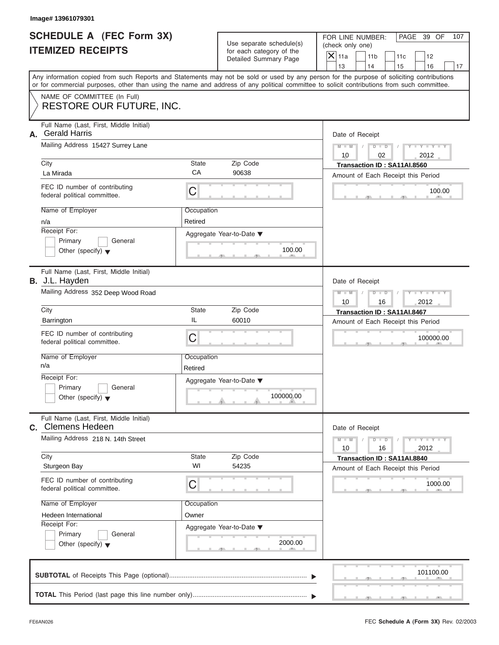|                          | SCHEDULE A (FEC Form 3X) |
|--------------------------|--------------------------|
| <b>ITEMIZED RECEIPTS</b> |                          |

|                                                             | Image# 13961079301                                                                                                                         |                                                               |                                                      |                                                                                                                                           |  |  |
|-------------------------------------------------------------|--------------------------------------------------------------------------------------------------------------------------------------------|---------------------------------------------------------------|------------------------------------------------------|-------------------------------------------------------------------------------------------------------------------------------------------|--|--|
| <b>SCHEDULE A (FEC Form 3X)</b><br><b>ITEMIZED RECEIPTS</b> |                                                                                                                                            |                                                               | Use separate schedule(s)<br>for each category of the | FOR LINE NUMBER:<br>PAGE 39 OF<br>107<br>(check only one)<br>$\mathsf{X}$ 11a                                                             |  |  |
|                                                             |                                                                                                                                            |                                                               | Detailed Summary Page                                | 11 <sub>b</sub><br>11c<br>12<br>13<br>14<br>15<br>16<br>17                                                                                |  |  |
|                                                             | or for commercial purposes, other than using the name and address of any political committee to solicit contributions from such committee. |                                                               |                                                      | Any information copied from such Reports and Statements may not be sold or used by any person for the purpose of soliciting contributions |  |  |
|                                                             | NAME OF COMMITTEE (In Full)<br>RESTORE OUR FUTURE, INC.                                                                                    |                                                               |                                                      |                                                                                                                                           |  |  |
| А.                                                          | Full Name (Last, First, Middle Initial)<br><b>Gerald Harris</b>                                                                            |                                                               |                                                      | Date of Receipt                                                                                                                           |  |  |
|                                                             | Mailing Address 15427 Surrey Lane                                                                                                          |                                                               |                                                      | $Y - Y - Y - Y - Y$<br>$D$ $D$<br>$M - M$<br>10<br>02<br>2012                                                                             |  |  |
|                                                             | City<br>La Mirada                                                                                                                          | State<br>CA                                                   | Zip Code<br>90638                                    | Transaction ID: SA11AI.8560<br>Amount of Each Receipt this Period                                                                         |  |  |
|                                                             | FEC ID number of contributing<br>federal political committee.                                                                              | C                                                             |                                                      | 100.00                                                                                                                                    |  |  |
|                                                             | Name of Employer<br>n/a                                                                                                                    | Occupation<br>Retired                                         |                                                      |                                                                                                                                           |  |  |
|                                                             | Receipt For:<br>Primary<br>General<br>Other (specify) $\blacktriangledown$                                                                 |                                                               | Aggregate Year-to-Date ▼<br>100.00                   |                                                                                                                                           |  |  |
|                                                             | Full Name (Last, First, Middle Initial)<br><b>B.</b> J.L. Hayden                                                                           | Date of Receipt                                               |                                                      |                                                                                                                                           |  |  |
|                                                             | Mailing Address 352 Deep Wood Road                                                                                                         | Y T Y T Y T<br>$M - M$<br>$D$ $D$<br>2012<br>10<br>16         |                                                      |                                                                                                                                           |  |  |
|                                                             | City                                                                                                                                       | State                                                         | Zip Code                                             | Transaction ID: SA11AI.8467                                                                                                               |  |  |
|                                                             | Barrington                                                                                                                                 | IL                                                            | 60010                                                | Amount of Each Receipt this Period                                                                                                        |  |  |
|                                                             | FEC ID number of contributing<br>federal political committee.                                                                              | C                                                             |                                                      | 100000.00                                                                                                                                 |  |  |
|                                                             | Name of Employer<br>n/a                                                                                                                    | Occupation<br>Retired                                         |                                                      |                                                                                                                                           |  |  |
|                                                             | Receipt For:<br>Primary<br>General<br>Other (specify) $\blacktriangledown$                                                                 |                                                               | Aggregate Year-to-Date ▼<br>100000.00                |                                                                                                                                           |  |  |
|                                                             | Full Name (Last, First, Middle Initial)<br><b>C.</b> Clemens Hedeen                                                                        |                                                               |                                                      | Date of Receipt                                                                                                                           |  |  |
|                                                             | Mailing Address 218 N. 14th Street                                                                                                         | $Y - Y - Y - Y - I$<br>$M - M$<br>$D$ $D$<br>2012<br>10<br>16 |                                                      |                                                                                                                                           |  |  |
|                                                             | City<br>Sturgeon Bay                                                                                                                       | State<br>WI                                                   | Zip Code<br>54235                                    | Transaction ID: SA11AI.8840<br>Amount of Each Receipt this Period                                                                         |  |  |
|                                                             | FEC ID number of contributing<br>federal political committee.                                                                              | С                                                             |                                                      | 1000.00                                                                                                                                   |  |  |
|                                                             |                                                                                                                                            | Name of Employer<br>Occupation                                |                                                      |                                                                                                                                           |  |  |
|                                                             | Hedeen International<br>Receipt For:                                                                                                       |                                                               |                                                      |                                                                                                                                           |  |  |
|                                                             | Primary<br>General                                                                                                                         |                                                               | Aggregate Year-to-Date ▼                             |                                                                                                                                           |  |  |
|                                                             | Other (specify) $\blacktriangledown$                                                                                                       |                                                               | 2000.00                                              |                                                                                                                                           |  |  |
|                                                             |                                                                                                                                            |                                                               |                                                      | 101100.00                                                                                                                                 |  |  |
|                                                             |                                                                                                                                            |                                                               |                                                      |                                                                                                                                           |  |  |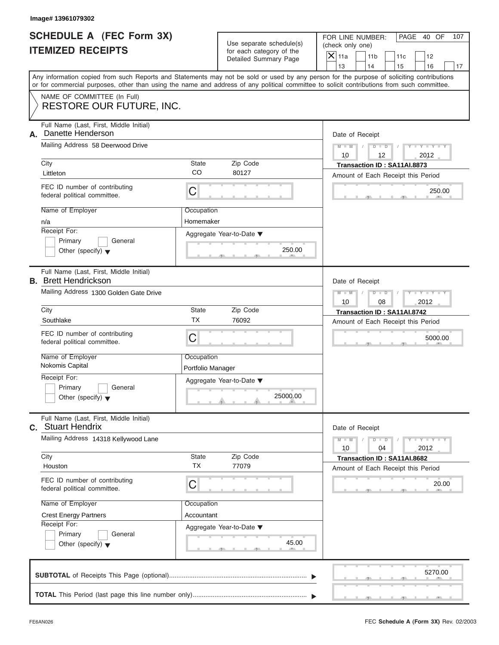|                          | SCHEDULE A (FEC Form 3X) |
|--------------------------|--------------------------|
| <b>ITEMIZED RECEIPTS</b> |                          |

|    | Image# 13961079302                                                                                                                         |                                                           |                                                                                               |                                                                                                                                           |  |  |
|----|--------------------------------------------------------------------------------------------------------------------------------------------|-----------------------------------------------------------|-----------------------------------------------------------------------------------------------|-------------------------------------------------------------------------------------------------------------------------------------------|--|--|
|    | <b>SCHEDULE A (FEC Form 3X)</b><br><b>ITEMIZED RECEIPTS</b>                                                                                |                                                           | Use separate schedule(s)<br>for each category of the<br>Detailed Summary Page                 | FOR LINE NUMBER:<br>PAGE 40 OF<br>107<br>(check only one)<br>$\mathsf{X}$ 11a<br>11 <sub>b</sub><br>11c<br>12                             |  |  |
|    |                                                                                                                                            |                                                           |                                                                                               | 13<br>14<br>16<br>15<br>17                                                                                                                |  |  |
|    | or for commercial purposes, other than using the name and address of any political committee to solicit contributions from such committee. |                                                           |                                                                                               | Any information copied from such Reports and Statements may not be sold or used by any person for the purpose of soliciting contributions |  |  |
|    | NAME OF COMMITTEE (In Full)<br><b>RESTORE OUR FUTURE, INC.</b>                                                                             |                                                           |                                                                                               |                                                                                                                                           |  |  |
| А. | Full Name (Last, First, Middle Initial)<br>Danette Henderson                                                                               |                                                           |                                                                                               | Date of Receipt                                                                                                                           |  |  |
|    | Mailing Address 58 Deerwood Drive                                                                                                          | $M - M$<br>$D$ $D$<br>$Y - Y - Y - Y$<br>10<br>12<br>2012 |                                                                                               |                                                                                                                                           |  |  |
|    | City<br>Littleton                                                                                                                          | State<br>CO                                               | Zip Code<br>80127                                                                             | Transaction ID: SA11AI.8873<br>Amount of Each Receipt this Period                                                                         |  |  |
|    | FEC ID number of contributing<br>federal political committee.                                                                              | С                                                         |                                                                                               | 250.00                                                                                                                                    |  |  |
|    | Name of Employer<br>n/a                                                                                                                    | Occupation<br>Homemaker                                   |                                                                                               |                                                                                                                                           |  |  |
|    | Receipt For:<br>Primary<br>General<br>Other (specify) $\blacktriangledown$                                                                 |                                                           | Aggregate Year-to-Date ▼<br>250.00                                                            |                                                                                                                                           |  |  |
|    | Full Name (Last, First, Middle Initial)<br><b>B.</b> Brett Hendrickson                                                                     |                                                           |                                                                                               | Date of Receipt                                                                                                                           |  |  |
|    | Mailing Address 1300 Golden Gate Drive                                                                                                     | $M - M$<br>$D$ $\Box$ $D$<br>10<br>08<br>2012             |                                                                                               |                                                                                                                                           |  |  |
|    | City                                                                                                                                       | State                                                     | Zip Code                                                                                      | Transaction ID: SA11AI.8742                                                                                                               |  |  |
|    | Southlake                                                                                                                                  | <b>TX</b>                                                 | 76092                                                                                         | Amount of Each Receipt this Period                                                                                                        |  |  |
|    | FEC ID number of contributing<br>federal political committee.                                                                              | C                                                         |                                                                                               | 5000.00                                                                                                                                   |  |  |
|    | Name of Employer<br>Nokomis Capital                                                                                                        | Occupation<br>Portfolio Manager                           |                                                                                               |                                                                                                                                           |  |  |
|    | Receipt For:                                                                                                                               |                                                           | Aggregate Year-to-Date ▼                                                                      |                                                                                                                                           |  |  |
|    | Primary<br>General<br>Other (specify) $\blacktriangledown$                                                                                 |                                                           | 25000.00                                                                                      |                                                                                                                                           |  |  |
|    | Full Name (Last, First, Middle Initial)<br><b>c.</b> Stuart Hendrix                                                                        |                                                           |                                                                                               | Date of Receipt                                                                                                                           |  |  |
|    | Mailing Address 14318 Kellywood Lane                                                                                                       |                                                           | $M - M$<br>$\mathbf{Y}$ $\mathbf{Y}$ $\mathbf{Y}$ $\mathbf{Y}$<br>$D$ $D$<br>2012<br>10<br>04 |                                                                                                                                           |  |  |
|    | City<br>Houston                                                                                                                            | State<br><b>TX</b>                                        | Zip Code<br>77079                                                                             | Transaction ID: SA11AI.8682<br>Amount of Each Receipt this Period                                                                         |  |  |
|    | FEC ID number of contributing<br>federal political committee.                                                                              | С                                                         |                                                                                               | 20.00                                                                                                                                     |  |  |
|    | Name of Employer                                                                                                                           | Occupation                                                |                                                                                               |                                                                                                                                           |  |  |
|    | <b>Crest Energy Partners</b><br>Receipt For:                                                                                               | Accountant                                                |                                                                                               |                                                                                                                                           |  |  |
|    | Primary<br>General<br>Other (specify) $\blacktriangledown$                                                                                 |                                                           | Aggregate Year-to-Date ▼<br>45.00                                                             |                                                                                                                                           |  |  |
|    |                                                                                                                                            |                                                           |                                                                                               | 5270.00                                                                                                                                   |  |  |
|    |                                                                                                                                            |                                                           |                                                                                               |                                                                                                                                           |  |  |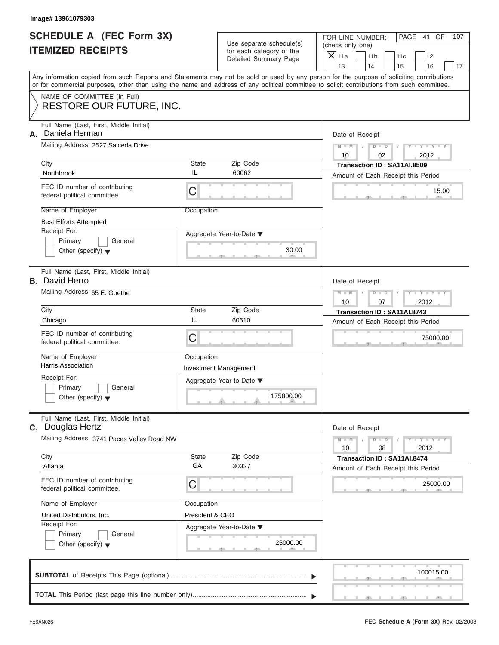| <b>SCHEDULE A (FEC Form 3X)</b> |  |  |
|---------------------------------|--|--|
| <b>ITEMIZED RECEIPTS</b>        |  |  |

|                                                             | Image# 13961079303                                                                                                                         |                                                               |                                                                               |                                                                                                                                                             |
|-------------------------------------------------------------|--------------------------------------------------------------------------------------------------------------------------------------------|---------------------------------------------------------------|-------------------------------------------------------------------------------|-------------------------------------------------------------------------------------------------------------------------------------------------------------|
| <b>SCHEDULE A (FEC Form 3X)</b><br><b>ITEMIZED RECEIPTS</b> |                                                                                                                                            |                                                               | Use separate schedule(s)<br>for each category of the<br>Detailed Summary Page | FOR LINE NUMBER:<br>PAGE 41 OF<br>107<br>(check only one)<br>$\mathsf{X} _{\mathsf{11a}}$<br>11 <sub>b</sub><br>11c<br>12<br>13<br>14                       |
|                                                             | or for commercial purposes, other than using the name and address of any political committee to solicit contributions from such committee. |                                                               |                                                                               | 15<br>16<br>17<br>Any information copied from such Reports and Statements may not be sold or used by any person for the purpose of soliciting contributions |
|                                                             | NAME OF COMMITTEE (In Full)<br>RESTORE OUR FUTURE, INC.                                                                                    |                                                               |                                                                               |                                                                                                                                                             |
| А.                                                          | Full Name (Last, First, Middle Initial)<br>Daniela Herman<br>Mailing Address 2527 Salceda Drive                                            |                                                               |                                                                               | Date of Receipt<br>$D - D$<br>$Y - Y - Y - Y - Y$<br>$M - M$<br>10<br>02<br>2012                                                                            |
|                                                             | City                                                                                                                                       | State                                                         | Zip Code                                                                      | Transaction ID: SA11AI.8509                                                                                                                                 |
|                                                             | Northbrook                                                                                                                                 | IL                                                            | 60062                                                                         | Amount of Each Receipt this Period                                                                                                                          |
|                                                             | FEC ID number of contributing<br>federal political committee.                                                                              | C                                                             |                                                                               | 15.00                                                                                                                                                       |
|                                                             | Name of Employer                                                                                                                           | Occupation                                                    |                                                                               |                                                                                                                                                             |
|                                                             | <b>Best Efforts Attempted</b>                                                                                                              |                                                               |                                                                               |                                                                                                                                                             |
|                                                             | Receipt For:<br>Primary<br>General<br>Other (specify) $\blacktriangledown$                                                                 |                                                               | Aggregate Year-to-Date ▼<br>30.00                                             |                                                                                                                                                             |
|                                                             | Full Name (Last, First, Middle Initial)<br><b>B.</b> David Herro                                                                           | Date of Receipt                                               |                                                                               |                                                                                                                                                             |
|                                                             | Mailing Address 65 E. Goethe                                                                                                               | $Y - Y - Y - Y - Y$<br>$M - M$<br>$D$ $D$<br>10<br>07<br>2012 |                                                                               |                                                                                                                                                             |
|                                                             | City                                                                                                                                       | <b>State</b>                                                  | Zip Code                                                                      | Transaction ID: SA11AI.8743                                                                                                                                 |
|                                                             | Chicago                                                                                                                                    | IL                                                            | 60610                                                                         | Amount of Each Receipt this Period                                                                                                                          |
|                                                             | FEC ID number of contributing<br>federal political committee.                                                                              | $\mathsf C$                                                   |                                                                               | 75000.00                                                                                                                                                    |
|                                                             | Name of Employer                                                                                                                           | Occupation                                                    |                                                                               |                                                                                                                                                             |
|                                                             | Harris Association                                                                                                                         |                                                               | <b>Investment Management</b>                                                  |                                                                                                                                                             |
|                                                             | Receipt For:<br>Primary<br>General                                                                                                         |                                                               | Aggregate Year-to-Date ▼                                                      |                                                                                                                                                             |
|                                                             | Other (specify) $\blacktriangledown$                                                                                                       |                                                               | 175000.00                                                                     |                                                                                                                                                             |
|                                                             | Full Name (Last, First, Middle Initial)<br><b>C.</b> Douglas Hertz                                                                         |                                                               |                                                                               | Date of Receipt                                                                                                                                             |
|                                                             | Mailing Address 3741 Paces Valley Road NW                                                                                                  | $Y = Y$<br>$M - M$<br>$D$ $D$<br>2012<br>10<br>08             |                                                                               |                                                                                                                                                             |
|                                                             | City<br>Atlanta                                                                                                                            | State<br>GA                                                   | Zip Code<br>30327                                                             | Transaction ID: SA11AI.8474<br>Amount of Each Receipt this Period                                                                                           |
|                                                             | FEC ID number of contributing<br>federal political committee.                                                                              | C                                                             |                                                                               | 25000.00                                                                                                                                                    |
|                                                             | Name of Employer                                                                                                                           | Occupation                                                    |                                                                               |                                                                                                                                                             |
|                                                             | United Distributors, Inc.                                                                                                                  | President & CEO                                               |                                                                               |                                                                                                                                                             |
|                                                             | Receipt For:<br>Primary<br>General                                                                                                         |                                                               | Aggregate Year-to-Date ▼                                                      |                                                                                                                                                             |
|                                                             | Other (specify) $\blacktriangledown$                                                                                                       |                                                               | 25000.00                                                                      |                                                                                                                                                             |
|                                                             |                                                                                                                                            |                                                               |                                                                               | 100015.00                                                                                                                                                   |
|                                                             |                                                                                                                                            |                                                               |                                                                               |                                                                                                                                                             |

 $5 - 1 - 1 - 5$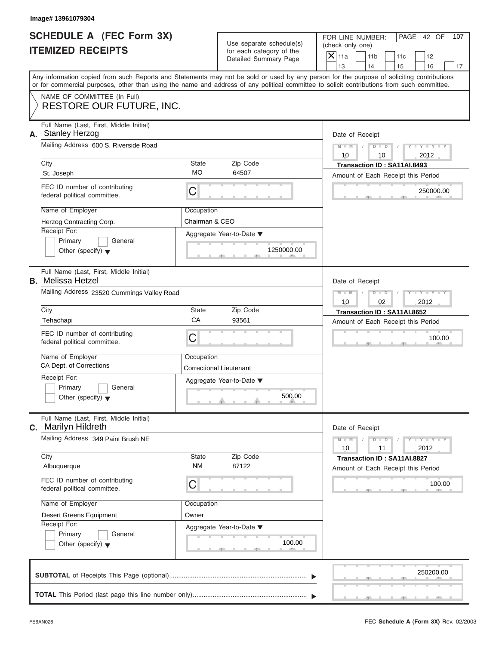| SCHEDULE A (FEC Form 3X) |  |  |
|--------------------------|--|--|
| <b>ITEMIZED RECEIPTS</b> |  |  |

|                                                             | Image# 13961079304                                                                                                                                                                                                                                                                      |                              |                                                      |               |                                                                   |           |                         |     |
|-------------------------------------------------------------|-----------------------------------------------------------------------------------------------------------------------------------------------------------------------------------------------------------------------------------------------------------------------------------------|------------------------------|------------------------------------------------------|---------------|-------------------------------------------------------------------|-----------|-------------------------|-----|
| <b>SCHEDULE A (FEC Form 3X)</b><br><b>ITEMIZED RECEIPTS</b> |                                                                                                                                                                                                                                                                                         |                              | Use separate schedule(s)<br>for each category of the |               | FOR LINE NUMBER:<br>(check only one)                              |           | PAGE 42 OF              | 107 |
|                                                             |                                                                                                                                                                                                                                                                                         |                              | Detailed Summary Page                                | $X$ 11a<br>13 | 11 <sub>b</sub><br>14                                             | 11c<br>15 | 12<br>16                | 17  |
|                                                             | Any information copied from such Reports and Statements may not be sold or used by any person for the purpose of soliciting contributions<br>or for commercial purposes, other than using the name and address of any political committee to solicit contributions from such committee. |                              |                                                      |               |                                                                   |           |                         |     |
|                                                             | NAME OF COMMITTEE (In Full)<br><b>RESTORE OUR FUTURE, INC.</b>                                                                                                                                                                                                                          |                              |                                                      |               |                                                                   |           |                         |     |
|                                                             | Full Name (Last, First, Middle Initial)<br>A. Stanley Herzog                                                                                                                                                                                                                            |                              |                                                      |               | Date of Receipt                                                   |           |                         |     |
|                                                             | Mailing Address 600 S. Riverside Road                                                                                                                                                                                                                                                   |                              |                                                      | $M - M$<br>10 | $D$ $D$<br>10                                                     |           | $Y - Y - Y - Y$<br>2012 |     |
|                                                             | City<br>St. Joseph                                                                                                                                                                                                                                                                      | <b>State</b><br><b>MO</b>    | Zip Code<br>64507                                    |               | Transaction ID: SA11AI.8493                                       |           |                         |     |
|                                                             | FEC ID number of contributing<br>federal political committee.                                                                                                                                                                                                                           | C                            |                                                      |               | Amount of Each Receipt this Period                                |           | 250000.00               |     |
|                                                             | Name of Employer<br>Herzog Contracting Corp.                                                                                                                                                                                                                                            | Occupation<br>Chairman & CEO |                                                      |               |                                                                   |           |                         |     |
|                                                             | Receipt For:<br>Primary<br>General<br>Other (specify) $\blacktriangledown$                                                                                                                                                                                                              |                              | Aggregate Year-to-Date ▼<br>1250000.00               |               |                                                                   |           |                         |     |
|                                                             | Full Name (Last, First, Middle Initial)<br><b>B.</b> Melissa Hetzel                                                                                                                                                                                                                     |                              |                                                      |               | Date of Receipt                                                   |           |                         |     |
|                                                             | Mailing Address 23520 Cummings Valley Road                                                                                                                                                                                                                                              |                              |                                                      |               | $M - M$<br>$D$ $D$<br>02                                          |           | Y - Y - Y - Y<br>2012   |     |
|                                                             | City<br>Tehachapi                                                                                                                                                                                                                                                                       | <b>State</b><br>CA           | Zip Code<br>93561                                    |               | Transaction ID: SA11AI.8652                                       |           |                         |     |
|                                                             | FEC ID number of contributing<br>federal political committee.                                                                                                                                                                                                                           | C                            |                                                      |               | Amount of Each Receipt this Period                                |           | 100.00                  |     |
|                                                             | Name of Employer<br>CA Dept. of Corrections                                                                                                                                                                                                                                             | Occupation                   | Correctional Lieutenant                              |               |                                                                   |           |                         |     |
|                                                             | Receipt For:<br>Primary<br>General<br>Other (specify) $\blacktriangledown$                                                                                                                                                                                                              |                              | Aggregate Year-to-Date ▼<br>500.00                   |               |                                                                   |           |                         |     |
| C.                                                          | Full Name (Last, First, Middle Initial)<br><b>Marilyn Hildreth</b>                                                                                                                                                                                                                      |                              |                                                      |               | Date of Receipt                                                   |           |                         |     |
|                                                             | Mailing Address 349 Paint Brush NE                                                                                                                                                                                                                                                      |                              |                                                      |               | $M - M$<br>$D$ $D$<br>11                                          |           | $Y - Y - Y - I$<br>2012 |     |
|                                                             | City<br>Albuquerque                                                                                                                                                                                                                                                                     | <b>State</b><br><b>NM</b>    | Zip Code<br>87122                                    |               | Transaction ID: SA11AI.8827<br>Amount of Each Receipt this Period |           |                         |     |
|                                                             | FEC ID number of contributing<br>federal political committee.                                                                                                                                                                                                                           | C                            |                                                      |               |                                                                   |           | 100.00                  |     |
|                                                             | Name of Employer                                                                                                                                                                                                                                                                        | Occupation<br>Owner          |                                                      |               |                                                                   |           |                         |     |
|                                                             | <b>Desert Greens Equipment</b><br>Receipt For:<br>Primary<br>General<br>Other (specify) $\blacktriangledown$                                                                                                                                                                            |                              | Aggregate Year-to-Date ▼<br>100.00                   |               |                                                                   |           |                         |     |
|                                                             |                                                                                                                                                                                                                                                                                         |                              |                                                      |               |                                                                   |           | 250200.00               |     |
|                                                             |                                                                                                                                                                                                                                                                                         |                              |                                                      |               |                                                                   |           |                         |     |

S S S , , .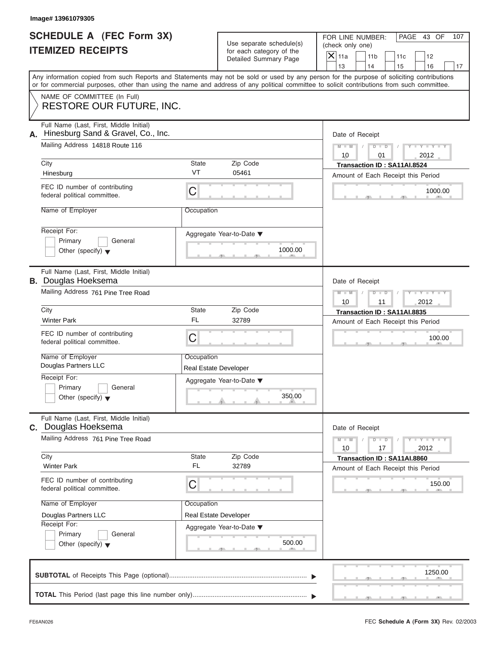|                          | <b>SCHEDULE A (FEC Form 3X)</b> |
|--------------------------|---------------------------------|
| <b>ITEMIZED RECEIPTS</b> |                                 |

|                                                             | Image# 13961079305                                                            |                                                                               |                                     |                                                                                                                                                                                                                                                                                         |
|-------------------------------------------------------------|-------------------------------------------------------------------------------|-------------------------------------------------------------------------------|-------------------------------------|-----------------------------------------------------------------------------------------------------------------------------------------------------------------------------------------------------------------------------------------------------------------------------------------|
| <b>SCHEDULE A (FEC Form 3X)</b><br><b>ITEMIZED RECEIPTS</b> |                                                                               | Use separate schedule(s)<br>for each category of the<br>Detailed Summary Page |                                     | FOR LINE NUMBER:<br>PAGE 43 OF<br>107<br>(check only one)<br>$\overline{X}$ 11a<br>11 <sub>b</sub><br>11c<br>12                                                                                                                                                                         |
|                                                             |                                                                               |                                                                               |                                     | 13<br>14<br>15<br>16<br>17                                                                                                                                                                                                                                                              |
|                                                             |                                                                               |                                                                               |                                     | Any information copied from such Reports and Statements may not be sold or used by any person for the purpose of soliciting contributions<br>or for commercial purposes, other than using the name and address of any political committee to solicit contributions from such committee. |
|                                                             | NAME OF COMMITTEE (In Full)<br><b>RESTORE OUR FUTURE, INC.</b>                |                                                                               |                                     |                                                                                                                                                                                                                                                                                         |
| А.                                                          | Full Name (Last, First, Middle Initial)<br>Hinesburg Sand & Gravel, Co., Inc. |                                                                               |                                     | Date of Receipt                                                                                                                                                                                                                                                                         |
|                                                             | Mailing Address 14818 Route 116                                               |                                                                               |                                     | $D$ $D$<br>$Y - Y - Y - Y - Y$<br>$M - M$<br>10<br>2012<br>01                                                                                                                                                                                                                           |
|                                                             | City                                                                          | State                                                                         | Zip Code                            | Transaction ID: SA11AI.8524                                                                                                                                                                                                                                                             |
|                                                             | Hinesburg                                                                     | VT                                                                            | 05461                               | Amount of Each Receipt this Period                                                                                                                                                                                                                                                      |
|                                                             | FEC ID number of contributing<br>federal political committee.                 | C                                                                             |                                     | 1000.00                                                                                                                                                                                                                                                                                 |
|                                                             | Name of Employer                                                              | Occupation                                                                    |                                     |                                                                                                                                                                                                                                                                                         |
|                                                             | Receipt For:<br>Primary<br>General<br>Other (specify) $\blacktriangledown$    |                                                                               | Aggregate Year-to-Date ▼<br>1000.00 |                                                                                                                                                                                                                                                                                         |
|                                                             | Full Name (Last, First, Middle Initial)<br><b>B.</b> Douglas Hoeksema         |                                                                               |                                     | Date of Receipt                                                                                                                                                                                                                                                                         |
|                                                             | Mailing Address 761 Pine Tree Road                                            |                                                                               |                                     | $M - M$<br>$D$ $D$<br>$Y = Y + Y + Y$                                                                                                                                                                                                                                                   |
|                                                             | City                                                                          | State                                                                         | Zip Code                            | 10<br>11<br>2012                                                                                                                                                                                                                                                                        |
|                                                             | <b>Winter Park</b>                                                            | <b>FL</b>                                                                     | 32789                               | Transaction ID: SA11AI.8835                                                                                                                                                                                                                                                             |
|                                                             |                                                                               |                                                                               |                                     | Amount of Each Receipt this Period                                                                                                                                                                                                                                                      |
|                                                             | FEC ID number of contributing<br>federal political committee.                 | C                                                                             |                                     | 100.00                                                                                                                                                                                                                                                                                  |
|                                                             | Name of Employer                                                              | Occupation                                                                    |                                     |                                                                                                                                                                                                                                                                                         |
|                                                             | Douglas Partners LLC                                                          |                                                                               | <b>Real Estate Developer</b>        |                                                                                                                                                                                                                                                                                         |
|                                                             | Receipt For:                                                                  |                                                                               | Aggregate Year-to-Date ▼            |                                                                                                                                                                                                                                                                                         |
|                                                             | Primary<br>General<br>Other (specify) $\blacktriangledown$                    |                                                                               | 350.00                              |                                                                                                                                                                                                                                                                                         |
|                                                             | Full Name (Last, First, Middle Initial)<br>C. Douglas Hoeksema                |                                                                               |                                     | Date of Receipt                                                                                                                                                                                                                                                                         |
|                                                             | Mailing Address 761 Pine Tree Road                                            |                                                                               |                                     | $Y = Y$<br>$M - M$<br>$D$ $D$<br>2012<br>10<br>17                                                                                                                                                                                                                                       |
|                                                             | City<br><b>Winter Park</b>                                                    | <b>State</b><br><b>FL</b>                                                     | Zip Code<br>32789                   | Transaction ID: SA11AI.8860<br>Amount of Each Receipt this Period                                                                                                                                                                                                                       |
|                                                             | FEC ID number of contributing<br>federal political committee.                 | C                                                                             |                                     | 150.00                                                                                                                                                                                                                                                                                  |
|                                                             | Name of Employer                                                              | Occupation                                                                    |                                     |                                                                                                                                                                                                                                                                                         |
|                                                             | Douglas Partners LLC                                                          |                                                                               | Real Estate Developer               |                                                                                                                                                                                                                                                                                         |
|                                                             | Receipt For:                                                                  |                                                                               | Aggregate Year-to-Date ▼            |                                                                                                                                                                                                                                                                                         |
|                                                             | Primary<br>General<br>Other (specify) $\blacktriangledown$                    |                                                                               | 500.00                              |                                                                                                                                                                                                                                                                                         |
|                                                             |                                                                               |                                                                               |                                     | 1250.00                                                                                                                                                                                                                                                                                 |
|                                                             |                                                                               |                                                                               |                                     |                                                                                                                                                                                                                                                                                         |
|                                                             |                                                                               |                                                                               |                                     |                                                                                                                                                                                                                                                                                         |

FEC **Schedule A (Form 3X)** Rev. 02/2003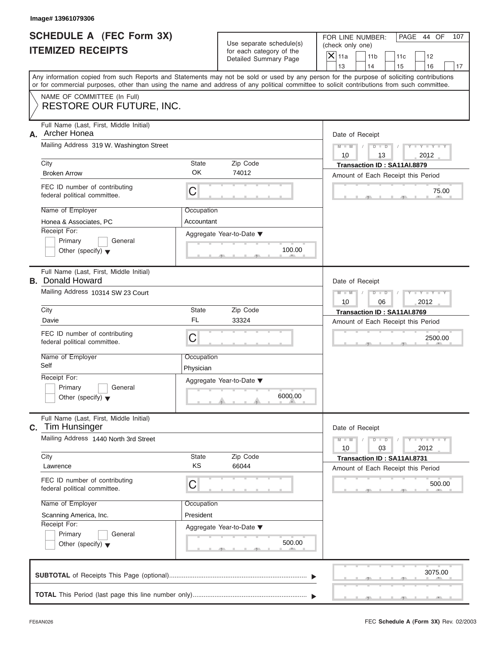| SCHEDULE A (FEC Form 3X) |  |  |
|--------------------------|--|--|
| <b>ITEMIZED RECEIPTS</b> |  |  |

|                                                             | Image# 13961079306                                                                                                                         |                       |                                                      |                                                                                                                                           |     |
|-------------------------------------------------------------|--------------------------------------------------------------------------------------------------------------------------------------------|-----------------------|------------------------------------------------------|-------------------------------------------------------------------------------------------------------------------------------------------|-----|
| <b>SCHEDULE A (FEC Form 3X)</b><br><b>ITEMIZED RECEIPTS</b> |                                                                                                                                            |                       | Use separate schedule(s)<br>for each category of the | FOR LINE NUMBER:<br>PAGE 44 OF<br>(check only one)<br>$\mathsf{X}$ 11a<br>11 <sub>b</sub><br>11c<br>12                                    | 107 |
|                                                             |                                                                                                                                            | Detailed Summary Page | 13<br>14<br>16<br>15                                 | 17                                                                                                                                        |     |
|                                                             | or for commercial purposes, other than using the name and address of any political committee to solicit contributions from such committee. |                       |                                                      | Any information copied from such Reports and Statements may not be sold or used by any person for the purpose of soliciting contributions |     |
|                                                             | NAME OF COMMITTEE (In Full)<br>RESTORE OUR FUTURE, INC.                                                                                    |                       |                                                      |                                                                                                                                           |     |
|                                                             |                                                                                                                                            |                       |                                                      |                                                                                                                                           |     |
| А.                                                          | Full Name (Last, First, Middle Initial)<br>Archer Honea                                                                                    |                       |                                                      | Date of Receipt                                                                                                                           |     |
|                                                             | Mailing Address 319 W. Washington Street                                                                                                   |                       |                                                      | $Y - Y - Y - Y - Y$<br>$D$ $D$<br>$M - M$<br>10<br>2012<br>13                                                                             |     |
|                                                             | City                                                                                                                                       | State                 | Zip Code                                             | Transaction ID: SA11AI.8879                                                                                                               |     |
|                                                             | <b>Broken Arrow</b>                                                                                                                        | OK.                   | 74012                                                | Amount of Each Receipt this Period                                                                                                        |     |
|                                                             | FEC ID number of contributing<br>federal political committee.                                                                              | С                     |                                                      | 75.00                                                                                                                                     |     |
|                                                             | Name of Employer                                                                                                                           | Occupation            |                                                      |                                                                                                                                           |     |
|                                                             | Honea & Associates, PC                                                                                                                     | Accountant            |                                                      |                                                                                                                                           |     |
|                                                             | Receipt For:                                                                                                                               |                       | Aggregate Year-to-Date ▼                             |                                                                                                                                           |     |
|                                                             | Primary<br>General                                                                                                                         |                       | 100.00                                               |                                                                                                                                           |     |
|                                                             | Other (specify) $\blacktriangledown$                                                                                                       |                       |                                                      |                                                                                                                                           |     |
|                                                             | Full Name (Last, First, Middle Initial)<br><b>B.</b> Donald Howard                                                                         |                       |                                                      | Date of Receipt                                                                                                                           |     |
|                                                             | Mailing Address 10314 SW 23 Court                                                                                                          |                       |                                                      | Y T Y T Y T<br>$M - M$<br>$D$ $D$                                                                                                         |     |
|                                                             |                                                                                                                                            |                       |                                                      | 2012<br>10<br>06                                                                                                                          |     |
|                                                             | City                                                                                                                                       | State                 | Zip Code                                             | Transaction ID: SA11AI.8769                                                                                                               |     |
|                                                             | Davie                                                                                                                                      | <b>FL</b>             | 33324                                                | Amount of Each Receipt this Period                                                                                                        |     |
|                                                             | FEC ID number of contributing<br>federal political committee.                                                                              | C                     |                                                      | 2500.00                                                                                                                                   |     |
|                                                             | Name of Employer                                                                                                                           | Occupation            |                                                      |                                                                                                                                           |     |
|                                                             | Self                                                                                                                                       | Physician             |                                                      |                                                                                                                                           |     |
|                                                             | Receipt For:                                                                                                                               |                       | Aggregate Year-to-Date ▼                             |                                                                                                                                           |     |
|                                                             | Primary<br>General                                                                                                                         |                       |                                                      |                                                                                                                                           |     |
|                                                             | Other (specify) $\blacktriangledown$                                                                                                       |                       | 6000.00                                              |                                                                                                                                           |     |
| C.                                                          | Full Name (Last, First, Middle Initial)<br><b>Tim Hunsinger</b>                                                                            |                       |                                                      | Date of Receipt                                                                                                                           |     |
|                                                             | Mailing Address 1440 North 3rd Street                                                                                                      |                       |                                                      | $Y - Y - Y - Y - T$<br>$M - M$<br>$D$ $D$<br>2012<br>10<br>03                                                                             |     |
|                                                             | City                                                                                                                                       | State                 | Zip Code                                             | Transaction ID: SA11AI.8731                                                                                                               |     |
|                                                             | Lawrence                                                                                                                                   | KS                    | 66044                                                | Amount of Each Receipt this Period                                                                                                        |     |
|                                                             | FEC ID number of contributing<br>federal political committee.                                                                              | С                     |                                                      | 500.00                                                                                                                                    |     |
|                                                             | Name of Employer                                                                                                                           | Occupation            |                                                      |                                                                                                                                           |     |
|                                                             | Scanning America, Inc.                                                                                                                     | President             |                                                      |                                                                                                                                           |     |
|                                                             | Receipt For:                                                                                                                               |                       | Aggregate Year-to-Date ▼                             |                                                                                                                                           |     |
|                                                             | Primary<br>General                                                                                                                         |                       |                                                      |                                                                                                                                           |     |
|                                                             | Other (specify) $\blacktriangledown$                                                                                                       |                       | 500.00                                               |                                                                                                                                           |     |
|                                                             |                                                                                                                                            |                       |                                                      |                                                                                                                                           |     |
|                                                             |                                                                                                                                            |                       |                                                      | 3075.00                                                                                                                                   |     |
|                                                             |                                                                                                                                            |                       |                                                      |                                                                                                                                           |     |
|                                                             |                                                                                                                                            |                       |                                                      |                                                                                                                                           |     |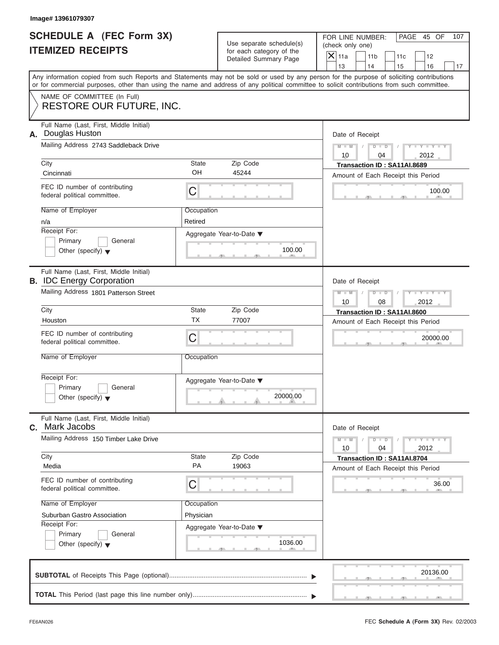| SCHEDULE A (FEC Form 3X) |  |  |
|--------------------------|--|--|
| <b>ITEMIZED RECEIPTS</b> |  |  |

|    | Image# 13961079307                                                                                                                                                                                                                                                                                                                                            |                                             |                                                                               |                                                                                                                                                         |
|----|---------------------------------------------------------------------------------------------------------------------------------------------------------------------------------------------------------------------------------------------------------------------------------------------------------------------------------------------------------------|---------------------------------------------|-------------------------------------------------------------------------------|---------------------------------------------------------------------------------------------------------------------------------------------------------|
|    | <b>SCHEDULE A (FEC Form 3X)</b><br><b>ITEMIZED RECEIPTS</b>                                                                                                                                                                                                                                                                                                   |                                             | Use separate schedule(s)<br>for each category of the<br>Detailed Summary Page | FOR LINE NUMBER:<br>PAGE 45 OF<br>107<br>(check only one)<br>$\overline{X}$ 11a<br>11 <sub>b</sub><br>11c<br>12<br>13<br>14<br>17                       |
|    | or for commercial purposes, other than using the name and address of any political committee to solicit contributions from such committee.                                                                                                                                                                                                                    |                                             |                                                                               | 15<br>16<br>Any information copied from such Reports and Statements may not be sold or used by any person for the purpose of soliciting contributions   |
|    | NAME OF COMMITTEE (In Full)<br><b>RESTORE OUR FUTURE, INC.</b>                                                                                                                                                                                                                                                                                                |                                             |                                                                               |                                                                                                                                                         |
| А. | Full Name (Last, First, Middle Initial)<br>Douglas Huston<br>Mailing Address 2743 Saddleback Drive<br>City<br>Cincinnati<br>FEC ID number of contributing<br>federal political committee.<br>Name of Employer<br>n/a<br>Receipt For:<br>Primary<br>General                                                                                                    | State<br>OH<br>С<br>Occupation<br>Retired   | Zip Code<br>45244<br>Aggregate Year-to-Date ▼                                 | Date of Receipt<br>$M - M$<br>$D$ $D$<br>$Y - Y - Y$<br>10<br>2012<br>04<br>Transaction ID: SA11AI.8689<br>Amount of Each Receipt this Period<br>100.00 |
|    | Other (specify) $\blacktriangledown$<br>Full Name (Last, First, Middle Initial)<br><b>B.</b> IDC Energy Corporation<br>Mailing Address 1801 Patterson Street<br>City<br>Houston                                                                                                                                                                               | State<br><b>TX</b>                          | 100.00<br>Zip Code<br>77007                                                   | Date of Receipt<br>$M - M$<br>$D$ $D$<br>$Y = Y + Y + Y$<br>10<br>08<br>2012<br>Transaction ID: SA11AI.8600<br>Amount of Each Receipt this Period       |
|    | FEC ID number of contributing<br>federal political committee.<br>Name of Employer<br>Receipt For:<br>Primary<br>General                                                                                                                                                                                                                                       | C<br>Occupation                             | Aggregate Year-to-Date ▼<br>20000.00                                          | 20000.00                                                                                                                                                |
|    | Other (specify) $\blacktriangledown$<br>Full Name (Last, First, Middle Initial)<br>C. Mark Jacobs<br>Mailing Address 150 Timber Lake Drive<br>City<br>Media<br>FEC ID number of contributing<br>federal political committee.<br>Name of Employer<br>Suburban Gastro Association<br>Receipt For:<br>Primary<br>General<br>Other (specify) $\blacktriangledown$ | State<br>PA<br>С<br>Occupation<br>Physician | Zip Code<br>19063<br>Aggregate Year-to-Date ▼<br>1036.00                      | Date of Receipt<br>$M - M$<br>$Y = Y$<br>$D - D$<br>2012<br>10<br>04<br>Transaction ID: SA11AI.8704<br>Amount of Each Receipt this Period<br>36.00      |
|    |                                                                                                                                                                                                                                                                                                                                                               |                                             |                                                                               | 20136.00                                                                                                                                                |
|    |                                                                                                                                                                                                                                                                                                                                                               |                                             |                                                                               |                                                                                                                                                         |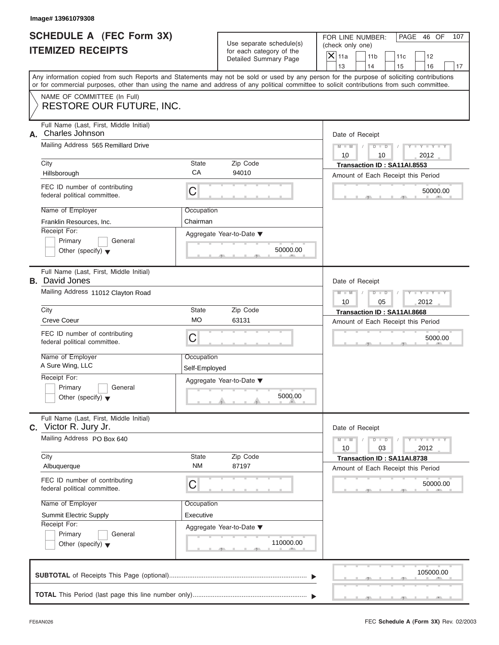| <b>SCHEDULE A (FEC Form 3X)</b> |  |  |
|---------------------------------|--|--|
| <b>ITEMIZED RECEIPTS</b>        |  |  |

| Image# 13961079308                                                         |                             |                                                      |                                                                                                                                                                                                                                                                                         |
|----------------------------------------------------------------------------|-----------------------------|------------------------------------------------------|-----------------------------------------------------------------------------------------------------------------------------------------------------------------------------------------------------------------------------------------------------------------------------------------|
| <b>SCHEDULE A (FEC Form 3X)</b><br><b>ITEMIZED RECEIPTS</b>                |                             | Use separate schedule(s)<br>for each category of the | FOR LINE NUMBER:<br>PAGE 46 OF<br>107<br>(check only one)                                                                                                                                                                                                                               |
|                                                                            |                             | Detailed Summary Page                                | $\mathsf{X}$ 11a<br>11 <sub>b</sub><br>11c<br>12<br>13<br>14<br>15<br>16<br>17                                                                                                                                                                                                          |
|                                                                            |                             |                                                      | Any information copied from such Reports and Statements may not be sold or used by any person for the purpose of soliciting contributions<br>or for commercial purposes, other than using the name and address of any political committee to solicit contributions from such committee. |
| NAME OF COMMITTEE (In Full)<br><b>RESTORE OUR FUTURE, INC.</b>             |                             |                                                      |                                                                                                                                                                                                                                                                                         |
| Full Name (Last, First, Middle Initial)<br><b>Charles Johnson</b><br>Α.    |                             |                                                      | Date of Receipt                                                                                                                                                                                                                                                                         |
| Mailing Address 565 Remillard Drive                                        |                             |                                                      | $Y - Y - Y - Y - Y$<br>$M - M$<br>$D$ $D$<br>$\sqrt{2}$<br>$\sqrt{ }$<br>10<br>2012<br>10                                                                                                                                                                                               |
| City<br>Hillsborough                                                       | State<br>CA                 | Zip Code<br>94010                                    | Transaction ID: SA11AI.8553<br>Amount of Each Receipt this Period                                                                                                                                                                                                                       |
| FEC ID number of contributing<br>federal political committee.              | C                           |                                                      | 50000.00                                                                                                                                                                                                                                                                                |
| Name of Employer<br>Franklin Resources, Inc.                               | Occupation<br>Chairman      |                                                      |                                                                                                                                                                                                                                                                                         |
| Receipt For:<br>Primary<br>General<br>Other (specify) $\blacktriangledown$ |                             | Aggregate Year-to-Date ▼<br>50000.00                 |                                                                                                                                                                                                                                                                                         |
| Full Name (Last, First, Middle Initial)<br><b>B.</b> David Jones           |                             |                                                      | Date of Receipt                                                                                                                                                                                                                                                                         |
| Mailing Address 11012 Clayton Road                                         |                             |                                                      | Y T Y T Y T<br>$M - M$<br>$D$ $D$<br>2012<br>10<br>05                                                                                                                                                                                                                                   |
| City                                                                       | State                       | Zip Code                                             | Transaction ID: SA11AI.8668                                                                                                                                                                                                                                                             |
| <b>Creve Coeur</b>                                                         | <b>MO</b>                   | 63131                                                | Amount of Each Receipt this Period                                                                                                                                                                                                                                                      |
| FEC ID number of contributing<br>federal political committee.              | C                           |                                                      | 5000.00                                                                                                                                                                                                                                                                                 |
| Name of Employer<br>A Sure Wing, LLC                                       | Occupation<br>Self-Employed |                                                      |                                                                                                                                                                                                                                                                                         |
| Receipt For:<br>Primary<br>General<br>Other (specify) $\blacktriangledown$ |                             | Aggregate Year-to-Date ▼<br>5000.00                  |                                                                                                                                                                                                                                                                                         |
| Full Name (Last, First, Middle Initial)<br>Victor R. Jury Jr.<br>C.        |                             |                                                      | Date of Receipt                                                                                                                                                                                                                                                                         |
| Mailing Address PO Box 640                                                 |                             |                                                      | $Y = Y + Y +$<br>$M - M$<br>$D$ $D$<br>2012<br>10<br>03                                                                                                                                                                                                                                 |
| City<br>Albuquerque                                                        | State<br><b>NM</b>          | Zip Code<br>87197                                    | Transaction ID: SA11AI.8738<br>Amount of Each Receipt this Period                                                                                                                                                                                                                       |
| FEC ID number of contributing<br>federal political committee.              | С                           |                                                      | 50000.00                                                                                                                                                                                                                                                                                |
| Name of Employer                                                           | Occupation                  |                                                      |                                                                                                                                                                                                                                                                                         |
| Summit Electric Supply<br>Receipt For:                                     | Executive                   |                                                      |                                                                                                                                                                                                                                                                                         |
| Primary<br>General                                                         |                             | Aggregate Year-to-Date ▼                             |                                                                                                                                                                                                                                                                                         |
| Other (specify) $\blacktriangledown$                                       |                             | 110000.00                                            |                                                                                                                                                                                                                                                                                         |
|                                                                            |                             |                                                      | 105000.00                                                                                                                                                                                                                                                                               |
|                                                                            |                             |                                                      |                                                                                                                                                                                                                                                                                         |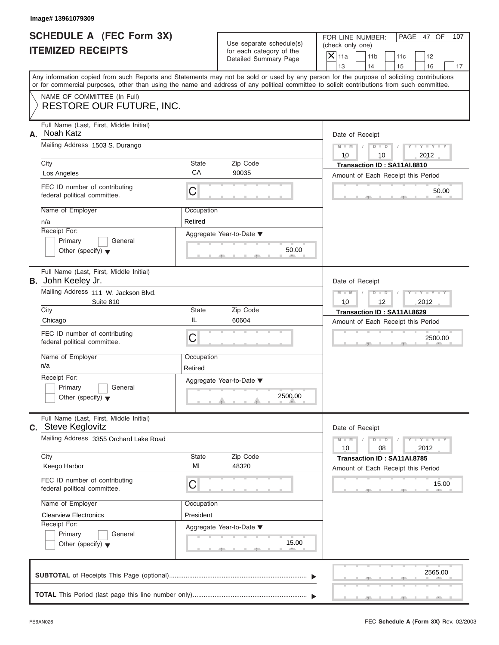| SCHEDULE A (FEC Form 3X) |  |  |
|--------------------------|--|--|
| <b>ITEMIZED RECEIPTS</b> |  |  |

|     | Image# 13961079309                                                                                                                                                                                                                                                                      |                       |                                                                               |                                                          |                                                                   |     |                             |     |
|-----|-----------------------------------------------------------------------------------------------------------------------------------------------------------------------------------------------------------------------------------------------------------------------------------------|-----------------------|-------------------------------------------------------------------------------|----------------------------------------------------------|-------------------------------------------------------------------|-----|-----------------------------|-----|
|     | <b>SCHEDULE A (FEC Form 3X)</b><br><b>ITEMIZED RECEIPTS</b>                                                                                                                                                                                                                             |                       | Use separate schedule(s)<br>for each category of the<br>Detailed Summary Page | FOR LINE NUMBER:<br>(check only one)<br>$\mathsf{X}$ 11a | 11 <sub>b</sub>                                                   | 11c | PAGE 47 OF<br>12            | 107 |
|     | Any information copied from such Reports and Statements may not be sold or used by any person for the purpose of soliciting contributions<br>or for commercial purposes, other than using the name and address of any political committee to solicit contributions from such committee. |                       |                                                                               | 13                                                       | 14                                                                | 15  | 16                          | 17  |
|     | NAME OF COMMITTEE (In Full)<br>RESTORE OUR FUTURE, INC.                                                                                                                                                                                                                                 |                       |                                                                               |                                                          |                                                                   |     |                             |     |
| А.  | Full Name (Last, First, Middle Initial)<br>Noah Katz<br>Mailing Address 1503 S. Durango<br>City                                                                                                                                                                                         | State                 | Zip Code                                                                      | Date of Receipt<br>$M - M$<br>10                         | $D$ $D$<br>10<br>Transaction ID: SA11AI.8810                      |     | $Y - Y - Y - Y - Y$<br>2012 |     |
|     | Los Angeles                                                                                                                                                                                                                                                                             | CA                    | 90035                                                                         |                                                          | Amount of Each Receipt this Period                                |     |                             |     |
|     | FEC ID number of contributing<br>federal political committee.                                                                                                                                                                                                                           | С                     |                                                                               |                                                          |                                                                   |     | 50.00                       |     |
| n/a | Name of Employer<br>Receipt For:<br>Primary<br>General<br>Other (specify) $\blacktriangledown$                                                                                                                                                                                          | Occupation<br>Retired | Aggregate Year-to-Date ▼<br>50.00                                             |                                                          |                                                                   |     |                             |     |
|     | Full Name (Last, First, Middle Initial)<br><b>B.</b> John Keeley Jr.<br>Mailing Address 111 W. Jackson Blvd.<br>Suite 810                                                                                                                                                               |                       |                                                                               | Date of Receipt<br>$M - M$<br>10                         | $D$ $D$<br>12                                                     |     | $Y - Y - Y - Y - Y$<br>2012 |     |
|     | City                                                                                                                                                                                                                                                                                    | State<br>IL           | Zip Code                                                                      |                                                          | Transaction ID: SA11AI.8629                                       |     |                             |     |
|     | Chicago<br>FEC ID number of contributing<br>federal political committee.                                                                                                                                                                                                                | С                     | 60604                                                                         |                                                          | Amount of Each Receipt this Period                                |     | 2500.00                     |     |
| n/a | Name of Employer                                                                                                                                                                                                                                                                        | Occupation<br>Retired |                                                                               |                                                          |                                                                   |     |                             |     |
|     | Receipt For:<br>Primary<br>General<br>Other (specify) $\blacktriangledown$                                                                                                                                                                                                              |                       | Aggregate Year-to-Date ▼<br>2500.00                                           |                                                          |                                                                   |     |                             |     |
|     | Full Name (Last, First, Middle Initial)<br><b>C.</b> Steve Keglovitz                                                                                                                                                                                                                    |                       |                                                                               | Date of Receipt                                          |                                                                   |     |                             |     |
|     | Mailing Address 3355 Orchard Lake Road<br>City                                                                                                                                                                                                                                          | State                 | Zip Code                                                                      | $M - M$<br>10                                            | $D$ $D$<br>08                                                     |     | $Y = Y$<br>2012             |     |
|     | Keego Harbor                                                                                                                                                                                                                                                                            | MI                    | 48320                                                                         |                                                          | Transaction ID: SA11AI.8785<br>Amount of Each Receipt this Period |     |                             |     |
|     | FEC ID number of contributing<br>federal political committee.                                                                                                                                                                                                                           | С                     |                                                                               |                                                          |                                                                   |     | 15.00                       |     |
|     | Name of Employer                                                                                                                                                                                                                                                                        | Occupation            |                                                                               |                                                          |                                                                   |     |                             |     |
|     | <b>Clearview Electronics</b><br>Receipt For:                                                                                                                                                                                                                                            | President             |                                                                               |                                                          |                                                                   |     |                             |     |
|     | Primary<br>General<br>Other (specify) $\blacktriangledown$                                                                                                                                                                                                                              |                       | Aggregate Year-to-Date ▼<br>15.00                                             |                                                          |                                                                   |     |                             |     |
|     |                                                                                                                                                                                                                                                                                         |                       |                                                                               |                                                          |                                                                   |     | 2565.00                     |     |
|     |                                                                                                                                                                                                                                                                                         |                       |                                                                               |                                                          |                                                                   |     |                             |     |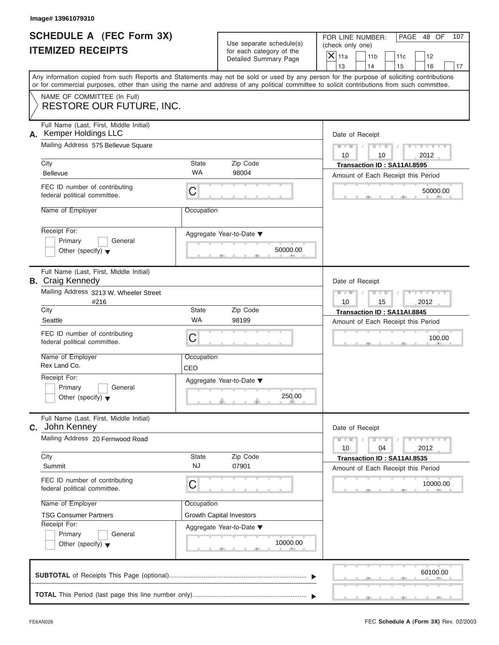| <b>SCHEDULE A (FEC Form 3X)</b> |  |  |
|---------------------------------|--|--|
| <b>ITEMIZED RECEIPTS</b>        |  |  |

| Image# 13961079310                                                                                                                                                                                                                                                                      |                           |                                                                               |                                            |                                                                   |           |                                                                          |           |
|-----------------------------------------------------------------------------------------------------------------------------------------------------------------------------------------------------------------------------------------------------------------------------------------|---------------------------|-------------------------------------------------------------------------------|--------------------------------------------|-------------------------------------------------------------------|-----------|--------------------------------------------------------------------------|-----------|
| <b>SCHEDULE A (FEC Form 3X)</b><br><b>ITEMIZED RECEIPTS</b>                                                                                                                                                                                                                             |                           | Use separate schedule(s)<br>for each category of the<br>Detailed Summary Page | (check only one)<br>$\mathsf{X}$ 11a<br>13 | FOR LINE NUMBER:<br>11 <sub>b</sub><br>14                         | 11c<br>15 | PAGE 48 OF<br>12<br>16                                                   | 107<br>17 |
| Any information copied from such Reports and Statements may not be sold or used by any person for the purpose of soliciting contributions<br>or for commercial purposes, other than using the name and address of any political committee to solicit contributions from such committee. |                           |                                                                               |                                            |                                                                   |           |                                                                          |           |
| NAME OF COMMITTEE (In Full)<br><b>RESTORE OUR FUTURE, INC.</b>                                                                                                                                                                                                                          |                           |                                                                               |                                            |                                                                   |           |                                                                          |           |
| Full Name (Last, First, Middle Initial)<br>A. Kemper Holdings LLC<br>Mailing Address 575 Bellevue Square                                                                                                                                                                                |                           |                                                                               | $M - M$<br>10                              | Date of Receipt<br>$D$ $D$<br>10                                  |           | $Y - Y - Y - Y - Y$<br>2012                                              |           |
| City                                                                                                                                                                                                                                                                                    | <b>State</b>              | Zip Code                                                                      |                                            | Transaction ID: SA11AI.8595                                       |           |                                                                          |           |
| <b>Bellevue</b>                                                                                                                                                                                                                                                                         | <b>WA</b>                 | 98004                                                                         |                                            | Amount of Each Receipt this Period                                |           |                                                                          |           |
| FEC ID number of contributing<br>federal political committee.                                                                                                                                                                                                                           | C                         |                                                                               |                                            |                                                                   |           | 50000.00                                                                 |           |
| Name of Employer                                                                                                                                                                                                                                                                        | Occupation                |                                                                               |                                            |                                                                   |           |                                                                          |           |
| Receipt For:<br>Primary<br>General<br>Other (specify) $\blacktriangledown$                                                                                                                                                                                                              |                           | Aggregate Year-to-Date ▼<br>50000.00                                          |                                            |                                                                   |           |                                                                          |           |
| Full Name (Last, First, Middle Initial)<br><b>B.</b> Craig Kennedy                                                                                                                                                                                                                      |                           |                                                                               |                                            | Date of Receipt                                                   |           |                                                                          |           |
| Mailing Address 3213 W. Wheeler Street<br>#216                                                                                                                                                                                                                                          |                           |                                                                               | $M - M$<br>10                              | $D - I - D$<br>15                                                 |           | $Y - Y - Y - Y - Y$<br>2012                                              |           |
| City                                                                                                                                                                                                                                                                                    | State<br><b>WA</b>        | Zip Code                                                                      |                                            | Transaction ID: SA11AI.8845                                       |           |                                                                          |           |
| Seattle<br>FEC ID number of contributing<br>federal political committee.                                                                                                                                                                                                                | C                         | 98199                                                                         |                                            | Amount of Each Receipt this Period                                |           | 100.00                                                                   |           |
| Name of Employer<br>Rex Land Co.                                                                                                                                                                                                                                                        | Occupation<br>CEO         |                                                                               |                                            |                                                                   |           |                                                                          |           |
| Receipt For:<br>Primary<br>General<br>Other (specify) $\blacktriangledown$                                                                                                                                                                                                              |                           | Aggregate Year-to-Date ▼<br>250.00                                            |                                            |                                                                   |           |                                                                          |           |
| Full Name (Last, First, Middle Initial)<br>C. John Kenney                                                                                                                                                                                                                               |                           |                                                                               |                                            | Date of Receipt                                                   |           |                                                                          |           |
| Mailing Address 20 Fernwood Road                                                                                                                                                                                                                                                        |                           |                                                                               | $M - M$<br>10                              | $D$ $D$<br>04                                                     |           | $\mathbf{I}$ $\mathbf{Y}$ $\mathbf{I}$ $\mathbf{Y}$ $\mathbf{I}$<br>2012 |           |
| City<br>Summit                                                                                                                                                                                                                                                                          | <b>State</b><br><b>NJ</b> | Zip Code<br>07901                                                             |                                            | Transaction ID: SA11AI.8535<br>Amount of Each Receipt this Period |           |                                                                          |           |
| FEC ID number of contributing<br>federal political committee.                                                                                                                                                                                                                           | С                         |                                                                               |                                            |                                                                   |           | 10000.00                                                                 |           |
| Name of Employer                                                                                                                                                                                                                                                                        | Occupation                |                                                                               |                                            |                                                                   |           |                                                                          |           |
| <b>TSG Consumer Partners</b><br>Receipt For:                                                                                                                                                                                                                                            |                           | <b>Growth Capital Investors</b>                                               |                                            |                                                                   |           |                                                                          |           |
| Primary<br>General<br>Other (specify) $\blacktriangledown$                                                                                                                                                                                                                              |                           | Aggregate Year-to-Date ▼<br>10000.00                                          |                                            |                                                                   |           |                                                                          |           |
|                                                                                                                                                                                                                                                                                         |                           |                                                                               |                                            |                                                                   |           | 60100.00                                                                 |           |
|                                                                                                                                                                                                                                                                                         |                           |                                                                               |                                            |                                                                   |           |                                                                          |           |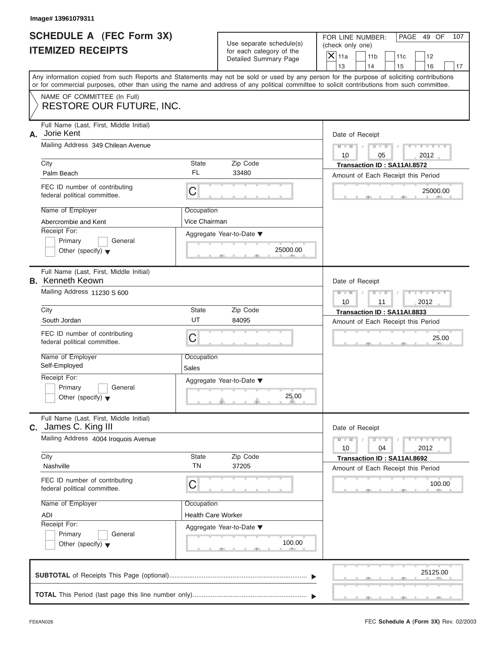|                                                             | Image# 13961079311                                                                                                                                                                                                                                                                      |                             |                                                                               |                                                          |                                                                   |     |                             |     |
|-------------------------------------------------------------|-----------------------------------------------------------------------------------------------------------------------------------------------------------------------------------------------------------------------------------------------------------------------------------------|-----------------------------|-------------------------------------------------------------------------------|----------------------------------------------------------|-------------------------------------------------------------------|-----|-----------------------------|-----|
| <b>SCHEDULE A (FEC Form 3X)</b><br><b>ITEMIZED RECEIPTS</b> |                                                                                                                                                                                                                                                                                         |                             | Use separate schedule(s)<br>for each category of the<br>Detailed Summary Page | FOR LINE NUMBER:<br>(check only one)<br>$\mathsf{X}$ 11a | 11 <sub>b</sub>                                                   | 11c | PAGE 49 OF<br>12            | 107 |
|                                                             |                                                                                                                                                                                                                                                                                         |                             |                                                                               | 13                                                       | 14                                                                | 15  | 16                          | 17  |
|                                                             | Any information copied from such Reports and Statements may not be sold or used by any person for the purpose of soliciting contributions<br>or for commercial purposes, other than using the name and address of any political committee to solicit contributions from such committee. |                             |                                                                               |                                                          |                                                                   |     |                             |     |
|                                                             | NAME OF COMMITTEE (In Full)<br>RESTORE OUR FUTURE, INC.                                                                                                                                                                                                                                 |                             |                                                                               |                                                          |                                                                   |     |                             |     |
| Full Name (Last, First, Middle Initial)<br>Jorie Kent<br>А. |                                                                                                                                                                                                                                                                                         |                             |                                                                               | Date of Receipt                                          |                                                                   |     |                             |     |
|                                                             | Mailing Address 349 Chilean Avenue                                                                                                                                                                                                                                                      |                             |                                                                               | $M - M$<br>10                                            | $D$ $D$<br>05                                                     |     | $Y - Y - Y - Y - Y$<br>2012 |     |
|                                                             | City<br>Palm Beach                                                                                                                                                                                                                                                                      | State<br>FL                 | Zip Code<br>33480                                                             |                                                          | Transaction ID: SA11AI.8572<br>Amount of Each Receipt this Period |     |                             |     |
|                                                             | FEC ID number of contributing<br>federal political committee.                                                                                                                                                                                                                           | C                           |                                                                               |                                                          |                                                                   |     | 25000.00                    |     |
|                                                             | Name of Employer<br>Abercrombie and Kent                                                                                                                                                                                                                                                | Occupation<br>Vice Chairman |                                                                               |                                                          |                                                                   |     |                             |     |
|                                                             | Receipt For:<br>Primary<br>General<br>Other (specify) $\blacktriangledown$                                                                                                                                                                                                              |                             | Aggregate Year-to-Date ▼<br>25000.00                                          |                                                          |                                                                   |     |                             |     |
|                                                             | Full Name (Last, First, Middle Initial)<br><b>B.</b> Kenneth Keown                                                                                                                                                                                                                      |                             |                                                                               | Date of Receipt                                          |                                                                   |     |                             |     |
|                                                             | Mailing Address 11230 S 600                                                                                                                                                                                                                                                             |                             |                                                                               |                                                          | $D$ $D$<br>11                                                     |     | $Y - Y - Y - Y - Y$<br>2012 |     |
|                                                             | City                                                                                                                                                                                                                                                                                    | State                       | Zip Code                                                                      |                                                          | Transaction ID: SA11AI.8833                                       |     |                             |     |
|                                                             | South Jordan                                                                                                                                                                                                                                                                            | UT                          | 84095                                                                         |                                                          | Amount of Each Receipt this Period                                |     |                             |     |
|                                                             | FEC ID number of contributing<br>federal political committee.                                                                                                                                                                                                                           | C                           |                                                                               |                                                          |                                                                   |     | 25.00                       |     |
|                                                             | Name of Employer<br>Self-Employed                                                                                                                                                                                                                                                       | Occupation<br>Sales         |                                                                               |                                                          |                                                                   |     |                             |     |
|                                                             | Receipt For:<br>Primary<br>General<br>Other (specify) $\blacktriangledown$                                                                                                                                                                                                              |                             | Aggregate Year-to-Date ▼<br>25.00                                             |                                                          |                                                                   |     |                             |     |
| С.                                                          | Full Name (Last, First, Middle Initial)<br>James C. King III                                                                                                                                                                                                                            |                             | Date of Receipt                                                               |                                                          |                                                                   |     |                             |     |
|                                                             | Mailing Address 4004 Iroquois Avenue                                                                                                                                                                                                                                                    |                             |                                                                               | $M - M$<br>10                                            | $D$ $D$<br>04                                                     |     | $Y + Y + Y + Y$<br>2012     |     |
|                                                             | City<br>Nashville                                                                                                                                                                                                                                                                       | State<br><b>TN</b>          | Zip Code<br>37205                                                             |                                                          | Transaction ID: SA11AI.8692<br>Amount of Each Receipt this Period |     |                             |     |
|                                                             | FEC ID number of contributing<br>federal political committee.                                                                                                                                                                                                                           | C                           |                                                                               |                                                          |                                                                   |     | 100.00                      |     |
|                                                             | Name of Employer                                                                                                                                                                                                                                                                        | Occupation                  |                                                                               |                                                          |                                                                   |     |                             |     |
|                                                             | ADI                                                                                                                                                                                                                                                                                     | <b>Health Care Worker</b>   |                                                                               |                                                          |                                                                   |     |                             |     |
|                                                             | Receipt For:<br>Primary<br>General                                                                                                                                                                                                                                                      |                             | Aggregate Year-to-Date ▼                                                      |                                                          |                                                                   |     |                             |     |
|                                                             | Other (specify) $\blacktriangledown$                                                                                                                                                                                                                                                    |                             | 100.00                                                                        |                                                          |                                                                   |     |                             |     |
|                                                             |                                                                                                                                                                                                                                                                                         |                             |                                                                               |                                                          |                                                                   |     | 25125.00                    |     |
|                                                             |                                                                                                                                                                                                                                                                                         |                             |                                                                               |                                                          |                                                                   |     |                             |     |

S S S , , .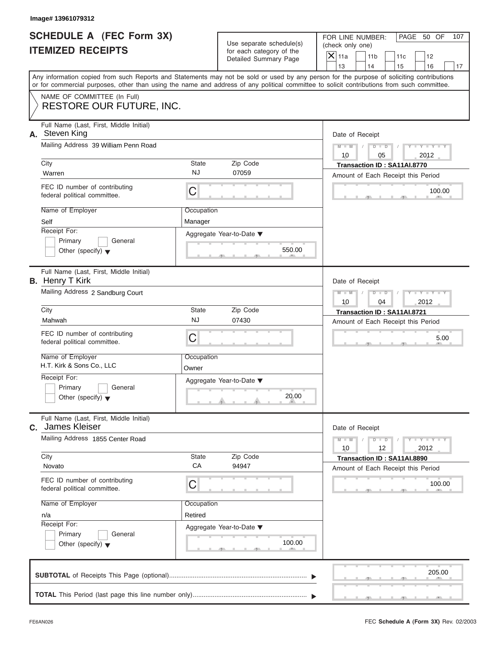| <b>SCHEDULE A (FEC Form 3X)</b> |  |  |
|---------------------------------|--|--|
| <b>ITEMIZED RECEIPTS</b>        |  |  |

|                                                             | Image# 13961079312                                                                                                                                                                                                                                                                                                                                                 |                                                  |                                                                               |                                                                                                                                                                |
|-------------------------------------------------------------|--------------------------------------------------------------------------------------------------------------------------------------------------------------------------------------------------------------------------------------------------------------------------------------------------------------------------------------------------------------------|--------------------------------------------------|-------------------------------------------------------------------------------|----------------------------------------------------------------------------------------------------------------------------------------------------------------|
| <b>SCHEDULE A (FEC Form 3X)</b><br><b>ITEMIZED RECEIPTS</b> |                                                                                                                                                                                                                                                                                                                                                                    |                                                  | Use separate schedule(s)<br>for each category of the<br>Detailed Summary Page | FOR LINE NUMBER:<br>PAGE 50 OF<br>107<br>(check only one)<br>$\overline{X}$ 11a<br>11 <sub>b</sub><br>11c<br>12<br>13<br>14<br>15<br>16<br>17                  |
|                                                             | or for commercial purposes, other than using the name and address of any political committee to solicit contributions from such committee.                                                                                                                                                                                                                         |                                                  |                                                                               | Any information copied from such Reports and Statements may not be sold or used by any person for the purpose of soliciting contributions                      |
|                                                             | NAME OF COMMITTEE (In Full)<br><b>RESTORE OUR FUTURE, INC.</b>                                                                                                                                                                                                                                                                                                     |                                                  |                                                                               |                                                                                                                                                                |
|                                                             | Full Name (Last, First, Middle Initial)<br>A. Steven King<br>Mailing Address 39 William Penn Road<br>City<br>Warren<br>FEC ID number of contributing<br>federal political committee.<br>Name of Employer<br>Self                                                                                                                                                   | State<br><b>NJ</b><br>C<br>Occupation<br>Manager | Zip Code<br>07059                                                             | Date of Receipt<br>$M - M$<br>$D$ $\Box$ $D$<br>$Y - Y - Y$<br>10<br>05<br>2012<br>Transaction ID: SA11AI.8770<br>Amount of Each Receipt this Period<br>100.00 |
|                                                             | Receipt For:<br>Primary<br>General<br>Other (specify) $\blacktriangledown$                                                                                                                                                                                                                                                                                         |                                                  | Aggregate Year-to-Date ▼<br>550.00                                            |                                                                                                                                                                |
|                                                             | Full Name (Last, First, Middle Initial)<br><b>B.</b> Henry T Kirk<br>Mailing Address 2 Sandburg Court<br>City<br>Mahwah<br>FEC ID number of contributing<br>federal political committee.<br>Name of Employer<br>H.T. Kirk & Sons Co., LLC<br>Receipt For:<br>Primary<br>General<br>Other (specify) $\blacktriangledown$<br>Full Name (Last, First, Middle Initial) | State<br>NJ<br>C<br>Occupation<br>Owner          | Zip Code<br>07430<br>Aggregate Year-to-Date ▼<br>20.00                        | Date of Receipt<br>$M - M$<br>$D$ $D$<br>$Y = Y + Y + Y$<br>10<br>04<br>2012<br>Transaction ID: SA11AI.8721<br>Amount of Each Receipt this Period<br>5.00      |
| С.                                                          | James Kleiser<br>Mailing Address 1855 Center Road<br>City<br>Novato<br>FEC ID number of contributing<br>federal political committee.<br>Name of Employer<br>n/a<br>Receipt For:<br>Primary<br>General<br>Other (specify) $\blacktriangledown$                                                                                                                      | State<br>CA<br>С<br>Occupation<br>Retired        | Zip Code<br>94947<br>Aggregate Year-to-Date ▼<br>100.00                       | Date of Receipt<br>$M - M$<br>$Y = Y$<br>$D$ $D$<br>12<br>2012<br>10<br>Transaction ID: SA11AI.8890<br>Amount of Each Receipt this Period<br>100.00            |
|                                                             |                                                                                                                                                                                                                                                                                                                                                                    |                                                  |                                                                               | 205.00                                                                                                                                                         |
|                                                             |                                                                                                                                                                                                                                                                                                                                                                    |                                                  |                                                                               |                                                                                                                                                                |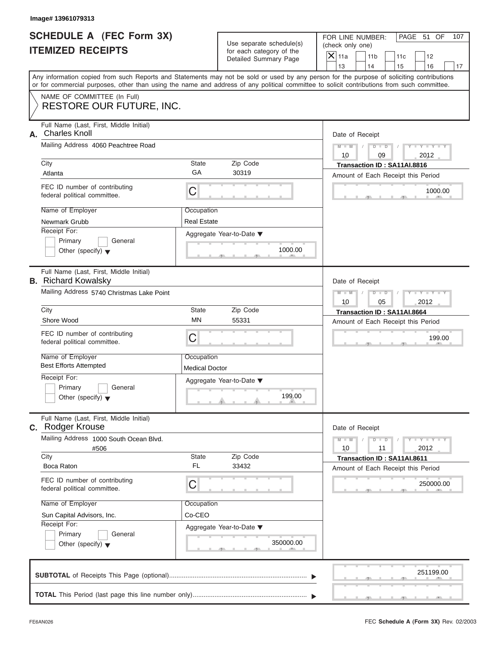| SCHEDULE A (FEC Form 3X) |  |  |
|--------------------------|--|--|
| <b>ITEMIZED RECEIPTS</b> |  |  |

|                                                             | Image# 13961079313                                                                                                                         |                                                           |                                                                               |                                                                                                                                                                         |
|-------------------------------------------------------------|--------------------------------------------------------------------------------------------------------------------------------------------|-----------------------------------------------------------|-------------------------------------------------------------------------------|-------------------------------------------------------------------------------------------------------------------------------------------------------------------------|
| <b>SCHEDULE A (FEC Form 3X)</b><br><b>ITEMIZED RECEIPTS</b> |                                                                                                                                            |                                                           | Use separate schedule(s)<br>for each category of the<br>Detailed Summary Page | FOR LINE NUMBER:<br>PAGE 51 OF<br>107<br>(check only one)<br>$\mathsf{X}$ 11a<br>11 <sub>b</sub><br>11c<br>12                                                           |
|                                                             | or for commercial purposes, other than using the name and address of any political committee to solicit contributions from such committee. |                                                           |                                                                               | 13<br>14<br>15<br>16<br>17<br>Any information copied from such Reports and Statements may not be sold or used by any person for the purpose of soliciting contributions |
|                                                             | NAME OF COMMITTEE (In Full)<br><b>RESTORE OUR FUTURE, INC.</b>                                                                             |                                                           |                                                                               |                                                                                                                                                                         |
| А.                                                          | Full Name (Last, First, Middle Initial)<br><b>Charles Knoll</b><br>Mailing Address 4060 Peachtree Road<br>City                             | State                                                     | Zip Code                                                                      | Date of Receipt<br>$M - M$<br>$D$ $D$<br>$Y - Y - Y - Y$<br>10<br>2012<br>09<br>Transaction ID: SA11AI.8816                                                             |
|                                                             | Atlanta                                                                                                                                    | GA                                                        | 30319                                                                         | Amount of Each Receipt this Period                                                                                                                                      |
|                                                             | FEC ID number of contributing<br>federal political committee.                                                                              | С                                                         |                                                                               | 1000.00                                                                                                                                                                 |
|                                                             | Name of Employer<br>Newmark Grubb<br>Receipt For:                                                                                          | Occupation<br><b>Real Estate</b>                          |                                                                               |                                                                                                                                                                         |
|                                                             | Primary<br>General<br>Other (specify) $\blacktriangledown$                                                                                 |                                                           | Aggregate Year-to-Date ▼<br>1000.00                                           |                                                                                                                                                                         |
|                                                             | Full Name (Last, First, Middle Initial)<br><b>B.</b> Richard Kowalsky                                                                      |                                                           |                                                                               | Date of Receipt                                                                                                                                                         |
|                                                             | Mailing Address 5740 Christmas Lake Point                                                                                                  | $M - M$<br>$D$ $D$<br>$Y = Y + Y + T$<br>10<br>05<br>2012 |                                                                               |                                                                                                                                                                         |
|                                                             | City                                                                                                                                       | State                                                     | Zip Code                                                                      | Transaction ID: SA11AI.8664                                                                                                                                             |
|                                                             | Shore Wood                                                                                                                                 | <b>MN</b>                                                 | 55331                                                                         | Amount of Each Receipt this Period                                                                                                                                      |
|                                                             | FEC ID number of contributing<br>federal political committee.                                                                              | С                                                         |                                                                               | 199.00                                                                                                                                                                  |
|                                                             | Name of Employer<br><b>Best Efforts Attempted</b>                                                                                          | Occupation<br><b>Medical Doctor</b>                       |                                                                               |                                                                                                                                                                         |
|                                                             | Receipt For:<br>Primary<br>General<br>Other (specify) $\blacktriangledown$                                                                 |                                                           | Aggregate Year-to-Date ▼<br>199.00                                            |                                                                                                                                                                         |
|                                                             | Full Name (Last, First, Middle Initial)<br>C. Rodger Krouse                                                                                |                                                           |                                                                               | Date of Receipt                                                                                                                                                         |
|                                                             | Mailing Address 1000 South Ocean Blvd.<br>#506                                                                                             |                                                           |                                                                               | $M - M$<br>$-1 - Y - 1 - Y - 1$<br>$D$ $D$<br>2012<br>10<br>11                                                                                                          |
|                                                             | City<br>Boca Raton                                                                                                                         | State<br><b>FL</b>                                        | Zip Code<br>33432                                                             | Transaction ID: SA11AI.8611<br>Amount of Each Receipt this Period                                                                                                       |
|                                                             | FEC ID number of contributing<br>federal political committee.                                                                              | С                                                         |                                                                               | 250000.00                                                                                                                                                               |
|                                                             | Name of Employer                                                                                                                           | Occupation                                                |                                                                               |                                                                                                                                                                         |
|                                                             | Sun Capital Advisors, Inc.<br>Receipt For:                                                                                                 | Co-CEO                                                    |                                                                               |                                                                                                                                                                         |
|                                                             | Primary<br>General<br>Other (specify) $\blacktriangledown$                                                                                 |                                                           | Aggregate Year-to-Date ▼<br>350000.00                                         |                                                                                                                                                                         |
|                                                             |                                                                                                                                            |                                                           |                                                                               | 251199.00                                                                                                                                                               |
|                                                             |                                                                                                                                            |                                                           |                                                                               |                                                                                                                                                                         |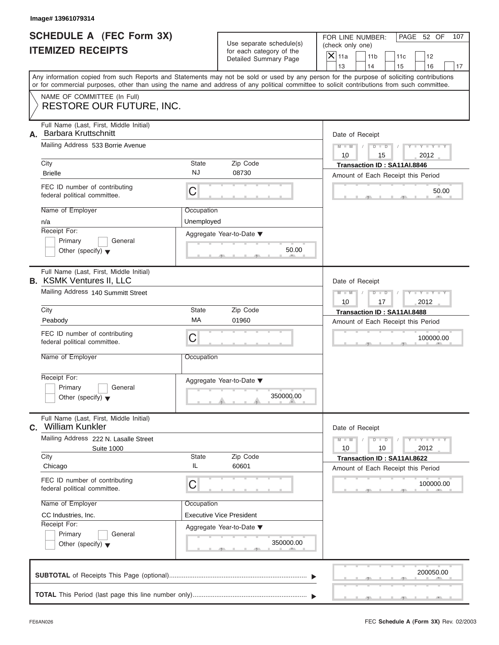|                          | <b>SCHEDULE A (FEC Form 3X)</b> |
|--------------------------|---------------------------------|
| <b>ITEMIZED RECEIPTS</b> |                                 |

|                                                             | Image# 13961079314                                                                                                                                                                                                                                                                                                                                |                                                     |                                                                                               |                                                                                                                                                                         |
|-------------------------------------------------------------|---------------------------------------------------------------------------------------------------------------------------------------------------------------------------------------------------------------------------------------------------------------------------------------------------------------------------------------------------|-----------------------------------------------------|-----------------------------------------------------------------------------------------------|-------------------------------------------------------------------------------------------------------------------------------------------------------------------------|
| <b>SCHEDULE A (FEC Form 3X)</b><br><b>ITEMIZED RECEIPTS</b> |                                                                                                                                                                                                                                                                                                                                                   |                                                     | Use separate schedule(s)<br>for each category of the<br>Detailed Summary Page                 | PAGE 52 OF<br>FOR LINE NUMBER:<br>107<br>(check only one)<br>$\mathsf{X}$ 11a<br>11 <sub>b</sub><br>11c<br>12                                                           |
|                                                             | or for commercial purposes, other than using the name and address of any political committee to solicit contributions from such committee.                                                                                                                                                                                                        |                                                     |                                                                                               | 13<br>14<br>15<br>16<br>17<br>Any information copied from such Reports and Statements may not be sold or used by any person for the purpose of soliciting contributions |
|                                                             | NAME OF COMMITTEE (In Full)<br>RESTORE OUR FUTURE, INC.                                                                                                                                                                                                                                                                                           |                                                     |                                                                                               |                                                                                                                                                                         |
| А.                                                          | Full Name (Last, First, Middle Initial)<br><b>Barbara Kruttschnitt</b><br>Mailing Address 533 Borrie Avenue<br>City<br><b>Brielle</b><br>FEC ID number of contributing<br>federal political committee.<br>Name of Employer<br>n/a<br>Receipt For:                                                                                                 | State<br><b>NJ</b><br>С<br>Occupation<br>Unemployed | Zip Code<br>08730                                                                             | Date of Receipt<br>$Y - Y - Y - Y - Y$<br>$D$ $\Box$ $D$<br>$M - M$<br>10<br>15<br>2012<br>Transaction ID: SA11AI.8846<br>Amount of Each Receipt this Period<br>50.00   |
|                                                             | Primary<br>General<br>Other (specify) $\blacktriangledown$                                                                                                                                                                                                                                                                                        |                                                     | Aggregate Year-to-Date ▼<br>50.00                                                             |                                                                                                                                                                         |
|                                                             | Full Name (Last, First, Middle Initial)<br><b>B.</b> KSMK Ventures II, LLC<br>Mailing Address 140 Summitt Street<br>City<br>Peabody<br>FEC ID number of contributing<br>federal political committee.<br>Name of Employer<br>Receipt For:<br>Primary<br>General<br>Other (specify) $\blacktriangledown$<br>Full Name (Last, First, Middle Initial) | State<br>MA<br>С<br>Occupation                      | Zip Code<br>01960<br>Aggregate Year-to-Date ▼<br>350000.00                                    | Date of Receipt<br>$Y = Y = Y + Y$<br>$M - M$<br>$D$ $D$<br>10<br>17<br>2012<br>Transaction ID: SA11AI.8488<br>Amount of Each Receipt this Period<br>100000.00          |
|                                                             | C. William Kunkler<br>Mailing Address 222 N. Lasalle Street<br><b>Suite 1000</b><br>City<br>Chicago<br>FEC ID number of contributing<br>federal political committee.<br>Name of Employer<br>CC Industries, Inc.<br>Receipt For:<br>Primary<br>General<br>Other (specify) $\blacktriangledown$                                                     | State<br>IL<br>С<br>Occupation                      | Zip Code<br>60601<br><b>Executive Vice President</b><br>Aggregate Year-to-Date ▼<br>350000.00 | Date of Receipt<br>$Y - Y - I$<br>$M - M$<br>$D$ $D$<br>2012<br>10<br>10<br>Transaction ID: SA11AI.8622<br>Amount of Each Receipt this Period<br>100000.00              |
|                                                             |                                                                                                                                                                                                                                                                                                                                                   |                                                     |                                                                                               | 200050.00                                                                                                                                                               |
|                                                             |                                                                                                                                                                                                                                                                                                                                                   |                                                     |                                                                                               |                                                                                                                                                                         |

FEC **Schedule A (Form 3X)** Rev. 02/2003

J.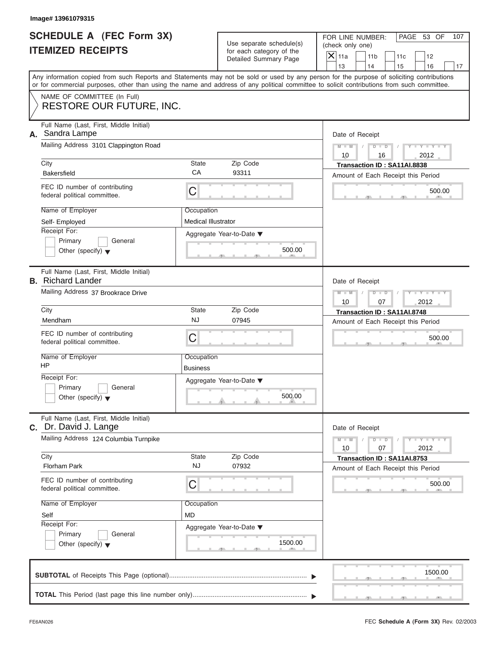|                          | <b>SCHEDULE A (FEC Form 3X)</b> |
|--------------------------|---------------------------------|
| <b>ITEMIZED RECEIPTS</b> |                                 |

|                                                             | Image# 13961079315                                                  |                                   |                                                      |                                                                                                                                                                                                                                                                                         |  |  |
|-------------------------------------------------------------|---------------------------------------------------------------------|-----------------------------------|------------------------------------------------------|-----------------------------------------------------------------------------------------------------------------------------------------------------------------------------------------------------------------------------------------------------------------------------------------|--|--|
| <b>SCHEDULE A (FEC Form 3X)</b><br><b>ITEMIZED RECEIPTS</b> |                                                                     |                                   | Use separate schedule(s)<br>for each category of the | FOR LINE NUMBER:<br>PAGE 53 OF<br>107<br>(check only one)<br>$\mathsf{X}$ 11a<br>11 <sub>b</sub><br>11c<br>12                                                                                                                                                                           |  |  |
|                                                             |                                                                     |                                   | Detailed Summary Page                                | 13<br>14<br>15<br>16<br>17                                                                                                                                                                                                                                                              |  |  |
|                                                             |                                                                     |                                   |                                                      | Any information copied from such Reports and Statements may not be sold or used by any person for the purpose of soliciting contributions<br>or for commercial purposes, other than using the name and address of any political committee to solicit contributions from such committee. |  |  |
|                                                             | NAME OF COMMITTEE (In Full)                                         |                                   |                                                      |                                                                                                                                                                                                                                                                                         |  |  |
|                                                             | RESTORE OUR FUTURE, INC.                                            |                                   |                                                      |                                                                                                                                                                                                                                                                                         |  |  |
| А.                                                          | Full Name (Last, First, Middle Initial)<br>Sandra Lampe             |                                   |                                                      |                                                                                                                                                                                                                                                                                         |  |  |
|                                                             | Mailing Address 3101 Clappington Road                               |                                   |                                                      | Date of Receipt<br>$Y - Y - Y - Y - Y$<br>$D$ $D$<br>$M - M$                                                                                                                                                                                                                            |  |  |
|                                                             |                                                                     |                                   |                                                      | 10<br>2012<br>16                                                                                                                                                                                                                                                                        |  |  |
|                                                             | City                                                                | State                             | Zip Code                                             | Transaction ID: SA11AI.8838                                                                                                                                                                                                                                                             |  |  |
|                                                             | <b>Bakersfield</b>                                                  | CA                                | 93311                                                | Amount of Each Receipt this Period                                                                                                                                                                                                                                                      |  |  |
|                                                             | FEC ID number of contributing<br>federal political committee.       | C                                 |                                                      | 500.00                                                                                                                                                                                                                                                                                  |  |  |
|                                                             | Name of Employer                                                    | Occupation                        |                                                      |                                                                                                                                                                                                                                                                                         |  |  |
|                                                             | Self-Employed                                                       | <b>Medical Illustrator</b>        |                                                      |                                                                                                                                                                                                                                                                                         |  |  |
|                                                             | Receipt For:<br>Primary<br>General                                  |                                   | Aggregate Year-to-Date ▼                             |                                                                                                                                                                                                                                                                                         |  |  |
|                                                             | Other (specify) $\blacktriangledown$                                |                                   | 500.00                                               |                                                                                                                                                                                                                                                                                         |  |  |
|                                                             |                                                                     |                                   |                                                      |                                                                                                                                                                                                                                                                                         |  |  |
|                                                             | Full Name (Last, First, Middle Initial)<br><b>B.</b> Richard Lander |                                   |                                                      | Date of Receipt                                                                                                                                                                                                                                                                         |  |  |
|                                                             | Mailing Address 37 Brookrace Drive                                  | Y T Y T Y T<br>$M - M$<br>$D$ $D$ |                                                      |                                                                                                                                                                                                                                                                                         |  |  |
|                                                             | City                                                                | 2012<br>10<br>07                  |                                                      |                                                                                                                                                                                                                                                                                         |  |  |
|                                                             | Mendham                                                             | State<br><b>NJ</b>                | Zip Code<br>07945                                    | Transaction ID: SA11AI.8748<br>Amount of Each Receipt this Period                                                                                                                                                                                                                       |  |  |
|                                                             | FEC ID number of contributing                                       |                                   |                                                      |                                                                                                                                                                                                                                                                                         |  |  |
|                                                             | federal political committee.                                        | C                                 |                                                      | 500.00                                                                                                                                                                                                                                                                                  |  |  |
|                                                             | Name of Employer                                                    | Occupation                        |                                                      |                                                                                                                                                                                                                                                                                         |  |  |
|                                                             | HP                                                                  | <b>Business</b>                   |                                                      |                                                                                                                                                                                                                                                                                         |  |  |
|                                                             | Receipt For:                                                        |                                   | Aggregate Year-to-Date ▼                             |                                                                                                                                                                                                                                                                                         |  |  |
|                                                             | Primary<br>General<br>Other (specify) $\blacktriangledown$          |                                   | 500.00                                               |                                                                                                                                                                                                                                                                                         |  |  |
| C.                                                          | Full Name (Last, First, Middle Initial)<br>Dr. David J. Lange       |                                   |                                                      | Date of Receipt                                                                                                                                                                                                                                                                         |  |  |
|                                                             | Mailing Address 124 Columbia Turnpike                               |                                   |                                                      | $Y - Y - Y - Y - I$<br>$M - M$<br>$D$ $D$                                                                                                                                                                                                                                               |  |  |
|                                                             | City                                                                | State                             | Zip Code                                             | 2012<br>10<br>07<br>Transaction ID: SA11AI.8753                                                                                                                                                                                                                                         |  |  |
|                                                             | Florham Park                                                        | <b>NJ</b>                         | 07932                                                | Amount of Each Receipt this Period                                                                                                                                                                                                                                                      |  |  |
|                                                             | FEC ID number of contributing<br>federal political committee.       | С                                 |                                                      | 500.00                                                                                                                                                                                                                                                                                  |  |  |
|                                                             | Name of Employer                                                    | Occupation                        |                                                      |                                                                                                                                                                                                                                                                                         |  |  |
|                                                             | Self                                                                | <b>MD</b>                         |                                                      |                                                                                                                                                                                                                                                                                         |  |  |
|                                                             | Receipt For:                                                        |                                   | Aggregate Year-to-Date ▼                             |                                                                                                                                                                                                                                                                                         |  |  |
|                                                             | Primary<br>General                                                  |                                   |                                                      |                                                                                                                                                                                                                                                                                         |  |  |
|                                                             | Other (specify) $\blacktriangledown$                                |                                   | 1500.00                                              |                                                                                                                                                                                                                                                                                         |  |  |
|                                                             |                                                                     |                                   |                                                      |                                                                                                                                                                                                                                                                                         |  |  |
|                                                             |                                                                     |                                   |                                                      | 1500.00                                                                                                                                                                                                                                                                                 |  |  |
|                                                             |                                                                     |                                   |                                                      |                                                                                                                                                                                                                                                                                         |  |  |
|                                                             |                                                                     |                                   |                                                      |                                                                                                                                                                                                                                                                                         |  |  |

S S S , , .

سي ال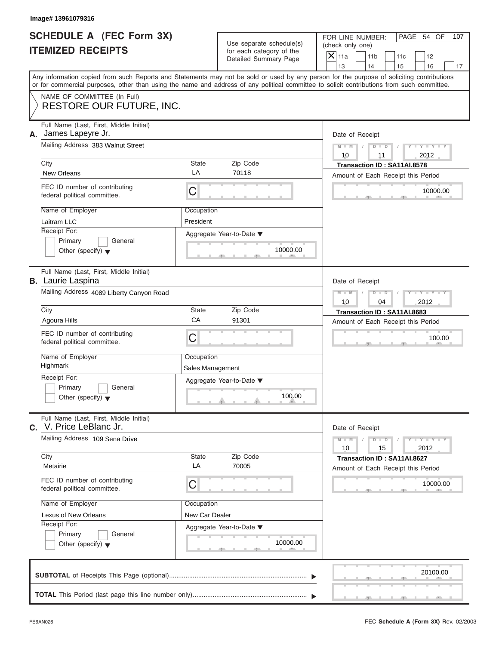|                          | <b>SCHEDULE A (FEC Form 3X)</b> |
|--------------------------|---------------------------------|
| <b>ITEMIZED RECEIPTS</b> |                                 |

| Image# 13961079316                                                                                                                                                                                                                                                                      |                                |                                                                               |                                                                             |                                |
|-----------------------------------------------------------------------------------------------------------------------------------------------------------------------------------------------------------------------------------------------------------------------------------------|--------------------------------|-------------------------------------------------------------------------------|-----------------------------------------------------------------------------|--------------------------------|
| <b>SCHEDULE A (FEC Form 3X)</b><br><b>ITEMIZED RECEIPTS</b>                                                                                                                                                                                                                             |                                | Use separate schedule(s)<br>for each category of the<br>Detailed Summary Page | FOR LINE NUMBER:<br>(check only one)<br>$\mathsf{X}$ 11a<br>11 <sub>b</sub> | PAGE 54 OF<br>107<br>11c<br>12 |
|                                                                                                                                                                                                                                                                                         |                                |                                                                               | 13<br>14                                                                    | 15<br>16<br>17                 |
| Any information copied from such Reports and Statements may not be sold or used by any person for the purpose of soliciting contributions<br>or for commercial purposes, other than using the name and address of any political committee to solicit contributions from such committee. |                                |                                                                               |                                                                             |                                |
| NAME OF COMMITTEE (In Full)<br>RESTORE OUR FUTURE, INC.                                                                                                                                                                                                                                 |                                |                                                                               |                                                                             |                                |
| Full Name (Last, First, Middle Initial)<br>James Lapeyre Jr.<br>А.<br>Mailing Address 383 Walnut Street                                                                                                                                                                                 |                                |                                                                               | Date of Receipt<br>$D$ $\Box$ $D$<br>$M - M$                                | $Y - Y - Y - Y - Y$            |
|                                                                                                                                                                                                                                                                                         |                                |                                                                               |                                                                             |                                |
| City<br><b>New Orleans</b>                                                                                                                                                                                                                                                              | State<br>LA                    | Zip Code<br>70118                                                             | Transaction ID: SA11AI.8578                                                 |                                |
| FEC ID number of contributing<br>federal political committee.                                                                                                                                                                                                                           | С                              |                                                                               | Amount of Each Receipt this Period                                          | 10000.00                       |
| Name of Employer<br>Laitram LLC                                                                                                                                                                                                                                                         | Occupation<br>President        |                                                                               |                                                                             |                                |
| Receipt For:<br>Primary<br>General<br>Other (specify) $\blacktriangledown$                                                                                                                                                                                                              |                                | Aggregate Year-to-Date ▼<br>10000.00                                          |                                                                             |                                |
| Full Name (Last, First, Middle Initial)<br><b>B.</b> Laurie Laspina                                                                                                                                                                                                                     |                                |                                                                               | Date of Receipt                                                             |                                |
| Mailing Address 4089 Liberty Canyon Road                                                                                                                                                                                                                                                | $M - M$<br>$D$ $D$<br>10<br>04 | Y I Y I Y I<br>2012                                                           |                                                                             |                                |
| City                                                                                                                                                                                                                                                                                    | State                          | Zip Code                                                                      | Transaction ID: SA11AI.8683                                                 |                                |
| Agoura Hills                                                                                                                                                                                                                                                                            | CA                             | 91301                                                                         | Amount of Each Receipt this Period                                          |                                |
| FEC ID number of contributing<br>federal political committee.                                                                                                                                                                                                                           | С                              |                                                                               |                                                                             | 100.00                         |
| Name of Employer<br>Highmark                                                                                                                                                                                                                                                            | Occupation<br>Sales Management |                                                                               |                                                                             |                                |
| Receipt For:<br>Primary<br>General                                                                                                                                                                                                                                                      |                                | Aggregate Year-to-Date ▼<br>100.00                                            |                                                                             |                                |
| Other (specify) $\blacktriangledown$                                                                                                                                                                                                                                                    |                                |                                                                               |                                                                             |                                |
| Full Name (Last, First, Middle Initial)<br>V. Price LeBlanc Jr.<br>С.                                                                                                                                                                                                                   |                                |                                                                               | Date of Receipt                                                             |                                |
| Mailing Address 109 Sena Drive                                                                                                                                                                                                                                                          |                                | $M - M$<br>$D$ $D$<br>10<br>15                                                | $Y = Y$<br>2012                                                             |                                |
| City<br>Metairie                                                                                                                                                                                                                                                                        | State<br>LA                    | Zip Code<br>70005                                                             | Transaction ID: SA11AI.8627<br>Amount of Each Receipt this Period           |                                |
| FEC ID number of contributing<br>federal political committee.                                                                                                                                                                                                                           | С                              |                                                                               |                                                                             | 10000.00                       |
| Name of Employer                                                                                                                                                                                                                                                                        | Occupation                     |                                                                               |                                                                             |                                |
| Lexus of New Orleans<br>Receipt For:                                                                                                                                                                                                                                                    | New Car Dealer                 |                                                                               |                                                                             |                                |
| Primary<br>General<br>Other (specify) $\blacktriangledown$                                                                                                                                                                                                                              |                                | Aggregate Year-to-Date ▼<br>10000.00                                          |                                                                             |                                |
|                                                                                                                                                                                                                                                                                         |                                |                                                                               |                                                                             | 20100.00                       |
|                                                                                                                                                                                                                                                                                         |                                |                                                                               |                                                                             |                                |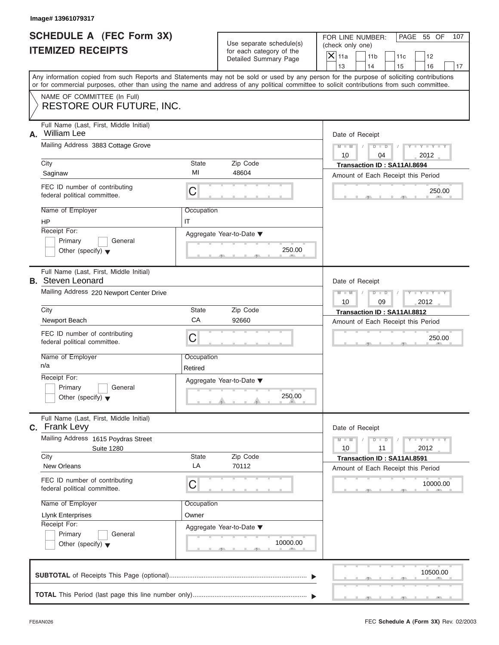|                          | SCHEDULE A (FEC Form 3X) |
|--------------------------|--------------------------|
| <b>ITEMIZED RECEIPTS</b> |                          |

|                                                             | Image# 13961079317                                                                                                                                                                                                                                                                                                                        |                                           |                                                                               |                                  |                                                                                                                                  |  |                                   |     |
|-------------------------------------------------------------|-------------------------------------------------------------------------------------------------------------------------------------------------------------------------------------------------------------------------------------------------------------------------------------------------------------------------------------------|-------------------------------------------|-------------------------------------------------------------------------------|----------------------------------|----------------------------------------------------------------------------------------------------------------------------------|--|-----------------------------------|-----|
| <b>SCHEDULE A (FEC Form 3X)</b><br><b>ITEMIZED RECEIPTS</b> |                                                                                                                                                                                                                                                                                                                                           |                                           | Use separate schedule(s)<br>for each category of the<br>Detailed Summary Page |                                  | FOR LINE NUMBER:<br>PAGE 55 OF<br>(check only one)<br>$\overline{X}$ 11a<br>11 <sub>b</sub><br>11c<br>12<br>13<br>14<br>15<br>16 |  |                                   | 107 |
|                                                             | Any information copied from such Reports and Statements may not be sold or used by any person for the purpose of soliciting contributions<br>or for commercial purposes, other than using the name and address of any political committee to solicit contributions from such committee.                                                   |                                           |                                                                               |                                  |                                                                                                                                  |  |                                   | 17  |
|                                                             | NAME OF COMMITTEE (In Full)<br><b>RESTORE OUR FUTURE, INC.</b>                                                                                                                                                                                                                                                                            |                                           |                                                                               |                                  |                                                                                                                                  |  |                                   |     |
| А.<br>City                                                  | Full Name (Last, First, Middle Initial)<br>William Lee<br>Mailing Address 3883 Cottage Grove<br>Saginaw<br>FEC ID number of contributing<br>federal political committee.                                                                                                                                                                  | State<br>MI<br>C                          | Zip Code<br>48604                                                             | Date of Receipt<br>$M - M$<br>10 | $D$ $\Box$ $D$<br>04<br>Transaction ID: SA11AI.8694<br>Amount of Each Receipt this Period                                        |  | $Y = Y =$<br>2012<br>250.00       |     |
| HP                                                          | Name of Employer<br>Receipt For:<br>Primary<br>General<br>Other (specify) $\blacktriangledown$                                                                                                                                                                                                                                            | Occupation<br>IT                          | Aggregate Year-to-Date ▼<br>250.00                                            |                                  |                                                                                                                                  |  |                                   |     |
| City<br>n/a                                                 | Full Name (Last, First, Middle Initial)<br><b>B.</b> Steven Leonard<br>Mailing Address 220 Newport Center Drive<br>Newport Beach<br>FEC ID number of contributing<br>federal political committee.<br>Name of Employer<br>Receipt For:<br>Primary<br>General<br>Other (specify) $\blacktriangledown$                                       | State<br>CA<br>C<br>Occupation<br>Retired | Zip Code<br>92660<br>Aggregate Year-to-Date ▼<br>250.00                       | Date of Receipt<br>$M - M$<br>10 | $D$ $D$<br>09<br>Transaction ID: SA11AI.8812<br>Amount of Each Receipt this Period                                               |  | $Y = Y + Y + Y$<br>2012<br>250.00 |     |
| City                                                        | Full Name (Last, First, Middle Initial)<br>C. Frank Levy<br>Mailing Address 1615 Poydras Street<br><b>Suite 1280</b><br><b>New Orleans</b><br>FEC ID number of contributing<br>federal political committee.<br>Name of Employer<br><b>Llynk Enterprises</b><br>Receipt For:<br>Primary<br>General<br>Other (specify) $\blacktriangledown$ | State<br>LA<br>С<br>Occupation<br>Owner   | Zip Code<br>70112<br>Aggregate Year-to-Date ▼<br>10000.00                     | Date of Receipt<br>$M - M$<br>10 | $D$ $D$<br>11<br>Transaction ID: SA11AI.8591<br>Amount of Each Receipt this Period                                               |  | $Y = Y$<br>2012<br>10000.00       |     |
|                                                             |                                                                                                                                                                                                                                                                                                                                           |                                           |                                                                               |                                  |                                                                                                                                  |  | 10500.00                          |     |
|                                                             |                                                                                                                                                                                                                                                                                                                                           |                                           |                                                                               |                                  |                                                                                                                                  |  |                                   |     |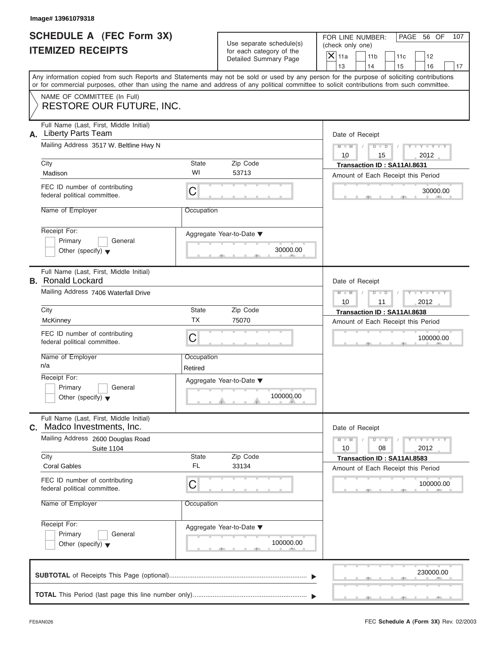|                          | <b>SCHEDULE A (FEC Form 3X)</b> |
|--------------------------|---------------------------------|
| <b>ITEMIZED RECEIPTS</b> |                                 |

|         | Image# 13961079318                                                                                                                                                                                                                                                                      |                                |                                                                               |                                      |                                                                   |     |                                                                          |     |
|---------|-----------------------------------------------------------------------------------------------------------------------------------------------------------------------------------------------------------------------------------------------------------------------------------------|--------------------------------|-------------------------------------------------------------------------------|--------------------------------------|-------------------------------------------------------------------|-----|--------------------------------------------------------------------------|-----|
|         | <b>SCHEDULE A (FEC Form 3X)</b><br><b>ITEMIZED RECEIPTS</b>                                                                                                                                                                                                                             |                                | Use separate schedule(s)<br>for each category of the<br>Detailed Summary Page | (check only one)<br>$\mathsf{X}$ 11a | FOR LINE NUMBER:<br>11 <sub>b</sub>                               | 11c | PAGE 56 OF<br>12                                                         | 107 |
|         | Any information copied from such Reports and Statements may not be sold or used by any person for the purpose of soliciting contributions<br>or for commercial purposes, other than using the name and address of any political committee to solicit contributions from such committee. |                                |                                                                               | 13                                   | 14                                                                | 15  | 16                                                                       | 17  |
|         | NAME OF COMMITTEE (In Full)<br><b>RESTORE OUR FUTURE, INC.</b>                                                                                                                                                                                                                          |                                |                                                                               |                                      |                                                                   |     |                                                                          |     |
| А.      | Full Name (Last, First, Middle Initial)<br><b>Liberty Parts Team</b><br>Mailing Address 3517 W. Beltline Hwy N                                                                                                                                                                          |                                |                                                                               | $M - M$<br>10                        | Date of Receipt<br>$D - D$<br>15                                  |     | $Y - Y - Y - Y - Y$<br>2012                                              |     |
| City    |                                                                                                                                                                                                                                                                                         | State                          | Zip Code                                                                      |                                      | Transaction ID: SA11AI.8631                                       |     |                                                                          |     |
| Madison |                                                                                                                                                                                                                                                                                         | WI                             | 53713                                                                         |                                      | Amount of Each Receipt this Period                                |     |                                                                          |     |
|         | FEC ID number of contributing<br>federal political committee.                                                                                                                                                                                                                           | C                              |                                                                               |                                      |                                                                   |     | 30000.00                                                                 |     |
|         | Name of Employer                                                                                                                                                                                                                                                                        | Occupation                     |                                                                               |                                      |                                                                   |     |                                                                          |     |
|         | Receipt For:<br>Primary<br>General<br>Other (specify) $\blacktriangledown$                                                                                                                                                                                                              |                                | Aggregate Year-to-Date ▼<br>30000.00                                          |                                      |                                                                   |     |                                                                          |     |
|         | Full Name (Last, First, Middle Initial)<br><b>B.</b> Ronald Lockard                                                                                                                                                                                                                     |                                |                                                                               |                                      | Date of Receipt                                                   |     |                                                                          |     |
|         | Mailing Address 7406 Waterfall Drive                                                                                                                                                                                                                                                    |                                |                                                                               |                                      | $M - M$<br>$D - I - D$<br>11                                      |     | Y T Y T Y T<br>2012                                                      |     |
| City    |                                                                                                                                                                                                                                                                                         | State<br>Zip Code<br><b>TX</b> |                                                                               |                                      | Transaction ID: SA11AI.8638                                       |     |                                                                          |     |
|         | McKinney                                                                                                                                                                                                                                                                                |                                | 75070                                                                         | Amount of Each Receipt this Period   |                                                                   |     |                                                                          |     |
|         | FEC ID number of contributing<br>federal political committee.                                                                                                                                                                                                                           | C                              |                                                                               |                                      |                                                                   |     | 100000.00                                                                |     |
| n/a     | Name of Employer                                                                                                                                                                                                                                                                        | Occupation<br>Retired          |                                                                               |                                      |                                                                   |     |                                                                          |     |
|         | Receipt For:<br>Primary<br>General<br>Other (specify) $\blacktriangledown$                                                                                                                                                                                                              |                                | Aggregate Year-to-Date ▼<br>100000.00                                         |                                      |                                                                   |     |                                                                          |     |
|         | Full Name (Last, First, Middle Initial)                                                                                                                                                                                                                                                 |                                |                                                                               |                                      |                                                                   |     |                                                                          |     |
| С.      | Madco Investments, Inc.                                                                                                                                                                                                                                                                 |                                |                                                                               |                                      | Date of Receipt                                                   |     |                                                                          |     |
|         | Mailing Address 2600 Douglas Road<br><b>Suite 1104</b>                                                                                                                                                                                                                                  |                                |                                                                               | $M - M$<br>10                        | $D$ $D$<br>08                                                     |     | $\mathbf{I} = \mathbf{Y} - \mathbf{I} - \mathbf{Y} - \mathbf{I}$<br>2012 |     |
| City    | <b>Coral Gables</b>                                                                                                                                                                                                                                                                     | State<br><b>FL</b>             | Zip Code<br>33134                                                             |                                      | Transaction ID: SA11AI.8583<br>Amount of Each Receipt this Period |     |                                                                          |     |
|         | FEC ID number of contributing<br>federal political committee.                                                                                                                                                                                                                           | С                              |                                                                               |                                      |                                                                   |     | 100000.00                                                                |     |
|         | Name of Employer                                                                                                                                                                                                                                                                        | Occupation                     |                                                                               |                                      |                                                                   |     |                                                                          |     |
|         | Receipt For:<br>Primary<br>General                                                                                                                                                                                                                                                      |                                | Aggregate Year-to-Date ▼                                                      |                                      |                                                                   |     |                                                                          |     |
|         | Other (specify) $\blacktriangledown$                                                                                                                                                                                                                                                    |                                | 100000.00                                                                     |                                      |                                                                   |     |                                                                          |     |
|         |                                                                                                                                                                                                                                                                                         |                                |                                                                               |                                      |                                                                   |     | 230000.00                                                                |     |
|         |                                                                                                                                                                                                                                                                                         |                                |                                                                               |                                      |                                                                   |     |                                                                          |     |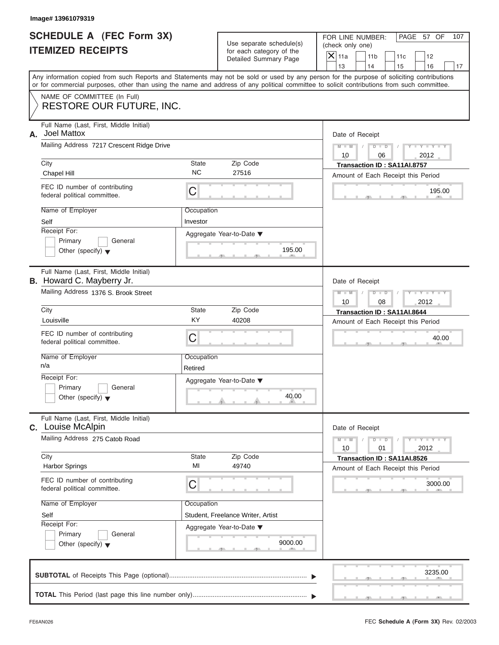| <b>SCHEDULE A (FEC Form 3X)</b> |  |  |
|---------------------------------|--|--|
| <b>ITEMIZED RECEIPTS</b>        |  |  |

|                                                             | Image# 13961079319                                                                                                                         |                                                   |                                                      |                                                                                                                                           |  |  |  |  |
|-------------------------------------------------------------|--------------------------------------------------------------------------------------------------------------------------------------------|---------------------------------------------------|------------------------------------------------------|-------------------------------------------------------------------------------------------------------------------------------------------|--|--|--|--|
| <b>SCHEDULE A (FEC Form 3X)</b><br><b>ITEMIZED RECEIPTS</b> |                                                                                                                                            |                                                   | Use separate schedule(s)<br>for each category of the | FOR LINE NUMBER:<br>PAGE 57 OF<br>107<br>(check only one)                                                                                 |  |  |  |  |
|                                                             |                                                                                                                                            |                                                   | Detailed Summary Page                                | $\mathsf{X}$ 11a<br>11 <sub>b</sub><br>11c<br>12<br>13<br>14<br>15<br>16<br>17                                                            |  |  |  |  |
|                                                             | or for commercial purposes, other than using the name and address of any political committee to solicit contributions from such committee. |                                                   |                                                      | Any information copied from such Reports and Statements may not be sold or used by any person for the purpose of soliciting contributions |  |  |  |  |
|                                                             | NAME OF COMMITTEE (In Full)<br>RESTORE OUR FUTURE, INC.                                                                                    |                                                   |                                                      |                                                                                                                                           |  |  |  |  |
| А.                                                          | Full Name (Last, First, Middle Initial)<br>Joel Mattox                                                                                     |                                                   |                                                      | Date of Receipt                                                                                                                           |  |  |  |  |
|                                                             | Mailing Address 7217 Crescent Ridge Drive                                                                                                  |                                                   |                                                      | $Y - Y - Y - Y - Y$<br>$D$ $D$<br>$M - M$<br>10<br>2012<br>06                                                                             |  |  |  |  |
|                                                             | City<br>Chapel Hill                                                                                                                        | State<br><b>NC</b>                                | Zip Code<br>27516                                    | Transaction ID: SA11AI.8757<br>Amount of Each Receipt this Period                                                                         |  |  |  |  |
|                                                             | FEC ID number of contributing<br>federal political committee.                                                                              | C                                                 |                                                      | 195.00                                                                                                                                    |  |  |  |  |
|                                                             | Name of Employer<br>Self                                                                                                                   | Occupation<br>Investor                            |                                                      |                                                                                                                                           |  |  |  |  |
|                                                             | Receipt For:<br>Primary<br>General<br>Other (specify) $\blacktriangledown$                                                                 |                                                   | Aggregate Year-to-Date ▼<br>195.00                   |                                                                                                                                           |  |  |  |  |
|                                                             | Full Name (Last, First, Middle Initial)<br><b>B.</b> Howard C. Mayberry Jr.                                                                |                                                   |                                                      | Date of Receipt                                                                                                                           |  |  |  |  |
|                                                             | Mailing Address 1376 S. Brook Street                                                                                                       |                                                   |                                                      | Y T Y T Y T<br>$M - M$<br>$D$ $\Box$ $D$<br>2012<br>10<br>08                                                                              |  |  |  |  |
|                                                             | City                                                                                                                                       | State                                             | Zip Code                                             | Transaction ID: SA11AI.8644                                                                                                               |  |  |  |  |
|                                                             | Louisville                                                                                                                                 | KY                                                | 40208                                                | Amount of Each Receipt this Period                                                                                                        |  |  |  |  |
|                                                             | FEC ID number of contributing<br>federal political committee.                                                                              | C                                                 |                                                      | 40.00                                                                                                                                     |  |  |  |  |
|                                                             | Name of Employer<br>n/a                                                                                                                    | Occupation<br>Retired                             |                                                      |                                                                                                                                           |  |  |  |  |
|                                                             | Receipt For:<br>Primary<br>General<br>Other (specify) $\blacktriangledown$                                                                 |                                                   | Aggregate Year-to-Date ▼<br>40.00                    |                                                                                                                                           |  |  |  |  |
|                                                             | Full Name (Last, First, Middle Initial)<br>C. Louise McAlpin                                                                               |                                                   |                                                      | Date of Receipt                                                                                                                           |  |  |  |  |
|                                                             | Mailing Address 275 Catob Road                                                                                                             | $Y = Y$<br>$M - M$<br>$D$ $D$<br>2012<br>10<br>01 |                                                      |                                                                                                                                           |  |  |  |  |
|                                                             | City<br><b>Harbor Springs</b>                                                                                                              | State<br>MI                                       | Zip Code<br>49740                                    | Transaction ID: SA11AI.8526<br>Amount of Each Receipt this Period                                                                         |  |  |  |  |
|                                                             | FEC ID number of contributing<br>federal political committee.                                                                              | C                                                 |                                                      | 3000.00                                                                                                                                   |  |  |  |  |
|                                                             | Name of Employer                                                                                                                           | Occupation                                        |                                                      |                                                                                                                                           |  |  |  |  |
|                                                             | Self                                                                                                                                       |                                                   | Student, Freelance Writer, Artist                    |                                                                                                                                           |  |  |  |  |
|                                                             | Receipt For:<br>Primary<br>General                                                                                                         |                                                   | Aggregate Year-to-Date ▼                             |                                                                                                                                           |  |  |  |  |
|                                                             | Other (specify) $\blacktriangledown$                                                                                                       |                                                   | 9000.00                                              |                                                                                                                                           |  |  |  |  |
|                                                             |                                                                                                                                            |                                                   |                                                      | 3235.00                                                                                                                                   |  |  |  |  |
|                                                             |                                                                                                                                            |                                                   |                                                      |                                                                                                                                           |  |  |  |  |

 $S = \{x_1, x_2, \ldots, x_{n-1}, x_{n-1}, \ldots, x_{n-1}, x_{n-1}, \ldots, x_{n-1}, x_{n-1}, \ldots, x_{n-1}, x_{n-1}, \ldots, x_{n-1}, x_{n-1}, \ldots, x_{n-1}, x_{n-1}, \ldots, x_{n-1}, \ldots, x_{n-1}, \ldots, x_{n-1}, \ldots, x_{n-1}, \ldots, x_{n-1}, \ldots, x_{n-1}, \ldots, x_{n-1}, \ldots, x_{n-1}, \ldots, x_{n-1}, \ldots, x_{n-1}, \ldots, x_{n-1}, \ld$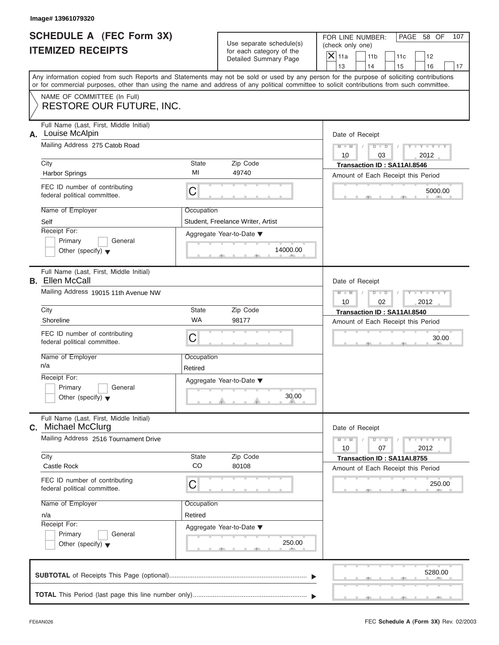|                          | <b>SCHEDULE A (FEC Form 3X)</b> |
|--------------------------|---------------------------------|
| <b>ITEMIZED RECEIPTS</b> |                                 |

| Image# 13961079320                                                                                                                         |                       |                                                      |                                                                                                                                           |  |  |  |  |
|--------------------------------------------------------------------------------------------------------------------------------------------|-----------------------|------------------------------------------------------|-------------------------------------------------------------------------------------------------------------------------------------------|--|--|--|--|
| <b>SCHEDULE A (FEC Form 3X)</b><br><b>ITEMIZED RECEIPTS</b>                                                                                |                       | Use separate schedule(s)<br>for each category of the | FOR LINE NUMBER:<br>PAGE 58 OF<br>107<br>(check only one)<br>$\mathsf{X}$ 11a<br>11 <sub>b</sub><br>11c<br>12                             |  |  |  |  |
|                                                                                                                                            |                       | Detailed Summary Page                                | 13<br>14<br>15<br>16<br>17                                                                                                                |  |  |  |  |
| or for commercial purposes, other than using the name and address of any political committee to solicit contributions from such committee. |                       |                                                      | Any information copied from such Reports and Statements may not be sold or used by any person for the purpose of soliciting contributions |  |  |  |  |
| NAME OF COMMITTEE (In Full)<br>RESTORE OUR FUTURE, INC.                                                                                    |                       |                                                      |                                                                                                                                           |  |  |  |  |
| Full Name (Last, First, Middle Initial)<br>Louise McAlpin<br>А.                                                                            |                       |                                                      | Date of Receipt                                                                                                                           |  |  |  |  |
| Mailing Address 275 Catob Road                                                                                                             |                       |                                                      | $D$ $\Box$ $D$<br>$Y - Y - Y - Y - Y$<br>$M - M$<br>10<br>03<br>2012                                                                      |  |  |  |  |
| City<br><b>Harbor Springs</b>                                                                                                              | State<br>MI           | Zip Code<br>49740                                    | Transaction ID: SA11AI.8546<br>Amount of Each Receipt this Period                                                                         |  |  |  |  |
| FEC ID number of contributing<br>federal political committee.                                                                              | С                     |                                                      | 5000.00                                                                                                                                   |  |  |  |  |
| Name of Employer<br>Self                                                                                                                   | Occupation            | Student, Freelance Writer, Artist                    |                                                                                                                                           |  |  |  |  |
| Receipt For:<br>Primary<br>General<br>Other (specify) $\blacktriangledown$                                                                 |                       | Aggregate Year-to-Date ▼<br>14000.00                 |                                                                                                                                           |  |  |  |  |
| Full Name (Last, First, Middle Initial)<br><b>B.</b> Ellen McCall                                                                          |                       |                                                      | Date of Receipt                                                                                                                           |  |  |  |  |
| Mailing Address 19015 11th Avenue NW                                                                                                       |                       |                                                      | $M - M$<br>$D$ $D$<br>Y I Y I Y I<br>10<br>02<br>2012                                                                                     |  |  |  |  |
| City                                                                                                                                       | State                 | Zip Code                                             | Transaction ID: SA11AI.8540                                                                                                               |  |  |  |  |
| Shoreline                                                                                                                                  | <b>WA</b>             | 98177                                                | Amount of Each Receipt this Period                                                                                                        |  |  |  |  |
| FEC ID number of contributing<br>federal political committee.                                                                              | С                     |                                                      | 30.00                                                                                                                                     |  |  |  |  |
| Name of Employer<br>n/a                                                                                                                    | Occupation<br>Retired |                                                      |                                                                                                                                           |  |  |  |  |
| Receipt For:                                                                                                                               |                       | Aggregate Year-to-Date ▼                             |                                                                                                                                           |  |  |  |  |
| Primary<br>General<br>Other (specify) $\blacktriangledown$                                                                                 |                       | 30.00                                                |                                                                                                                                           |  |  |  |  |
| Full Name (Last, First, Middle Initial)<br>Michael McClurg<br>С.                                                                           |                       |                                                      | Date of Receipt                                                                                                                           |  |  |  |  |
| Mailing Address 2516 Tournament Drive                                                                                                      |                       |                                                      | $Y - Y - I$<br>$M - M$<br>$D$ $D$<br>2012<br>10<br>07                                                                                     |  |  |  |  |
| City<br>Castle Rock                                                                                                                        | State<br>CO           | Zip Code<br>80108                                    | Transaction ID: SA11AI.8755<br>Amount of Each Receipt this Period                                                                         |  |  |  |  |
| FEC ID number of contributing<br>federal political committee.                                                                              | С                     |                                                      | 250.00                                                                                                                                    |  |  |  |  |
| Name of Employer                                                                                                                           | Occupation            |                                                      |                                                                                                                                           |  |  |  |  |
| n/a<br>Receipt For:                                                                                                                        | Retired               |                                                      |                                                                                                                                           |  |  |  |  |
| Primary<br>General<br>Other (specify) $\blacktriangledown$                                                                                 |                       | Aggregate Year-to-Date ▼<br>250.00                   |                                                                                                                                           |  |  |  |  |
|                                                                                                                                            |                       |                                                      | 5280.00                                                                                                                                   |  |  |  |  |
|                                                                                                                                            |                       |                                                      |                                                                                                                                           |  |  |  |  |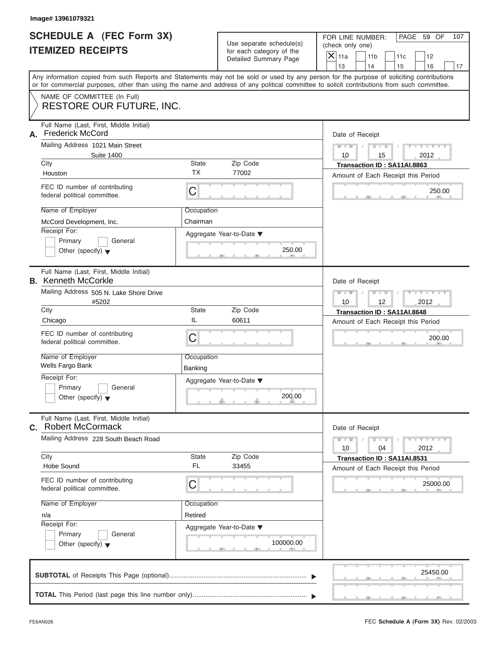| <b>SCHEDULE A (FEC Form 3X)</b> |  |
|---------------------------------|--|
| <b>ITEMIZED RECEIPTS</b>        |  |

| <b>SCHEDULE A (FEC Form 3X)</b><br>FOR LINE NUMBER:<br>PAGE 59 OF<br>Use separate schedule(s)<br>(check only one)<br><b>ITEMIZED RECEIPTS</b><br>for each category of the<br>$\overline{X}$ 11a<br>11 <sub>b</sub><br>11c<br>12<br>Detailed Summary Page<br>13<br>14<br>15<br>16<br>17<br>Any information copied from such Reports and Statements may not be sold or used by any person for the purpose of soliciting contributions<br>or for commercial purposes, other than using the name and address of any political committee to solicit contributions from such committee.<br>NAME OF COMMITTEE (In Full)<br><b>RESTORE OUR FUTURE, INC.</b><br>Full Name (Last, First, Middle Initial)<br><b>Frederick McCord</b><br>Date of Receipt<br>Mailing Address 1021 Main Street<br>$M - M$<br>$D$ $D$<br>$Y - Y - Y$<br>$\sqrt{ }$<br><b>Suite 1400</b><br>10<br>15<br>2012<br>City<br>State<br>Zip Code<br>Transaction ID: SA11AI.8863<br><b>TX</b><br>77002<br>Houston<br>Amount of Each Receipt this Period<br>FEC ID number of contributing<br>C<br>250.00<br>federal political committee.<br>Name of Employer<br>Occupation<br>Chairman<br>McCord Development, Inc.<br>Receipt For:<br>Aggregate Year-to-Date ▼<br>Primary<br>General<br>250.00<br>Other (specify) $\blacktriangledown$<br>Full Name (Last, First, Middle Initial)<br>Date of Receipt<br>Mailing Address 505 N. Lake Shore Drive<br>$M - M$<br>$D$ $D$<br>Y - Y - Y - Y<br>#5202<br>10<br>12<br>2012<br>City<br>State<br>Zip Code<br>Transaction ID: SA11AI.8648<br>IL<br>60611<br>Chicago<br>Amount of Each Receipt this Period<br>FEC ID number of contributing<br>C<br>200.00<br>federal political committee.<br>Name of Employer<br>Occupation<br>Wells Fargo Bank<br>Banking<br>Receipt For:<br>Aggregate Year-to-Date ▼<br>Primary<br>General<br>200.00<br>Other (specify) $\blacktriangledown$<br>Full Name (Last, First, Middle Initial)<br>Date of Receipt<br>Mailing Address 228 South Beach Road<br>$M - M$<br>$Y = Y$<br>$D - D$<br>2012<br>10<br>04<br>Zip Code<br>City<br>State<br>Transaction ID: SA11AI.8531<br><b>FL</b><br>33455<br><b>Hobe Sound</b><br>Amount of Each Receipt this Period<br>FEC ID number of contributing<br>С<br>25000.00<br>federal political committee.<br>Name of Employer<br>Occupation<br>Retired<br>n/a<br>Receipt For:<br>Aggregate Year-to-Date ▼<br>Primary<br>General<br>100000.00<br>Other (specify) $\blacktriangledown$<br>25450.00 | Image# 13961079321 |  |     |
|--------------------------------------------------------------------------------------------------------------------------------------------------------------------------------------------------------------------------------------------------------------------------------------------------------------------------------------------------------------------------------------------------------------------------------------------------------------------------------------------------------------------------------------------------------------------------------------------------------------------------------------------------------------------------------------------------------------------------------------------------------------------------------------------------------------------------------------------------------------------------------------------------------------------------------------------------------------------------------------------------------------------------------------------------------------------------------------------------------------------------------------------------------------------------------------------------------------------------------------------------------------------------------------------------------------------------------------------------------------------------------------------------------------------------------------------------------------------------------------------------------------------------------------------------------------------------------------------------------------------------------------------------------------------------------------------------------------------------------------------------------------------------------------------------------------------------------------------------------------------------------------------------------------------------------------------------------------------------------------------------------------------------------------------------------------------------------------------------------------------------------------------------------------------------------------------------------------------------------------------------------------------------------------------------------------------------------------------------------------------------------------------------------------------------------------------------------------|--------------------|--|-----|
| А.<br><b>B.</b> Kenneth McCorkle<br>C. Robert McCormack                                                                                                                                                                                                                                                                                                                                                                                                                                                                                                                                                                                                                                                                                                                                                                                                                                                                                                                                                                                                                                                                                                                                                                                                                                                                                                                                                                                                                                                                                                                                                                                                                                                                                                                                                                                                                                                                                                                                                                                                                                                                                                                                                                                                                                                                                                                                                                                                      |                    |  | 107 |
|                                                                                                                                                                                                                                                                                                                                                                                                                                                                                                                                                                                                                                                                                                                                                                                                                                                                                                                                                                                                                                                                                                                                                                                                                                                                                                                                                                                                                                                                                                                                                                                                                                                                                                                                                                                                                                                                                                                                                                                                                                                                                                                                                                                                                                                                                                                                                                                                                                                              |                    |  |     |
|                                                                                                                                                                                                                                                                                                                                                                                                                                                                                                                                                                                                                                                                                                                                                                                                                                                                                                                                                                                                                                                                                                                                                                                                                                                                                                                                                                                                                                                                                                                                                                                                                                                                                                                                                                                                                                                                                                                                                                                                                                                                                                                                                                                                                                                                                                                                                                                                                                                              |                    |  |     |
|                                                                                                                                                                                                                                                                                                                                                                                                                                                                                                                                                                                                                                                                                                                                                                                                                                                                                                                                                                                                                                                                                                                                                                                                                                                                                                                                                                                                                                                                                                                                                                                                                                                                                                                                                                                                                                                                                                                                                                                                                                                                                                                                                                                                                                                                                                                                                                                                                                                              |                    |  |     |
|                                                                                                                                                                                                                                                                                                                                                                                                                                                                                                                                                                                                                                                                                                                                                                                                                                                                                                                                                                                                                                                                                                                                                                                                                                                                                                                                                                                                                                                                                                                                                                                                                                                                                                                                                                                                                                                                                                                                                                                                                                                                                                                                                                                                                                                                                                                                                                                                                                                              |                    |  |     |
|                                                                                                                                                                                                                                                                                                                                                                                                                                                                                                                                                                                                                                                                                                                                                                                                                                                                                                                                                                                                                                                                                                                                                                                                                                                                                                                                                                                                                                                                                                                                                                                                                                                                                                                                                                                                                                                                                                                                                                                                                                                                                                                                                                                                                                                                                                                                                                                                                                                              |                    |  |     |
|                                                                                                                                                                                                                                                                                                                                                                                                                                                                                                                                                                                                                                                                                                                                                                                                                                                                                                                                                                                                                                                                                                                                                                                                                                                                                                                                                                                                                                                                                                                                                                                                                                                                                                                                                                                                                                                                                                                                                                                                                                                                                                                                                                                                                                                                                                                                                                                                                                                              |                    |  |     |
|                                                                                                                                                                                                                                                                                                                                                                                                                                                                                                                                                                                                                                                                                                                                                                                                                                                                                                                                                                                                                                                                                                                                                                                                                                                                                                                                                                                                                                                                                                                                                                                                                                                                                                                                                                                                                                                                                                                                                                                                                                                                                                                                                                                                                                                                                                                                                                                                                                                              |                    |  |     |

FEC **Schedule A (Form 3X)** Rev. 02/2003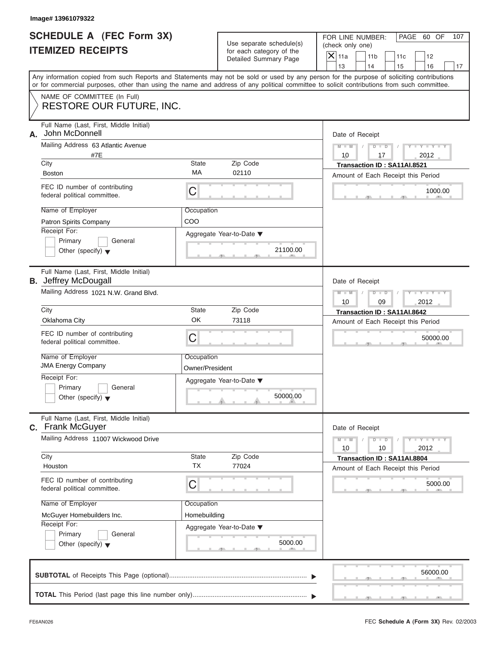|                          | SCHEDULE A (FEC Form 3X) |
|--------------------------|--------------------------|
| <b>ITEMIZED RECEIPTS</b> |                          |

| Image# 13961079322                                                                                                                                                                                                                                                                      |                               |                                                      |                                    |                                                    |           |                                                             |     |
|-----------------------------------------------------------------------------------------------------------------------------------------------------------------------------------------------------------------------------------------------------------------------------------------|-------------------------------|------------------------------------------------------|------------------------------------|----------------------------------------------------|-----------|-------------------------------------------------------------|-----|
| <b>SCHEDULE A (FEC Form 3X)</b><br><b>ITEMIZED RECEIPTS</b>                                                                                                                                                                                                                             |                               | Use separate schedule(s)<br>for each category of the |                                    | PAGE 60 OF<br>FOR LINE NUMBER:<br>(check only one) |           |                                                             | 107 |
|                                                                                                                                                                                                                                                                                         |                               | Detailed Summary Page                                | $\mathsf{X}$ 11a<br>13             | 11 <sub>b</sub><br>14                              | 11c<br>15 | 12<br>16                                                    | 17  |
| Any information copied from such Reports and Statements may not be sold or used by any person for the purpose of soliciting contributions<br>or for commercial purposes, other than using the name and address of any political committee to solicit contributions from such committee. |                               |                                                      |                                    |                                                    |           |                                                             |     |
| NAME OF COMMITTEE (In Full)<br><b>RESTORE OUR FUTURE, INC.</b>                                                                                                                                                                                                                          |                               |                                                      |                                    |                                                    |           |                                                             |     |
| Full Name (Last, First, Middle Initial)<br>John McDonnell<br>А.                                                                                                                                                                                                                         |                               |                                                      | Date of Receipt                    |                                                    |           |                                                             |     |
| Mailing Address 63 Atlantic Avenue<br>#7E                                                                                                                                                                                                                                               |                               |                                                      | $M - M$<br>10                      | $D - D$<br>17                                      |           | $Y - Y - Y - Y - Y$<br>2012                                 |     |
| City                                                                                                                                                                                                                                                                                    | State                         | Zip Code                                             |                                    | Transaction ID: SA11AI.8521                        |           |                                                             |     |
| <b>Boston</b>                                                                                                                                                                                                                                                                           | MA                            | 02110                                                |                                    | Amount of Each Receipt this Period                 |           |                                                             |     |
| FEC ID number of contributing<br>federal political committee.                                                                                                                                                                                                                           | С                             |                                                      |                                    |                                                    |           | 1000.00                                                     |     |
| Name of Employer                                                                                                                                                                                                                                                                        | Occupation                    |                                                      |                                    |                                                    |           |                                                             |     |
| Patron Spirits Company                                                                                                                                                                                                                                                                  | COO                           |                                                      |                                    |                                                    |           |                                                             |     |
| Receipt For:                                                                                                                                                                                                                                                                            |                               | Aggregate Year-to-Date ▼                             |                                    |                                                    |           |                                                             |     |
| Primary<br>General                                                                                                                                                                                                                                                                      |                               |                                                      |                                    |                                                    |           |                                                             |     |
| Other (specify) $\blacktriangledown$                                                                                                                                                                                                                                                    |                               | 21100.00                                             |                                    |                                                    |           |                                                             |     |
| Full Name (Last, First, Middle Initial)<br><b>B.</b> Jeffrey McDougall                                                                                                                                                                                                                  |                               |                                                      | Date of Receipt                    |                                                    |           |                                                             |     |
| Mailing Address 1021 N.W. Grand Blvd.                                                                                                                                                                                                                                                   |                               |                                                      | $M - M$                            | $D - I - D$                                        |           | Y T Y T Y T                                                 |     |
|                                                                                                                                                                                                                                                                                         |                               |                                                      | 10                                 | 09                                                 |           | 2012                                                        |     |
| City                                                                                                                                                                                                                                                                                    | State                         | Zip Code                                             |                                    | Transaction ID: SA11AI.8642                        |           |                                                             |     |
| Oklahoma City                                                                                                                                                                                                                                                                           | OK                            | 73118                                                | Amount of Each Receipt this Period |                                                    |           |                                                             |     |
| FEC ID number of contributing<br>federal political committee.                                                                                                                                                                                                                           | C                             |                                                      |                                    |                                                    |           | 50000.00                                                    |     |
| Name of Employer<br><b>JMA Energy Company</b>                                                                                                                                                                                                                                           | Occupation<br>Owner/President |                                                      |                                    |                                                    |           |                                                             |     |
| Receipt For:                                                                                                                                                                                                                                                                            |                               | Aggregate Year-to-Date ▼                             |                                    |                                                    |           |                                                             |     |
| Primary<br>General<br>Other (specify) $\blacktriangledown$                                                                                                                                                                                                                              |                               | 50000.00                                             |                                    |                                                    |           |                                                             |     |
| Full Name (Last, First, Middle Initial)<br>C. Frank McGuyer                                                                                                                                                                                                                             |                               |                                                      |                                    |                                                    |           |                                                             |     |
| Mailing Address 11007 Wickwood Drive                                                                                                                                                                                                                                                    |                               |                                                      | Date of Receipt<br>$M - M$<br>10   | $D$ $D$<br>10                                      |           | $\mathbf{I} = \mathbf{Y} + \mathbf{I} - \mathbf{Y}$<br>2012 |     |
| City                                                                                                                                                                                                                                                                                    | State                         | Zip Code                                             |                                    | Transaction ID: SA11AI.8804                        |           |                                                             |     |
| Houston                                                                                                                                                                                                                                                                                 | <b>TX</b>                     | 77024                                                |                                    | Amount of Each Receipt this Period                 |           |                                                             |     |
| FEC ID number of contributing<br>federal political committee.                                                                                                                                                                                                                           | С                             |                                                      |                                    |                                                    |           | 5000.00                                                     |     |
| Name of Employer                                                                                                                                                                                                                                                                        | Occupation                    |                                                      |                                    |                                                    |           |                                                             |     |
| McGuyer Homebuilders Inc.                                                                                                                                                                                                                                                               | Homebuilding                  |                                                      |                                    |                                                    |           |                                                             |     |
| Receipt For:                                                                                                                                                                                                                                                                            |                               | Aggregate Year-to-Date ▼                             |                                    |                                                    |           |                                                             |     |
| Primary<br>General                                                                                                                                                                                                                                                                      |                               |                                                      |                                    |                                                    |           |                                                             |     |
| Other (specify) $\blacktriangledown$                                                                                                                                                                                                                                                    |                               | 5000.00                                              |                                    |                                                    |           |                                                             |     |
|                                                                                                                                                                                                                                                                                         |                               |                                                      |                                    |                                                    |           | 56000.00                                                    |     |
|                                                                                                                                                                                                                                                                                         |                               |                                                      |                                    |                                                    |           |                                                             |     |
|                                                                                                                                                                                                                                                                                         |                               |                                                      |                                    |                                                    |           |                                                             |     |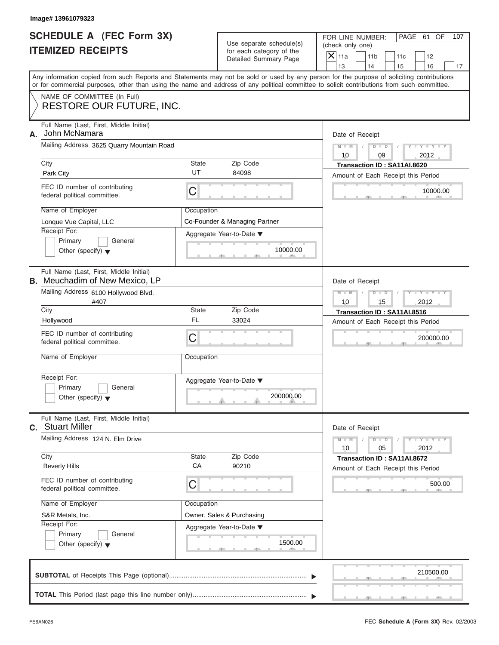| <b>SCHEDULE A (FEC Form 3X)</b> |  |  |
|---------------------------------|--|--|
| <b>ITEMIZED RECEIPTS</b>        |  |  |

|                                                             | Image# 13961079323                                                                                                                                                                                                                                                                                                                                                  |                                 |                                                                                       |                                                                                                                                                            |
|-------------------------------------------------------------|---------------------------------------------------------------------------------------------------------------------------------------------------------------------------------------------------------------------------------------------------------------------------------------------------------------------------------------------------------------------|---------------------------------|---------------------------------------------------------------------------------------|------------------------------------------------------------------------------------------------------------------------------------------------------------|
| <b>SCHEDULE A (FEC Form 3X)</b><br><b>ITEMIZED RECEIPTS</b> |                                                                                                                                                                                                                                                                                                                                                                     |                                 | Use separate schedule(s)<br>for each category of the<br>Detailed Summary Page         | FOR LINE NUMBER:<br>PAGE 61 OF<br>107<br>(check only one)<br>$\overline{X}$ 11a<br>11 <sub>b</sub><br>11c<br>12<br>13<br>14<br>15<br>16<br>17              |
|                                                             | or for commercial purposes, other than using the name and address of any political committee to solicit contributions from such committee.                                                                                                                                                                                                                          |                                 |                                                                                       | Any information copied from such Reports and Statements may not be sold or used by any person for the purpose of soliciting contributions                  |
|                                                             | NAME OF COMMITTEE (In Full)<br><b>RESTORE OUR FUTURE, INC.</b>                                                                                                                                                                                                                                                                                                      |                                 |                                                                                       |                                                                                                                                                            |
| А.                                                          | Full Name (Last, First, Middle Initial)<br>John McNamara<br>Mailing Address 3625 Quarry Mountain Road                                                                                                                                                                                                                                                               |                                 |                                                                                       | Date of Receipt<br>$D$ $\Box$ $D$<br>Y TYT<br>$M - M$<br>10<br>09<br>2012                                                                                  |
|                                                             | City<br>Park City                                                                                                                                                                                                                                                                                                                                                   | State<br>UT                     | Zip Code<br>84098                                                                     | Transaction ID: SA11AI.8620                                                                                                                                |
|                                                             | FEC ID number of contributing<br>federal political committee.                                                                                                                                                                                                                                                                                                       | C                               |                                                                                       | Amount of Each Receipt this Period<br>10000.00                                                                                                             |
|                                                             | Name of Employer<br>Lonque Vue Capital, LLC<br>Receipt For:<br>Primary<br>General<br>Other (specify) $\blacktriangledown$                                                                                                                                                                                                                                           | Occupation                      | Co-Founder & Managing Partner<br>Aggregate Year-to-Date ▼<br>10000.00                 |                                                                                                                                                            |
|                                                             | Full Name (Last, First, Middle Initial)<br><b>B.</b> Meuchadim of New Mexico, LP<br>Mailing Address 6100 Hollywood Blvd.<br>#407<br>City<br>Hollywood<br>FEC ID number of contributing<br>federal political committee.<br>Name of Employer<br>Receipt For:<br>Primary<br>General<br>Other (specify) $\blacktriangledown$<br>Full Name (Last, First, Middle Initial) | State<br>FL.<br>C<br>Occupation | Zip Code<br>33024<br>Aggregate Year-to-Date ▼<br>200000.00                            | Date of Receipt<br>$M - M$<br>$D$ $D$<br>Y I Y I Y I<br>10<br>15<br>2012<br>Transaction ID: SA11AI.8516<br>Amount of Each Receipt this Period<br>200000.00 |
|                                                             | C. Stuart Miller<br>Mailing Address 124 N. Elm Drive                                                                                                                                                                                                                                                                                                                |                                 |                                                                                       | Date of Receipt<br>$M - M$<br>$Y = Y$<br>$D - D$                                                                                                           |
|                                                             | City<br><b>Beverly Hills</b><br>FEC ID number of contributing<br>federal political committee.<br>Name of Employer<br>S&R Metals, Inc.<br>Receipt For:<br>Primary<br>General<br>Other (specify) $\blacktriangledown$                                                                                                                                                 | State<br>CA<br>С<br>Occupation  | Zip Code<br>90210<br>Owner, Sales & Purchasing<br>Aggregate Year-to-Date ▼<br>1500.00 | 2012<br>10<br>05<br>Transaction ID: SA11AI.8672<br>Amount of Each Receipt this Period<br>500.00                                                            |
|                                                             |                                                                                                                                                                                                                                                                                                                                                                     |                                 |                                                                                       | 210500.00                                                                                                                                                  |
|                                                             |                                                                                                                                                                                                                                                                                                                                                                     |                                 |                                                                                       |                                                                                                                                                            |

S S S , , .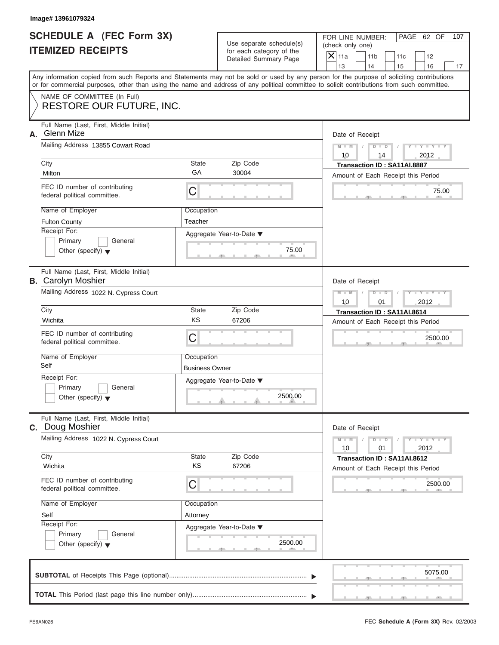| <b>SCHEDULE A (FEC Form 3X)</b> |  |  |
|---------------------------------|--|--|
| <b>ITEMIZED RECEIPTS</b>        |  |  |

|                                                             | Image# 13961079324                                                                                                                         |                                                                      |                                                                               |                                                                                                               |
|-------------------------------------------------------------|--------------------------------------------------------------------------------------------------------------------------------------------|----------------------------------------------------------------------|-------------------------------------------------------------------------------|---------------------------------------------------------------------------------------------------------------|
| <b>SCHEDULE A (FEC Form 3X)</b><br><b>ITEMIZED RECEIPTS</b> |                                                                                                                                            |                                                                      | Use separate schedule(s)<br>for each category of the<br>Detailed Summary Page | FOR LINE NUMBER:<br>PAGE 62 OF<br>107<br>(check only one)<br>$\mathsf{X}$ 11a<br>11 <sub>b</sub><br>11c<br>12 |
|                                                             | Any information copied from such Reports and Statements may not be sold or used by any person for the purpose of soliciting contributions  |                                                                      |                                                                               | 13<br>14<br>15<br>16<br>17                                                                                    |
|                                                             | or for commercial purposes, other than using the name and address of any political committee to solicit contributions from such committee. |                                                                      |                                                                               |                                                                                                               |
|                                                             | NAME OF COMMITTEE (In Full)<br>RESTORE OUR FUTURE, INC.                                                                                    |                                                                      |                                                                               |                                                                                                               |
| А.                                                          | Full Name (Last, First, Middle Initial)<br>Glenn Mize                                                                                      |                                                                      |                                                                               | Date of Receipt                                                                                               |
|                                                             | Mailing Address 13855 Cowart Road                                                                                                          | $Y - Y - Y - Y - Y$<br>$D$ $\Box$ $D$<br>$M - M$<br>10<br>2012<br>14 |                                                                               |                                                                                                               |
|                                                             | City<br>Milton                                                                                                                             | State<br>GA                                                          | Zip Code<br>30004                                                             | Transaction ID: SA11AI.8887<br>Amount of Each Receipt this Period                                             |
|                                                             | FEC ID number of contributing<br>federal political committee.                                                                              | С                                                                    |                                                                               | 75.00                                                                                                         |
|                                                             | Name of Employer<br><b>Fulton County</b>                                                                                                   | Occupation<br>Teacher                                                |                                                                               |                                                                                                               |
|                                                             | Receipt For:<br>Primary<br>General<br>Other (specify) $\blacktriangledown$                                                                 |                                                                      | Aggregate Year-to-Date ▼<br>75.00                                             |                                                                                                               |
|                                                             | Full Name (Last, First, Middle Initial)<br><b>B.</b> Carolyn Moshier                                                                       |                                                                      |                                                                               | Date of Receipt                                                                                               |
|                                                             | Mailing Address 1022 N. Cypress Court                                                                                                      | $M - M$<br>$D$ $D$<br>Y I Y I Y I<br>10<br>01<br>2012                |                                                                               |                                                                                                               |
|                                                             | City                                                                                                                                       | State<br>KS                                                          | Zip Code                                                                      | Transaction ID: SA11AI.8614                                                                                   |
|                                                             | Wichita<br>FEC ID number of contributing<br>federal political committee.                                                                   | С                                                                    | 67206                                                                         | Amount of Each Receipt this Period<br>2500.00                                                                 |
|                                                             | Name of Employer<br>Self                                                                                                                   | Occupation<br><b>Business Owner</b>                                  |                                                                               |                                                                                                               |
|                                                             | Receipt For:<br>Primary<br>General<br>Other (specify) $\blacktriangledown$                                                                 |                                                                      | Aggregate Year-to-Date ▼<br>2500.00                                           |                                                                                                               |
|                                                             | Full Name (Last, First, Middle Initial)<br>C. Doug Moshier                                                                                 |                                                                      |                                                                               | Date of Receipt                                                                                               |
|                                                             | Mailing Address 1022 N. Cypress Court                                                                                                      | $Y - Y - I$<br>$M - M$<br>$D$ $D$<br>2012<br>10<br>01                |                                                                               |                                                                                                               |
|                                                             | City<br>Wichita                                                                                                                            | State<br>KS                                                          | Zip Code<br>67206                                                             | Transaction ID: SA11AI.8612<br>Amount of Each Receipt this Period                                             |
|                                                             | FEC ID number of contributing<br>federal political committee.                                                                              | С                                                                    |                                                                               | 2500.00                                                                                                       |
|                                                             | Name of Employer                                                                                                                           | Occupation                                                           |                                                                               |                                                                                                               |
|                                                             | Self<br>Receipt For:                                                                                                                       | Attorney                                                             | Aggregate Year-to-Date ▼                                                      |                                                                                                               |
|                                                             | Primary<br>General<br>Other (specify) $\blacktriangledown$                                                                                 |                                                                      | 2500.00                                                                       |                                                                                                               |
|                                                             |                                                                                                                                            |                                                                      |                                                                               | 5075.00                                                                                                       |
|                                                             |                                                                                                                                            |                                                                      |                                                                               |                                                                                                               |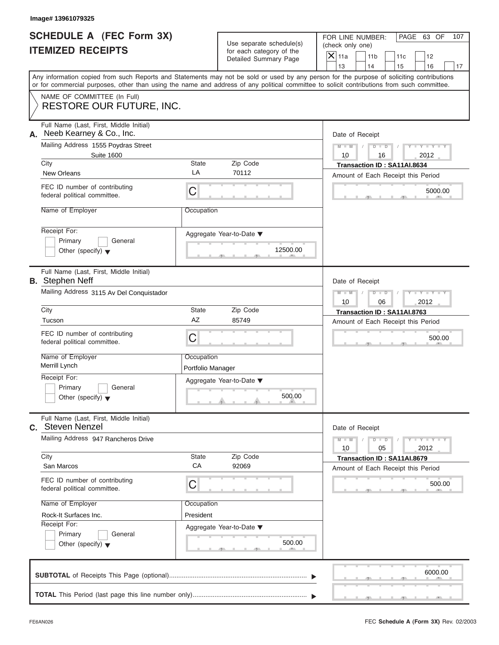|                          | <b>SCHEDULE A (FEC Form 3X)</b> |
|--------------------------|---------------------------------|
| <b>ITEMIZED RECEIPTS</b> |                                 |

|                                                      | Image# 13961079325                                                                                                                         |                                                               |                                                                               |                                                                                                                                           |
|------------------------------------------------------|--------------------------------------------------------------------------------------------------------------------------------------------|---------------------------------------------------------------|-------------------------------------------------------------------------------|-------------------------------------------------------------------------------------------------------------------------------------------|
| SCHEDULE A (FEC Form 3X)<br><b>ITEMIZED RECEIPTS</b> |                                                                                                                                            |                                                               | Use separate schedule(s)<br>for each category of the<br>Detailed Summary Page | FOR LINE NUMBER:<br>PAGE 63 OF<br>107<br>(check only one)<br>$X$ 11a<br>11 <sub>b</sub><br>11c<br>12                                      |
|                                                      |                                                                                                                                            |                                                               |                                                                               | 13<br>14<br>15<br>16<br>17                                                                                                                |
|                                                      | or for commercial purposes, other than using the name and address of any political committee to solicit contributions from such committee. |                                                               |                                                                               | Any information copied from such Reports and Statements may not be sold or used by any person for the purpose of soliciting contributions |
|                                                      | NAME OF COMMITTEE (In Full)<br>RESTORE OUR FUTURE, INC.                                                                                    |                                                               |                                                                               |                                                                                                                                           |
| А.                                                   | Full Name (Last, First, Middle Initial)<br>Neeb Kearney & Co., Inc.                                                                        |                                                               |                                                                               | Date of Receipt                                                                                                                           |
|                                                      | Mailing Address 1555 Poydras Street<br><b>Suite 1600</b>                                                                                   |                                                               |                                                                               | $Y - Y - Y - Y - Y$<br>$D$ $D$<br>$M - M$<br>10<br>2012<br>16                                                                             |
|                                                      | City                                                                                                                                       | State                                                         | Zip Code                                                                      | Transaction ID: SA11AI.8634                                                                                                               |
|                                                      | <b>New Orleans</b>                                                                                                                         | LA                                                            | 70112                                                                         | Amount of Each Receipt this Period                                                                                                        |
|                                                      | FEC ID number of contributing<br>federal political committee.                                                                              | C                                                             |                                                                               | 5000.00                                                                                                                                   |
|                                                      | Name of Employer                                                                                                                           | Occupation                                                    |                                                                               |                                                                                                                                           |
|                                                      | Receipt For:<br>Primary<br>General<br>Other (specify) $\blacktriangledown$                                                                 |                                                               | Aggregate Year-to-Date ▼<br>12500.00                                          |                                                                                                                                           |
|                                                      | Full Name (Last, First, Middle Initial)<br><b>B.</b> Stephen Neff                                                                          |                                                               |                                                                               | Date of Receipt                                                                                                                           |
|                                                      | Mailing Address 3115 Av Del Conquistador                                                                                                   | Y T Y T Y T<br>$M - M$<br>$D$ $D$                             |                                                                               |                                                                                                                                           |
|                                                      | City                                                                                                                                       | 10<br>06<br>2012<br>Transaction ID: SA11AI.8763               |                                                                               |                                                                                                                                           |
|                                                      | Tucson                                                                                                                                     | AZ                                                            | Zip Code<br>85749                                                             | Amount of Each Receipt this Period                                                                                                        |
|                                                      | FEC ID number of contributing<br>federal political committee.                                                                              | C                                                             |                                                                               | 500.00                                                                                                                                    |
|                                                      | Name of Employer<br>Merrill Lynch                                                                                                          | Occupation<br>Portfolio Manager                               |                                                                               |                                                                                                                                           |
|                                                      | Receipt For:                                                                                                                               |                                                               | Aggregate Year-to-Date ▼                                                      |                                                                                                                                           |
|                                                      | Primary<br>General<br>Other (specify) $\blacktriangledown$                                                                                 |                                                               | 500.00                                                                        |                                                                                                                                           |
|                                                      | Full Name (Last, First, Middle Initial)<br><b>c.</b> Steven Nenzel                                                                         |                                                               |                                                                               | Date of Receipt                                                                                                                           |
|                                                      | Mailing Address 947 Rancheros Drive                                                                                                        | $Y - Y - Y - Y - I$<br>$M - M$<br>$D$ $D$<br>2012<br>10<br>05 |                                                                               |                                                                                                                                           |
|                                                      | City<br>San Marcos                                                                                                                         | State<br>CA                                                   | Zip Code<br>92069                                                             | Transaction ID: SA11AI.8679<br>Amount of Each Receipt this Period                                                                         |
|                                                      | FEC ID number of contributing<br>federal political committee.                                                                              | С                                                             |                                                                               | 500.00                                                                                                                                    |
|                                                      | Name of Employer                                                                                                                           | Occupation                                                    |                                                                               |                                                                                                                                           |
|                                                      | Rock-It Surfaces Inc.                                                                                                                      | President                                                     |                                                                               |                                                                                                                                           |
|                                                      | Receipt For:                                                                                                                               |                                                               | Aggregate Year-to-Date ▼                                                      |                                                                                                                                           |
|                                                      | Primary<br>General<br>Other (specify) $\blacktriangledown$                                                                                 |                                                               | 500.00                                                                        |                                                                                                                                           |
|                                                      |                                                                                                                                            |                                                               |                                                                               | 6000.00                                                                                                                                   |
|                                                      |                                                                                                                                            |                                                               |                                                                               |                                                                                                                                           |

S S S , , .

سي ال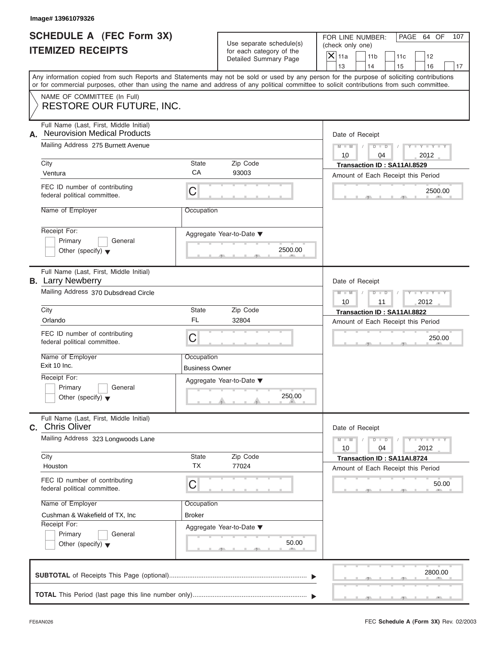| <b>SCHEDULE A (FEC Form 3X)</b> |  |  |
|---------------------------------|--|--|
| <b>ITEMIZED RECEIPTS</b>        |  |  |

|                                                                                                                                                                                                          | Image# 13961079326                                                                                                                                                        |                                                               |                                                                               |                                                                                                               |
|----------------------------------------------------------------------------------------------------------------------------------------------------------------------------------------------------------|---------------------------------------------------------------------------------------------------------------------------------------------------------------------------|---------------------------------------------------------------|-------------------------------------------------------------------------------|---------------------------------------------------------------------------------------------------------------|
| <b>SCHEDULE A (FEC Form 3X)</b><br><b>ITEMIZED RECEIPTS</b><br>Any information copied from such Reports and Statements may not be sold or used by any person for the purpose of soliciting contributions |                                                                                                                                                                           |                                                               | Use separate schedule(s)<br>for each category of the<br>Detailed Summary Page | PAGE 64 OF<br>FOR LINE NUMBER:<br>107<br>(check only one)<br>$\mathsf{X}$ 11a<br>11 <sub>b</sub><br>11c<br>12 |
|                                                                                                                                                                                                          |                                                                                                                                                                           |                                                               |                                                                               | 13<br>14<br>15<br>16<br>17                                                                                    |
|                                                                                                                                                                                                          | or for commercial purposes, other than using the name and address of any political committee to solicit contributions from such committee.<br>NAME OF COMMITTEE (In Full) |                                                               |                                                                               |                                                                                                               |
|                                                                                                                                                                                                          | RESTORE OUR FUTURE, INC.                                                                                                                                                  |                                                               |                                                                               |                                                                                                               |
| А.                                                                                                                                                                                                       | Full Name (Last, First, Middle Initial)<br><b>Neurovision Medical Products</b>                                                                                            |                                                               |                                                                               | Date of Receipt                                                                                               |
|                                                                                                                                                                                                          | Mailing Address 275 Burnett Avenue                                                                                                                                        | $Y - Y - Y - Y - Y$<br>$D$ $D$<br>$M - M$<br>10<br>2012<br>04 |                                                                               |                                                                                                               |
|                                                                                                                                                                                                          | City<br>Ventura                                                                                                                                                           | State<br>CA                                                   | Zip Code<br>93003                                                             | Transaction ID: SA11AI.8529                                                                                   |
|                                                                                                                                                                                                          | FEC ID number of contributing                                                                                                                                             | С                                                             |                                                                               | Amount of Each Receipt this Period<br>2500.00                                                                 |
|                                                                                                                                                                                                          | federal political committee.<br>Name of Employer                                                                                                                          | Occupation                                                    |                                                                               |                                                                                                               |
|                                                                                                                                                                                                          |                                                                                                                                                                           |                                                               |                                                                               |                                                                                                               |
|                                                                                                                                                                                                          | Receipt For:<br>Primary<br>General<br>Other (specify) $\blacktriangledown$                                                                                                |                                                               | Aggregate Year-to-Date ▼<br>2500.00                                           |                                                                                                               |
|                                                                                                                                                                                                          | Full Name (Last, First, Middle Initial)<br><b>B.</b> Larry Newberry                                                                                                       |                                                               |                                                                               | Date of Receipt                                                                                               |
|                                                                                                                                                                                                          | Mailing Address 370 Dubsdread Circle                                                                                                                                      | $Y - Y - Y - Y - Y$<br>$M - M$<br>$D$ $D$<br>10<br>2012<br>11 |                                                                               |                                                                                                               |
|                                                                                                                                                                                                          | City                                                                                                                                                                      | State                                                         | Zip Code                                                                      | Transaction ID: SA11AI.8822                                                                                   |
|                                                                                                                                                                                                          | Orlando                                                                                                                                                                   | <b>FL</b>                                                     | 32804                                                                         | Amount of Each Receipt this Period                                                                            |
|                                                                                                                                                                                                          | FEC ID number of contributing<br>federal political committee.                                                                                                             | С                                                             |                                                                               | 250.00                                                                                                        |
|                                                                                                                                                                                                          | Name of Employer<br>Exit 10 Inc.                                                                                                                                          | Occupation<br><b>Business Owner</b>                           |                                                                               |                                                                                                               |
|                                                                                                                                                                                                          | Receipt For:                                                                                                                                                              |                                                               | Aggregate Year-to-Date ▼                                                      |                                                                                                               |
|                                                                                                                                                                                                          | Primary<br>General<br>Other (specify) $\blacktriangledown$                                                                                                                |                                                               | 250.00                                                                        |                                                                                                               |
|                                                                                                                                                                                                          | Full Name (Last, First, Middle Initial)<br>C. Chris Oliver                                                                                                                |                                                               |                                                                               | Date of Receipt                                                                                               |
|                                                                                                                                                                                                          | Mailing Address 323 Longwoods Lane                                                                                                                                        |                                                               |                                                                               | $Y = Y$<br>$M - M$<br>$\overline{D}$<br>$\Box$<br>2012<br>10<br>04                                            |
|                                                                                                                                                                                                          | City<br>Houston                                                                                                                                                           | State<br><b>TX</b>                                            | Zip Code<br>77024                                                             | Transaction ID: SA11AI.8724<br>Amount of Each Receipt this Period                                             |
|                                                                                                                                                                                                          | FEC ID number of contributing<br>federal political committee.                                                                                                             | С                                                             |                                                                               | 50.00                                                                                                         |
|                                                                                                                                                                                                          | Name of Employer                                                                                                                                                          | Occupation                                                    |                                                                               |                                                                                                               |
|                                                                                                                                                                                                          | Cushman & Wakefield of TX, Inc<br>Receipt For:                                                                                                                            | Broker                                                        |                                                                               |                                                                                                               |
|                                                                                                                                                                                                          | Primary<br>General                                                                                                                                                        |                                                               | Aggregate Year-to-Date ▼                                                      |                                                                                                               |
|                                                                                                                                                                                                          | Other (specify) $\blacktriangledown$                                                                                                                                      |                                                               | 50.00                                                                         |                                                                                                               |
|                                                                                                                                                                                                          |                                                                                                                                                                           |                                                               |                                                                               | 2800.00                                                                                                       |
|                                                                                                                                                                                                          |                                                                                                                                                                           |                                                               |                                                                               |                                                                                                               |
|                                                                                                                                                                                                          |                                                                                                                                                                           |                                                               |                                                                               |                                                                                                               |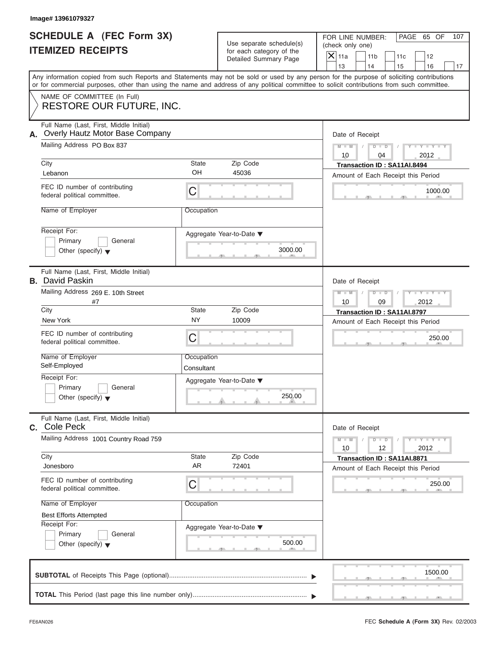| Image# 13961079327                                                                                                                                                                                                                                                                      |                                       |                                                      |                        |                                                                          |                                    |                             |     |
|-----------------------------------------------------------------------------------------------------------------------------------------------------------------------------------------------------------------------------------------------------------------------------------------|---------------------------------------|------------------------------------------------------|------------------------|--------------------------------------------------------------------------|------------------------------------|-----------------------------|-----|
| SCHEDULE A (FEC Form 3X)<br><b>ITEMIZED RECEIPTS</b>                                                                                                                                                                                                                                    |                                       | Use separate schedule(s)<br>for each category of the | (check only one)       | FOR LINE NUMBER:                                                         |                                    | PAGE 65 OF                  | 107 |
|                                                                                                                                                                                                                                                                                         |                                       | Detailed Summary Page                                | $\mathsf{X}$ 11a<br>13 | 11 <sub>b</sub><br>14                                                    | 11c                                | 12                          |     |
| Any information copied from such Reports and Statements may not be sold or used by any person for the purpose of soliciting contributions<br>or for commercial purposes, other than using the name and address of any political committee to solicit contributions from such committee. |                                       |                                                      |                        |                                                                          | 15                                 | 16                          | 17  |
| NAME OF COMMITTEE (In Full)<br>RESTORE OUR FUTURE, INC.                                                                                                                                                                                                                                 |                                       |                                                      |                        |                                                                          |                                    |                             |     |
| Full Name (Last, First, Middle Initial)<br>Overly Hautz Motor Base Company<br>А.                                                                                                                                                                                                        |                                       |                                                      |                        | Date of Receipt                                                          |                                    |                             |     |
| Mailing Address PO Box 837                                                                                                                                                                                                                                                              |                                       |                                                      | $M - M$<br>10          | $D$ $D$<br>04                                                            |                                    | $Y - Y - Y - Y - I$<br>2012 |     |
| City<br>Lebanon                                                                                                                                                                                                                                                                         | State<br>OH                           | Zip Code<br>45036                                    |                        | Transaction ID: SA11AI.8494                                              |                                    |                             |     |
| FEC ID number of contributing<br>federal political committee.                                                                                                                                                                                                                           | C                                     |                                                      |                        | Amount of Each Receipt this Period                                       |                                    | 1000.00                     |     |
| Name of Employer                                                                                                                                                                                                                                                                        | Occupation                            |                                                      |                        |                                                                          |                                    |                             |     |
| Receipt For:<br>Primary<br>General<br>Other (specify) $\blacktriangledown$                                                                                                                                                                                                              |                                       | Aggregate Year-to-Date ▼<br>3000.00                  |                        |                                                                          |                                    |                             |     |
| Full Name (Last, First, Middle Initial)<br><b>B.</b> David Paskin                                                                                                                                                                                                                       |                                       |                                                      |                        | Date of Receipt                                                          |                                    |                             |     |
| Mailing Address 269 E. 10th Street<br>#7                                                                                                                                                                                                                                                |                                       |                                                      | $M - M$<br>10          | $D$ $D$<br>09                                                            |                                    | Y T Y T Y T<br>2012         |     |
| City                                                                                                                                                                                                                                                                                    | State                                 | Zip Code                                             |                        | Transaction ID: SA11AI.8797                                              |                                    |                             |     |
| New York                                                                                                                                                                                                                                                                                |                                       | <b>NY</b><br>10009                                   |                        |                                                                          | Amount of Each Receipt this Period |                             |     |
| FEC ID number of contributing<br>federal political committee.                                                                                                                                                                                                                           | C                                     |                                                      |                        |                                                                          |                                    | 250.00                      |     |
| Name of Employer<br>Self-Employed                                                                                                                                                                                                                                                       | Occupation<br>Consultant              |                                                      |                        |                                                                          |                                    |                             |     |
| Receipt For:<br>Primary<br>General<br>Other (specify) $\blacktriangledown$                                                                                                                                                                                                              |                                       | Aggregate Year-to-Date ▼<br>250.00                   |                        |                                                                          |                                    |                             |     |
| Full Name (Last, First, Middle Initial)<br>Cole Peck<br>C.                                                                                                                                                                                                                              |                                       |                                                      |                        | Date of Receipt                                                          |                                    |                             |     |
|                                                                                                                                                                                                                                                                                         | Mailing Address 1001 Country Road 759 |                                                      |                        |                                                                          |                                    | $Y - Y - Y - Y - I$<br>2012 |     |
| City<br>Jonesboro                                                                                                                                                                                                                                                                       | State<br>AR                           | Zip Code<br>72401                                    |                        | <b>Transaction ID: SA11AI.8871</b><br>Amount of Each Receipt this Period |                                    |                             |     |
| FEC ID number of contributing<br>federal political committee.                                                                                                                                                                                                                           | С                                     |                                                      |                        |                                                                          |                                    | 250.00                      |     |
| Name of Employer<br><b>Best Efforts Attempted</b>                                                                                                                                                                                                                                       | Occupation                            |                                                      |                        |                                                                          |                                    |                             |     |
| Receipt For:<br>Primary<br>General<br>Other (specify) $\blacktriangledown$                                                                                                                                                                                                              |                                       | Aggregate Year-to-Date ▼<br>500.00                   |                        |                                                                          |                                    |                             |     |
|                                                                                                                                                                                                                                                                                         |                                       |                                                      |                        |                                                                          |                                    | 1500.00                     |     |
|                                                                                                                                                                                                                                                                                         |                                       |                                                      |                        |                                                                          |                                    |                             |     |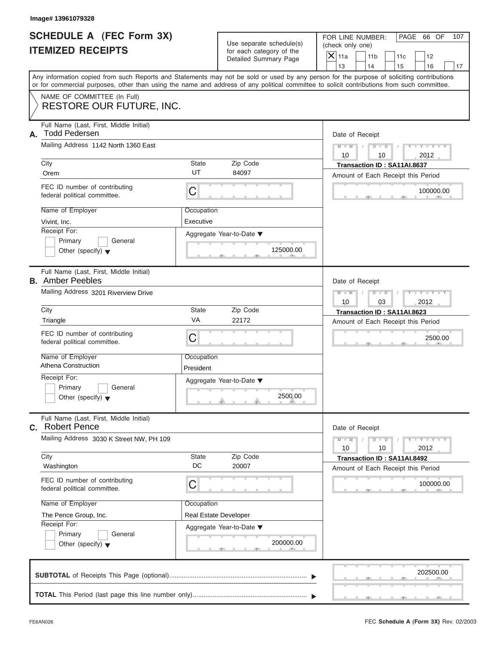| <b>SCHEDULE A (FEC Form 3X)</b> |  |  |
|---------------------------------|--|--|
| <b>ITEMIZED RECEIPTS</b>        |  |  |

|                                                             | Image# 13961079328                                                                                                                                                        |                                                                    |                                                                               |                                                                                                                                                                         |
|-------------------------------------------------------------|---------------------------------------------------------------------------------------------------------------------------------------------------------------------------|--------------------------------------------------------------------|-------------------------------------------------------------------------------|-------------------------------------------------------------------------------------------------------------------------------------------------------------------------|
| <b>SCHEDULE A (FEC Form 3X)</b><br><b>ITEMIZED RECEIPTS</b> |                                                                                                                                                                           |                                                                    | Use separate schedule(s)<br>for each category of the<br>Detailed Summary Page | FOR LINE NUMBER:<br>PAGE 66 OF<br>107<br>(check only one)<br>$\mathsf{X} _{\mathsf{11a}}$<br>11 <sub>b</sub><br>11c<br>12                                               |
|                                                             |                                                                                                                                                                           |                                                                    |                                                                               | 13<br>14<br>15<br>16<br>17<br>Any information copied from such Reports and Statements may not be sold or used by any person for the purpose of soliciting contributions |
|                                                             | or for commercial purposes, other than using the name and address of any political committee to solicit contributions from such committee.<br>NAME OF COMMITTEE (In Full) |                                                                    |                                                                               |                                                                                                                                                                         |
|                                                             | <b>RESTORE OUR FUTURE, INC.</b>                                                                                                                                           |                                                                    |                                                                               |                                                                                                                                                                         |
| А.                                                          | Full Name (Last, First, Middle Initial)<br><b>Todd Pedersen</b>                                                                                                           |                                                                    |                                                                               | Date of Receipt                                                                                                                                                         |
|                                                             | Mailing Address 1142 North 1360 East                                                                                                                                      |                                                                    |                                                                               | $D - D$<br>$Y - Y - Y - Y - Y$<br>$M - M$<br>10<br>2012<br>10                                                                                                           |
|                                                             | City<br>Orem                                                                                                                                                              | <b>State</b><br>UT                                                 | Zip Code<br>84097                                                             | Transaction ID: SA11AI.8637                                                                                                                                             |
|                                                             | FEC ID number of contributing<br>federal political committee.                                                                                                             | C                                                                  |                                                                               | Amount of Each Receipt this Period<br>100000.00                                                                                                                         |
|                                                             | Name of Employer<br>Vivint, Inc.                                                                                                                                          | Occupation<br>Executive                                            |                                                                               |                                                                                                                                                                         |
|                                                             | Receipt For:<br>Primary<br>General<br>Other (specify) $\blacktriangledown$                                                                                                |                                                                    | Aggregate Year-to-Date ▼<br>125000.00                                         |                                                                                                                                                                         |
|                                                             | Full Name (Last, First, Middle Initial)<br><b>B.</b> Amber Peebles                                                                                                        |                                                                    |                                                                               | Date of Receipt                                                                                                                                                         |
|                                                             | Mailing Address 3201 Riverview Drive                                                                                                                                      | $Y - Y - Y - Y - Y$<br>$M - M$<br>$D$ $D$<br>10<br>03<br>2012      |                                                                               |                                                                                                                                                                         |
|                                                             | City                                                                                                                                                                      | <b>State</b><br>VA                                                 | Zip Code<br>22172                                                             | Transaction ID: SA11AI.8623                                                                                                                                             |
|                                                             | Triangle<br>FEC ID number of contributing<br>federal political committee.                                                                                                 | C                                                                  |                                                                               | Amount of Each Receipt this Period<br>2500.00                                                                                                                           |
|                                                             | Name of Employer<br><b>Athena Construction</b>                                                                                                                            | Occupation<br>President                                            |                                                                               |                                                                                                                                                                         |
|                                                             | Receipt For:<br>Primary<br>General<br>Other (specify) $\blacktriangledown$                                                                                                |                                                                    | Aggregate Year-to-Date ▼<br>2500.00                                           |                                                                                                                                                                         |
| C.                                                          | Full Name (Last, First, Middle Initial)<br><b>Robert Pence</b>                                                                                                            |                                                                    |                                                                               | Date of Receipt                                                                                                                                                         |
|                                                             | Mailing Address 3030 K Street NW, PH 109                                                                                                                                  | $Y = Y$<br>$M - M$<br>$\overline{D}$<br>$\Box$<br>2012<br>10<br>10 |                                                                               |                                                                                                                                                                         |
|                                                             | City<br>Washington                                                                                                                                                        | State<br>DC                                                        | Zip Code<br>20007                                                             | Transaction ID: SA11AI.8492<br>Amount of Each Receipt this Period                                                                                                       |
|                                                             | FEC ID number of contributing<br>federal political committee.                                                                                                             | C                                                                  |                                                                               | 100000.00                                                                                                                                                               |
|                                                             | Name of Employer                                                                                                                                                          | Occupation                                                         |                                                                               |                                                                                                                                                                         |
|                                                             | The Pence Group, Inc.<br>Receipt For:                                                                                                                                     |                                                                    | Real Estate Developer                                                         |                                                                                                                                                                         |
|                                                             | Primary<br>General<br>Other (specify) $\blacktriangledown$                                                                                                                |                                                                    | Aggregate Year-to-Date ▼<br>200000.00                                         |                                                                                                                                                                         |
|                                                             |                                                                                                                                                                           |                                                                    |                                                                               | 202500.00                                                                                                                                                               |
|                                                             |                                                                                                                                                                           |                                                                    |                                                                               |                                                                                                                                                                         |

 $\overline{y}$  , . . . . . . . . . . .  $\overline{y}$  , .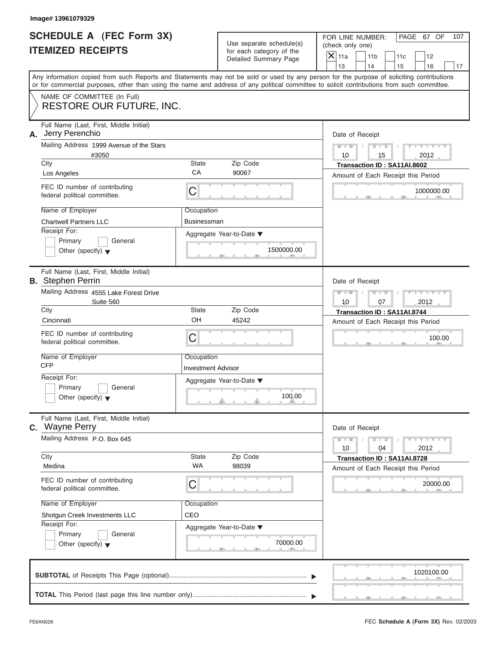|                          | <b>SCHEDULE A (FEC Form 3X)</b> |
|--------------------------|---------------------------------|
| <b>ITEMIZED RECEIPTS</b> |                                 |

|                                                             | Image# 13961079329                                                                                                                         |                                                               |                                                                               |                                                                                                                                                                         |
|-------------------------------------------------------------|--------------------------------------------------------------------------------------------------------------------------------------------|---------------------------------------------------------------|-------------------------------------------------------------------------------|-------------------------------------------------------------------------------------------------------------------------------------------------------------------------|
| <b>SCHEDULE A (FEC Form 3X)</b><br><b>ITEMIZED RECEIPTS</b> |                                                                                                                                            |                                                               | Use separate schedule(s)<br>for each category of the<br>Detailed Summary Page | FOR LINE NUMBER:<br>PAGE 67 OF<br>107<br>(check only one)<br>$\mathsf{X} _{\mathsf{11a}}$<br>11 <sub>b</sub><br>11c<br>12                                               |
|                                                             | or for commercial purposes, other than using the name and address of any political committee to solicit contributions from such committee. |                                                               |                                                                               | 13<br>14<br>15<br>16<br>17<br>Any information copied from such Reports and Statements may not be sold or used by any person for the purpose of soliciting contributions |
|                                                             | NAME OF COMMITTEE (In Full)<br><b>RESTORE OUR FUTURE, INC.</b>                                                                             |                                                               |                                                                               |                                                                                                                                                                         |
| А.                                                          | Full Name (Last, First, Middle Initial)<br>Jerry Perenchio                                                                                 |                                                               |                                                                               | Date of Receipt                                                                                                                                                         |
|                                                             | Mailing Address 1999 Avenue of the Stars                                                                                                   |                                                               |                                                                               | $D - D$<br>$Y - Y - Y - Y - Y$<br>$M - M$<br>10                                                                                                                         |
|                                                             | #3050<br>City                                                                                                                              | <b>State</b>                                                  | Zip Code                                                                      | 15<br>2012<br>Transaction ID: SA11AI.8602                                                                                                                               |
|                                                             | Los Angeles                                                                                                                                | CA                                                            | 90067                                                                         | Amount of Each Receipt this Period                                                                                                                                      |
|                                                             | FEC ID number of contributing<br>federal political committee.                                                                              | C                                                             |                                                                               | 1000000.00                                                                                                                                                              |
|                                                             | Name of Employer                                                                                                                           | Occupation                                                    |                                                                               |                                                                                                                                                                         |
|                                                             | <b>Chartwell Partners LLC</b>                                                                                                              | Businessman                                                   |                                                                               |                                                                                                                                                                         |
|                                                             | Receipt For:<br>Primary<br>General<br>Other (specify) $\blacktriangledown$                                                                 |                                                               | Aggregate Year-to-Date ▼<br>1500000.00                                        |                                                                                                                                                                         |
|                                                             | Full Name (Last, First, Middle Initial)<br><b>B.</b> Stephen Perrin                                                                        |                                                               |                                                                               | Date of Receipt                                                                                                                                                         |
|                                                             | Mailing Address 4555 Lake Forest Drive<br>Suite 560                                                                                        | $Y - Y - Y - Y - Y$<br>$M - M$<br>$D$ $D$<br>10<br>07<br>2012 |                                                                               |                                                                                                                                                                         |
|                                                             | City                                                                                                                                       | <b>State</b>                                                  | Zip Code                                                                      | Transaction ID: SA11AI.8744                                                                                                                                             |
|                                                             | Cincinnati                                                                                                                                 | OH                                                            | 45242                                                                         | Amount of Each Receipt this Period                                                                                                                                      |
|                                                             | FEC ID number of contributing<br>federal political committee.                                                                              | C                                                             |                                                                               | 100.00                                                                                                                                                                  |
|                                                             | Name of Employer<br><b>CFP</b>                                                                                                             | Occupation<br><b>Investment Advisor</b>                       |                                                                               |                                                                                                                                                                         |
|                                                             | Receipt For:                                                                                                                               |                                                               | Aggregate Year-to-Date ▼                                                      |                                                                                                                                                                         |
|                                                             | Primary<br>General<br>Other (specify) $\blacktriangledown$                                                                                 |                                                               | 100.00                                                                        |                                                                                                                                                                         |
|                                                             | Full Name (Last, First, Middle Initial)<br>C. Wayne Perry                                                                                  |                                                               |                                                                               | Date of Receipt                                                                                                                                                         |
|                                                             | Mailing Address P.O. Box 645                                                                                                               | $Y = Y$<br>$M - M$<br>$D$ $D$<br>2012<br>10<br>04             |                                                                               |                                                                                                                                                                         |
|                                                             | City<br>Medina                                                                                                                             | <b>State</b><br><b>WA</b>                                     | Zip Code<br>98039                                                             | Transaction ID: SA11AI.8728<br>Amount of Each Receipt this Period                                                                                                       |
|                                                             | FEC ID number of contributing<br>federal political committee.                                                                              | C                                                             |                                                                               | 20000.00                                                                                                                                                                |
|                                                             | Name of Employer                                                                                                                           | Occupation                                                    |                                                                               |                                                                                                                                                                         |
|                                                             | Shotgun Creek Investments LLC                                                                                                              | CEO                                                           |                                                                               |                                                                                                                                                                         |
|                                                             | Receipt For:<br>Primary<br>General                                                                                                         |                                                               | Aggregate Year-to-Date ▼                                                      |                                                                                                                                                                         |
|                                                             | Other (specify) $\blacktriangledown$                                                                                                       |                                                               | 70000.00                                                                      |                                                                                                                                                                         |
|                                                             |                                                                                                                                            |                                                               |                                                                               | 1020100.00                                                                                                                                                              |
|                                                             |                                                                                                                                            |                                                               |                                                                               |                                                                                                                                                                         |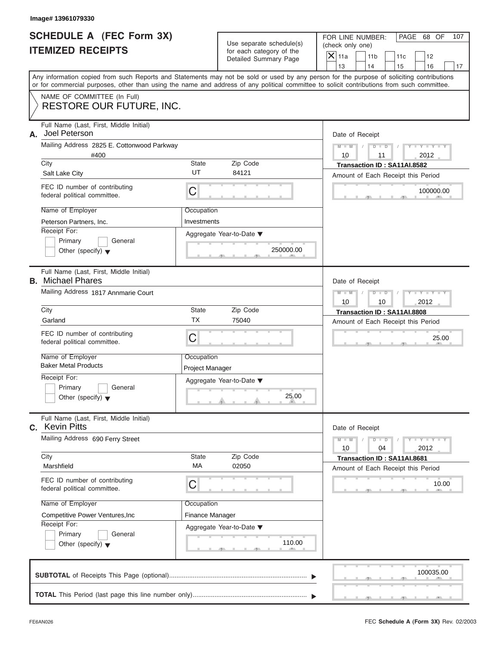|                          | <b>SCHEDULE A (FEC Form 3X)</b> |
|--------------------------|---------------------------------|
| <b>ITEMIZED RECEIPTS</b> |                                 |

|    | Image# 13961079330                                                         |                                           |                                                                               |                                                                                                                                                                                                                                                                                                                       |
|----|----------------------------------------------------------------------------|-------------------------------------------|-------------------------------------------------------------------------------|-----------------------------------------------------------------------------------------------------------------------------------------------------------------------------------------------------------------------------------------------------------------------------------------------------------------------|
|    | <b>SCHEDULE A (FEC Form 3X)</b><br><b>ITEMIZED RECEIPTS</b>                |                                           | Use separate schedule(s)<br>for each category of the<br>Detailed Summary Page | FOR LINE NUMBER:<br>PAGE 68 OF<br>107<br>(check only one)<br>$\mathsf{X} _{\mathsf{11a}}$<br>11 <sub>b</sub><br>11c<br>12                                                                                                                                                                                             |
|    |                                                                            |                                           |                                                                               | 13<br>14<br>15<br>16<br>17<br>Any information copied from such Reports and Statements may not be sold or used by any person for the purpose of soliciting contributions<br>or for commercial purposes, other than using the name and address of any political committee to solicit contributions from such committee. |
|    | NAME OF COMMITTEE (In Full)<br><b>RESTORE OUR FUTURE, INC.</b>             |                                           |                                                                               |                                                                                                                                                                                                                                                                                                                       |
| А. | Full Name (Last, First, Middle Initial)<br>Joel Peterson                   |                                           |                                                                               | Date of Receipt                                                                                                                                                                                                                                                                                                       |
|    | Mailing Address 2825 E. Cottonwood Parkway                                 | $D$ $D$<br>$Y - Y - Y - Y - Y$<br>$M - M$ |                                                                               |                                                                                                                                                                                                                                                                                                                       |
|    | #400<br>City<br><b>State</b>                                               |                                           |                                                                               | 10<br>2012<br>11                                                                                                                                                                                                                                                                                                      |
|    | Salt Lake City                                                             | UT                                        | Zip Code<br>84121                                                             | Transaction ID: SA11AI.8582<br>Amount of Each Receipt this Period                                                                                                                                                                                                                                                     |
|    | FEC ID number of contributing<br>federal political committee.              | C                                         |                                                                               | 100000.00                                                                                                                                                                                                                                                                                                             |
|    | Name of Employer                                                           | Occupation                                |                                                                               |                                                                                                                                                                                                                                                                                                                       |
|    | Peterson Partners, Inc.                                                    | Investments                               |                                                                               |                                                                                                                                                                                                                                                                                                                       |
|    | Receipt For:<br>Primary<br>General<br>Other (specify) $\blacktriangledown$ |                                           | Aggregate Year-to-Date ▼<br>250000.00                                         |                                                                                                                                                                                                                                                                                                                       |
|    | Full Name (Last, First, Middle Initial)<br><b>B.</b> Michael Phares        |                                           |                                                                               | Date of Receipt                                                                                                                                                                                                                                                                                                       |
|    | Mailing Address 1817 Annmarie Court                                        |                                           |                                                                               | $Y - Y - Y - Y - Y$<br>$M - M$<br>$D$ $D$<br>10<br>10<br>2012                                                                                                                                                                                                                                                         |
|    | City                                                                       | <b>State</b>                              | Zip Code                                                                      | Transaction ID: SA11AI.8808                                                                                                                                                                                                                                                                                           |
|    | Garland                                                                    | <b>TX</b>                                 | 75040                                                                         | Amount of Each Receipt this Period                                                                                                                                                                                                                                                                                    |
|    | FEC ID number of contributing<br>federal political committee.              | C                                         |                                                                               | 25.00                                                                                                                                                                                                                                                                                                                 |
|    | Name of Employer<br><b>Baker Metal Products</b>                            | Occupation<br>Project Manager             |                                                                               |                                                                                                                                                                                                                                                                                                                       |
|    | Receipt For:                                                               |                                           | Aggregate Year-to-Date ▼                                                      |                                                                                                                                                                                                                                                                                                                       |
|    | Primary<br>General<br>Other (specify) $\blacktriangledown$                 |                                           | 25.00                                                                         |                                                                                                                                                                                                                                                                                                                       |
| C. | Full Name (Last, First, Middle Initial)<br><b>Kevin Pitts</b>              |                                           |                                                                               | Date of Receipt                                                                                                                                                                                                                                                                                                       |
|    | Mailing Address 690 Ferry Street                                           |                                           |                                                                               | $Y = Y$<br>$M - M$<br>$\overline{D}$<br>$\Box$<br>2012<br>10<br>04                                                                                                                                                                                                                                                    |
|    | City<br>Marshfield                                                         | <b>State</b><br>МA                        | Zip Code<br>02050                                                             | Transaction ID: SA11AI.8681<br>Amount of Each Receipt this Period                                                                                                                                                                                                                                                     |
|    | FEC ID number of contributing<br>federal political committee.              | C                                         |                                                                               | 10.00                                                                                                                                                                                                                                                                                                                 |
|    | Name of Employer                                                           | Occupation                                |                                                                               |                                                                                                                                                                                                                                                                                                                       |
|    | Competitive Power Ventures, Inc                                            | Finance Manager                           |                                                                               |                                                                                                                                                                                                                                                                                                                       |
|    | Receipt For:<br>Primary<br>General                                         |                                           | Aggregate Year-to-Date ▼                                                      |                                                                                                                                                                                                                                                                                                                       |
|    | Other (specify) $\blacktriangledown$                                       |                                           | 110.00                                                                        |                                                                                                                                                                                                                                                                                                                       |
|    |                                                                            |                                           |                                                                               | 100035.00                                                                                                                                                                                                                                                                                                             |
|    |                                                                            |                                           |                                                                               |                                                                                                                                                                                                                                                                                                                       |

FEC **Schedule A (Form 3X)** Rev. 02/2003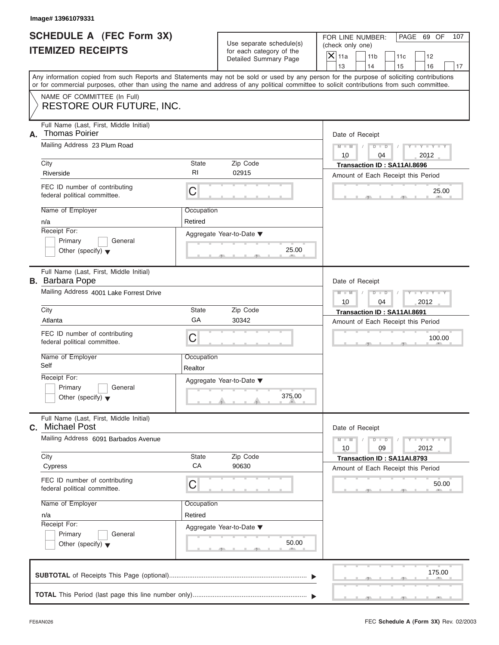| SCHEDULE A (FEC Form 3X) |  |  |
|--------------------------|--|--|
| <b>ITEMIZED RECEIPTS</b> |  |  |

| Image# 13961079331                                                         |                                                                     |                                                                               |                                                                                                                                                                                                                                                                                         |
|----------------------------------------------------------------------------|---------------------------------------------------------------------|-------------------------------------------------------------------------------|-----------------------------------------------------------------------------------------------------------------------------------------------------------------------------------------------------------------------------------------------------------------------------------------|
| <b>SCHEDULE A (FEC Form 3X)</b><br><b>ITEMIZED RECEIPTS</b>                |                                                                     | Use separate schedule(s)<br>for each category of the<br>Detailed Summary Page | FOR LINE NUMBER:<br>PAGE 69 OF<br>107<br>(check only one)<br>$\overline{X}$ 11a<br>11 <sub>b</sub><br>11c<br>12<br>13<br>14<br>15<br>16<br>17                                                                                                                                           |
|                                                                            |                                                                     |                                                                               | Any information copied from such Reports and Statements may not be sold or used by any person for the purpose of soliciting contributions<br>or for commercial purposes, other than using the name and address of any political committee to solicit contributions from such committee. |
| NAME OF COMMITTEE (In Full)<br><b>RESTORE OUR FUTURE, INC.</b>             |                                                                     |                                                                               |                                                                                                                                                                                                                                                                                         |
| Full Name (Last, First, Middle Initial)<br><b>Thomas Poirier</b><br>А.     |                                                                     |                                                                               | Date of Receipt                                                                                                                                                                                                                                                                         |
| Mailing Address 23 Plum Road                                               | $M - M$<br>$D$ $D$<br>$Y - Y - Y$<br>$\sqrt{ }$<br>10<br>2012<br>04 |                                                                               |                                                                                                                                                                                                                                                                                         |
| City<br>Riverside                                                          | State<br>RI                                                         | Zip Code<br>02915                                                             | Transaction ID: SA11AI.8696<br>Amount of Each Receipt this Period                                                                                                                                                                                                                       |
| FEC ID number of contributing<br>federal political committee.              | C                                                                   |                                                                               | 25.00                                                                                                                                                                                                                                                                                   |
| Name of Employer<br>n/a                                                    | Occupation<br>Retired                                               |                                                                               |                                                                                                                                                                                                                                                                                         |
| Receipt For:<br>Primary<br>General<br>Other (specify) $\blacktriangledown$ |                                                                     | Aggregate Year-to-Date ▼<br>25.00                                             |                                                                                                                                                                                                                                                                                         |
| Full Name (Last, First, Middle Initial)<br><b>B.</b> Barbara Pope          |                                                                     |                                                                               |                                                                                                                                                                                                                                                                                         |
| Mailing Address 4001 Lake Forrest Drive                                    |                                                                     |                                                                               | $M - M$<br>$D$ $D$<br>$Y - Y - Y - Y - T$<br>10<br>04<br>2012                                                                                                                                                                                                                           |
| City<br>Atlanta                                                            | State<br>GA                                                         | Zip Code<br>30342                                                             | Transaction ID: SA11AI.8691<br>Amount of Each Receipt this Period                                                                                                                                                                                                                       |
| FEC ID number of contributing<br>federal political committee.              | C                                                                   |                                                                               | 100.00                                                                                                                                                                                                                                                                                  |
| Name of Employer<br>Self                                                   | Occupation<br>Realtor                                               |                                                                               |                                                                                                                                                                                                                                                                                         |
| Receipt For:<br>Primary<br>General<br>Other (specify) $\blacktriangledown$ |                                                                     | Aggregate Year-to-Date ▼<br>375.00                                            |                                                                                                                                                                                                                                                                                         |
| Full Name (Last, First, Middle Initial)<br><b>Michael Post</b><br>С.       |                                                                     |                                                                               | Date of Receipt                                                                                                                                                                                                                                                                         |
| Mailing Address 6091 Barbados Avenue                                       | $M - M$<br>$Y = Y$<br>$D - D$<br>2012<br>10<br>09                   |                                                                               |                                                                                                                                                                                                                                                                                         |
| City<br>Cypress                                                            | State<br>CA                                                         | Zip Code<br>90630                                                             | Transaction ID: SA11AI.8793<br>Amount of Each Receipt this Period                                                                                                                                                                                                                       |
| FEC ID number of contributing<br>federal political committee.              | С                                                                   |                                                                               | 50.00                                                                                                                                                                                                                                                                                   |
| Name of Employer<br>n/a                                                    | Occupation<br>Retired                                               |                                                                               |                                                                                                                                                                                                                                                                                         |
| Receipt For:<br>Primary<br>General<br>Other (specify) $\blacktriangledown$ |                                                                     | Aggregate Year-to-Date ▼<br>50.00                                             |                                                                                                                                                                                                                                                                                         |
|                                                                            |                                                                     |                                                                               | 175.00                                                                                                                                                                                                                                                                                  |
|                                                                            |                                                                     |                                                                               |                                                                                                                                                                                                                                                                                         |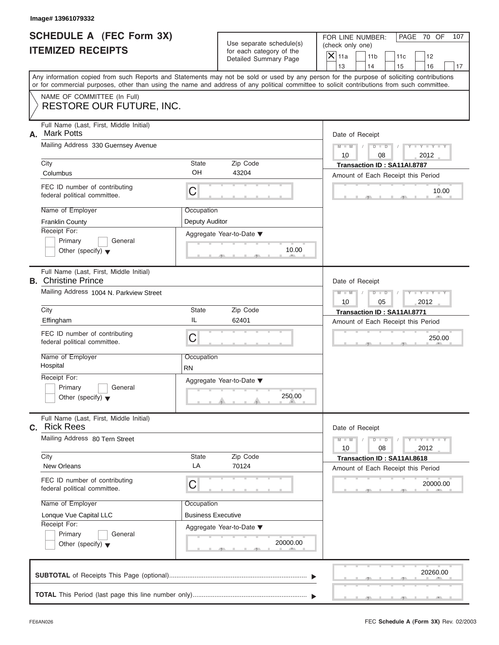| <b>SCHEDULE A (FEC Form 3X)</b> |  |  |
|---------------------------------|--|--|
| <b>ITEMIZED RECEIPTS</b>        |  |  |

|                                                             | Image# 13961079332                                                                                                                         |                                                                      |                                                                               |                                                                                                                                           |  |
|-------------------------------------------------------------|--------------------------------------------------------------------------------------------------------------------------------------------|----------------------------------------------------------------------|-------------------------------------------------------------------------------|-------------------------------------------------------------------------------------------------------------------------------------------|--|
| <b>SCHEDULE A (FEC Form 3X)</b><br><b>ITEMIZED RECEIPTS</b> |                                                                                                                                            |                                                                      | Use separate schedule(s)<br>for each category of the<br>Detailed Summary Page | FOR LINE NUMBER:<br>PAGE 70 OF<br>107<br>(check only one)<br>$\mathsf{X}$ 11a<br>11 <sub>b</sub><br>11c<br>12                             |  |
|                                                             |                                                                                                                                            |                                                                      |                                                                               | 13<br>14<br>15<br>16<br>17                                                                                                                |  |
|                                                             | or for commercial purposes, other than using the name and address of any political committee to solicit contributions from such committee. |                                                                      |                                                                               | Any information copied from such Reports and Statements may not be sold or used by any person for the purpose of soliciting contributions |  |
|                                                             | NAME OF COMMITTEE (In Full)<br>RESTORE OUR FUTURE, INC.                                                                                    |                                                                      |                                                                               |                                                                                                                                           |  |
| А.                                                          | Full Name (Last, First, Middle Initial)<br><b>Mark Potts</b>                                                                               |                                                                      |                                                                               | Date of Receipt                                                                                                                           |  |
|                                                             | Mailing Address 330 Guernsey Avenue                                                                                                        | $D$ $\Box$ $D$<br>$Y - Y - Y - Y - Y$<br>$M - M$<br>10<br>08<br>2012 |                                                                               |                                                                                                                                           |  |
|                                                             | City<br>Columbus                                                                                                                           | State<br>OH                                                          | Zip Code<br>43204                                                             | Transaction ID: SA11AI.8787<br>Amount of Each Receipt this Period                                                                         |  |
|                                                             | FEC ID number of contributing<br>federal political committee.                                                                              | С                                                                    |                                                                               | 10.00                                                                                                                                     |  |
|                                                             | Name of Employer<br><b>Franklin County</b>                                                                                                 | Occupation<br>Deputy Auditor                                         |                                                                               |                                                                                                                                           |  |
|                                                             | Receipt For:<br>Primary<br>General<br>Other (specify) $\blacktriangledown$                                                                 |                                                                      | Aggregate Year-to-Date ▼<br>10.00                                             |                                                                                                                                           |  |
|                                                             | Full Name (Last, First, Middle Initial)<br><b>B.</b> Christine Prince                                                                      |                                                                      |                                                                               | Date of Receipt                                                                                                                           |  |
|                                                             | Mailing Address 1004 N. Parkview Street                                                                                                    |                                                                      |                                                                               | $M - M$<br>$D$ $D$<br>Y I Y I Y I<br>10<br>05<br>2012                                                                                     |  |
|                                                             | City                                                                                                                                       | State                                                                | Zip Code                                                                      | Transaction ID: SA11AI.8771                                                                                                               |  |
|                                                             | Effingham<br>FEC ID number of contributing<br>federal political committee.                                                                 | IL<br>С                                                              | 62401                                                                         | Amount of Each Receipt this Period<br>250.00                                                                                              |  |
|                                                             | Name of Employer<br>Hospital                                                                                                               | Occupation<br><b>RN</b>                                              |                                                                               |                                                                                                                                           |  |
|                                                             | Receipt For:<br>Primary<br>General<br>Other (specify) $\blacktriangledown$                                                                 |                                                                      | Aggregate Year-to-Date ▼<br>250.00                                            |                                                                                                                                           |  |
|                                                             | Full Name (Last, First, Middle Initial)<br>C. Rick Rees                                                                                    |                                                                      |                                                                               | Date of Receipt                                                                                                                           |  |
|                                                             | Mailing Address 80 Tern Street                                                                                                             |                                                                      |                                                                               | $Y - Y - I$<br>$M - M$<br>$D$ $D$<br>2012<br>10<br>08                                                                                     |  |
|                                                             | City<br><b>New Orleans</b>                                                                                                                 | State<br>LA                                                          | Zip Code<br>70124                                                             | Transaction ID: SA11AI.8618<br>Amount of Each Receipt this Period                                                                         |  |
|                                                             | FEC ID number of contributing<br>federal political committee.                                                                              | С                                                                    |                                                                               | 20000.00                                                                                                                                  |  |
|                                                             | Name of Employer                                                                                                                           | Occupation                                                           |                                                                               |                                                                                                                                           |  |
|                                                             | Lonque Vue Capital LLC<br>Receipt For:                                                                                                     | <b>Business Executive</b>                                            |                                                                               |                                                                                                                                           |  |
|                                                             | Primary<br>General<br>Other (specify) $\blacktriangledown$                                                                                 |                                                                      | Aggregate Year-to-Date ▼<br>20000.00                                          |                                                                                                                                           |  |
|                                                             |                                                                                                                                            |                                                                      |                                                                               | 20260.00                                                                                                                                  |  |
|                                                             |                                                                                                                                            |                                                                      |                                                                               |                                                                                                                                           |  |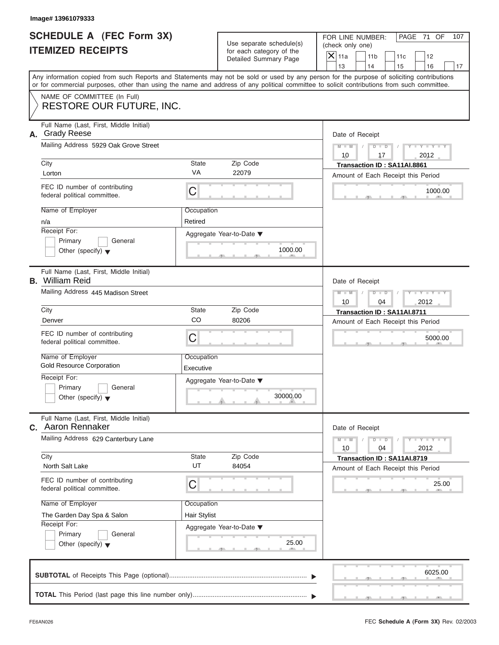| <b>SCHEDULE A (FEC Form 3X)</b> |  |  |
|---------------------------------|--|--|
| <b>ITEMIZED RECEIPTS</b>        |  |  |

| Image# 13961079333                                                         |                         |                                                      |                                                                                                                                                                                                                                                                                         |  |
|----------------------------------------------------------------------------|-------------------------|------------------------------------------------------|-----------------------------------------------------------------------------------------------------------------------------------------------------------------------------------------------------------------------------------------------------------------------------------------|--|
| SCHEDULE A (FEC Form 3X)<br><b>ITEMIZED RECEIPTS</b>                       |                         | Use separate schedule(s)<br>for each category of the | FOR LINE NUMBER:<br>PAGE 71 OF<br>107<br>(check only one)                                                                                                                                                                                                                               |  |
|                                                                            |                         | Detailed Summary Page                                | $\mathsf{X}$ 11a<br>11 <sub>b</sub><br>11c<br>12<br>13<br>14<br>15<br>16<br>17                                                                                                                                                                                                          |  |
|                                                                            |                         |                                                      | Any information copied from such Reports and Statements may not be sold or used by any person for the purpose of soliciting contributions<br>or for commercial purposes, other than using the name and address of any political committee to solicit contributions from such committee. |  |
| NAME OF COMMITTEE (In Full)<br><b>RESTORE OUR FUTURE, INC.</b>             |                         |                                                      |                                                                                                                                                                                                                                                                                         |  |
| Full Name (Last, First, Middle Initial)<br><b>Grady Reese</b><br>А.        |                         |                                                      | Date of Receipt                                                                                                                                                                                                                                                                         |  |
| Mailing Address 5929 Oak Grove Street                                      |                         |                                                      |                                                                                                                                                                                                                                                                                         |  |
| City<br>Lorton                                                             | State<br>VA             | Zip Code<br>22079                                    | Transaction ID: SA11AI.8861<br>Amount of Each Receipt this Period                                                                                                                                                                                                                       |  |
| FEC ID number of contributing<br>federal political committee.              | С                       |                                                      | 1000.00                                                                                                                                                                                                                                                                                 |  |
| Name of Employer<br>n/a                                                    | Occupation<br>Retired   |                                                      |                                                                                                                                                                                                                                                                                         |  |
| Receipt For:<br>Primary<br>General<br>Other (specify) $\blacktriangledown$ |                         | Aggregate Year-to-Date ▼<br>1000.00                  |                                                                                                                                                                                                                                                                                         |  |
| Full Name (Last, First, Middle Initial)<br><b>B.</b> William Reid          |                         |                                                      | Date of Receipt                                                                                                                                                                                                                                                                         |  |
| Mailing Address 445 Madison Street                                         |                         |                                                      | Y I Y I Y I Y<br>$M - M$<br>$D$ $D$<br>2012<br>10<br>04                                                                                                                                                                                                                                 |  |
| City                                                                       | State                   | Zip Code                                             | Transaction ID: SA11AI.8711                                                                                                                                                                                                                                                             |  |
| Denver                                                                     | CO                      | 80206                                                | Amount of Each Receipt this Period                                                                                                                                                                                                                                                      |  |
| FEC ID number of contributing<br>federal political committee.              | C                       |                                                      | 5000.00                                                                                                                                                                                                                                                                                 |  |
| Name of Employer<br><b>Gold Resource Corporation</b>                       | Occupation<br>Executive |                                                      |                                                                                                                                                                                                                                                                                         |  |
| Receipt For:                                                               |                         | Aggregate Year-to-Date ▼                             |                                                                                                                                                                                                                                                                                         |  |
| Primary<br>General<br>Other (specify) $\blacktriangledown$                 |                         | 30000.00                                             |                                                                                                                                                                                                                                                                                         |  |
| Full Name (Last, First, Middle Initial)<br>Aaron Rennaker<br>C.            |                         |                                                      | Date of Receipt                                                                                                                                                                                                                                                                         |  |
| Mailing Address 629 Canterbury Lane                                        |                         |                                                      | $\mathbf{I} = \mathbf{Y}$ $\mathbf{I} = \mathbf{Y}$ $\mathbf{I}$<br>$M - M$<br>$\overline{D}$<br>$\blacksquare$<br>2012<br>04<br>10                                                                                                                                                     |  |
| City<br>North Salt Lake                                                    | State<br>UT             | Zip Code<br>84054                                    | Transaction ID: SA11AI.8719<br>Amount of Each Receipt this Period                                                                                                                                                                                                                       |  |
| FEC ID number of contributing<br>federal political committee.              | С                       |                                                      | 25.00                                                                                                                                                                                                                                                                                   |  |
| Name of Employer                                                           | Occupation              |                                                      |                                                                                                                                                                                                                                                                                         |  |
| The Garden Day Spa & Salon<br>Receipt For:                                 | Hair Stylist            |                                                      |                                                                                                                                                                                                                                                                                         |  |
| Primary<br>General                                                         |                         | Aggregate Year-to-Date ▼                             |                                                                                                                                                                                                                                                                                         |  |
| Other (specify) $\blacktriangledown$                                       |                         | 25.00                                                |                                                                                                                                                                                                                                                                                         |  |
|                                                                            |                         |                                                      | 6025.00                                                                                                                                                                                                                                                                                 |  |
|                                                                            |                         |                                                      |                                                                                                                                                                                                                                                                                         |  |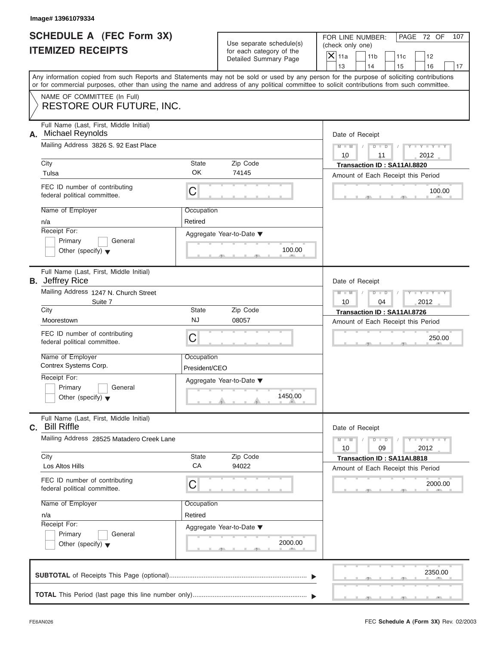|                          | <b>SCHEDULE A (FEC Form 3X)</b> |
|--------------------------|---------------------------------|
| <b>ITEMIZED RECEIPTS</b> |                                 |

|                                                             | Image# 13961079334                                                                                                                         |                                                                      |                                                      |                                                                                                                                           |  |
|-------------------------------------------------------------|--------------------------------------------------------------------------------------------------------------------------------------------|----------------------------------------------------------------------|------------------------------------------------------|-------------------------------------------------------------------------------------------------------------------------------------------|--|
| <b>SCHEDULE A (FEC Form 3X)</b><br><b>ITEMIZED RECEIPTS</b> |                                                                                                                                            |                                                                      | Use separate schedule(s)<br>for each category of the | FOR LINE NUMBER:<br>PAGE 72 OF<br>107<br>(check only one)<br>$\mathsf{X}$ 11a<br>11 <sub>b</sub><br>11c<br>12                             |  |
|                                                             |                                                                                                                                            |                                                                      | Detailed Summary Page                                | 13<br>14<br>15<br>16<br>17                                                                                                                |  |
|                                                             | or for commercial purposes, other than using the name and address of any political committee to solicit contributions from such committee. |                                                                      |                                                      | Any information copied from such Reports and Statements may not be sold or used by any person for the purpose of soliciting contributions |  |
|                                                             | NAME OF COMMITTEE (In Full)<br>RESTORE OUR FUTURE, INC.                                                                                    |                                                                      |                                                      |                                                                                                                                           |  |
| А.                                                          | Full Name (Last, First, Middle Initial)<br><b>Michael Reynolds</b>                                                                         |                                                                      |                                                      | Date of Receipt                                                                                                                           |  |
|                                                             | Mailing Address 3826 S. 92 East Place                                                                                                      | $D$ $\Box$ $D$<br>$Y - Y - Y - Y - Y$<br>$M - M$<br>10<br>2012<br>11 |                                                      |                                                                                                                                           |  |
|                                                             | City<br>Tulsa                                                                                                                              | State<br>OK                                                          | Zip Code<br>74145                                    | Transaction ID: SA11AI.8820<br>Amount of Each Receipt this Period                                                                         |  |
|                                                             | FEC ID number of contributing<br>federal political committee.                                                                              | С                                                                    |                                                      | 100.00                                                                                                                                    |  |
|                                                             | Name of Employer<br>n/a                                                                                                                    | Occupation<br>Retired                                                |                                                      |                                                                                                                                           |  |
|                                                             | Receipt For:<br>Primary<br>General<br>Other (specify) $\blacktriangledown$                                                                 |                                                                      | Aggregate Year-to-Date ▼<br>100.00                   |                                                                                                                                           |  |
|                                                             | Full Name (Last, First, Middle Initial)<br><b>B.</b> Jeffrey Rice                                                                          |                                                                      |                                                      | Date of Receipt                                                                                                                           |  |
|                                                             | Mailing Address 1247 N. Church Street<br>Suite 7                                                                                           |                                                                      |                                                      | $M - M$<br>$D$ $D$<br>Y I Y I Y I<br>10<br>04<br>2012                                                                                     |  |
|                                                             | City                                                                                                                                       | State                                                                | Zip Code                                             | Transaction ID: SA11AI.8726                                                                                                               |  |
|                                                             | Moorestown                                                                                                                                 | <b>NJ</b>                                                            | 08057                                                | Amount of Each Receipt this Period                                                                                                        |  |
|                                                             | FEC ID number of contributing<br>federal political committee.                                                                              | С                                                                    |                                                      | 250.00                                                                                                                                    |  |
|                                                             | Name of Employer<br>Contrex Systems Corp.                                                                                                  | Occupation<br>President/CEO                                          |                                                      |                                                                                                                                           |  |
|                                                             | Receipt For:                                                                                                                               |                                                                      | Aggregate Year-to-Date ▼                             |                                                                                                                                           |  |
|                                                             | Primary<br>General<br>Other (specify) $\blacktriangledown$                                                                                 |                                                                      | 1450.00                                              |                                                                                                                                           |  |
|                                                             | Full Name (Last, First, Middle Initial)<br>C. Bill Riffle                                                                                  |                                                                      |                                                      | Date of Receipt                                                                                                                           |  |
|                                                             | Mailing Address 28525 Matadero Creek Lane                                                                                                  |                                                                      |                                                      | $Y - Y - I$<br>$M - M$<br>$D$ $D$<br>2012<br>10<br>09                                                                                     |  |
|                                                             | City<br>Los Altos Hills                                                                                                                    | State<br>CA                                                          | Zip Code<br>94022                                    | Transaction ID: SA11AI.8818<br>Amount of Each Receipt this Period                                                                         |  |
|                                                             | FEC ID number of contributing<br>federal political committee.                                                                              | С                                                                    |                                                      | 2000.00                                                                                                                                   |  |
|                                                             | Name of Employer                                                                                                                           | Occupation                                                           |                                                      |                                                                                                                                           |  |
|                                                             | n/a<br>Receipt For:                                                                                                                        | Retired                                                              |                                                      |                                                                                                                                           |  |
|                                                             | Primary<br>General<br>Other (specify) $\blacktriangledown$                                                                                 |                                                                      | Aggregate Year-to-Date ▼<br>2000.00                  |                                                                                                                                           |  |
|                                                             |                                                                                                                                            |                                                                      |                                                      | 2350.00                                                                                                                                   |  |
|                                                             |                                                                                                                                            |                                                                      |                                                      |                                                                                                                                           |  |

FEC **Schedule A (Form 3X)** Rev. 02/2003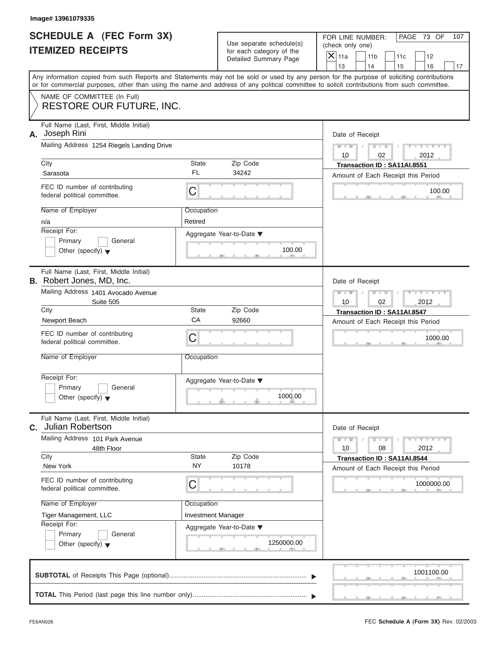|                          | <b>SCHEDULE A (FEC Form 3X)</b> |
|--------------------------|---------------------------------|
| <b>ITEMIZED RECEIPTS</b> |                                 |

|    | Image# 13961079335                                                                                                                                                                                                                                                                      |                           |                                                                               |                                                                      |                                                                   |     |                             |     |  |  |
|----|-----------------------------------------------------------------------------------------------------------------------------------------------------------------------------------------------------------------------------------------------------------------------------------------|---------------------------|-------------------------------------------------------------------------------|----------------------------------------------------------------------|-------------------------------------------------------------------|-----|-----------------------------|-----|--|--|
|    | SCHEDULE A (FEC Form 3X)<br><b>ITEMIZED RECEIPTS</b>                                                                                                                                                                                                                                    |                           | Use separate schedule(s)<br>for each category of the<br>Detailed Summary Page | FOR LINE NUMBER:<br>(check only one)<br>$\mathsf{X} _{\mathsf{11a}}$ | 11 <sub>b</sub>                                                   | 11c | PAGE 73 OF<br>12            | 107 |  |  |
|    |                                                                                                                                                                                                                                                                                         |                           |                                                                               | 13                                                                   | 14                                                                | 15  | 16                          | 17  |  |  |
|    | Any information copied from such Reports and Statements may not be sold or used by any person for the purpose of soliciting contributions<br>or for commercial purposes, other than using the name and address of any political committee to solicit contributions from such committee. |                           |                                                                               |                                                                      |                                                                   |     |                             |     |  |  |
|    | NAME OF COMMITTEE (In Full)<br>RESTORE OUR FUTURE, INC.                                                                                                                                                                                                                                 |                           |                                                                               |                                                                      |                                                                   |     |                             |     |  |  |
| А. | Full Name (Last, First, Middle Initial)<br>Joseph Rini                                                                                                                                                                                                                                  |                           |                                                                               | Date of Receipt                                                      |                                                                   |     |                             |     |  |  |
|    | Mailing Address 1254 Riegels Landing Drive                                                                                                                                                                                                                                              |                           |                                                                               | $M - M$<br>10                                                        | $D$ $D$<br>02                                                     |     | $Y - Y - Y - Y - Y$<br>2012 |     |  |  |
|    | City<br>Sarasota                                                                                                                                                                                                                                                                        | State<br><b>FL</b>        | Zip Code<br>34242                                                             |                                                                      | Transaction ID: SA11AI.8551<br>Amount of Each Receipt this Period |     |                             |     |  |  |
|    | FEC ID number of contributing<br>federal political committee.                                                                                                                                                                                                                           | C                         |                                                                               |                                                                      |                                                                   |     | 100.00                      |     |  |  |
|    | Name of Employer<br>n/a                                                                                                                                                                                                                                                                 | Occupation<br>Retired     |                                                                               |                                                                      |                                                                   |     |                             |     |  |  |
|    | Receipt For:<br>Primary<br>General<br>Other (specify) $\blacktriangledown$                                                                                                                                                                                                              |                           | Aggregate Year-to-Date ▼<br>100.00                                            |                                                                      |                                                                   |     |                             |     |  |  |
|    | Full Name (Last, First, Middle Initial)<br>B. Robert Jones, MD, Inc.                                                                                                                                                                                                                    |                           |                                                                               | Date of Receipt                                                      |                                                                   |     |                             |     |  |  |
|    | Mailing Address 1401 Avocado Avenue<br>Suite 505                                                                                                                                                                                                                                        |                           |                                                                               |                                                                      | Y TYTTYTTY<br>$M - M$<br>$D$ $\Box$ $D$<br>10<br>2012<br>02       |     |                             |     |  |  |
|    | City                                                                                                                                                                                                                                                                                    | State                     | Zip Code                                                                      |                                                                      | Transaction ID: SA11AI.8547                                       |     |                             |     |  |  |
|    | Newport Beach                                                                                                                                                                                                                                                                           | CA                        | 92660                                                                         | Amount of Each Receipt this Period                                   |                                                                   |     |                             |     |  |  |
|    | FEC ID number of contributing<br>federal political committee.                                                                                                                                                                                                                           | C                         |                                                                               |                                                                      |                                                                   |     | 1000.00                     |     |  |  |
|    | Name of Employer                                                                                                                                                                                                                                                                        | Occupation                |                                                                               |                                                                      |                                                                   |     |                             |     |  |  |
|    | Receipt For:                                                                                                                                                                                                                                                                            |                           | Aggregate Year-to-Date ▼                                                      |                                                                      |                                                                   |     |                             |     |  |  |
|    | Primary<br>General<br>Other (specify) $\blacktriangledown$                                                                                                                                                                                                                              |                           | 1000.00                                                                       |                                                                      |                                                                   |     |                             |     |  |  |
| C. | Full Name (Last, First, Middle Initial)<br>Julian Robertson                                                                                                                                                                                                                             |                           |                                                                               | Date of Receipt                                                      |                                                                   |     |                             |     |  |  |
|    | Mailing Address 101 Park Avenue<br>48th Floor                                                                                                                                                                                                                                           |                           |                                                                               | $M - M$<br>10                                                        | $D$ $D$<br>08                                                     |     | $Y - Y - I$<br>2012         |     |  |  |
|    | City<br>New York                                                                                                                                                                                                                                                                        | State<br><b>NY</b>        | Zip Code<br>10178                                                             |                                                                      | Transaction ID: SA11AI.8544<br>Amount of Each Receipt this Period |     |                             |     |  |  |
|    | FEC ID number of contributing<br>federal political committee.                                                                                                                                                                                                                           | С                         |                                                                               |                                                                      | 1000000.00                                                        |     |                             |     |  |  |
|    | Name of Employer                                                                                                                                                                                                                                                                        | Occupation                |                                                                               |                                                                      |                                                                   |     |                             |     |  |  |
|    | Tiger Management, LLC                                                                                                                                                                                                                                                                   | <b>Investment Manager</b> |                                                                               |                                                                      |                                                                   |     |                             |     |  |  |
|    | Receipt For:<br>Primary<br>General                                                                                                                                                                                                                                                      |                           | Aggregate Year-to-Date ▼                                                      |                                                                      |                                                                   |     |                             |     |  |  |
|    | Other (specify) $\blacktriangledown$                                                                                                                                                                                                                                                    |                           | 1250000.00                                                                    |                                                                      |                                                                   |     |                             |     |  |  |
|    |                                                                                                                                                                                                                                                                                         |                           |                                                                               |                                                                      |                                                                   |     | 1001100.00                  |     |  |  |
|    |                                                                                                                                                                                                                                                                                         |                           |                                                                               |                                                                      |                                                                   |     |                             |     |  |  |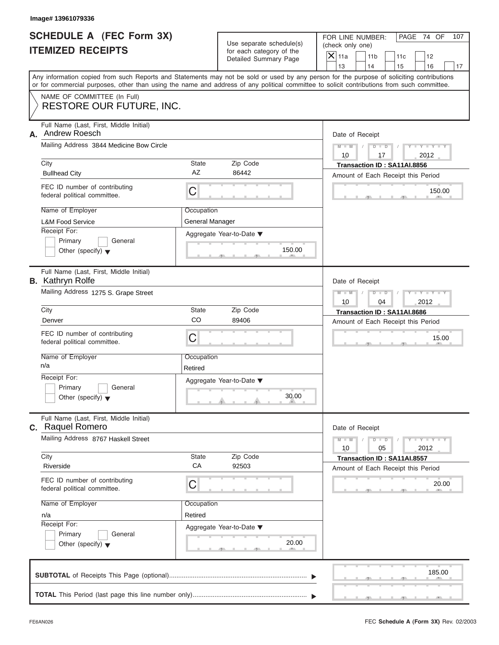| <b>SCHEDULE A (FEC Form 3X)</b> |  |  |
|---------------------------------|--|--|
| <b>ITEMIZED RECEIPTS</b>        |  |  |

|                                                             | Image# 13961079336                                                         |                                                       |                                                      |                                                                                                                                                                                                                                                                                         |  |  |  |  |
|-------------------------------------------------------------|----------------------------------------------------------------------------|-------------------------------------------------------|------------------------------------------------------|-----------------------------------------------------------------------------------------------------------------------------------------------------------------------------------------------------------------------------------------------------------------------------------------|--|--|--|--|
| <b>SCHEDULE A (FEC Form 3X)</b><br><b>ITEMIZED RECEIPTS</b> |                                                                            |                                                       | Use separate schedule(s)<br>for each category of the | FOR LINE NUMBER:<br>PAGE 74 OF<br>107<br>(check only one)<br>$\mathsf{X}$ 11a<br>11 <sub>b</sub><br>11c<br>12                                                                                                                                                                           |  |  |  |  |
|                                                             |                                                                            |                                                       | Detailed Summary Page                                | 13<br>14<br>15<br>16<br>17                                                                                                                                                                                                                                                              |  |  |  |  |
|                                                             |                                                                            |                                                       |                                                      | Any information copied from such Reports and Statements may not be sold or used by any person for the purpose of soliciting contributions<br>or for commercial purposes, other than using the name and address of any political committee to solicit contributions from such committee. |  |  |  |  |
|                                                             | NAME OF COMMITTEE (In Full)<br>RESTORE OUR FUTURE, INC.                    |                                                       |                                                      |                                                                                                                                                                                                                                                                                         |  |  |  |  |
| А.                                                          | Full Name (Last, First, Middle Initial)<br>Andrew Roesch                   |                                                       |                                                      | Date of Receipt                                                                                                                                                                                                                                                                         |  |  |  |  |
|                                                             | Mailing Address 3844 Medicine Bow Circle                                   |                                                       |                                                      | $Y - Y - Y - Y - Y$<br>$D$ $D$<br>$M - M$<br>10<br>2012<br>17                                                                                                                                                                                                                           |  |  |  |  |
|                                                             | City<br><b>Bullhead City</b>                                               | State<br><b>AZ</b>                                    | Zip Code<br>86442                                    | Transaction ID: SA11AI.8856<br>Amount of Each Receipt this Period                                                                                                                                                                                                                       |  |  |  |  |
|                                                             | FEC ID number of contributing<br>federal political committee.              | C                                                     |                                                      | 150.00                                                                                                                                                                                                                                                                                  |  |  |  |  |
|                                                             | Name of Employer<br><b>L&amp;M Food Service</b>                            | Occupation<br>General Manager                         |                                                      |                                                                                                                                                                                                                                                                                         |  |  |  |  |
|                                                             | Receipt For:<br>Primary<br>General<br>Other (specify) $\blacktriangledown$ |                                                       | Aggregate Year-to-Date ▼<br>150.00                   |                                                                                                                                                                                                                                                                                         |  |  |  |  |
|                                                             | Full Name (Last, First, Middle Initial)<br><b>B.</b> Kathryn Rolfe         |                                                       |                                                      | Date of Receipt                                                                                                                                                                                                                                                                         |  |  |  |  |
|                                                             | Mailing Address 1275 S. Grape Street                                       | Y T Y T Y T<br>$M - M$<br>$D$ $D$<br>2012<br>10<br>04 |                                                      |                                                                                                                                                                                                                                                                                         |  |  |  |  |
|                                                             | City                                                                       | State                                                 | Zip Code                                             | Transaction ID: SA11AI.8686                                                                                                                                                                                                                                                             |  |  |  |  |
|                                                             | Denver                                                                     | CO                                                    | 89406                                                | Amount of Each Receipt this Period                                                                                                                                                                                                                                                      |  |  |  |  |
|                                                             | FEC ID number of contributing<br>federal political committee.              | C                                                     |                                                      | 15.00                                                                                                                                                                                                                                                                                   |  |  |  |  |
|                                                             | Name of Employer<br>n/a                                                    | Occupation<br>Retired                                 |                                                      |                                                                                                                                                                                                                                                                                         |  |  |  |  |
|                                                             | Receipt For:<br>Primary<br>General<br>Other (specify) $\blacktriangledown$ |                                                       | Aggregate Year-to-Date ▼<br>30.00                    |                                                                                                                                                                                                                                                                                         |  |  |  |  |
|                                                             | Full Name (Last, First, Middle Initial)<br><b>c.</b> Raquel Romero         |                                                       |                                                      | Date of Receipt                                                                                                                                                                                                                                                                         |  |  |  |  |
|                                                             | Mailing Address 8767 Haskell Street                                        |                                                       |                                                      | $Y - Y - Y - Y - I$<br>$M - M$<br>$D$ $D$<br>2012<br>10<br>05                                                                                                                                                                                                                           |  |  |  |  |
|                                                             | City<br>Riverside                                                          | State<br>CA                                           | Zip Code<br>92503                                    | Transaction ID: SA11AI.8557<br>Amount of Each Receipt this Period                                                                                                                                                                                                                       |  |  |  |  |
|                                                             | FEC ID number of contributing<br>federal political committee.              | С                                                     |                                                      | 20.00                                                                                                                                                                                                                                                                                   |  |  |  |  |
|                                                             | Name of Employer                                                           | Occupation                                            |                                                      |                                                                                                                                                                                                                                                                                         |  |  |  |  |
|                                                             | n/a                                                                        | Retired                                               |                                                      |                                                                                                                                                                                                                                                                                         |  |  |  |  |
|                                                             | Receipt For:<br>Primary<br>General                                         |                                                       | Aggregate Year-to-Date ▼                             |                                                                                                                                                                                                                                                                                         |  |  |  |  |
|                                                             | Other (specify) $\blacktriangledown$                                       |                                                       | 20.00                                                |                                                                                                                                                                                                                                                                                         |  |  |  |  |
|                                                             |                                                                            |                                                       |                                                      | 185.00                                                                                                                                                                                                                                                                                  |  |  |  |  |
|                                                             |                                                                            |                                                       |                                                      |                                                                                                                                                                                                                                                                                         |  |  |  |  |

S S S , , .

л.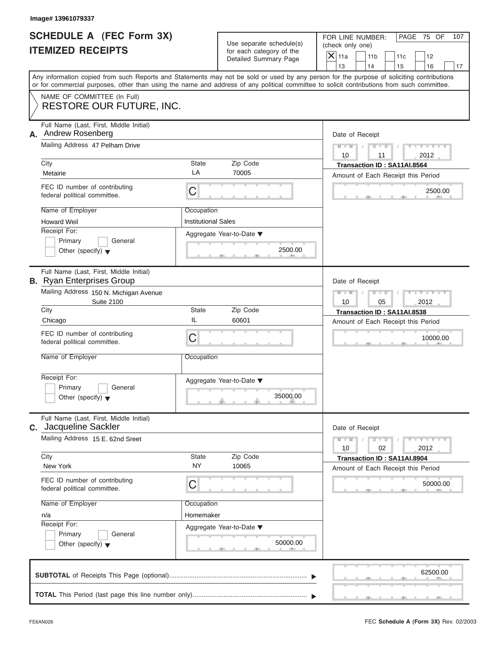|                          | <b>SCHEDULE A (FEC Form 3X)</b> |
|--------------------------|---------------------------------|
| <b>ITEMIZED RECEIPTS</b> |                                 |

|                                                             | Image# 13961079337                                                                                                                                            |                                          |                                                                               |                                                                                                                                                                         |
|-------------------------------------------------------------|---------------------------------------------------------------------------------------------------------------------------------------------------------------|------------------------------------------|-------------------------------------------------------------------------------|-------------------------------------------------------------------------------------------------------------------------------------------------------------------------|
| <b>SCHEDULE A (FEC Form 3X)</b><br><b>ITEMIZED RECEIPTS</b> |                                                                                                                                                               |                                          | Use separate schedule(s)<br>for each category of the<br>Detailed Summary Page | FOR LINE NUMBER:<br>PAGE 75 OF<br>107<br>(check only one)<br>$\overline{X}$ 11a<br>11 <sub>b</sub><br>11c<br>12                                                         |
|                                                             | or for commercial purposes, other than using the name and address of any political committee to solicit contributions from such committee.                    |                                          |                                                                               | 13<br>14<br>15<br>16<br>17<br>Any information copied from such Reports and Statements may not be sold or used by any person for the purpose of soliciting contributions |
|                                                             | NAME OF COMMITTEE (In Full)<br><b>RESTORE OUR FUTURE, INC.</b>                                                                                                |                                          |                                                                               |                                                                                                                                                                         |
| А.                                                          | Full Name (Last, First, Middle Initial)<br>Andrew Rosenberg<br>Mailing Address 47 Pelham Drive<br>City<br>Metairie                                            | State<br>LA                              | Zip Code<br>70005                                                             | Date of Receipt<br>$M - M$<br>$D$ $D$<br>$Y - Y - Y$<br>10<br>2012<br>11<br>Transaction ID: SA11AI.8564                                                                 |
|                                                             | FEC ID number of contributing<br>federal political committee.                                                                                                 | С                                        |                                                                               | Amount of Each Receipt this Period<br>2500.00                                                                                                                           |
|                                                             | Name of Employer<br><b>Howard Weil</b><br>Receipt For:<br>Primary<br>General<br>Other (specify) $\blacktriangledown$                                          | Occupation<br><b>Institutional Sales</b> | Aggregate Year-to-Date ▼<br>2500.00                                           |                                                                                                                                                                         |
|                                                             | Full Name (Last, First, Middle Initial)<br><b>B.</b> Ryan Enterprises Group<br>Mailing Address 150 N. Michigan Avenue<br><b>Suite 2100</b><br>City<br>Chicago | State<br>IL                              | Zip Code<br>60601                                                             | Date of Receipt<br>$M - M$<br>$D$ $D$<br>$Y = Y + Y + Y$<br>10<br>05<br>2012<br>Transaction ID: SA11AI.8538<br>Amount of Each Receipt this Period                       |
|                                                             | FEC ID number of contributing<br>federal political committee.<br>Name of Employer                                                                             | C<br>Occupation                          |                                                                               | 10000.00                                                                                                                                                                |
|                                                             | Receipt For:<br>Primary<br>General<br>Other (specify) $\blacktriangledown$                                                                                    |                                          | Aggregate Year-to-Date ▼<br>35000.00                                          |                                                                                                                                                                         |
|                                                             | Full Name (Last, First, Middle Initial)<br>C. Jacqueline Sackler                                                                                              |                                          |                                                                               | Date of Receipt                                                                                                                                                         |
|                                                             | Mailing Address 15 E. 62nd Sreet<br>City                                                                                                                      | State                                    | Zip Code                                                                      | $M - M$<br>$Y = Y$<br>$D$ $D$<br>2012<br>10<br>02<br>Transaction ID: SA11AI.8904                                                                                        |
|                                                             | New York<br>FEC ID number of contributing<br>federal political committee.                                                                                     | <b>NY</b><br>С                           | 10065                                                                         | Amount of Each Receipt this Period<br>50000.00                                                                                                                          |
|                                                             | Name of Employer<br>n/a<br>Receipt For:<br>Primary<br>General<br>Other (specify) $\blacktriangledown$                                                         | Occupation<br>Homemaker                  | Aggregate Year-to-Date ▼<br>50000.00                                          |                                                                                                                                                                         |
|                                                             |                                                                                                                                                               |                                          |                                                                               | 62500.00                                                                                                                                                                |
|                                                             |                                                                                                                                                               |                                          |                                                                               |                                                                                                                                                                         |

 $5 - 1 - 1 - 5$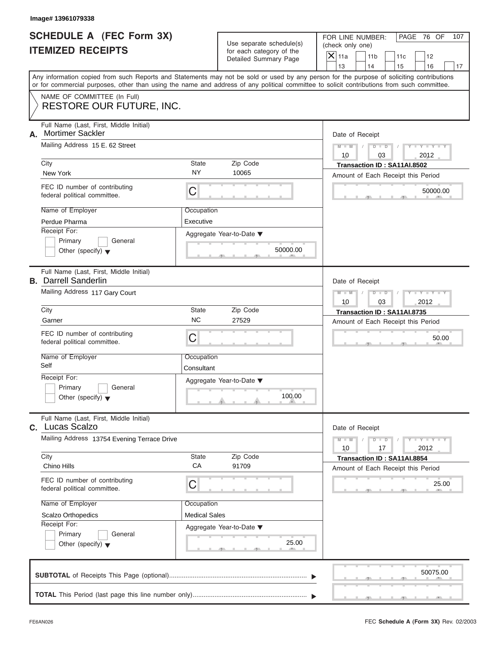| <b>SCHEDULE A (FEC Form 3X)</b> |  |  |
|---------------------------------|--|--|
| <b>ITEMIZED RECEIPTS</b>        |  |  |

|                                                             | Image# 13961079338                                                                                                                                                                                                                                                                                                                               |                                                        |                                                                               |                                                                                                                                                                         |
|-------------------------------------------------------------|--------------------------------------------------------------------------------------------------------------------------------------------------------------------------------------------------------------------------------------------------------------------------------------------------------------------------------------------------|--------------------------------------------------------|-------------------------------------------------------------------------------|-------------------------------------------------------------------------------------------------------------------------------------------------------------------------|
| <b>SCHEDULE A (FEC Form 3X)</b><br><b>ITEMIZED RECEIPTS</b> |                                                                                                                                                                                                                                                                                                                                                  |                                                        | Use separate schedule(s)<br>for each category of the<br>Detailed Summary Page | FOR LINE NUMBER:<br>PAGE 76 OF<br>107<br>(check only one)<br>$\overline{X}$ 11a<br>11 <sub>b</sub><br>11c<br>12                                                         |
|                                                             | or for commercial purposes, other than using the name and address of any political committee to solicit contributions from such committee.                                                                                                                                                                                                       |                                                        |                                                                               | 13<br>14<br>15<br>16<br>17<br>Any information copied from such Reports and Statements may not be sold or used by any person for the purpose of soliciting contributions |
|                                                             | NAME OF COMMITTEE (In Full)<br><b>RESTORE OUR FUTURE, INC.</b>                                                                                                                                                                                                                                                                                   |                                                        |                                                                               |                                                                                                                                                                         |
| А.                                                          | Full Name (Last, First, Middle Initial)<br><b>Mortimer Sackler</b><br>Mailing Address 15 E. 62 Street<br>City<br>New York<br>FEC ID number of contributing<br>federal political committee.<br>Name of Employer<br>Perdue Pharma<br>Receipt For:                                                                                                  | State<br><b>NY</b><br>C<br>Occupation<br>Executive     | Zip Code<br>10065<br>Aggregate Year-to-Date ▼                                 | Date of Receipt<br>$M - M$<br>$D$ $D$<br>$Y - Y - Y$<br>10<br>03<br>2012<br>Transaction ID: SA11AI.8502<br>Amount of Each Receipt this Period<br>50000.00               |
|                                                             | Primary<br>General<br>Other (specify) $\blacktriangledown$                                                                                                                                                                                                                                                                                       |                                                        | 50000.00                                                                      |                                                                                                                                                                         |
|                                                             | Full Name (Last, First, Middle Initial)<br><b>B.</b> Darrell Sanderlin<br>Mailing Address 117 Gary Court<br>City<br>Garner<br>FEC ID number of contributing<br>federal political committee.<br>Name of Employer<br>Self<br>Receipt For:<br>Primary<br>General<br>Other (specify) $\blacktriangledown$<br>Full Name (Last, First, Middle Initial) | State<br><b>NC</b><br>C<br>Occupation<br>Consultant    | Zip Code<br>27529<br>Aggregate Year-to-Date ▼<br>100.00                       | Date of Receipt<br>$M - M$<br>$D$ $D$<br>$Y = Y + Y + Y$<br>10<br>03<br>2012<br>Transaction ID: SA11AI.8735<br>Amount of Each Receipt this Period<br>50.00              |
|                                                             | C. Lucas Scalzo<br>Mailing Address 13754 Evening Terrace Drive<br>City<br>Chino Hills<br>FEC ID number of contributing<br>federal political committee.<br>Name of Employer<br><b>Scalzo Orthopedics</b><br>Receipt For:<br>Primary<br>General<br>Other (specify) $\blacktriangledown$                                                            | State<br>CA<br>С<br>Occupation<br><b>Medical Sales</b> | Zip Code<br>91709<br>Aggregate Year-to-Date ▼<br>25.00                        | Date of Receipt<br>$M - M$<br>$Y = Y$<br>$D$ $D$<br>2012<br>10<br>17<br>Transaction ID: SA11AI.8854<br>Amount of Each Receipt this Period<br>25.00                      |
|                                                             |                                                                                                                                                                                                                                                                                                                                                  |                                                        |                                                                               | 50075.00                                                                                                                                                                |
|                                                             |                                                                                                                                                                                                                                                                                                                                                  |                                                        |                                                                               |                                                                                                                                                                         |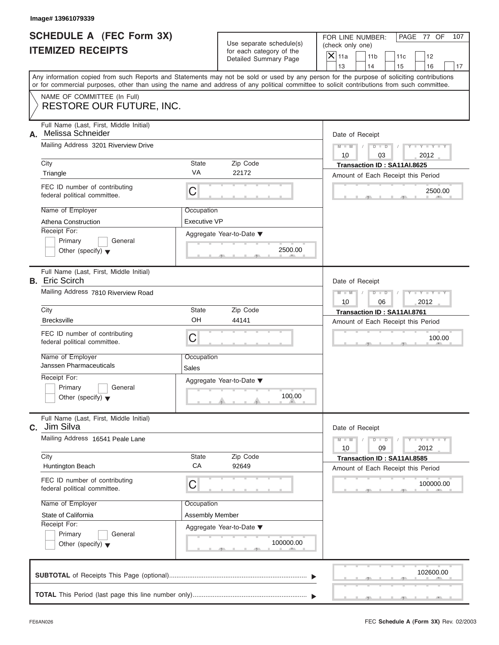|                          | <b>SCHEDULE A (FEC Form 3X)</b> |
|--------------------------|---------------------------------|
| <b>ITEMIZED RECEIPTS</b> |                                 |

|                                                      | Image# 13961079339                                               |                                                   |                                                                               |                                                                                                                                                                                                                                                                                         |
|------------------------------------------------------|------------------------------------------------------------------|---------------------------------------------------|-------------------------------------------------------------------------------|-----------------------------------------------------------------------------------------------------------------------------------------------------------------------------------------------------------------------------------------------------------------------------------------|
| SCHEDULE A (FEC Form 3X)<br><b>ITEMIZED RECEIPTS</b> |                                                                  |                                                   | Use separate schedule(s)<br>for each category of the<br>Detailed Summary Page | FOR LINE NUMBER:<br>PAGE 77 OF<br>107<br>(check only one)<br>$\overline{X}$ 11a<br>11 <sub>b</sub><br>11c<br>12                                                                                                                                                                         |
|                                                      |                                                                  |                                                   |                                                                               | 13<br>14<br>15<br>16<br>17                                                                                                                                                                                                                                                              |
|                                                      |                                                                  |                                                   |                                                                               | Any information copied from such Reports and Statements may not be sold or used by any person for the purpose of soliciting contributions<br>or for commercial purposes, other than using the name and address of any political committee to solicit contributions from such committee. |
|                                                      | NAME OF COMMITTEE (In Full)<br><b>RESTORE OUR FUTURE, INC.</b>   |                                                   |                                                                               |                                                                                                                                                                                                                                                                                         |
|                                                      |                                                                  |                                                   |                                                                               |                                                                                                                                                                                                                                                                                         |
| А.                                                   | Full Name (Last, First, Middle Initial)<br>Melissa Schneider     |                                                   |                                                                               | Date of Receipt                                                                                                                                                                                                                                                                         |
|                                                      | Mailing Address 3201 Riverview Drive                             |                                                   |                                                                               | $D$ $D$<br>$Y - Y - Y - Y - Y$<br>$M - M$                                                                                                                                                                                                                                               |
|                                                      |                                                                  |                                                   |                                                                               | 10<br>2012<br>03                                                                                                                                                                                                                                                                        |
|                                                      | City<br>Triangle                                                 | State<br>VA                                       | Zip Code<br>22172                                                             | Transaction ID: SA11AI.8625                                                                                                                                                                                                                                                             |
|                                                      |                                                                  |                                                   |                                                                               | Amount of Each Receipt this Period                                                                                                                                                                                                                                                      |
|                                                      | FEC ID number of contributing<br>federal political committee.    | C                                                 |                                                                               | 2500.00                                                                                                                                                                                                                                                                                 |
|                                                      | Name of Employer                                                 | Occupation                                        |                                                                               |                                                                                                                                                                                                                                                                                         |
|                                                      | Athena Construction                                              | <b>Executive VP</b>                               |                                                                               |                                                                                                                                                                                                                                                                                         |
|                                                      | Receipt For:                                                     |                                                   | Aggregate Year-to-Date ▼                                                      |                                                                                                                                                                                                                                                                                         |
|                                                      | Primary<br>General                                               |                                                   |                                                                               |                                                                                                                                                                                                                                                                                         |
|                                                      | Other (specify) $\blacktriangledown$                             |                                                   | 2500.00                                                                       |                                                                                                                                                                                                                                                                                         |
|                                                      | Full Name (Last, First, Middle Initial)<br><b>B.</b> Eric Scirch |                                                   |                                                                               | Date of Receipt                                                                                                                                                                                                                                                                         |
|                                                      | Mailing Address 7810 Riverview Road                              |                                                   |                                                                               | $Y - Y - Y - Y - I$<br>$M - M$<br>$D$ $D$                                                                                                                                                                                                                                               |
|                                                      |                                                                  | 2012<br>10<br>06                                  |                                                                               |                                                                                                                                                                                                                                                                                         |
|                                                      | City                                                             | State                                             | Zip Code                                                                      | Transaction ID: SA11AI.8761                                                                                                                                                                                                                                                             |
|                                                      | <b>Brecksville</b>                                               | OH                                                | 44141                                                                         | Amount of Each Receipt this Period                                                                                                                                                                                                                                                      |
|                                                      | FEC ID number of contributing<br>federal political committee.    | C                                                 |                                                                               | 100.00                                                                                                                                                                                                                                                                                  |
|                                                      | Name of Employer<br>Janssen Pharmaceuticals                      | Occupation<br>Sales                               |                                                                               |                                                                                                                                                                                                                                                                                         |
|                                                      | Receipt For:                                                     |                                                   | Aggregate Year-to-Date ▼                                                      |                                                                                                                                                                                                                                                                                         |
|                                                      | Primary<br>General                                               |                                                   |                                                                               |                                                                                                                                                                                                                                                                                         |
|                                                      | Other (specify) $\blacktriangledown$                             |                                                   | 100.00                                                                        |                                                                                                                                                                                                                                                                                         |
| C.                                                   | Full Name (Last, First, Middle Initial)<br>Jim Silva             |                                                   |                                                                               | Date of Receipt                                                                                                                                                                                                                                                                         |
|                                                      | Mailing Address 16541 Peale Lane                                 | $Y = Y$<br>$M - M$<br>$D$ $D$<br>2012<br>10<br>09 |                                                                               |                                                                                                                                                                                                                                                                                         |
|                                                      | City                                                             | State                                             | Zip Code                                                                      | Transaction ID: SA11AI.8585                                                                                                                                                                                                                                                             |
|                                                      | Huntington Beach                                                 | CA                                                | 92649                                                                         | Amount of Each Receipt this Period                                                                                                                                                                                                                                                      |
|                                                      | FEC ID number of contributing<br>federal political committee.    | C                                                 |                                                                               | 100000.00                                                                                                                                                                                                                                                                               |
|                                                      | Name of Employer                                                 | Occupation                                        |                                                                               |                                                                                                                                                                                                                                                                                         |
|                                                      | State of California                                              | Assembly Member                                   |                                                                               |                                                                                                                                                                                                                                                                                         |
|                                                      | Receipt For:                                                     |                                                   | Aggregate Year-to-Date ▼                                                      |                                                                                                                                                                                                                                                                                         |
|                                                      | Primary<br>General                                               |                                                   |                                                                               |                                                                                                                                                                                                                                                                                         |
|                                                      | Other (specify) $\blacktriangledown$                             |                                                   | 100000.00                                                                     |                                                                                                                                                                                                                                                                                         |
|                                                      |                                                                  |                                                   |                                                                               |                                                                                                                                                                                                                                                                                         |
|                                                      |                                                                  |                                                   |                                                                               | 102600.00                                                                                                                                                                                                                                                                               |
|                                                      |                                                                  |                                                   |                                                                               |                                                                                                                                                                                                                                                                                         |
|                                                      |                                                                  |                                                   |                                                                               |                                                                                                                                                                                                                                                                                         |

 $S = \{x_1, x_2, \ldots, x_{n-1}, x_{n-1}, \ldots, x_{n-1}, x_{n-1}, \ldots, x_{n-1}, x_{n-1}, \ldots, x_{n-1}, x_{n-1}, \ldots, x_{n-1}, x_{n-1}, \ldots, x_{n-1}, x_{n-1}, \ldots, x_{n-1}, \ldots, x_{n-1}, \ldots, x_{n-1}, \ldots, x_{n-1}, \ldots, x_{n-1}, \ldots, x_{n-1}, \ldots, x_{n-1}, \ldots, x_{n-1}, \ldots, x_{n-1}, \ldots, x_{n-1}, \ldots, x_{n-1}, \ld$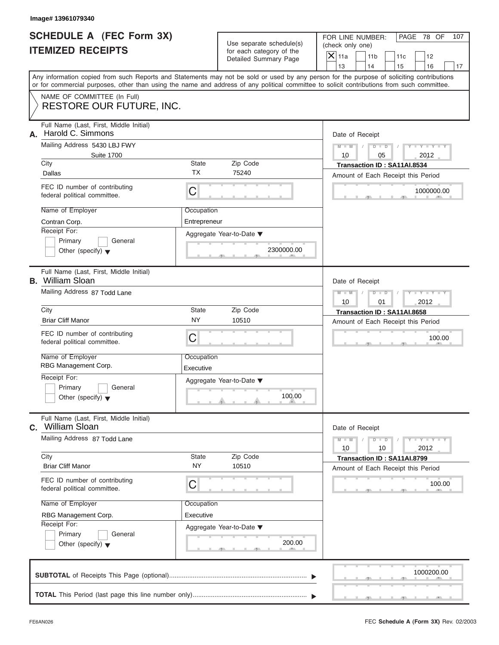|                          | <b>SCHEDULE A (FEC Form 3X)</b> |
|--------------------------|---------------------------------|
| <b>ITEMIZED RECEIPTS</b> |                                 |

|                                                             | Image# 13961079340                                                                                                                                                                                                                                                                      |                           |                                                      |                 |                                                                                               |    |                             |    |  |  |
|-------------------------------------------------------------|-----------------------------------------------------------------------------------------------------------------------------------------------------------------------------------------------------------------------------------------------------------------------------------------|---------------------------|------------------------------------------------------|-----------------|-----------------------------------------------------------------------------------------------|----|-----------------------------|----|--|--|
| <b>SCHEDULE A (FEC Form 3X)</b><br><b>ITEMIZED RECEIPTS</b> |                                                                                                                                                                                                                                                                                         |                           | Use separate schedule(s)<br>for each category of the |                 | FOR LINE NUMBER:<br>PAGE 78 OF<br>(check only one)<br>$X$ 11a<br>11 <sub>b</sub><br>11c<br>12 |    |                             |    |  |  |
|                                                             |                                                                                                                                                                                                                                                                                         |                           | Detailed Summary Page                                | 13              | 14                                                                                            | 15 | 16                          | 17 |  |  |
|                                                             | Any information copied from such Reports and Statements may not be sold or used by any person for the purpose of soliciting contributions<br>or for commercial purposes, other than using the name and address of any political committee to solicit contributions from such committee. |                           |                                                      |                 |                                                                                               |    |                             |    |  |  |
|                                                             | NAME OF COMMITTEE (In Full)<br><b>RESTORE OUR FUTURE, INC.</b>                                                                                                                                                                                                                          |                           |                                                      |                 |                                                                                               |    |                             |    |  |  |
| А.                                                          | Full Name (Last, First, Middle Initial)<br>Harold C. Simmons                                                                                                                                                                                                                            |                           |                                                      | Date of Receipt |                                                                                               |    |                             |    |  |  |
|                                                             | Mailing Address 5430 LBJ FWY<br><b>Suite 1700</b>                                                                                                                                                                                                                                       |                           |                                                      | $M - M$<br>10   | $D$ $D$<br>05                                                                                 |    | $Y - Y - Y - Y - Y$<br>2012 |    |  |  |
|                                                             | City                                                                                                                                                                                                                                                                                    | <b>State</b><br><b>TX</b> | Zip Code                                             |                 | Transaction ID: SA11AI.8534                                                                   |    |                             |    |  |  |
|                                                             | Dallas                                                                                                                                                                                                                                                                                  |                           | 75240                                                |                 | Amount of Each Receipt this Period                                                            |    |                             |    |  |  |
|                                                             | FEC ID number of contributing<br>federal political committee.                                                                                                                                                                                                                           | C                         |                                                      |                 |                                                                                               |    | 1000000.00                  |    |  |  |
|                                                             | Name of Employer                                                                                                                                                                                                                                                                        | Occupation                |                                                      |                 |                                                                                               |    |                             |    |  |  |
|                                                             | Contran Corp.                                                                                                                                                                                                                                                                           | Entrepreneur              |                                                      |                 |                                                                                               |    |                             |    |  |  |
|                                                             | Receipt For:                                                                                                                                                                                                                                                                            |                           | Aggregate Year-to-Date ▼                             |                 |                                                                                               |    |                             |    |  |  |
|                                                             | Primary<br>General<br>Other (specify) $\blacktriangledown$                                                                                                                                                                                                                              |                           | 2300000.00                                           |                 |                                                                                               |    |                             |    |  |  |
|                                                             | Full Name (Last, First, Middle Initial)<br><b>B.</b> William Sloan                                                                                                                                                                                                                      |                           |                                                      | Date of Receipt |                                                                                               |    |                             |    |  |  |
|                                                             | Mailing Address 87 Todd Lane                                                                                                                                                                                                                                                            |                           |                                                      |                 | $M - M$<br>$D$ $D$<br>Y - Y - Y - Y<br>10<br>01<br>2012                                       |    |                             |    |  |  |
|                                                             | City                                                                                                                                                                                                                                                                                    | <b>State</b><br>Zip Code  |                                                      |                 | Transaction ID: SA11AI.8658                                                                   |    |                             |    |  |  |
|                                                             | <b>Briar Cliff Manor</b>                                                                                                                                                                                                                                                                | <b>NY</b>                 | 10510                                                |                 | Amount of Each Receipt this Period                                                            |    |                             |    |  |  |
|                                                             | FEC ID number of contributing<br>federal political committee.                                                                                                                                                                                                                           | C                         |                                                      |                 |                                                                                               |    | 100.00                      |    |  |  |
|                                                             | Name of Employer<br>RBG Management Corp.                                                                                                                                                                                                                                                | Occupation<br>Executive   |                                                      |                 |                                                                                               |    |                             |    |  |  |
|                                                             | Receipt For:                                                                                                                                                                                                                                                                            |                           | Aggregate Year-to-Date ▼                             |                 |                                                                                               |    |                             |    |  |  |
|                                                             | Primary<br>General<br>Other (specify) $\blacktriangledown$                                                                                                                                                                                                                              |                           | 100.00                                               |                 |                                                                                               |    |                             |    |  |  |
| C.                                                          | Full Name (Last, First, Middle Initial)<br>William Sloan                                                                                                                                                                                                                                |                           |                                                      | Date of Receipt |                                                                                               |    |                             |    |  |  |
|                                                             | Mailing Address 87 Todd Lane                                                                                                                                                                                                                                                            |                           |                                                      |                 | $D$ $D$<br>10                                                                                 |    | $T - Y = T - Y$<br>2012     |    |  |  |
|                                                             | City<br><b>Briar Cliff Manor</b>                                                                                                                                                                                                                                                        | State<br><b>NY</b>        | Zip Code<br>10510                                    |                 | Transaction ID: SA11AI.8799<br>Amount of Each Receipt this Period                             |    |                             |    |  |  |
|                                                             | FEC ID number of contributing<br>federal political committee.                                                                                                                                                                                                                           | C                         |                                                      |                 |                                                                                               |    | 100.00                      |    |  |  |
|                                                             | Name of Employer                                                                                                                                                                                                                                                                        | Occupation                |                                                      |                 |                                                                                               |    |                             |    |  |  |
|                                                             | RBG Management Corp.                                                                                                                                                                                                                                                                    | Executive                 |                                                      |                 |                                                                                               |    |                             |    |  |  |
|                                                             | Receipt For:                                                                                                                                                                                                                                                                            |                           | Aggregate Year-to-Date ▼                             |                 |                                                                                               |    |                             |    |  |  |
|                                                             | Primary<br>General<br>Other (specify) $\blacktriangledown$                                                                                                                                                                                                                              |                           | 200.00                                               |                 |                                                                                               |    |                             |    |  |  |
|                                                             |                                                                                                                                                                                                                                                                                         |                           |                                                      |                 |                                                                                               |    | 1000200.00                  |    |  |  |
|                                                             |                                                                                                                                                                                                                                                                                         |                           |                                                      |                 |                                                                                               |    |                             |    |  |  |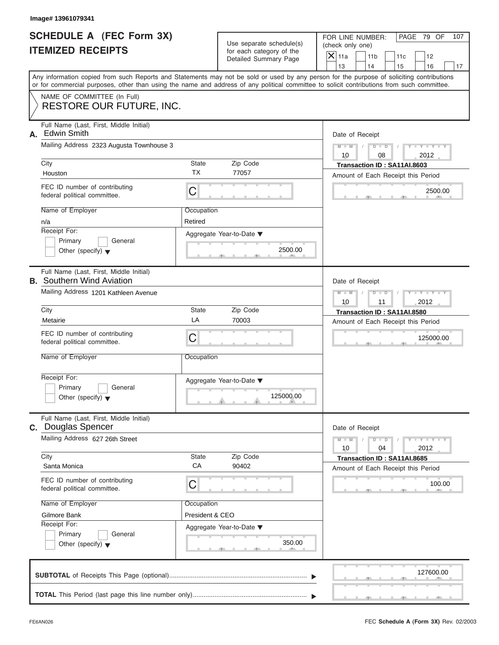|                          | <b>SCHEDULE A (FEC Form 3X)</b> |
|--------------------------|---------------------------------|
| <b>ITEMIZED RECEIPTS</b> |                                 |

| Image# 13961079341                                                                                              |                       |                                                                               |                                                                                                                                                                                                                                                                                                                       |  |  |
|-----------------------------------------------------------------------------------------------------------------|-----------------------|-------------------------------------------------------------------------------|-----------------------------------------------------------------------------------------------------------------------------------------------------------------------------------------------------------------------------------------------------------------------------------------------------------------------|--|--|
| <b>SCHEDULE A (FEC Form 3X)</b><br><b>ITEMIZED RECEIPTS</b>                                                     |                       | Use separate schedule(s)<br>for each category of the<br>Detailed Summary Page | PAGE 79 OF<br>FOR LINE NUMBER:<br>107<br>(check only one)<br>$\mathsf{X}$ 11a<br>11 <sub>b</sub><br>11c<br>12                                                                                                                                                                                                         |  |  |
|                                                                                                                 |                       |                                                                               | 13<br>14<br>15<br>16<br>17<br>Any information copied from such Reports and Statements may not be sold or used by any person for the purpose of soliciting contributions<br>or for commercial purposes, other than using the name and address of any political committee to solicit contributions from such committee. |  |  |
| NAME OF COMMITTEE (In Full)<br>RESTORE OUR FUTURE, INC.                                                         |                       |                                                                               |                                                                                                                                                                                                                                                                                                                       |  |  |
| Full Name (Last, First, Middle Initial)<br><b>Edwin Smith</b><br>А.<br>Mailing Address 2323 Augusta Townhouse 3 |                       |                                                                               | Date of Receipt<br>$Y - Y - Y - Y - Y$<br>$M - M$<br>$D$ $D$<br>10<br>2012<br>08                                                                                                                                                                                                                                      |  |  |
| City                                                                                                            | State                 | Zip Code                                                                      | Transaction ID: SA11AI.8603                                                                                                                                                                                                                                                                                           |  |  |
| Houston                                                                                                         | <b>TX</b>             | 77057                                                                         | Amount of Each Receipt this Period                                                                                                                                                                                                                                                                                    |  |  |
| FEC ID number of contributing<br>federal political committee.                                                   | С                     |                                                                               | 2500.00                                                                                                                                                                                                                                                                                                               |  |  |
| Name of Employer<br>n/a                                                                                         | Occupation<br>Retired |                                                                               |                                                                                                                                                                                                                                                                                                                       |  |  |
| Receipt For:<br>Primary<br>General<br>Other (specify) $\blacktriangledown$                                      |                       | Aggregate Year-to-Date ▼<br>2500.00                                           |                                                                                                                                                                                                                                                                                                                       |  |  |
| Full Name (Last, First, Middle Initial)<br><b>B.</b> Southern Wind Aviation                                     |                       |                                                                               | Date of Receipt                                                                                                                                                                                                                                                                                                       |  |  |
| Mailing Address 1201 Kathleen Avenue                                                                            |                       |                                                                               | $Y - Y - Y - Y - Y$<br>$M - M$<br>$D$ $D$<br>10<br>11<br>2012                                                                                                                                                                                                                                                         |  |  |
| City                                                                                                            | State<br>LA           | Zip Code                                                                      | Transaction ID: SA11AI.8580                                                                                                                                                                                                                                                                                           |  |  |
| Metairie<br>FEC ID number of contributing<br>federal political committee.                                       | С                     | 70003                                                                         | Amount of Each Receipt this Period<br>125000.00                                                                                                                                                                                                                                                                       |  |  |
| Name of Employer                                                                                                | Occupation            |                                                                               |                                                                                                                                                                                                                                                                                                                       |  |  |
| Receipt For:<br>Primary<br>General<br>Other (specify) $\blacktriangledown$                                      |                       | Aggregate Year-to-Date ▼<br>125000.00                                         |                                                                                                                                                                                                                                                                                                                       |  |  |
| Full Name (Last, First, Middle Initial)<br>C. Douglas Spencer                                                   |                       |                                                                               | Date of Receipt                                                                                                                                                                                                                                                                                                       |  |  |
| Mailing Address 627 26th Street                                                                                 |                       |                                                                               | $Y = Y$<br>$M - M$<br>$D$ $D$<br>2012<br>10<br>04                                                                                                                                                                                                                                                                     |  |  |
| City<br>Santa Monica                                                                                            | State<br>CA           | Zip Code<br>90402                                                             | Transaction ID: SA11AI.8685<br>Amount of Each Receipt this Period                                                                                                                                                                                                                                                     |  |  |
| FEC ID number of contributing<br>federal political committee.                                                   | С                     |                                                                               | 100.00                                                                                                                                                                                                                                                                                                                |  |  |
| Name of Employer                                                                                                | Occupation            |                                                                               |                                                                                                                                                                                                                                                                                                                       |  |  |
| Gilmore Bank<br>Receipt For:                                                                                    | President & CEO       |                                                                               |                                                                                                                                                                                                                                                                                                                       |  |  |
| Primary<br>General<br>Other (specify) $\blacktriangledown$                                                      |                       | Aggregate Year-to-Date ▼<br>350.00                                            |                                                                                                                                                                                                                                                                                                                       |  |  |
|                                                                                                                 |                       |                                                                               | 127600.00                                                                                                                                                                                                                                                                                                             |  |  |
|                                                                                                                 |                       |                                                                               |                                                                                                                                                                                                                                                                                                                       |  |  |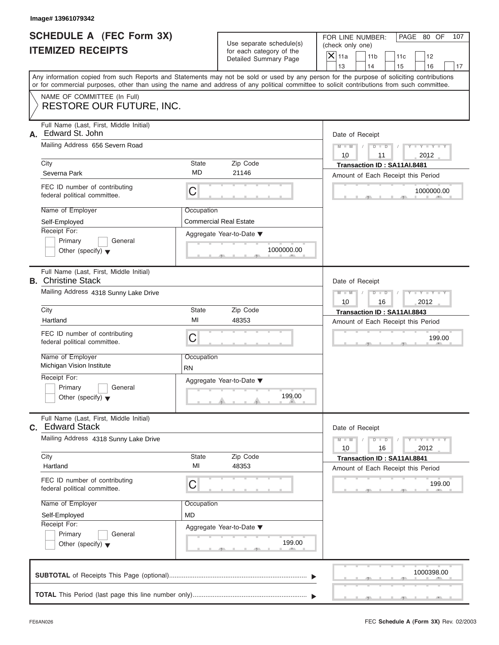|                          | SCHEDULE A (FEC Form 3X) |
|--------------------------|--------------------------|
| <b>ITEMIZED RECEIPTS</b> |                          |

| Image# 13961079342                                                         |                         |                                                      |                                                                                                                                                                                                                                                                                         |
|----------------------------------------------------------------------------|-------------------------|------------------------------------------------------|-----------------------------------------------------------------------------------------------------------------------------------------------------------------------------------------------------------------------------------------------------------------------------------------|
| <b>SCHEDULE A (FEC Form 3X)</b><br><b>ITEMIZED RECEIPTS</b>                |                         | Use separate schedule(s)<br>for each category of the | FOR LINE NUMBER:<br>PAGE 80 OF<br>107<br>(check only one)<br>$\overline{X}$ 11a<br>11 <sub>b</sub><br>11c<br>12                                                                                                                                                                         |
|                                                                            |                         | Detailed Summary Page                                | 13<br>14<br>15<br>16<br>17                                                                                                                                                                                                                                                              |
|                                                                            |                         |                                                      | Any information copied from such Reports and Statements may not be sold or used by any person for the purpose of soliciting contributions<br>or for commercial purposes, other than using the name and address of any political committee to solicit contributions from such committee. |
| NAME OF COMMITTEE (In Full)<br><b>RESTORE OUR FUTURE, INC.</b>             |                         |                                                      |                                                                                                                                                                                                                                                                                         |
| Full Name (Last, First, Middle Initial)<br>Edward St. John<br>А.           |                         |                                                      | Date of Receipt                                                                                                                                                                                                                                                                         |
| Mailing Address 656 Severn Road                                            |                         |                                                      | $D$ $D$<br>$Y - Y - Y - Y - Y$<br>$M - M$<br>10<br>2012<br>11                                                                                                                                                                                                                           |
| City<br>Severna Park                                                       | State<br>MD             | Zip Code<br>21146                                    | Transaction ID: SA11AI.8481<br>Amount of Each Receipt this Period                                                                                                                                                                                                                       |
| FEC ID number of contributing<br>federal political committee.              | C                       |                                                      | 1000000.00                                                                                                                                                                                                                                                                              |
| Name of Employer<br>Self-Employed                                          | Occupation              | <b>Commercial Real Estate</b>                        |                                                                                                                                                                                                                                                                                         |
| Receipt For:<br>Primary<br>General<br>Other (specify) $\blacktriangledown$ |                         | Aggregate Year-to-Date ▼<br>1000000.00               |                                                                                                                                                                                                                                                                                         |
| Full Name (Last, First, Middle Initial)<br><b>B.</b> Christine Stack       |                         |                                                      | Date of Receipt                                                                                                                                                                                                                                                                         |
| Mailing Address 4318 Sunny Lake Drive                                      |                         |                                                      | $Y - Y - Y - Y - I$<br>$M - M$<br>$D$ $D$<br>10<br>16<br>2012                                                                                                                                                                                                                           |
| City                                                                       | State                   | Zip Code                                             | Transaction ID: SA11AI.8843                                                                                                                                                                                                                                                             |
| Hartland                                                                   | MI                      | 48353                                                | Amount of Each Receipt this Period                                                                                                                                                                                                                                                      |
| FEC ID number of contributing<br>federal political committee.              | C                       |                                                      | 199.00                                                                                                                                                                                                                                                                                  |
| Name of Employer<br>Michigan Vision Institute                              | Occupation<br><b>RN</b> |                                                      |                                                                                                                                                                                                                                                                                         |
| Receipt For:                                                               |                         | Aggregate Year-to-Date ▼                             |                                                                                                                                                                                                                                                                                         |
| Primary<br>General<br>Other (specify) $\blacktriangledown$                 |                         | 199.00                                               |                                                                                                                                                                                                                                                                                         |
| Full Name (Last, First, Middle Initial)<br><b>Edward Stack</b><br>C.       |                         |                                                      | Date of Receipt                                                                                                                                                                                                                                                                         |
| Mailing Address 4318 Sunny Lake Drive                                      |                         |                                                      | $Y = Y$<br>$M - M$<br>$D$ $D$<br>2012<br>10<br>16                                                                                                                                                                                                                                       |
| City<br>Hartland                                                           | State<br>MI             | Zip Code<br>48353                                    | Transaction ID: SA11AI.8841<br>Amount of Each Receipt this Period                                                                                                                                                                                                                       |
| FEC ID number of contributing<br>federal political committee.              | C                       |                                                      | 199.00                                                                                                                                                                                                                                                                                  |
| Name of Employer                                                           | Occupation              |                                                      |                                                                                                                                                                                                                                                                                         |
| Self-Employed                                                              | MD                      |                                                      |                                                                                                                                                                                                                                                                                         |
| Receipt For:<br>Primary<br>General                                         |                         | Aggregate Year-to-Date ▼                             |                                                                                                                                                                                                                                                                                         |
| Other (specify) $\blacktriangledown$                                       |                         | 199.00                                               |                                                                                                                                                                                                                                                                                         |
|                                                                            |                         |                                                      | 1000398.00                                                                                                                                                                                                                                                                              |
|                                                                            |                         |                                                      |                                                                                                                                                                                                                                                                                         |

J.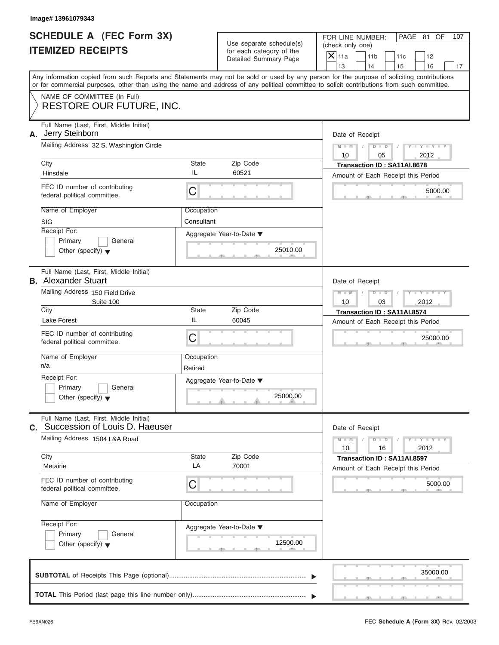|                          | <b>SCHEDULE A (FEC Form 3X)</b> |
|--------------------------|---------------------------------|
| <b>ITEMIZED RECEIPTS</b> |                                 |

| Image# 13961079343                                                                                                                         |             |                                                                               |                                                                                                                                           |
|--------------------------------------------------------------------------------------------------------------------------------------------|-------------|-------------------------------------------------------------------------------|-------------------------------------------------------------------------------------------------------------------------------------------|
| SCHEDULE A (FEC Form 3X)<br><b>ITEMIZED RECEIPTS</b>                                                                                       |             | Use separate schedule(s)<br>for each category of the<br>Detailed Summary Page | FOR LINE NUMBER:<br>PAGE 81 OF<br>107<br>(check only one)<br>$\overline{X}$ 11a<br>11 <sub>b</sub><br>11c<br>12                           |
|                                                                                                                                            |             |                                                                               | 13<br>14<br>15<br>16<br>17                                                                                                                |
| or for commercial purposes, other than using the name and address of any political committee to solicit contributions from such committee. |             |                                                                               | Any information copied from such Reports and Statements may not be sold or used by any person for the purpose of soliciting contributions |
| NAME OF COMMITTEE (In Full)<br><b>RESTORE OUR FUTURE, INC.</b>                                                                             |             |                                                                               |                                                                                                                                           |
| Full Name (Last, First, Middle Initial)<br>Jerry Steinborn<br>А.                                                                           |             |                                                                               | Date of Receipt                                                                                                                           |
| Mailing Address 32 S. Washington Circle                                                                                                    |             |                                                                               | $D$ $D$<br>$Y - Y - Y - Y - Y$<br>$M - M$<br>10<br>2012<br>05                                                                             |
| City                                                                                                                                       | State       | Zip Code                                                                      | Transaction ID: SA11AI.8678                                                                                                               |
| Hinsdale                                                                                                                                   | IL          | 60521                                                                         | Amount of Each Receipt this Period                                                                                                        |
| FEC ID number of contributing<br>federal political committee.                                                                              | C           |                                                                               | 5000.00                                                                                                                                   |
| Name of Employer                                                                                                                           | Occupation  |                                                                               |                                                                                                                                           |
| <b>SIG</b>                                                                                                                                 | Consultant  |                                                                               |                                                                                                                                           |
| Receipt For:                                                                                                                               |             | Aggregate Year-to-Date ▼                                                      |                                                                                                                                           |
| Primary<br>General<br>Other (specify) $\blacktriangledown$                                                                                 |             | 25010.00                                                                      |                                                                                                                                           |
| Full Name (Last, First, Middle Initial)<br><b>B.</b> Alexander Stuart                                                                      |             |                                                                               | Date of Receipt                                                                                                                           |
| Mailing Address 150 Field Drive<br>Suite 100                                                                                               |             |                                                                               | $M - M$<br>$D$ $D$<br>$Y = Y + Y + Y$<br>10<br>03<br>2012                                                                                 |
| City<br>State                                                                                                                              |             | Zip Code                                                                      | Transaction ID: SA11AI.8574                                                                                                               |
| <b>Lake Forest</b>                                                                                                                         | IL          | 60045                                                                         | Amount of Each Receipt this Period                                                                                                        |
| FEC ID number of contributing<br>federal political committee.                                                                              | C           |                                                                               | 25000.00                                                                                                                                  |
| Name of Employer                                                                                                                           | Occupation  |                                                                               |                                                                                                                                           |
| n/a                                                                                                                                        | Retired     |                                                                               |                                                                                                                                           |
| Receipt For:<br>Primary<br>General                                                                                                         |             | Aggregate Year-to-Date ▼                                                      |                                                                                                                                           |
| Other (specify) $\blacktriangledown$                                                                                                       |             | 25000.00                                                                      |                                                                                                                                           |
| Full Name (Last, First, Middle Initial)<br>Succession of Louis D. Haeuser<br>C.                                                            |             |                                                                               | Date of Receipt                                                                                                                           |
| Mailing Address 1504 L&A Road                                                                                                              |             |                                                                               | $Y - Y - Y - Y - I$<br>$M - M$<br>$D$ $D$<br>2012<br>10<br>16                                                                             |
| City<br>Metairie                                                                                                                           | State<br>LA | Zip Code<br>70001                                                             | Transaction ID: SA11AI.8597<br>Amount of Each Receipt this Period                                                                         |
| FEC ID number of contributing<br>federal political committee.                                                                              | C           |                                                                               | 5000.00                                                                                                                                   |
| Name of Employer                                                                                                                           | Occupation  |                                                                               |                                                                                                                                           |
| Receipt For:                                                                                                                               |             | Aggregate Year-to-Date ▼                                                      |                                                                                                                                           |
| Primary<br>General<br>Other (specify) $\blacktriangledown$                                                                                 |             | 12500.00                                                                      |                                                                                                                                           |
|                                                                                                                                            |             |                                                                               | 35000.00                                                                                                                                  |
|                                                                                                                                            |             |                                                                               |                                                                                                                                           |

 $S = \{x_1, x_2, \ldots, x_{n-1}, x_{n-1}, \ldots, x_{n-1}, x_{n-1}, \ldots, x_{n-1}, x_{n-1}, \ldots, x_{n-1}, x_{n-1}, \ldots, x_{n-1}, x_{n-1}, \ldots, x_{n-1}, x_{n-1}, \ldots, x_{n-1}, \ldots, x_{n-1}, \ldots, x_{n-1}, \ldots, x_{n-1}, \ldots, x_{n-1}, \ldots, x_{n-1}, \ldots, x_{n-1}, \ldots, x_{n-1}, \ldots, x_{n-1}, \ldots, x_{n-1}, \ldots, x_{n-1}, \ld$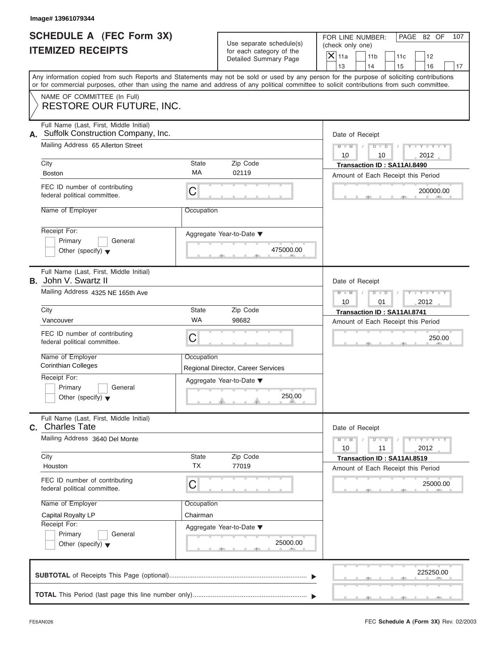### **ITEMIZED RECEIPTS**

|                                                             | Image# 13961079344                                                                                                                         |                    |                                                                               |                                                                                                                                           |
|-------------------------------------------------------------|--------------------------------------------------------------------------------------------------------------------------------------------|--------------------|-------------------------------------------------------------------------------|-------------------------------------------------------------------------------------------------------------------------------------------|
| <b>SCHEDULE A (FEC Form 3X)</b><br><b>ITEMIZED RECEIPTS</b> |                                                                                                                                            |                    | Use separate schedule(s)<br>for each category of the<br>Detailed Summary Page | PAGE 82 OF<br>FOR LINE NUMBER:<br>107<br>(check only one)<br>$\mathsf{X}$ 11a<br>11 <sub>b</sub><br>11c<br>12                             |
|                                                             |                                                                                                                                            |                    |                                                                               | 13<br>14<br>16<br>15<br>17                                                                                                                |
|                                                             | or for commercial purposes, other than using the name and address of any political committee to solicit contributions from such committee. |                    |                                                                               | Any information copied from such Reports and Statements may not be sold or used by any person for the purpose of soliciting contributions |
|                                                             | NAME OF COMMITTEE (In Full)<br><b>RESTORE OUR FUTURE, INC.</b>                                                                             |                    |                                                                               |                                                                                                                                           |
| А.                                                          | Full Name (Last, First, Middle Initial)<br>Suffolk Construction Company, Inc.                                                              |                    |                                                                               | Date of Receipt                                                                                                                           |
|                                                             | Mailing Address 65 Allerton Street                                                                                                         |                    |                                                                               | $M - M$<br>$D$ $D$<br>$Y - Y - Y$<br>10<br>10<br>2012                                                                                     |
|                                                             | City                                                                                                                                       | State              | Zip Code                                                                      | Transaction ID: SA11AI.8490                                                                                                               |
|                                                             | <b>Boston</b>                                                                                                                              | МA                 | 02119                                                                         | Amount of Each Receipt this Period                                                                                                        |
|                                                             | FEC ID number of contributing<br>federal political committee.                                                                              | С                  |                                                                               | 200000.00                                                                                                                                 |
|                                                             | Name of Employer                                                                                                                           | Occupation         |                                                                               |                                                                                                                                           |
|                                                             | Receipt For:<br>Primary<br>General                                                                                                         |                    | Aggregate Year-to-Date ▼                                                      |                                                                                                                                           |
|                                                             | Other (specify) $\blacktriangledown$                                                                                                       |                    | 475000.00                                                                     |                                                                                                                                           |
|                                                             | Full Name (Last, First, Middle Initial)<br><b>B.</b> John V. Swartz II                                                                     |                    |                                                                               | Date of Receipt                                                                                                                           |
|                                                             | Mailing Address 4325 NE 165th Ave                                                                                                          |                    |                                                                               | $M - M$<br>$D$ $\Box$ $D$<br>$+Y+Y+$<br>10<br>01<br>2012                                                                                  |
|                                                             | City                                                                                                                                       | State              | Zip Code                                                                      | Transaction ID: SA11AI.8741                                                                                                               |
|                                                             | Vancouver                                                                                                                                  | <b>WA</b>          | 98682                                                                         | Amount of Each Receipt this Period                                                                                                        |
|                                                             | FEC ID number of contributing<br>federal political committee.                                                                              | С                  |                                                                               | 250.00                                                                                                                                    |
|                                                             | Name of Employer                                                                                                                           | Occupation         |                                                                               |                                                                                                                                           |
|                                                             | <b>Corinthian Colleges</b><br>Receipt For:                                                                                                 |                    | Regional Director, Career Services                                            |                                                                                                                                           |
|                                                             | Primary<br>General                                                                                                                         |                    | Aggregate Year-to-Date ▼                                                      |                                                                                                                                           |
|                                                             | Other (specify) $\blacktriangledown$                                                                                                       |                    | 250.00                                                                        |                                                                                                                                           |
|                                                             | Full Name (Last, First, Middle Initial)<br>C. Charles Tate                                                                                 |                    |                                                                               | Date of Receipt                                                                                                                           |
|                                                             | Mailing Address 3640 Del Monte                                                                                                             |                    |                                                                               | $M - M$<br>$-1 - Y - 1 - Y - 1$<br>$D$ $D$<br>2012<br>10<br>11                                                                            |
|                                                             | City<br>Houston                                                                                                                            | State<br><b>TX</b> | Zip Code<br>77019                                                             | Transaction ID: SA11AI.8519<br>Amount of Each Receipt this Period                                                                         |
|                                                             | FEC ID number of contributing<br>federal political committee.                                                                              | С                  |                                                                               | 25000.00                                                                                                                                  |
|                                                             | Name of Employer                                                                                                                           | Occupation         |                                                                               |                                                                                                                                           |
|                                                             | Capital Royalty LP<br>Receipt For:                                                                                                         | Chairman           |                                                                               |                                                                                                                                           |
|                                                             | Primary<br>General                                                                                                                         |                    | Aggregate Year-to-Date ▼                                                      |                                                                                                                                           |
|                                                             | Other (specify) $\blacktriangledown$                                                                                                       |                    | 25000.00                                                                      |                                                                                                                                           |
|                                                             |                                                                                                                                            |                    |                                                                               | 225250.00                                                                                                                                 |
|                                                             |                                                                                                                                            |                    |                                                                               |                                                                                                                                           |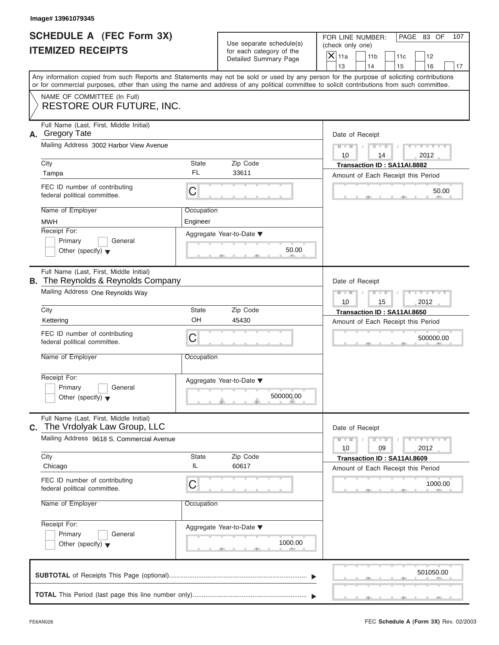| <b>SCHEDULE A (FEC Form 3X)</b> |  |  |
|---------------------------------|--|--|
| <b>ITEMIZED RECEIPTS</b>        |  |  |

|                                                      | Image# 13961079345                                                                                                                                                                                                                                                                      |                        |                                                                               |               |                                                                   |     |                             |     |
|------------------------------------------------------|-----------------------------------------------------------------------------------------------------------------------------------------------------------------------------------------------------------------------------------------------------------------------------------------|------------------------|-------------------------------------------------------------------------------|---------------|-------------------------------------------------------------------|-----|-----------------------------|-----|
| SCHEDULE A (FEC Form 3X)<br><b>ITEMIZED RECEIPTS</b> |                                                                                                                                                                                                                                                                                         |                        | Use separate schedule(s)<br>for each category of the<br>Detailed Summary Page |               | FOR LINE NUMBER:<br>(check only one)<br>11 <sub>b</sub>           | 11c | PAGE 83 OF<br>12            | 107 |
|                                                      | Any information copied from such Reports and Statements may not be sold or used by any person for the purpose of soliciting contributions<br>or for commercial purposes, other than using the name and address of any political committee to solicit contributions from such committee. |                        |                                                                               | 13            | 14                                                                | 15  | 16                          | 17  |
|                                                      | NAME OF COMMITTEE (In Full)<br><b>RESTORE OUR FUTURE, INC.</b>                                                                                                                                                                                                                          |                        |                                                                               |               |                                                                   |     |                             |     |
| А.                                                   | Full Name (Last, First, Middle Initial)<br><b>Gregory Tate</b><br>Mailing Address 3002 Harbor View Avenue                                                                                                                                                                               |                        |                                                                               | $M - M$       | Date of Receipt<br>$D$ $D$                                        |     | $Y - Y - Y - Y - Y$         |     |
| City                                                 |                                                                                                                                                                                                                                                                                         | State<br><b>FL</b>     | Zip Code<br>33611                                                             | 10            | 14<br>Transaction ID: SA11AI.8882                                 |     | 2012                        |     |
| Tampa                                                | FEC ID number of contributing<br>federal political committee.                                                                                                                                                                                                                           | C                      |                                                                               |               | Amount of Each Receipt this Period                                |     | 50.00                       |     |
| <b>MWH</b><br>Receipt For:                           | Name of Employer<br>Primary<br>General<br>Other (specify) $\blacktriangledown$                                                                                                                                                                                                          | Occupation<br>Engineer | Aggregate Year-to-Date ▼<br>50.00                                             |               |                                                                   |     |                             |     |
|                                                      | Full Name (Last, First, Middle Initial)<br><b>B.</b> The Reynolds & Reynolds Company<br>Mailing Address One Reynolds Way                                                                                                                                                                |                        |                                                                               | $M - M$<br>10 | Date of Receipt<br>$D$ $D$<br>15                                  |     | $Y - Y - Y - Y - Y$<br>2012 |     |
| City<br>Kettering                                    | FEC ID number of contributing                                                                                                                                                                                                                                                           | State<br>OH            | Zip Code<br>45430                                                             |               | Transaction ID: SA11AI.8650<br>Amount of Each Receipt this Period |     |                             |     |
|                                                      | federal political committee.<br>Name of Employer                                                                                                                                                                                                                                        | C<br>Occupation        |                                                                               |               |                                                                   |     | 500000.00                   |     |
| Receipt For:                                         | Primary<br>General<br>Other (specify) $\blacktriangledown$                                                                                                                                                                                                                              |                        | Aggregate Year-to-Date ▼<br>500000.00                                         |               |                                                                   |     |                             |     |
| C.                                                   | Full Name (Last, First, Middle Initial)<br>The Vrdolyak Law Group, LLC                                                                                                                                                                                                                  |                        |                                                                               |               | Date of Receipt                                                   |     |                             |     |
| City                                                 | Mailing Address 9618 S. Commercial Avenue                                                                                                                                                                                                                                               | State<br>IL            | Zip Code                                                                      | $M - M$<br>10 | $D$ $D$<br>09<br>Transaction ID: SA11AI.8609                      |     | $Y = Y$<br>2012             |     |
| Chicago                                              | FEC ID number of contributing<br>federal political committee.                                                                                                                                                                                                                           | C                      | 60617                                                                         |               | Amount of Each Receipt this Period                                |     | 1000.00                     |     |
|                                                      | Name of Employer                                                                                                                                                                                                                                                                        | Occupation             |                                                                               |               |                                                                   |     |                             |     |
| Receipt For:                                         | Primary<br>General<br>Other (specify) $\blacktriangledown$                                                                                                                                                                                                                              |                        | Aggregate Year-to-Date ▼<br>1000.00                                           |               |                                                                   |     |                             |     |
|                                                      |                                                                                                                                                                                                                                                                                         |                        |                                                                               |               |                                                                   |     | 501050.00                   |     |
|                                                      |                                                                                                                                                                                                                                                                                         |                        |                                                                               |               |                                                                   |     |                             |     |

S S S , , .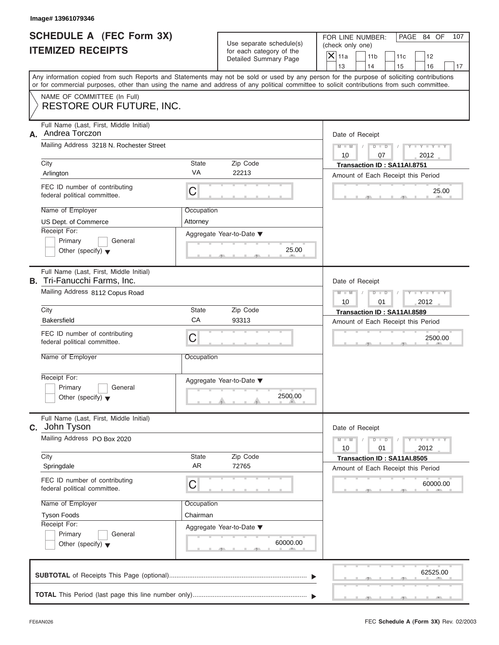| <b>SCHEDULE A (FEC Form 3X)</b> |  |  |
|---------------------------------|--|--|
| <b>ITEMIZED RECEIPTS</b>        |  |  |

| Image# 13961079346                                                            |            |                                                                               |                                                                                                                                                                                                                                                                                         |  |  |
|-------------------------------------------------------------------------------|------------|-------------------------------------------------------------------------------|-----------------------------------------------------------------------------------------------------------------------------------------------------------------------------------------------------------------------------------------------------------------------------------------|--|--|
| SCHEDULE A (FEC Form 3X)<br><b>ITEMIZED RECEIPTS</b>                          |            | Use separate schedule(s)<br>for each category of the<br>Detailed Summary Page | FOR LINE NUMBER:<br>PAGE 84 OF<br>107<br>(check only one)<br>$\overline{X}$ 11a<br>11 <sub>b</sub><br>11c<br>12                                                                                                                                                                         |  |  |
|                                                                               |            |                                                                               | 13<br>14<br>15<br>16<br>17                                                                                                                                                                                                                                                              |  |  |
|                                                                               |            |                                                                               | Any information copied from such Reports and Statements may not be sold or used by any person for the purpose of soliciting contributions<br>or for commercial purposes, other than using the name and address of any political committee to solicit contributions from such committee. |  |  |
| NAME OF COMMITTEE (In Full)<br><b>RESTORE OUR FUTURE, INC.</b>                |            |                                                                               |                                                                                                                                                                                                                                                                                         |  |  |
| Full Name (Last, First, Middle Initial)<br>Andrea Torczon<br>А.               |            |                                                                               | Date of Receipt                                                                                                                                                                                                                                                                         |  |  |
| Mailing Address 3218 N. Rochester Street                                      |            |                                                                               | $M - M$<br>$D$ $D$<br>$Y - Y - Y - Y - Y$<br>10<br>07<br>2012                                                                                                                                                                                                                           |  |  |
| City                                                                          | State      | Zip Code                                                                      | Transaction ID: SA11AI.8751                                                                                                                                                                                                                                                             |  |  |
| Arlington                                                                     | VA         | 22213                                                                         | Amount of Each Receipt this Period                                                                                                                                                                                                                                                      |  |  |
| FEC ID number of contributing<br>federal political committee.                 | C          |                                                                               | 25.00                                                                                                                                                                                                                                                                                   |  |  |
| Name of Employer                                                              | Occupation |                                                                               |                                                                                                                                                                                                                                                                                         |  |  |
| US Dept. of Commerce                                                          | Attorney   |                                                                               |                                                                                                                                                                                                                                                                                         |  |  |
| Receipt For:                                                                  |            | Aggregate Year-to-Date ▼                                                      |                                                                                                                                                                                                                                                                                         |  |  |
| Primary<br>General                                                            |            |                                                                               |                                                                                                                                                                                                                                                                                         |  |  |
| Other (specify) $\blacktriangledown$                                          |            | 25.00                                                                         |                                                                                                                                                                                                                                                                                         |  |  |
| Full Name (Last, First, Middle Initial)<br><b>B.</b> Tri-Fanucchi Farms, Inc. |            |                                                                               | Date of Receipt                                                                                                                                                                                                                                                                         |  |  |
| Mailing Address 8112 Copus Road                                               |            |                                                                               | $M - M$<br>$D$ $D$<br>$Y = Y + Y + Y$                                                                                                                                                                                                                                                   |  |  |
|                                                                               |            |                                                                               | 2012<br>10<br>01                                                                                                                                                                                                                                                                        |  |  |
| City                                                                          | State      | Zip Code                                                                      | Transaction ID: SA11AI.8589                                                                                                                                                                                                                                                             |  |  |
| <b>Bakersfield</b>                                                            | CA         | 93313                                                                         | Amount of Each Receipt this Period                                                                                                                                                                                                                                                      |  |  |
| FEC ID number of contributing<br>federal political committee.                 | C          |                                                                               | 2500.00                                                                                                                                                                                                                                                                                 |  |  |
| Name of Employer                                                              | Occupation |                                                                               |                                                                                                                                                                                                                                                                                         |  |  |
| Receipt For:                                                                  |            | Aggregate Year-to-Date ▼                                                      |                                                                                                                                                                                                                                                                                         |  |  |
| Primary<br>General                                                            |            |                                                                               |                                                                                                                                                                                                                                                                                         |  |  |
| Other (specify) $\blacktriangledown$                                          |            | 2500.00                                                                       |                                                                                                                                                                                                                                                                                         |  |  |
| Full Name (Last, First, Middle Initial)<br>John Tyson<br>C.                   |            |                                                                               | Date of Receipt                                                                                                                                                                                                                                                                         |  |  |
| Mailing Address PO Box 2020                                                   |            |                                                                               | $Y - I - Y - I - Y - I$<br>$M - M$<br>$D$ $D$<br>10<br>2012<br>01                                                                                                                                                                                                                       |  |  |
| City                                                                          | State      | Zip Code                                                                      | Transaction ID: SA11AI.8505                                                                                                                                                                                                                                                             |  |  |
| Springdale                                                                    | <b>AR</b>  | 72765                                                                         | Amount of Each Receipt this Period                                                                                                                                                                                                                                                      |  |  |
| FEC ID number of contributing<br>federal political committee.                 | C          |                                                                               | 60000.00                                                                                                                                                                                                                                                                                |  |  |
| Name of Employer                                                              | Occupation |                                                                               |                                                                                                                                                                                                                                                                                         |  |  |
| <b>Tyson Foods</b>                                                            | Chairman   |                                                                               |                                                                                                                                                                                                                                                                                         |  |  |
| Receipt For:                                                                  |            | Aggregate Year-to-Date ▼                                                      |                                                                                                                                                                                                                                                                                         |  |  |
| Primary<br>General                                                            |            |                                                                               |                                                                                                                                                                                                                                                                                         |  |  |
| Other (specify) $\blacktriangledown$                                          |            | 60000.00                                                                      |                                                                                                                                                                                                                                                                                         |  |  |
|                                                                               |            |                                                                               |                                                                                                                                                                                                                                                                                         |  |  |
|                                                                               |            |                                                                               | 62525.00                                                                                                                                                                                                                                                                                |  |  |
|                                                                               |            |                                                                               |                                                                                                                                                                                                                                                                                         |  |  |
|                                                                               |            |                                                                               |                                                                                                                                                                                                                                                                                         |  |  |

S S S , , .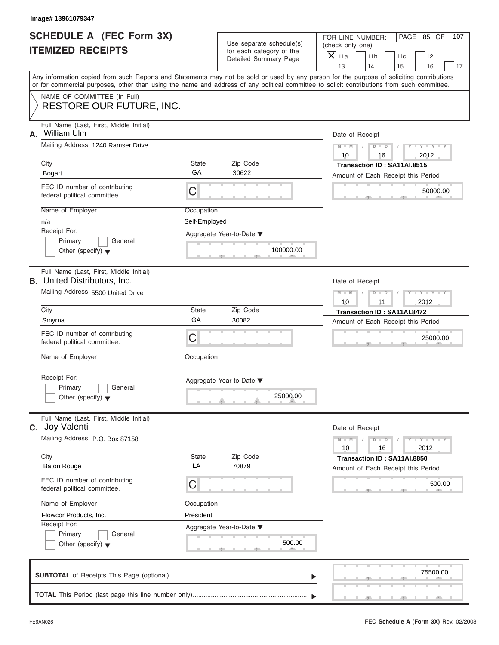| SCHEDULE A (FEC Form 3X) |  |  |
|--------------------------|--|--|
| <b>ITEMIZED RECEIPTS</b> |  |  |

| Image# 13961079347                                                             |                             |                                                                               |                                                                                                                                                                                                                                                                                         |
|--------------------------------------------------------------------------------|-----------------------------|-------------------------------------------------------------------------------|-----------------------------------------------------------------------------------------------------------------------------------------------------------------------------------------------------------------------------------------------------------------------------------------|
| <b>SCHEDULE A (FEC Form 3X)</b><br><b>ITEMIZED RECEIPTS</b>                    |                             | Use separate schedule(s)<br>for each category of the<br>Detailed Summary Page | FOR LINE NUMBER:<br>PAGE 85 OF<br>107<br>(check only one)<br>$\overline{X}$ 11a<br>11 <sub>b</sub><br>11c<br>12<br>13<br>14<br>15<br>16<br>17                                                                                                                                           |
|                                                                                |                             |                                                                               | Any information copied from such Reports and Statements may not be sold or used by any person for the purpose of soliciting contributions<br>or for commercial purposes, other than using the name and address of any political committee to solicit contributions from such committee. |
| NAME OF COMMITTEE (In Full)<br><b>RESTORE OUR FUTURE, INC.</b>                 |                             |                                                                               |                                                                                                                                                                                                                                                                                         |
| Full Name (Last, First, Middle Initial)<br>William Ulm<br>А.                   |                             |                                                                               | Date of Receipt                                                                                                                                                                                                                                                                         |
| Mailing Address 1240 Ramser Drive                                              |                             |                                                                               | $M - M$<br>$D$ $D$<br>$Y - Y - Y$<br>10<br>2012<br>16                                                                                                                                                                                                                                   |
| City<br>Bogart                                                                 | State<br>GA                 | Zip Code<br>30622                                                             | Transaction ID: SA11AI.8515<br>Amount of Each Receipt this Period                                                                                                                                                                                                                       |
| FEC ID number of contributing<br>federal political committee.                  | C                           |                                                                               | 50000.00                                                                                                                                                                                                                                                                                |
| Name of Employer<br>n/a                                                        | Occupation<br>Self-Employed |                                                                               |                                                                                                                                                                                                                                                                                         |
| Receipt For:<br>Primary<br>General<br>Other (specify) $\blacktriangledown$     |                             | Aggregate Year-to-Date ▼<br>100000.00                                         |                                                                                                                                                                                                                                                                                         |
| Full Name (Last, First, Middle Initial)<br><b>B.</b> United Distributors, Inc. |                             |                                                                               | Date of Receipt                                                                                                                                                                                                                                                                         |
| Mailing Address 5500 United Drive                                              |                             |                                                                               | $M - M$<br>$D - I$<br>Y TY TY<br>2012<br>10<br>11                                                                                                                                                                                                                                       |
| City<br>Smyrna                                                                 | State<br>GA                 | Zip Code<br>30082                                                             | Transaction ID: SA11AI.8472<br>Amount of Each Receipt this Period                                                                                                                                                                                                                       |
| FEC ID number of contributing<br>federal political committee.                  | C                           |                                                                               | 25000.00                                                                                                                                                                                                                                                                                |
| Name of Employer                                                               | Occupation                  |                                                                               |                                                                                                                                                                                                                                                                                         |
| Receipt For:<br>Primary<br>General<br>Other (specify) $\blacktriangledown$     |                             | Aggregate Year-to-Date ▼<br>25000.00                                          |                                                                                                                                                                                                                                                                                         |
| Full Name (Last, First, Middle Initial)<br>C. Joy Valenti                      |                             |                                                                               | Date of Receipt                                                                                                                                                                                                                                                                         |
| Mailing Address P.O. Box 87158                                                 |                             |                                                                               | $M - M$<br>$Y = Y$<br>$D$ $D$<br>2012<br>10<br>16                                                                                                                                                                                                                                       |
| City<br><b>Baton Rouge</b>                                                     | State<br>LA                 | Zip Code<br>70879                                                             | Transaction ID: SA11AI.8850<br>Amount of Each Receipt this Period                                                                                                                                                                                                                       |
| FEC ID number of contributing<br>federal political committee.                  | С                           |                                                                               | 500.00                                                                                                                                                                                                                                                                                  |
| Name of Employer<br>Flowcor Products, Inc.                                     | Occupation<br>President     |                                                                               |                                                                                                                                                                                                                                                                                         |
| Receipt For:<br>Primary<br>General<br>Other (specify) $\blacktriangledown$     |                             | Aggregate Year-to-Date ▼<br>500.00                                            |                                                                                                                                                                                                                                                                                         |
|                                                                                |                             |                                                                               | 75500.00                                                                                                                                                                                                                                                                                |
|                                                                                |                             |                                                                               |                                                                                                                                                                                                                                                                                         |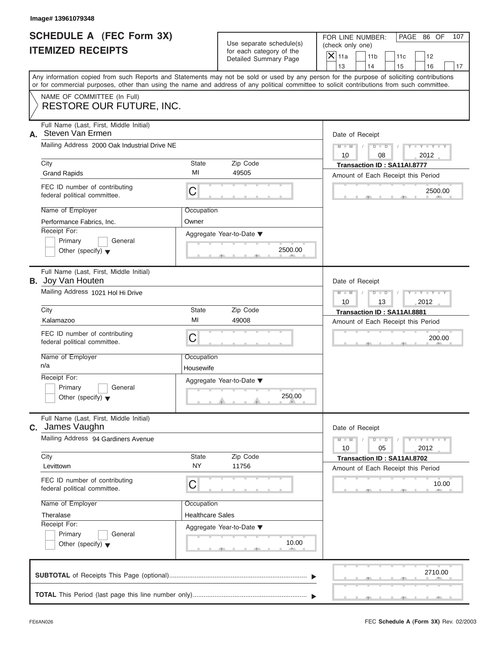|                          | <b>SCHEDULE A (FEC Form 3X)</b> |
|--------------------------|---------------------------------|
| <b>ITEMIZED RECEIPTS</b> |                                 |

|                                                             | Image# 13961079348                                                                                                                         |                         |                                                      |                                                                                                                                           |  |
|-------------------------------------------------------------|--------------------------------------------------------------------------------------------------------------------------------------------|-------------------------|------------------------------------------------------|-------------------------------------------------------------------------------------------------------------------------------------------|--|
| <b>SCHEDULE A (FEC Form 3X)</b><br><b>ITEMIZED RECEIPTS</b> |                                                                                                                                            |                         | Use separate schedule(s)<br>for each category of the | FOR LINE NUMBER:<br>PAGE 86 OF<br>107<br>(check only one)<br>$\overline{X}$ 11a<br>11 <sub>b</sub><br>11c<br>12                           |  |
|                                                             |                                                                                                                                            |                         | Detailed Summary Page                                | 13<br>14<br>15<br>16<br>17                                                                                                                |  |
|                                                             | or for commercial purposes, other than using the name and address of any political committee to solicit contributions from such committee. |                         |                                                      | Any information copied from such Reports and Statements may not be sold or used by any person for the purpose of soliciting contributions |  |
|                                                             | NAME OF COMMITTEE (In Full)<br><b>RESTORE OUR FUTURE, INC.</b>                                                                             |                         |                                                      |                                                                                                                                           |  |
| А.                                                          | Full Name (Last, First, Middle Initial)<br>Steven Van Ermen                                                                                |                         |                                                      | Date of Receipt                                                                                                                           |  |
|                                                             | Mailing Address 2000 Oak Industrial Drive NE                                                                                               |                         |                                                      | $D$ $D$<br>$Y - Y - Y - Y - Y$<br>$M - M$<br>10<br>2012<br>08                                                                             |  |
|                                                             | City<br><b>Grand Rapids</b>                                                                                                                | State<br>MI             | Zip Code<br>49505                                    | Transaction ID: SA11AI.8777<br>Amount of Each Receipt this Period                                                                         |  |
|                                                             | FEC ID number of contributing<br>federal political committee.                                                                              | C                       |                                                      | 2500.00                                                                                                                                   |  |
|                                                             | Name of Employer<br>Performance Fabrics, Inc.                                                                                              | Occupation<br>Owner     |                                                      |                                                                                                                                           |  |
|                                                             | Receipt For:<br>Primary<br>General<br>Other (specify) $\blacktriangledown$                                                                 |                         | Aggregate Year-to-Date ▼<br>2500.00                  |                                                                                                                                           |  |
|                                                             | Full Name (Last, First, Middle Initial)<br><b>B.</b> Joy Van Houten                                                                        |                         |                                                      | Date of Receipt                                                                                                                           |  |
|                                                             | Mailing Address 1021 Hol Hi Drive                                                                                                          |                         |                                                      | $Y - Y - Y - Y - I$<br>$M - M$<br>$D$ $D$<br>10<br>13<br>2012                                                                             |  |
|                                                             | City                                                                                                                                       | State                   | Zip Code                                             | Transaction ID: SA11AI.8881                                                                                                               |  |
|                                                             | Kalamazoo                                                                                                                                  | MI                      | 49008                                                | Amount of Each Receipt this Period                                                                                                        |  |
|                                                             | FEC ID number of contributing<br>federal political committee.                                                                              | C                       |                                                      | 200.00                                                                                                                                    |  |
|                                                             | Name of Employer<br>n/a                                                                                                                    | Occupation<br>Housewife |                                                      |                                                                                                                                           |  |
|                                                             | Receipt For:                                                                                                                               |                         | Aggregate Year-to-Date ▼                             |                                                                                                                                           |  |
|                                                             | Primary<br>General<br>Other (specify) $\blacktriangledown$                                                                                 |                         | 250.00                                               |                                                                                                                                           |  |
| C.                                                          | Full Name (Last, First, Middle Initial)<br>James Vaughn                                                                                    |                         |                                                      | Date of Receipt                                                                                                                           |  |
|                                                             | Mailing Address 94 Gardiners Avenue                                                                                                        |                         |                                                      | $Y - Y - Y - Y - I$<br>$M - M$<br>$D$ $D$<br>2012<br>10<br>05                                                                             |  |
|                                                             | City<br>Levittown                                                                                                                          | State<br><b>NY</b>      | Zip Code<br>11756                                    | Transaction ID: SA11AI.8702<br>Amount of Each Receipt this Period                                                                         |  |
|                                                             | FEC ID number of contributing<br>federal political committee.                                                                              | C                       |                                                      | 10.00                                                                                                                                     |  |
|                                                             | Name of Employer                                                                                                                           | Occupation              |                                                      |                                                                                                                                           |  |
|                                                             | Theralase                                                                                                                                  | <b>Healthcare Sales</b> |                                                      |                                                                                                                                           |  |
|                                                             | Receipt For:<br>Primary<br>General                                                                                                         |                         | Aggregate Year-to-Date ▼                             |                                                                                                                                           |  |
|                                                             | Other (specify) $\blacktriangledown$                                                                                                       |                         | 10.00                                                |                                                                                                                                           |  |
|                                                             |                                                                                                                                            |                         |                                                      | 2710.00                                                                                                                                   |  |
|                                                             |                                                                                                                                            |                         |                                                      |                                                                                                                                           |  |

 $S = \{x_1, x_2, \ldots, x_{n-1}, x_{n-1}, \ldots, x_{n-1}, x_{n-1}, \ldots, x_{n-1}, x_{n-1}, \ldots, x_{n-1}, x_{n-1}, \ldots, x_{n-1}, x_{n-1}, \ldots, x_{n-1}, x_{n-1}, \ldots, x_{n-1}, \ldots, x_{n-1}, \ldots, x_{n-1}, \ldots, x_{n-1}, \ldots, x_{n-1}, \ldots, x_{n-1}, \ldots, x_{n-1}, \ldots, x_{n-1}, \ldots, x_{n-1}, \ldots, x_{n-1}, \ldots, x_{n-1}, \ld$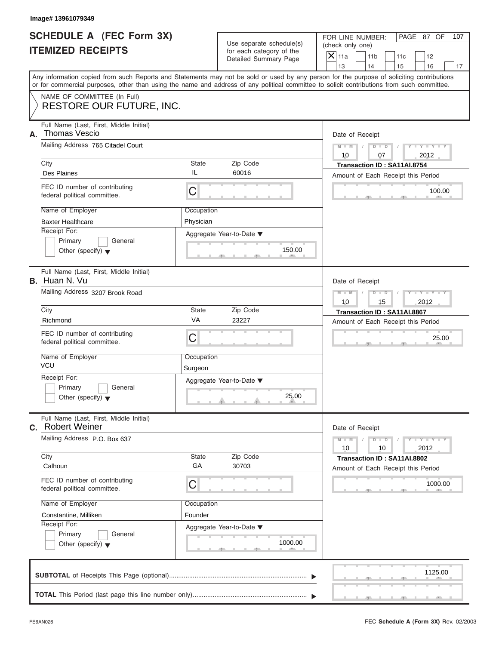| <b>SCHEDULE A (FEC Form 3X)</b> |  |  |
|---------------------------------|--|--|
| <b>ITEMIZED RECEIPTS</b>        |  |  |

|                                                      | Image# 13961079349                                                                                                                         |              |                                                      |                                                                                                                                           |  |
|------------------------------------------------------|--------------------------------------------------------------------------------------------------------------------------------------------|--------------|------------------------------------------------------|-------------------------------------------------------------------------------------------------------------------------------------------|--|
| SCHEDULE A (FEC Form 3X)<br><b>ITEMIZED RECEIPTS</b> |                                                                                                                                            |              | Use separate schedule(s)<br>for each category of the | FOR LINE NUMBER:<br>PAGE 87 OF<br>107<br>(check only one)<br>$\overline{X}$ 11a<br>11 <sub>b</sub><br>11c<br>12                           |  |
|                                                      |                                                                                                                                            |              | Detailed Summary Page                                | 13<br>14<br>15<br>16<br>17                                                                                                                |  |
|                                                      | or for commercial purposes, other than using the name and address of any political committee to solicit contributions from such committee. |              |                                                      | Any information copied from such Reports and Statements may not be sold or used by any person for the purpose of soliciting contributions |  |
|                                                      | NAME OF COMMITTEE (In Full)<br><b>RESTORE OUR FUTURE, INC.</b>                                                                             |              |                                                      |                                                                                                                                           |  |
|                                                      |                                                                                                                                            |              |                                                      |                                                                                                                                           |  |
| А.                                                   | Full Name (Last, First, Middle Initial)<br><b>Thomas Vescio</b>                                                                            |              |                                                      | Date of Receipt                                                                                                                           |  |
|                                                      | Mailing Address 765 Citadel Court                                                                                                          |              |                                                      | $Y - Y - Y - Y - Y$<br>$D$ $D$<br>$M - M$<br>10<br>2012<br>07                                                                             |  |
|                                                      | City                                                                                                                                       | State        | Zip Code                                             | Transaction ID: SA11AI.8754                                                                                                               |  |
|                                                      | <b>Des Plaines</b>                                                                                                                         | IL           | 60016                                                | Amount of Each Receipt this Period                                                                                                        |  |
|                                                      | FEC ID number of contributing<br>federal political committee.                                                                              | C            |                                                      | 100.00                                                                                                                                    |  |
|                                                      | Name of Employer                                                                                                                           | Occupation   |                                                      |                                                                                                                                           |  |
|                                                      | <b>Baxter Healthcare</b>                                                                                                                   | Physician    |                                                      |                                                                                                                                           |  |
|                                                      | Receipt For:                                                                                                                               |              | Aggregate Year-to-Date ▼                             |                                                                                                                                           |  |
|                                                      | Primary<br>General                                                                                                                         |              |                                                      |                                                                                                                                           |  |
|                                                      | Other (specify) $\blacktriangledown$                                                                                                       |              | 150.00                                               |                                                                                                                                           |  |
|                                                      | Full Name (Last, First, Middle Initial)<br>B. Huan N. Vu                                                                                   |              |                                                      | Date of Receipt                                                                                                                           |  |
|                                                      | Mailing Address 3207 Brook Road                                                                                                            |              |                                                      | $Y - Y - Y - Y - Y$<br>$M - M$<br>$D$ $D$                                                                                                 |  |
|                                                      |                                                                                                                                            |              |                                                      | 10<br>15<br>2012                                                                                                                          |  |
|                                                      | City                                                                                                                                       | State        | Zip Code                                             | Transaction ID: SA11AI.8867                                                                                                               |  |
|                                                      | Richmond                                                                                                                                   | VA           | 23227                                                | Amount of Each Receipt this Period                                                                                                        |  |
|                                                      | FEC ID number of contributing<br>federal political committee.                                                                              | C            |                                                      | 25.00                                                                                                                                     |  |
|                                                      | Name of Employer                                                                                                                           | Occupation   |                                                      |                                                                                                                                           |  |
|                                                      | <b>VCU</b>                                                                                                                                 | Surgeon      |                                                      |                                                                                                                                           |  |
|                                                      | Receipt For:                                                                                                                               |              | Aggregate Year-to-Date ▼                             |                                                                                                                                           |  |
|                                                      | Primary<br>General                                                                                                                         |              |                                                      |                                                                                                                                           |  |
|                                                      | Other (specify) $\blacktriangledown$                                                                                                       |              | 25.00                                                |                                                                                                                                           |  |
| C.                                                   | Full Name (Last, First, Middle Initial)<br><b>Robert Weiner</b>                                                                            |              |                                                      | Date of Receipt                                                                                                                           |  |
|                                                      | Mailing Address P.O. Box 637                                                                                                               |              |                                                      | $Y = Y$<br>$M - M$<br>$D$ $D$<br>2012<br>10<br>10                                                                                         |  |
|                                                      | City                                                                                                                                       | <b>State</b> | Zip Code                                             | Transaction ID: SA11AI.8802                                                                                                               |  |
|                                                      | Calhoun                                                                                                                                    | GA           | 30703                                                | Amount of Each Receipt this Period                                                                                                        |  |
|                                                      | FEC ID number of contributing<br>federal political committee.                                                                              | C            |                                                      | 1000.00                                                                                                                                   |  |
|                                                      | Name of Employer                                                                                                                           | Occupation   |                                                      |                                                                                                                                           |  |
|                                                      | Constantine, Milliken                                                                                                                      | Founder      |                                                      |                                                                                                                                           |  |
|                                                      | Receipt For:                                                                                                                               |              | Aggregate Year-to-Date ▼                             |                                                                                                                                           |  |
|                                                      | Primary<br>General                                                                                                                         |              |                                                      |                                                                                                                                           |  |
|                                                      | Other (specify) $\blacktriangledown$                                                                                                       |              | 1000.00                                              |                                                                                                                                           |  |
|                                                      |                                                                                                                                            |              |                                                      |                                                                                                                                           |  |
|                                                      |                                                                                                                                            |              |                                                      | 1125.00                                                                                                                                   |  |
|                                                      |                                                                                                                                            |              |                                                      |                                                                                                                                           |  |
|                                                      |                                                                                                                                            |              |                                                      |                                                                                                                                           |  |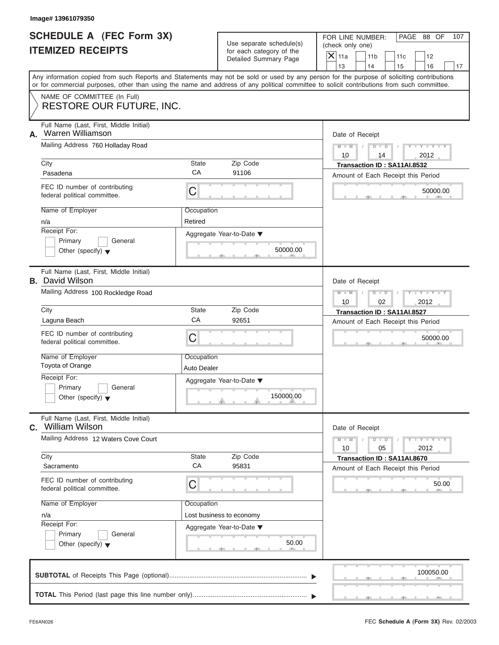|                          | <b>SCHEDULE A (FEC Form 3X)</b> |
|--------------------------|---------------------------------|
| <b>ITEMIZED RECEIPTS</b> |                                 |

| Image# 13961079350                                                     |                    |                                                                               |                                                                                                                                                                                                                                                                                         |
|------------------------------------------------------------------------|--------------------|-------------------------------------------------------------------------------|-----------------------------------------------------------------------------------------------------------------------------------------------------------------------------------------------------------------------------------------------------------------------------------------|
| <b>SCHEDULE A (FEC Form 3X)</b><br><b>ITEMIZED RECEIPTS</b>            |                    | Use separate schedule(s)<br>for each category of the<br>Detailed Summary Page | FOR LINE NUMBER:<br>PAGE 88 OF<br>107<br>(check only one)<br>$\overline{X}$ 11a<br>11 <sub>b</sub><br>11c<br>12                                                                                                                                                                         |
|                                                                        |                    |                                                                               | 13<br>14<br>15<br>16<br>17                                                                                                                                                                                                                                                              |
|                                                                        |                    |                                                                               | Any information copied from such Reports and Statements may not be sold or used by any person for the purpose of soliciting contributions<br>or for commercial purposes, other than using the name and address of any political committee to solicit contributions from such committee. |
| NAME OF COMMITTEE (In Full)<br><b>RESTORE OUR FUTURE, INC.</b>         |                    |                                                                               |                                                                                                                                                                                                                                                                                         |
| Full Name (Last, First, Middle Initial)<br>Warren Williamson<br>А.     |                    |                                                                               | Date of Receipt                                                                                                                                                                                                                                                                         |
| Mailing Address 760 Holladay Road                                      |                    |                                                                               | $D$ $D$<br>$Y - Y - Y - Y - Y$<br>$M - M$<br>10<br>2012<br>14                                                                                                                                                                                                                           |
| City                                                                   | State              | Zip Code                                                                      | Transaction ID: SA11AI.8532                                                                                                                                                                                                                                                             |
| Pasadena                                                               | СA                 | 91106                                                                         | Amount of Each Receipt this Period                                                                                                                                                                                                                                                      |
| FEC ID number of contributing<br>federal political committee.          | C                  |                                                                               | 50000.00                                                                                                                                                                                                                                                                                |
| Name of Employer                                                       | Occupation         |                                                                               |                                                                                                                                                                                                                                                                                         |
| n/a                                                                    | Retired            |                                                                               |                                                                                                                                                                                                                                                                                         |
| Receipt For:                                                           |                    | Aggregate Year-to-Date ▼                                                      |                                                                                                                                                                                                                                                                                         |
| Primary<br>General<br>Other (specify) $\blacktriangledown$             |                    | 50000.00                                                                      |                                                                                                                                                                                                                                                                                         |
| Full Name (Last, First, Middle Initial)<br><b>B.</b> David Wilson      |                    |                                                                               | Date of Receipt                                                                                                                                                                                                                                                                         |
| Mailing Address 100 Rockledge Road                                     |                    |                                                                               | $M - M$<br>$D$ $D$<br>$Y = Y + Y + Y$<br>2012<br>10<br>02                                                                                                                                                                                                                               |
| City                                                                   | State              | Zip Code                                                                      | Transaction ID: SA11AI.8527                                                                                                                                                                                                                                                             |
| Laguna Beach                                                           | CA                 | 92651                                                                         | Amount of Each Receipt this Period                                                                                                                                                                                                                                                      |
| FEC ID number of contributing<br>federal political committee.          | C                  |                                                                               | 50000.00                                                                                                                                                                                                                                                                                |
| Name of Employer                                                       | Occupation         |                                                                               |                                                                                                                                                                                                                                                                                         |
| Toyota of Orange                                                       | <b>Auto Dealer</b> |                                                                               |                                                                                                                                                                                                                                                                                         |
| Receipt For:                                                           |                    | Aggregate Year-to-Date ▼                                                      |                                                                                                                                                                                                                                                                                         |
| Primary<br>General<br>Other (specify) $\blacktriangledown$             |                    | 150000.00                                                                     |                                                                                                                                                                                                                                                                                         |
| Full Name (Last, First, Middle Initial)<br><b>William Wilson</b><br>C. |                    |                                                                               | Date of Receipt                                                                                                                                                                                                                                                                         |
| Mailing Address 12 Waters Cove Court                                   |                    |                                                                               | $Y - Y - Y - Y - I$<br>$M - M$<br>$D$ $D$<br>10<br>05<br>2012                                                                                                                                                                                                                           |
| City<br>Sacramento                                                     | <b>State</b><br>CA | Zip Code<br>95831                                                             | Transaction ID: SA11AI.8670<br>Amount of Each Receipt this Period                                                                                                                                                                                                                       |
| FEC ID number of contributing<br>federal political committee.          | C                  |                                                                               | 50.00                                                                                                                                                                                                                                                                                   |
| Name of Employer                                                       | Occupation         |                                                                               |                                                                                                                                                                                                                                                                                         |
| n/a                                                                    |                    | Lost business to economy                                                      |                                                                                                                                                                                                                                                                                         |
| Receipt For:                                                           |                    | Aggregate Year-to-Date ▼                                                      |                                                                                                                                                                                                                                                                                         |
| Primary<br>General<br>Other (specify) $\blacktriangledown$             |                    | 50.00                                                                         |                                                                                                                                                                                                                                                                                         |
|                                                                        |                    |                                                                               | 100050.00                                                                                                                                                                                                                                                                               |
|                                                                        |                    |                                                                               |                                                                                                                                                                                                                                                                                         |

FEC **Schedule A (Form 3X)** Rev. 02/2003

J.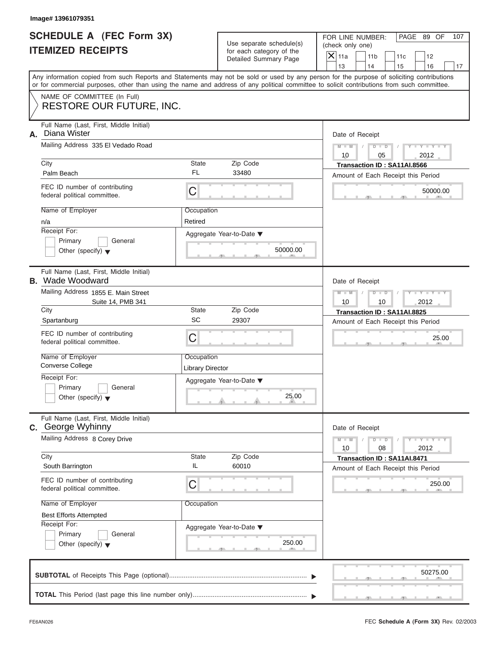|                          | SCHEDULE A (FEC Form 3X) |
|--------------------------|--------------------------|
| <b>ITEMIZED RECEIPTS</b> |                          |

| Image# 13961079351                                                                                        |                                       |                                                                               |                                                                                                                                                                                                                                                                                         |
|-----------------------------------------------------------------------------------------------------------|---------------------------------------|-------------------------------------------------------------------------------|-----------------------------------------------------------------------------------------------------------------------------------------------------------------------------------------------------------------------------------------------------------------------------------------|
| <b>SCHEDULE A (FEC Form 3X)</b><br><b>ITEMIZED RECEIPTS</b>                                               |                                       | Use separate schedule(s)<br>for each category of the<br>Detailed Summary Page | FOR LINE NUMBER:<br>PAGE 89 OF<br>107<br>(check only one)<br>$\overline{X}$ 11a<br>11 <sub>b</sub><br>11c<br>12<br>13<br>14<br>15<br>16<br>17                                                                                                                                           |
|                                                                                                           |                                       |                                                                               | Any information copied from such Reports and Statements may not be sold or used by any person for the purpose of soliciting contributions<br>or for commercial purposes, other than using the name and address of any political committee to solicit contributions from such committee. |
| NAME OF COMMITTEE (In Full)<br><b>RESTORE OUR FUTURE, INC.</b>                                            |                                       |                                                                               |                                                                                                                                                                                                                                                                                         |
| Full Name (Last, First, Middle Initial)<br>Diana Wister<br>А.                                             |                                       |                                                                               | Date of Receipt                                                                                                                                                                                                                                                                         |
| Mailing Address 335 El Vedado Road                                                                        |                                       |                                                                               | $M - M$<br>$D$ $\Box$ $D$<br>$Y - Y - Y$<br>10<br>05<br>2012                                                                                                                                                                                                                            |
| City<br>Palm Beach                                                                                        | State<br><b>FL</b>                    | Zip Code<br>33480                                                             | Transaction ID: SA11AI.8566<br>Amount of Each Receipt this Period                                                                                                                                                                                                                       |
| FEC ID number of contributing<br>federal political committee.                                             | C                                     |                                                                               | 50000.00                                                                                                                                                                                                                                                                                |
| Name of Employer<br>n/a<br>Receipt For:<br>Primary<br>General<br>Other (specify) $\blacktriangledown$     | Occupation<br>Retired                 | Aggregate Year-to-Date ▼<br>50000.00                                          |                                                                                                                                                                                                                                                                                         |
| Full Name (Last, First, Middle Initial)<br><b>B.</b> Wade Woodward<br>Mailing Address 1855 E. Main Street |                                       |                                                                               | Date of Receipt<br>$M - M$<br>$D$ $D$<br>$Y = Y + Y + Y$                                                                                                                                                                                                                                |
| Suite 14, PMB 341                                                                                         |                                       |                                                                               | 10<br>10<br>2012                                                                                                                                                                                                                                                                        |
| City<br>Spartanburg                                                                                       | State<br>SC                           | Zip Code<br>29307                                                             | Transaction ID: SA11AI.8825<br>Amount of Each Receipt this Period                                                                                                                                                                                                                       |
| FEC ID number of contributing<br>federal political committee.                                             | C                                     |                                                                               | 25.00                                                                                                                                                                                                                                                                                   |
| Name of Employer<br><b>Converse College</b>                                                               | Occupation<br><b>Library Director</b> |                                                                               |                                                                                                                                                                                                                                                                                         |
| Receipt For:<br>Primary<br>General<br>Other (specify) $\blacktriangledown$                                |                                       | Aggregate Year-to-Date ▼<br>25.00                                             |                                                                                                                                                                                                                                                                                         |
| Full Name (Last, First, Middle Initial)<br><b>C.</b> George Wyhinny                                       |                                       |                                                                               | Date of Receipt                                                                                                                                                                                                                                                                         |
| Mailing Address 8 Corey Drive                                                                             |                                       |                                                                               | $M - M$<br>$Y = Y$<br>$D - D$<br>2012<br>10<br>08                                                                                                                                                                                                                                       |
| City<br>South Barrington                                                                                  | State<br>IL                           | Zip Code<br>60010                                                             | Transaction ID: SA11AI.8471<br>Amount of Each Receipt this Period                                                                                                                                                                                                                       |
| FEC ID number of contributing<br>federal political committee.                                             | С                                     |                                                                               | 250.00                                                                                                                                                                                                                                                                                  |
| Name of Employer<br><b>Best Efforts Attempted</b>                                                         | Occupation                            |                                                                               |                                                                                                                                                                                                                                                                                         |
| Receipt For:<br>Primary<br>General<br>Other (specify) $\blacktriangledown$                                |                                       | Aggregate Year-to-Date ▼<br>250.00                                            |                                                                                                                                                                                                                                                                                         |
|                                                                                                           |                                       |                                                                               | 50275.00                                                                                                                                                                                                                                                                                |
|                                                                                                           |                                       |                                                                               |                                                                                                                                                                                                                                                                                         |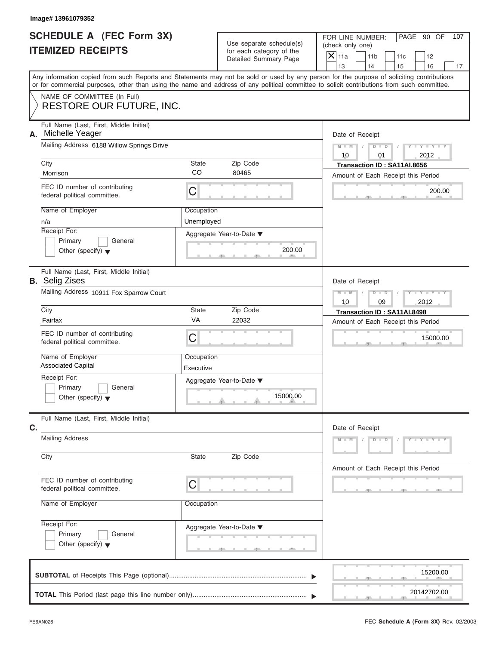| <b>SCHEDULE A (FEC Form 3X)</b> |  |  |
|---------------------------------|--|--|
| <b>ITEMIZED RECEIPTS</b>        |  |  |

| FOR LINE NUMBER:<br>PAGE 90 OF<br>107<br>Use separate schedule(s)<br>(check only one)<br>for each category of the<br>$\overline{X}$ 11a<br>11 <sub>b</sub><br>11c<br>12<br>Detailed Summary Page<br>13<br>14<br>15<br>16<br>17<br>Any information copied from such Reports and Statements may not be sold or used by any person for the purpose of soliciting contributions<br>or for commercial purposes, other than using the name and address of any political committee to solicit contributions from such committee.<br>NAME OF COMMITTEE (In Full)<br>RESTORE OUR FUTURE, INC.<br>Full Name (Last, First, Middle Initial)<br>Michelle Yeager<br>Date of Receipt<br>Mailing Address 6188 Willow Springs Drive<br>$D$ $D$<br>$Y - Y - Y - Y - Y$<br>$M - M$<br>10<br>2012<br>01<br>City<br><b>State</b><br>Zip Code<br>Transaction ID: SA11AI.8656<br>CO<br>80465<br>Morrison<br>Amount of Each Receipt this Period<br>FEC ID number of contributing<br>C<br>200.00<br>federal political committee.<br>Name of Employer<br>Occupation<br>Unemployed<br>n/a<br>Receipt For:<br>Aggregate Year-to-Date ▼<br>Primary<br>General<br>200.00<br>Other (specify) $\blacktriangledown$<br>Full Name (Last, First, Middle Initial)<br><b>B.</b> Selig Zises<br>Date of Receipt<br>Mailing Address 10911 Fox Sparrow Court<br>Y TYTTYTTY<br>$M - M$<br>$D$ $\Box$ $D$<br>2012<br>10<br>09<br>City<br><b>State</b><br>Zip Code<br>Transaction ID: SA11AI.8498<br>VA<br>22032<br>Fairfax<br>Amount of Each Receipt this Period<br>FEC ID number of contributing<br>C<br>15000.00<br>federal political committee.<br>Name of Employer<br>Occupation<br><b>Associated Capital</b><br>Executive<br>Receipt For:<br>Aggregate Year-to-Date ▼<br>Primary<br>General<br>15000.00<br>Other (specify) $\blacktriangledown$<br>Full Name (Last, First, Middle Initial)<br>Date of Receipt<br><b>Mailing Address</b><br>$Y - Y - Y - Y - Y$<br>$M - M$<br>$D$ $D$<br>Zip Code<br>City<br>State<br>Amount of Each Receipt this Period<br>FEC ID number of contributing<br>C<br>federal political committee.<br>Name of Employer<br>Occupation<br>Receipt For:<br>Aggregate Year-to-Date ▼<br>Primary<br>General<br>Other (specify) $\blacktriangledown$<br>g.<br>15200.00<br>20142702.00 |                                                             | Image# 13961079352 |  |  |  |
|-----------------------------------------------------------------------------------------------------------------------------------------------------------------------------------------------------------------------------------------------------------------------------------------------------------------------------------------------------------------------------------------------------------------------------------------------------------------------------------------------------------------------------------------------------------------------------------------------------------------------------------------------------------------------------------------------------------------------------------------------------------------------------------------------------------------------------------------------------------------------------------------------------------------------------------------------------------------------------------------------------------------------------------------------------------------------------------------------------------------------------------------------------------------------------------------------------------------------------------------------------------------------------------------------------------------------------------------------------------------------------------------------------------------------------------------------------------------------------------------------------------------------------------------------------------------------------------------------------------------------------------------------------------------------------------------------------------------------------------------------------------------------------------------------------------------------------------------------------------------------------------------------------------------------------------------------------------------------------------------------------------------------------------------------------------------------------------------------------------------------------------------------------------------------------------------------------------------------------------------------------------------------|-------------------------------------------------------------|--------------------|--|--|--|
|                                                                                                                                                                                                                                                                                                                                                                                                                                                                                                                                                                                                                                                                                                                                                                                                                                                                                                                                                                                                                                                                                                                                                                                                                                                                                                                                                                                                                                                                                                                                                                                                                                                                                                                                                                                                                                                                                                                                                                                                                                                                                                                                                                                                                                                                       | <b>SCHEDULE A (FEC Form 3X)</b><br><b>ITEMIZED RECEIPTS</b> |                    |  |  |  |
|                                                                                                                                                                                                                                                                                                                                                                                                                                                                                                                                                                                                                                                                                                                                                                                                                                                                                                                                                                                                                                                                                                                                                                                                                                                                                                                                                                                                                                                                                                                                                                                                                                                                                                                                                                                                                                                                                                                                                                                                                                                                                                                                                                                                                                                                       |                                                             |                    |  |  |  |
|                                                                                                                                                                                                                                                                                                                                                                                                                                                                                                                                                                                                                                                                                                                                                                                                                                                                                                                                                                                                                                                                                                                                                                                                                                                                                                                                                                                                                                                                                                                                                                                                                                                                                                                                                                                                                                                                                                                                                                                                                                                                                                                                                                                                                                                                       |                                                             |                    |  |  |  |
|                                                                                                                                                                                                                                                                                                                                                                                                                                                                                                                                                                                                                                                                                                                                                                                                                                                                                                                                                                                                                                                                                                                                                                                                                                                                                                                                                                                                                                                                                                                                                                                                                                                                                                                                                                                                                                                                                                                                                                                                                                                                                                                                                                                                                                                                       |                                                             |                    |  |  |  |
|                                                                                                                                                                                                                                                                                                                                                                                                                                                                                                                                                                                                                                                                                                                                                                                                                                                                                                                                                                                                                                                                                                                                                                                                                                                                                                                                                                                                                                                                                                                                                                                                                                                                                                                                                                                                                                                                                                                                                                                                                                                                                                                                                                                                                                                                       | А.                                                          |                    |  |  |  |
|                                                                                                                                                                                                                                                                                                                                                                                                                                                                                                                                                                                                                                                                                                                                                                                                                                                                                                                                                                                                                                                                                                                                                                                                                                                                                                                                                                                                                                                                                                                                                                                                                                                                                                                                                                                                                                                                                                                                                                                                                                                                                                                                                                                                                                                                       |                                                             |                    |  |  |  |
|                                                                                                                                                                                                                                                                                                                                                                                                                                                                                                                                                                                                                                                                                                                                                                                                                                                                                                                                                                                                                                                                                                                                                                                                                                                                                                                                                                                                                                                                                                                                                                                                                                                                                                                                                                                                                                                                                                                                                                                                                                                                                                                                                                                                                                                                       |                                                             |                    |  |  |  |
|                                                                                                                                                                                                                                                                                                                                                                                                                                                                                                                                                                                                                                                                                                                                                                                                                                                                                                                                                                                                                                                                                                                                                                                                                                                                                                                                                                                                                                                                                                                                                                                                                                                                                                                                                                                                                                                                                                                                                                                                                                                                                                                                                                                                                                                                       |                                                             |                    |  |  |  |
|                                                                                                                                                                                                                                                                                                                                                                                                                                                                                                                                                                                                                                                                                                                                                                                                                                                                                                                                                                                                                                                                                                                                                                                                                                                                                                                                                                                                                                                                                                                                                                                                                                                                                                                                                                                                                                                                                                                                                                                                                                                                                                                                                                                                                                                                       |                                                             |                    |  |  |  |
|                                                                                                                                                                                                                                                                                                                                                                                                                                                                                                                                                                                                                                                                                                                                                                                                                                                                                                                                                                                                                                                                                                                                                                                                                                                                                                                                                                                                                                                                                                                                                                                                                                                                                                                                                                                                                                                                                                                                                                                                                                                                                                                                                                                                                                                                       |                                                             |                    |  |  |  |
|                                                                                                                                                                                                                                                                                                                                                                                                                                                                                                                                                                                                                                                                                                                                                                                                                                                                                                                                                                                                                                                                                                                                                                                                                                                                                                                                                                                                                                                                                                                                                                                                                                                                                                                                                                                                                                                                                                                                                                                                                                                                                                                                                                                                                                                                       |                                                             |                    |  |  |  |
|                                                                                                                                                                                                                                                                                                                                                                                                                                                                                                                                                                                                                                                                                                                                                                                                                                                                                                                                                                                                                                                                                                                                                                                                                                                                                                                                                                                                                                                                                                                                                                                                                                                                                                                                                                                                                                                                                                                                                                                                                                                                                                                                                                                                                                                                       |                                                             |                    |  |  |  |
|                                                                                                                                                                                                                                                                                                                                                                                                                                                                                                                                                                                                                                                                                                                                                                                                                                                                                                                                                                                                                                                                                                                                                                                                                                                                                                                                                                                                                                                                                                                                                                                                                                                                                                                                                                                                                                                                                                                                                                                                                                                                                                                                                                                                                                                                       |                                                             |                    |  |  |  |
|                                                                                                                                                                                                                                                                                                                                                                                                                                                                                                                                                                                                                                                                                                                                                                                                                                                                                                                                                                                                                                                                                                                                                                                                                                                                                                                                                                                                                                                                                                                                                                                                                                                                                                                                                                                                                                                                                                                                                                                                                                                                                                                                                                                                                                                                       |                                                             |                    |  |  |  |
|                                                                                                                                                                                                                                                                                                                                                                                                                                                                                                                                                                                                                                                                                                                                                                                                                                                                                                                                                                                                                                                                                                                                                                                                                                                                                                                                                                                                                                                                                                                                                                                                                                                                                                                                                                                                                                                                                                                                                                                                                                                                                                                                                                                                                                                                       |                                                             |                    |  |  |  |
|                                                                                                                                                                                                                                                                                                                                                                                                                                                                                                                                                                                                                                                                                                                                                                                                                                                                                                                                                                                                                                                                                                                                                                                                                                                                                                                                                                                                                                                                                                                                                                                                                                                                                                                                                                                                                                                                                                                                                                                                                                                                                                                                                                                                                                                                       |                                                             |                    |  |  |  |
|                                                                                                                                                                                                                                                                                                                                                                                                                                                                                                                                                                                                                                                                                                                                                                                                                                                                                                                                                                                                                                                                                                                                                                                                                                                                                                                                                                                                                                                                                                                                                                                                                                                                                                                                                                                                                                                                                                                                                                                                                                                                                                                                                                                                                                                                       |                                                             |                    |  |  |  |
|                                                                                                                                                                                                                                                                                                                                                                                                                                                                                                                                                                                                                                                                                                                                                                                                                                                                                                                                                                                                                                                                                                                                                                                                                                                                                                                                                                                                                                                                                                                                                                                                                                                                                                                                                                                                                                                                                                                                                                                                                                                                                                                                                                                                                                                                       |                                                             |                    |  |  |  |
|                                                                                                                                                                                                                                                                                                                                                                                                                                                                                                                                                                                                                                                                                                                                                                                                                                                                                                                                                                                                                                                                                                                                                                                                                                                                                                                                                                                                                                                                                                                                                                                                                                                                                                                                                                                                                                                                                                                                                                                                                                                                                                                                                                                                                                                                       |                                                             |                    |  |  |  |
|                                                                                                                                                                                                                                                                                                                                                                                                                                                                                                                                                                                                                                                                                                                                                                                                                                                                                                                                                                                                                                                                                                                                                                                                                                                                                                                                                                                                                                                                                                                                                                                                                                                                                                                                                                                                                                                                                                                                                                                                                                                                                                                                                                                                                                                                       |                                                             |                    |  |  |  |
|                                                                                                                                                                                                                                                                                                                                                                                                                                                                                                                                                                                                                                                                                                                                                                                                                                                                                                                                                                                                                                                                                                                                                                                                                                                                                                                                                                                                                                                                                                                                                                                                                                                                                                                                                                                                                                                                                                                                                                                                                                                                                                                                                                                                                                                                       | C.                                                          |                    |  |  |  |
|                                                                                                                                                                                                                                                                                                                                                                                                                                                                                                                                                                                                                                                                                                                                                                                                                                                                                                                                                                                                                                                                                                                                                                                                                                                                                                                                                                                                                                                                                                                                                                                                                                                                                                                                                                                                                                                                                                                                                                                                                                                                                                                                                                                                                                                                       |                                                             |                    |  |  |  |
|                                                                                                                                                                                                                                                                                                                                                                                                                                                                                                                                                                                                                                                                                                                                                                                                                                                                                                                                                                                                                                                                                                                                                                                                                                                                                                                                                                                                                                                                                                                                                                                                                                                                                                                                                                                                                                                                                                                                                                                                                                                                                                                                                                                                                                                                       |                                                             |                    |  |  |  |
|                                                                                                                                                                                                                                                                                                                                                                                                                                                                                                                                                                                                                                                                                                                                                                                                                                                                                                                                                                                                                                                                                                                                                                                                                                                                                                                                                                                                                                                                                                                                                                                                                                                                                                                                                                                                                                                                                                                                                                                                                                                                                                                                                                                                                                                                       |                                                             |                    |  |  |  |
|                                                                                                                                                                                                                                                                                                                                                                                                                                                                                                                                                                                                                                                                                                                                                                                                                                                                                                                                                                                                                                                                                                                                                                                                                                                                                                                                                                                                                                                                                                                                                                                                                                                                                                                                                                                                                                                                                                                                                                                                                                                                                                                                                                                                                                                                       |                                                             |                    |  |  |  |
|                                                                                                                                                                                                                                                                                                                                                                                                                                                                                                                                                                                                                                                                                                                                                                                                                                                                                                                                                                                                                                                                                                                                                                                                                                                                                                                                                                                                                                                                                                                                                                                                                                                                                                                                                                                                                                                                                                                                                                                                                                                                                                                                                                                                                                                                       |                                                             |                    |  |  |  |
|                                                                                                                                                                                                                                                                                                                                                                                                                                                                                                                                                                                                                                                                                                                                                                                                                                                                                                                                                                                                                                                                                                                                                                                                                                                                                                                                                                                                                                                                                                                                                                                                                                                                                                                                                                                                                                                                                                                                                                                                                                                                                                                                                                                                                                                                       |                                                             |                    |  |  |  |
|                                                                                                                                                                                                                                                                                                                                                                                                                                                                                                                                                                                                                                                                                                                                                                                                                                                                                                                                                                                                                                                                                                                                                                                                                                                                                                                                                                                                                                                                                                                                                                                                                                                                                                                                                                                                                                                                                                                                                                                                                                                                                                                                                                                                                                                                       |                                                             |                    |  |  |  |
|                                                                                                                                                                                                                                                                                                                                                                                                                                                                                                                                                                                                                                                                                                                                                                                                                                                                                                                                                                                                                                                                                                                                                                                                                                                                                                                                                                                                                                                                                                                                                                                                                                                                                                                                                                                                                                                                                                                                                                                                                                                                                                                                                                                                                                                                       |                                                             |                    |  |  |  |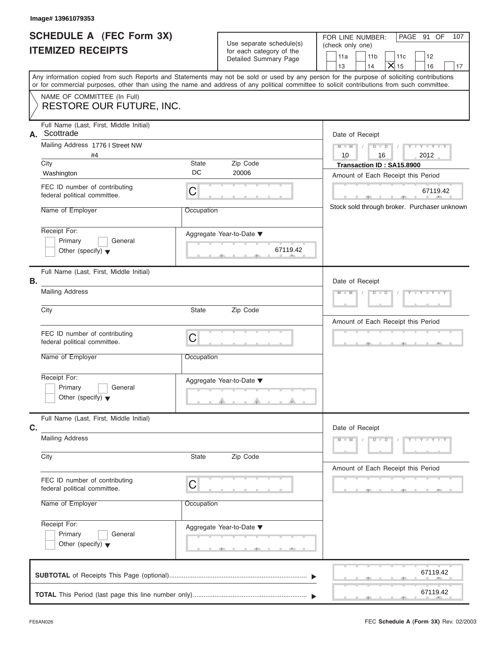| SCHEDULE A (FEC Form 3X) |  |  |
|--------------------------|--|--|
| <b>ITEMIZED RECEIPTS</b> |  |  |

|                                                             | Image# 13961079353                                                                                                                         |             |                                                      |                                                                                                                                           |
|-------------------------------------------------------------|--------------------------------------------------------------------------------------------------------------------------------------------|-------------|------------------------------------------------------|-------------------------------------------------------------------------------------------------------------------------------------------|
| <b>SCHEDULE A (FEC Form 3X)</b><br><b>ITEMIZED RECEIPTS</b> |                                                                                                                                            |             | Use separate schedule(s)<br>for each category of the | FOR LINE NUMBER:<br>PAGE 91 OF<br>107<br>(check only one)<br>11 <sub>b</sub><br>11a<br>11c<br>12                                          |
|                                                             |                                                                                                                                            |             | Detailed Summary Page                                | $\mathsf{X}$ 15<br>13<br>14<br>16<br>17                                                                                                   |
|                                                             | or for commercial purposes, other than using the name and address of any political committee to solicit contributions from such committee. |             |                                                      | Any information copied from such Reports and Statements may not be sold or used by any person for the purpose of soliciting contributions |
|                                                             | NAME OF COMMITTEE (In Full)<br><b>RESTORE OUR FUTURE, INC.</b>                                                                             |             |                                                      |                                                                                                                                           |
|                                                             | Full Name (Last, First, Middle Initial)<br>A. Scottrade                                                                                    |             |                                                      | Date of Receipt                                                                                                                           |
|                                                             | Mailing Address 1776 I Street NW                                                                                                           |             |                                                      | $Y - Y - Y - Y - Y$<br>$M - M$<br>$D$ $D$                                                                                                 |
|                                                             | #4<br>City                                                                                                                                 | State       | Zip Code                                             | 10<br>16<br>2012<br>Transaction ID: SA15.8900                                                                                             |
|                                                             | Washington                                                                                                                                 | DC          | 20006                                                | Amount of Each Receipt this Period                                                                                                        |
|                                                             | FEC ID number of contributing<br>federal political committee.                                                                              | $\mathsf C$ |                                                      | 67119.42<br>生                                                                                                                             |
|                                                             | Name of Employer                                                                                                                           | Occupation  |                                                      | Stock sold through broker. Purchaser unknown                                                                                              |
|                                                             | Receipt For:<br>Primary<br>General<br>Other (specify) $\blacktriangledown$                                                                 |             | Aggregate Year-to-Date ▼<br>67119.42                 |                                                                                                                                           |
| В.                                                          | Full Name (Last, First, Middle Initial)                                                                                                    |             |                                                      | Date of Receipt                                                                                                                           |
|                                                             | <b>Mailing Address</b>                                                                                                                     |             | $Y = Y = Y' + Y' + Y$<br>$D$ $D$<br>$M - M$          |                                                                                                                                           |
|                                                             | City                                                                                                                                       | State       | Zip Code                                             | Amount of Each Receipt this Period                                                                                                        |
|                                                             | FEC ID number of contributing<br>federal political committee.                                                                              | C           |                                                      | $-1$                                                                                                                                      |
|                                                             | Name of Employer                                                                                                                           | Occupation  |                                                      |                                                                                                                                           |
|                                                             | Receipt For:<br>Primary<br>General<br>Other (specify) $\blacktriangledown$                                                                 |             | Aggregate Year-to-Date ▼                             |                                                                                                                                           |
| C.                                                          | Full Name (Last, First, Middle Initial)                                                                                                    |             |                                                      | Date of Receipt                                                                                                                           |
|                                                             | <b>Mailing Address</b>                                                                                                                     |             | $Y - Y - Y - Y - Y$<br>$M - M$<br>$D - D$            |                                                                                                                                           |
|                                                             | City                                                                                                                                       | State       | Zip Code                                             | Amount of Each Receipt this Period                                                                                                        |
|                                                             | FEC ID number of contributing<br>federal political committee.                                                                              | C           |                                                      |                                                                                                                                           |
|                                                             | Name of Employer                                                                                                                           | Occupation  |                                                      |                                                                                                                                           |
|                                                             | Receipt For:<br>Primary<br>General<br>Other (specify) $\blacktriangledown$                                                                 |             | Aggregate Year-to-Date ▼<br>$-7$                     |                                                                                                                                           |
|                                                             |                                                                                                                                            |             |                                                      | 67119.42                                                                                                                                  |
|                                                             |                                                                                                                                            |             |                                                      | 67119.42                                                                                                                                  |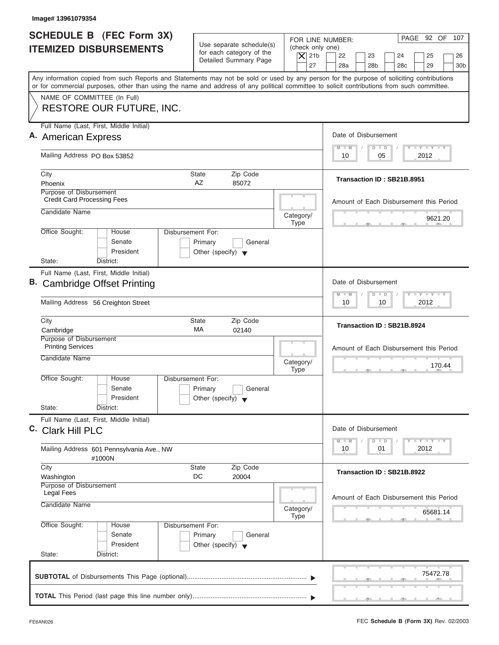| Image# 13961079354                                                                                                                                                                                                                                                                      |                                                                                        |                          |                                                                                     |
|-----------------------------------------------------------------------------------------------------------------------------------------------------------------------------------------------------------------------------------------------------------------------------------------|----------------------------------------------------------------------------------------|--------------------------|-------------------------------------------------------------------------------------|
| <b>SCHEDULE B (FEC Form 3X)</b><br><b>ITEMIZED DISBURSEMENTS</b>                                                                                                                                                                                                                        | Use separate schedule(s)<br>for each category of the                                   | (check only one)         | PAGE 92 OF 107<br>FOR LINE NUMBER:<br>22<br>23<br>24                                |
|                                                                                                                                                                                                                                                                                         | Detailed Summary Page                                                                  | $\vert$ $\chi$ 21b<br>27 | 25<br>26<br>28a<br>28 <sub>b</sub><br>28 <sub>c</sub><br>29<br>30 <sub>b</sub>      |
| Any information copied from such Reports and Statements may not be sold or used by any person for the purpose of soliciting contributions<br>or for commercial purposes, other than using the name and address of any political committee to solicit contributions from such committee. |                                                                                        |                          |                                                                                     |
| NAME OF COMMITTEE (In Full)<br>RESTORE OUR FUTURE, INC.                                                                                                                                                                                                                                 |                                                                                        |                          |                                                                                     |
| Full Name (Last, First, Middle Initial)                                                                                                                                                                                                                                                 |                                                                                        |                          |                                                                                     |
| A. American Express                                                                                                                                                                                                                                                                     |                                                                                        |                          | Date of Disbursement                                                                |
| Mailing Address PO Box 53852                                                                                                                                                                                                                                                            |                                                                                        |                          | $T - Y = T - Y = T - Y$<br>$D$ $D$<br>$M - M$<br>2012<br>10<br>05                   |
| City                                                                                                                                                                                                                                                                                    | Zip Code<br>State                                                                      |                          | Transaction ID: SB21B.8951                                                          |
| Phoenix                                                                                                                                                                                                                                                                                 | AZ<br>85072                                                                            |                          |                                                                                     |
| Purpose of Disbursement<br><b>Credit Card Processing Fees</b>                                                                                                                                                                                                                           |                                                                                        |                          | Amount of Each Disbursement this Period                                             |
| Candidate Name                                                                                                                                                                                                                                                                          |                                                                                        | Category/                |                                                                                     |
|                                                                                                                                                                                                                                                                                         |                                                                                        | <b>Type</b>              | 9621.20                                                                             |
| Office Sought:<br>House<br>Senate<br>President                                                                                                                                                                                                                                          | <b>Disbursement For:</b><br>Primary<br>General<br>Other (specify) $\blacktriangledown$ |                          |                                                                                     |
| State:<br>District:<br>Full Name (Last, First, Middle Initial)                                                                                                                                                                                                                          |                                                                                        |                          |                                                                                     |
| B. Cambridge Offset Printing                                                                                                                                                                                                                                                            |                                                                                        |                          | Date of Disbursement                                                                |
| Mailing Address 56 Creighton Street                                                                                                                                                                                                                                                     |                                                                                        |                          | $-1 - Y - 1 - Y - 1 - Y$<br>$M - M$<br>$\overline{D}$<br>$\Box$<br>2012<br>10<br>10 |
| City<br>Cambridge                                                                                                                                                                                                                                                                       | Zip Code<br><b>State</b><br>МA<br>02140                                                |                          | Transaction ID: SB21B.8924                                                          |
| Purpose of Disbursement<br><b>Printing Services</b>                                                                                                                                                                                                                                     |                                                                                        |                          | Amount of Each Disbursement this Period                                             |
| Candidate Name                                                                                                                                                                                                                                                                          |                                                                                        | Category/<br><b>Type</b> | 170.44<br>__                                                                        |
| Office Sought:<br>House<br>Senate<br>President                                                                                                                                                                                                                                          | Disbursement For:<br>Primary<br>General<br>Other (specify) $\blacktriangledown$        |                          |                                                                                     |
| State:<br>District:                                                                                                                                                                                                                                                                     |                                                                                        |                          |                                                                                     |
| Full Name (Last, First, Middle Initial)<br>C. Clark Hill PLC                                                                                                                                                                                                                            |                                                                                        |                          | Date of Disbursement                                                                |
| Mailing Address 601 Pennsylvania Ave., NW<br>#1000N                                                                                                                                                                                                                                     |                                                                                        |                          | $T = Y$ $T = Y$<br>$M - M$<br>$\overline{D}$<br>$\Box$<br>2012<br>10<br>01          |
| City<br>Washington                                                                                                                                                                                                                                                                      | Zip Code<br><b>State</b><br>DC<br>20004                                                |                          | Transaction ID: SB21B.8922                                                          |
| Purpose of Disbursement<br><b>Legal Fees</b>                                                                                                                                                                                                                                            |                                                                                        |                          | Amount of Each Disbursement this Period                                             |
| Candidate Name                                                                                                                                                                                                                                                                          |                                                                                        | Category/<br><b>Type</b> | 65681.14                                                                            |
| Office Sought:<br>House<br>Senate<br>President<br>State:<br>District:                                                                                                                                                                                                                   | Disbursement For:<br>Primary<br>General<br>Other (specify) $\blacktriangledown$        |                          |                                                                                     |
|                                                                                                                                                                                                                                                                                         |                                                                                        |                          |                                                                                     |
|                                                                                                                                                                                                                                                                                         |                                                                                        |                          | 75472.78                                                                            |
|                                                                                                                                                                                                                                                                                         |                                                                                        |                          |                                                                                     |

J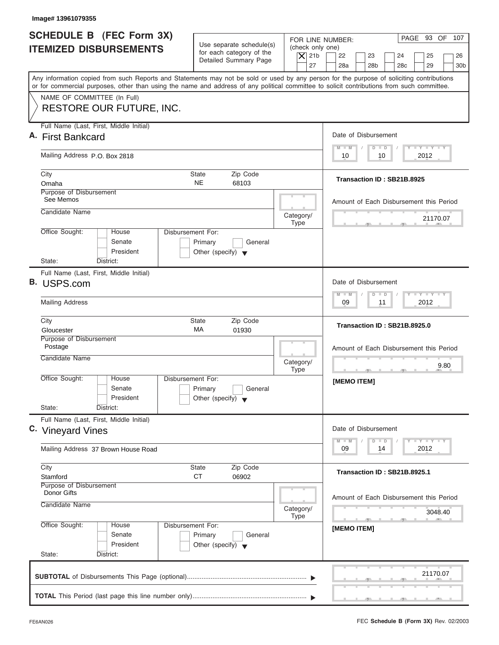| <b>SCHEDULE B</b> (FEC Form 3X)<br>FOR LINE NUMBER:<br>Use separate schedule(s)<br>(check only one)<br><b>ITEMIZED DISBURSEMENTS</b><br>for each category of the<br>$\overline{X}$ 21b<br>22<br>23<br>Detailed Summary Page<br>27<br>28a<br>28 <sub>b</sub><br>Any information copied from such Reports and Statements may not be sold or used by any person for the purpose of soliciting contributions<br>or for commercial purposes, other than using the name and address of any political committee to solicit contributions from such committee.<br>NAME OF COMMITTEE (In Full)<br><b>RESTORE OUR FUTURE, INC.</b><br>Full Name (Last, First, Middle Initial)<br>Date of Disbursement<br>A. First Bankcard<br>$M - M$<br>$D$ $D$<br>Mailing Address P.O. Box 2818<br>10<br>10<br>City<br>Zip Code<br><b>State</b><br>Transaction ID: SB21B.8925<br><b>NE</b><br>Omaha<br>68103<br>Purpose of Disbursement<br>See Memos<br>Amount of Each Disbursement this Period<br>Candidate Name<br>Category/<br><b>Type</b><br>Office Sought:<br>Disbursement For:<br>House<br>Senate<br>Primary<br>General<br>President<br>Other (specify) $\blacktriangledown$<br>State:<br>District:<br>Full Name (Last, First, Middle Initial)<br>B. USPS.com<br>Date of Disbursement<br>$M - M$<br>$\blacksquare$<br>D<br><b>Mailing Address</b><br>09<br>11<br>Zip Code<br>City<br><b>State</b><br>Transaction ID: SB21B.8925.0<br>МA<br>01930<br>Gloucester<br>Purpose of Disbursement<br>Postage<br>Candidate Name<br>Category/<br><b>Type</b><br>$\cdots$<br>Office Sought:<br>House<br>Disbursement For:<br>[MEMO ITEM]<br>Senate<br>Primary<br>General<br>President<br>Other (specify) $\blacktriangledown$<br>State:<br>District:<br>Full Name (Last, First, Middle Initial)<br>Date of Disbursement<br>C. Vineyard Vines<br>$M - M$<br>D<br>$\Box$<br>09<br>14<br>Mailing Address 37 Brown House Road<br>Zip Code<br>City<br>State<br>Transaction ID: SB21B.8925.1<br><b>CT</b><br>06902<br>Stamford<br>Purpose of Disbursement<br><b>Donor Gifts</b><br>Candidate Name<br>Category/<br><b>Type</b> |                                                                               |
|--------------------------------------------------------------------------------------------------------------------------------------------------------------------------------------------------------------------------------------------------------------------------------------------------------------------------------------------------------------------------------------------------------------------------------------------------------------------------------------------------------------------------------------------------------------------------------------------------------------------------------------------------------------------------------------------------------------------------------------------------------------------------------------------------------------------------------------------------------------------------------------------------------------------------------------------------------------------------------------------------------------------------------------------------------------------------------------------------------------------------------------------------------------------------------------------------------------------------------------------------------------------------------------------------------------------------------------------------------------------------------------------------------------------------------------------------------------------------------------------------------------------------------------------------------------------------------------------------------------------------------------------------------------------------------------------------------------------------------------------------------------------------------------------------------------------------------------------------------------------------------------------------------------------------------------------------------------------------------------------------------------------------------------------------------------------------------------------|-------------------------------------------------------------------------------|
|                                                                                                                                                                                                                                                                                                                                                                                                                                                                                                                                                                                                                                                                                                                                                                                                                                                                                                                                                                                                                                                                                                                                                                                                                                                                                                                                                                                                                                                                                                                                                                                                                                                                                                                                                                                                                                                                                                                                                                                                                                                                                            | PAGE 93 OF 107<br>24<br>25<br>26<br>28 <sub>c</sub><br>29<br>30 <sub>b</sub>  |
|                                                                                                                                                                                                                                                                                                                                                                                                                                                                                                                                                                                                                                                                                                                                                                                                                                                                                                                                                                                                                                                                                                                                                                                                                                                                                                                                                                                                                                                                                                                                                                                                                                                                                                                                                                                                                                                                                                                                                                                                                                                                                            |                                                                               |
|                                                                                                                                                                                                                                                                                                                                                                                                                                                                                                                                                                                                                                                                                                                                                                                                                                                                                                                                                                                                                                                                                                                                                                                                                                                                                                                                                                                                                                                                                                                                                                                                                                                                                                                                                                                                                                                                                                                                                                                                                                                                                            |                                                                               |
|                                                                                                                                                                                                                                                                                                                                                                                                                                                                                                                                                                                                                                                                                                                                                                                                                                                                                                                                                                                                                                                                                                                                                                                                                                                                                                                                                                                                                                                                                                                                                                                                                                                                                                                                                                                                                                                                                                                                                                                                                                                                                            |                                                                               |
|                                                                                                                                                                                                                                                                                                                                                                                                                                                                                                                                                                                                                                                                                                                                                                                                                                                                                                                                                                                                                                                                                                                                                                                                                                                                                                                                                                                                                                                                                                                                                                                                                                                                                                                                                                                                                                                                                                                                                                                                                                                                                            | $\mathbf{I} \mathbf{Y} \mathbf{I} \mathbf{Y}$<br>2012                         |
|                                                                                                                                                                                                                                                                                                                                                                                                                                                                                                                                                                                                                                                                                                                                                                                                                                                                                                                                                                                                                                                                                                                                                                                                                                                                                                                                                                                                                                                                                                                                                                                                                                                                                                                                                                                                                                                                                                                                                                                                                                                                                            |                                                                               |
|                                                                                                                                                                                                                                                                                                                                                                                                                                                                                                                                                                                                                                                                                                                                                                                                                                                                                                                                                                                                                                                                                                                                                                                                                                                                                                                                                                                                                                                                                                                                                                                                                                                                                                                                                                                                                                                                                                                                                                                                                                                                                            |                                                                               |
|                                                                                                                                                                                                                                                                                                                                                                                                                                                                                                                                                                                                                                                                                                                                                                                                                                                                                                                                                                                                                                                                                                                                                                                                                                                                                                                                                                                                                                                                                                                                                                                                                                                                                                                                                                                                                                                                                                                                                                                                                                                                                            | 21170.07                                                                      |
|                                                                                                                                                                                                                                                                                                                                                                                                                                                                                                                                                                                                                                                                                                                                                                                                                                                                                                                                                                                                                                                                                                                                                                                                                                                                                                                                                                                                                                                                                                                                                                                                                                                                                                                                                                                                                                                                                                                                                                                                                                                                                            |                                                                               |
|                                                                                                                                                                                                                                                                                                                                                                                                                                                                                                                                                                                                                                                                                                                                                                                                                                                                                                                                                                                                                                                                                                                                                                                                                                                                                                                                                                                                                                                                                                                                                                                                                                                                                                                                                                                                                                                                                                                                                                                                                                                                                            |                                                                               |
|                                                                                                                                                                                                                                                                                                                                                                                                                                                                                                                                                                                                                                                                                                                                                                                                                                                                                                                                                                                                                                                                                                                                                                                                                                                                                                                                                                                                                                                                                                                                                                                                                                                                                                                                                                                                                                                                                                                                                                                                                                                                                            |                                                                               |
|                                                                                                                                                                                                                                                                                                                                                                                                                                                                                                                                                                                                                                                                                                                                                                                                                                                                                                                                                                                                                                                                                                                                                                                                                                                                                                                                                                                                                                                                                                                                                                                                                                                                                                                                                                                                                                                                                                                                                                                                                                                                                            | $-1 - Y - 1 - Y - 1 - Y$<br>2012                                              |
|                                                                                                                                                                                                                                                                                                                                                                                                                                                                                                                                                                                                                                                                                                                                                                                                                                                                                                                                                                                                                                                                                                                                                                                                                                                                                                                                                                                                                                                                                                                                                                                                                                                                                                                                                                                                                                                                                                                                                                                                                                                                                            |                                                                               |
|                                                                                                                                                                                                                                                                                                                                                                                                                                                                                                                                                                                                                                                                                                                                                                                                                                                                                                                                                                                                                                                                                                                                                                                                                                                                                                                                                                                                                                                                                                                                                                                                                                                                                                                                                                                                                                                                                                                                                                                                                                                                                            | Amount of Each Disbursement this Period<br>9.80<br>$-7$                       |
|                                                                                                                                                                                                                                                                                                                                                                                                                                                                                                                                                                                                                                                                                                                                                                                                                                                                                                                                                                                                                                                                                                                                                                                                                                                                                                                                                                                                                                                                                                                                                                                                                                                                                                                                                                                                                                                                                                                                                                                                                                                                                            |                                                                               |
|                                                                                                                                                                                                                                                                                                                                                                                                                                                                                                                                                                                                                                                                                                                                                                                                                                                                                                                                                                                                                                                                                                                                                                                                                                                                                                                                                                                                                                                                                                                                                                                                                                                                                                                                                                                                                                                                                                                                                                                                                                                                                            | $\mathbf{I}$ $\mathbf{Y}$ $\mathbf{I}$ $\mathbf{Y}$ $\mathbf{I}$ $\mathbf{Y}$ |
|                                                                                                                                                                                                                                                                                                                                                                                                                                                                                                                                                                                                                                                                                                                                                                                                                                                                                                                                                                                                                                                                                                                                                                                                                                                                                                                                                                                                                                                                                                                                                                                                                                                                                                                                                                                                                                                                                                                                                                                                                                                                                            | 2012                                                                          |
|                                                                                                                                                                                                                                                                                                                                                                                                                                                                                                                                                                                                                                                                                                                                                                                                                                                                                                                                                                                                                                                                                                                                                                                                                                                                                                                                                                                                                                                                                                                                                                                                                                                                                                                                                                                                                                                                                                                                                                                                                                                                                            |                                                                               |
|                                                                                                                                                                                                                                                                                                                                                                                                                                                                                                                                                                                                                                                                                                                                                                                                                                                                                                                                                                                                                                                                                                                                                                                                                                                                                                                                                                                                                                                                                                                                                                                                                                                                                                                                                                                                                                                                                                                                                                                                                                                                                            | Amount of Each Disbursement this Period<br>3048.40                            |
| Office Sought:<br>Disbursement For:<br>House<br>[MEMO ITEM]<br>Senate<br>Primary<br>General<br>President<br>Other (specify) $\blacktriangledown$<br>State:<br>District:                                                                                                                                                                                                                                                                                                                                                                                                                                                                                                                                                                                                                                                                                                                                                                                                                                                                                                                                                                                                                                                                                                                                                                                                                                                                                                                                                                                                                                                                                                                                                                                                                                                                                                                                                                                                                                                                                                                    |                                                                               |
|                                                                                                                                                                                                                                                                                                                                                                                                                                                                                                                                                                                                                                                                                                                                                                                                                                                                                                                                                                                                                                                                                                                                                                                                                                                                                                                                                                                                                                                                                                                                                                                                                                                                                                                                                                                                                                                                                                                                                                                                                                                                                            | 21170.07                                                                      |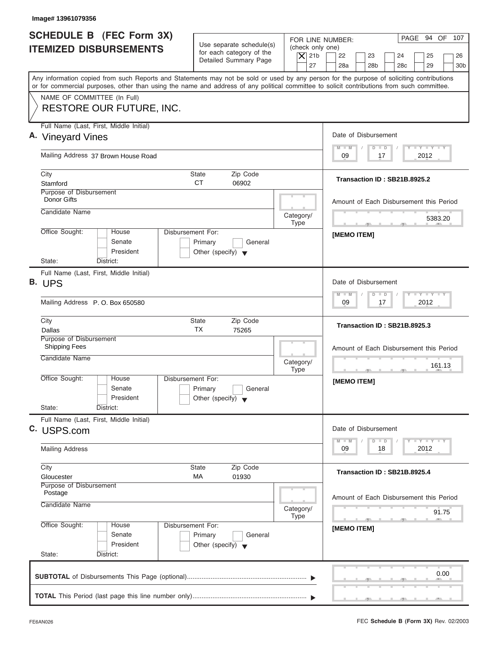| Image# 13961079356                                                                                                                         |                                                                                 |                                                                                                                                                                                        |
|--------------------------------------------------------------------------------------------------------------------------------------------|---------------------------------------------------------------------------------|----------------------------------------------------------------------------------------------------------------------------------------------------------------------------------------|
| <b>SCHEDULE B</b> (FEC Form 3X)<br><b>ITEMIZED DISBURSEMENTS</b>                                                                           | Use separate schedule(s)<br>for each category of the<br>Detailed Summary Page   | PAGE 94 OF 107<br>FOR LINE NUMBER:<br>(check only one)<br>$\overline{X}$ 21b<br>22<br>23<br>24<br>25<br>26<br>27<br>28a<br>28 <sub>b</sub><br>29<br>28 <sub>c</sub><br>30 <sub>b</sub> |
| or for commercial purposes, other than using the name and address of any political committee to solicit contributions from such committee. |                                                                                 | Any information copied from such Reports and Statements may not be sold or used by any person for the purpose of soliciting contributions                                              |
| NAME OF COMMITTEE (In Full)<br>RESTORE OUR FUTURE, INC.                                                                                    |                                                                                 |                                                                                                                                                                                        |
| Full Name (Last, First, Middle Initial)<br>A. Vineyard Vines                                                                               |                                                                                 | Date of Disbursement                                                                                                                                                                   |
| Mailing Address 37 Brown House Road                                                                                                        |                                                                                 | $T - Y = T - Y = T - Y$<br>$M - M$<br>$D$ $D$<br>2012<br>09<br>17                                                                                                                      |
| City<br>Stamford                                                                                                                           | State<br>Zip Code<br><b>CT</b><br>06902                                         | Transaction ID: SB21B.8925.2                                                                                                                                                           |
| Purpose of Disbursement<br>Donor Gifts                                                                                                     |                                                                                 | Amount of Each Disbursement this Period                                                                                                                                                |
| Candidate Name                                                                                                                             | Category/<br><b>Type</b>                                                        | 5383.20<br>$-$                                                                                                                                                                         |
| Office Sought:<br>House<br>Senate<br>President<br>State:<br>District:                                                                      | Disbursement For:<br>Primary<br>General<br>Other (specify) $\blacktriangledown$ | [MEMO ITEM]                                                                                                                                                                            |
| Full Name (Last, First, Middle Initial)<br>B. UPS                                                                                          |                                                                                 | Date of Disbursement                                                                                                                                                                   |
| Mailing Address P.O. Box 650580                                                                                                            |                                                                                 | $-1 - Y - 1 - Y - 1 - Y$<br>$M - M$<br>$\Box$<br>$\Box$<br>2012<br>09<br>17                                                                                                            |
| City<br>Dallas                                                                                                                             | State<br>Zip Code<br>ТX<br>75265                                                | Transaction ID: SB21B.8925.3                                                                                                                                                           |
| Purpose of Disbursement<br><b>Shipping Fees</b><br>Candidate Name                                                                          | Category/<br><b>Type</b>                                                        | Amount of Each Disbursement this Period<br>161.13                                                                                                                                      |
| Office Sought:<br>House<br>Senate<br>President<br>State:<br>District:                                                                      | Disbursement For:<br>Primary<br>General<br>Other (specify) $\blacktriangledown$ | [MEMO ITEM]                                                                                                                                                                            |
| Full Name (Last, First, Middle Initial)<br>C. USPS.com                                                                                     |                                                                                 | Date of Disbursement                                                                                                                                                                   |
| <b>Mailing Address</b>                                                                                                                     |                                                                                 | $Y - Y - Y$<br>$M - M$<br>$\overline{D}$<br>$\Box$<br>2012<br>09<br>18                                                                                                                 |
| City<br>Gloucester                                                                                                                         | Zip Code<br><b>State</b><br>МA<br>01930                                         | Transaction ID: SB21B.8925.4                                                                                                                                                           |
| Purpose of Disbursement<br>Postage<br>Candidate Name                                                                                       | Category/<br>Type                                                               | Amount of Each Disbursement this Period<br>91.75                                                                                                                                       |
| Office Sought:<br>House                                                                                                                    | Disbursement For:<br>Primary<br>General                                         | $-7$<br>[MEMO ITEM]                                                                                                                                                                    |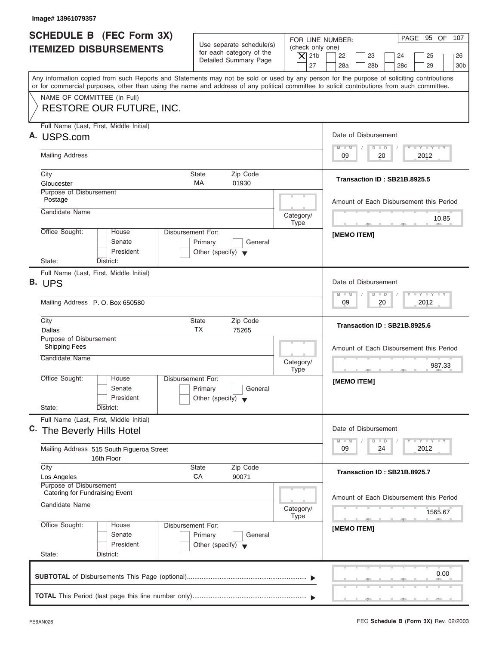| Image# 13961079357                                                                                                                                                                                                                                                                      |                                                                                 |                                                                  |                                                                                                                             |
|-----------------------------------------------------------------------------------------------------------------------------------------------------------------------------------------------------------------------------------------------------------------------------------------|---------------------------------------------------------------------------------|------------------------------------------------------------------|-----------------------------------------------------------------------------------------------------------------------------|
| SCHEDULE B (FEC Form 3X)<br><b>ITEMIZED DISBURSEMENTS</b>                                                                                                                                                                                                                               | Use separate schedule(s)<br>for each category of the<br>Detailed Summary Page   | FOR LINE NUMBER:<br>(check only one)<br>$\overline{X}$ 21b<br>27 | PAGE 95 OF 107<br>22<br>23<br>24<br>25<br>26<br>28a<br>28 <sub>b</sub><br>28 <sub>c</sub><br>29<br>30 <sub>b</sub>          |
| Any information copied from such Reports and Statements may not be sold or used by any person for the purpose of soliciting contributions<br>or for commercial purposes, other than using the name and address of any political committee to solicit contributions from such committee. |                                                                                 |                                                                  |                                                                                                                             |
| NAME OF COMMITTEE (In Full)<br>RESTORE OUR FUTURE, INC.                                                                                                                                                                                                                                 |                                                                                 |                                                                  |                                                                                                                             |
| Full Name (Last, First, Middle Initial)<br>A. USPS.com                                                                                                                                                                                                                                  |                                                                                 |                                                                  | Date of Disbursement                                                                                                        |
| <b>Mailing Address</b>                                                                                                                                                                                                                                                                  |                                                                                 |                                                                  | $\mathbf{I} \mathbf{Y} \mathbf{I} \mathbf{Y}$<br>$M - M$<br>$D$ $D$<br>09<br>2012<br>20                                     |
| City<br>Gloucester                                                                                                                                                                                                                                                                      | Zip Code<br>State<br><b>MA</b><br>01930                                         |                                                                  | Transaction ID: SB21B.8925.5                                                                                                |
| Purpose of Disbursement<br>Postage                                                                                                                                                                                                                                                      |                                                                                 |                                                                  | Amount of Each Disbursement this Period                                                                                     |
| Candidate Name                                                                                                                                                                                                                                                                          |                                                                                 | Category/<br><b>Type</b>                                         | 10.85<br>$-7$                                                                                                               |
| Office Sought:<br>House<br>Senate<br>President                                                                                                                                                                                                                                          | Disbursement For:<br>Primary<br>General<br>Other (specify) $\blacktriangledown$ |                                                                  | [MEMO ITEM]                                                                                                                 |
| State:<br>District:<br>Full Name (Last, First, Middle Initial)<br>B. UPS                                                                                                                                                                                                                |                                                                                 |                                                                  | Date of Disbursement                                                                                                        |
| Mailing Address P.O. Box 650580                                                                                                                                                                                                                                                         |                                                                                 |                                                                  | $-1 - Y - 1 - Y - 1 - Y$<br>$M - M$<br>$\Box$<br>$\Box$<br>20<br>2012<br>09                                                 |
| City<br>Dallas                                                                                                                                                                                                                                                                          | <b>State</b><br>Zip Code<br>ТX<br>75265                                         |                                                                  | Transaction ID: SB21B.8925.6                                                                                                |
| Purpose of Disbursement<br><b>Shipping Fees</b><br>Candidate Name                                                                                                                                                                                                                       |                                                                                 | Category/<br><b>Type</b>                                         | Amount of Each Disbursement this Period<br>987.33                                                                           |
| Office Sought:<br>House<br>Senate<br>President<br>State:<br>District:                                                                                                                                                                                                                   | Disbursement For:<br>Primary<br>General<br>Other (specify) $\blacktriangledown$ |                                                                  | $-7$<br>[MEMO ITEM]                                                                                                         |
| Full Name (Last, First, Middle Initial)<br>C. The Beverly Hills Hotel                                                                                                                                                                                                                   |                                                                                 |                                                                  | Date of Disbursement                                                                                                        |
| Mailing Address 515 South Figueroa Street<br>16th Floor                                                                                                                                                                                                                                 |                                                                                 |                                                                  | $\mathbf{I}$ $\mathbf{Y}$ $\mathbf{I}$ $\mathbf{Y}$ $\mathbf{I}$ $\mathbf{Y}$<br>$M - M$<br>$\Box$<br>D<br>09<br>2012<br>24 |
| City<br>Los Angeles<br>Purpose of Disbursement                                                                                                                                                                                                                                          | Zip Code<br><b>State</b><br>CA<br>90071                                         |                                                                  | Transaction ID: SB21B.8925.7                                                                                                |
| Catering for Fundraising Event<br>Candidate Name                                                                                                                                                                                                                                        |                                                                                 | Category/<br>Type                                                | Amount of Each Disbursement this Period<br>1565.67                                                                          |
| Office Sought:<br>House<br>Senate<br>President<br>State:<br>District:                                                                                                                                                                                                                   | Disbursement For:<br>Primary<br>General<br>Other (specify) $\blacktriangledown$ |                                                                  | $\overline{\phantom{a}}$<br>[MEMO ITEM]                                                                                     |
|                                                                                                                                                                                                                                                                                         |                                                                                 |                                                                  | 0.00                                                                                                                        |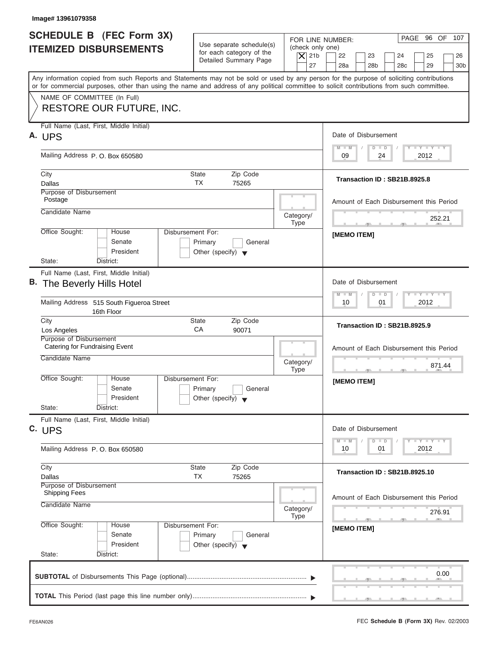| FOR LINE NUMBER:<br>Use separate schedule(s)<br>(check only one)<br>for each category of the<br>$\overline{X}$ 21b<br>22<br>23<br>24<br>25<br>Detailed Summary Page<br>27<br>28a<br>28 <sub>b</sub><br>28 <sub>c</sub><br>29<br>Any information copied from such Reports and Statements may not be sold or used by any person for the purpose of soliciting contributions<br>or for commercial purposes, other than using the name and address of any political committee to solicit contributions from such committee.<br>NAME OF COMMITTEE (In Full)<br><b>RESTORE OUR FUTURE, INC.</b><br>Full Name (Last, First, Middle Initial)<br>Date of Disbursement<br>$\mathbf{I} \mathbf{Y} \mathbf{I} \mathbf{Y}$<br>$M - M$<br>$D$ $D$<br>Mailing Address P.O. Box 650580<br>09<br>2012<br>24<br>State<br>Zip Code<br>City<br>Transaction ID: SB21B.8925.8<br><b>TX</b><br>Dallas<br>75265<br>Purpose of Disbursement<br>Postage<br>Amount of Each Disbursement this Period<br>Candidate Name<br>Category/<br>252.21<br><b>Type</b><br>$-7$<br>Office Sought:<br>Disbursement For:<br>House<br>[MEMO ITEM]<br>Senate<br>Primary<br>General<br>President<br>Other (specify) $\blacktriangledown$<br>State:<br>District:<br>Full Name (Last, First, Middle Initial)<br>Date of Disbursement<br>B. The Beverly Hills Hotel<br>$-1 - Y - 1 - Y - 1 - Y$<br>$M - M$<br>$D$ $D$<br>2012<br>Mailing Address 515 South Figueroa Street<br>10<br>01<br>16th Floor<br>City<br>State<br>Zip Code<br>Transaction ID: SB21B.8925.9<br>CA<br>Los Angeles<br>90071<br>Purpose of Disbursement<br>Catering for Fundraising Event<br>Amount of Each Disbursement this Period<br>Candidate Name<br>Category/<br>871.44<br><b>Type</b><br>Office Sought:<br>House<br>Disbursement For:<br>[MEMO ITEM]<br>Senate<br>Primary<br>General<br>President<br>Other (specify) $\blacktriangledown$<br>State:<br>District:<br>Full Name (Last, First, Middle Initial)<br>Date of Disbursement<br>C. UPS<br><b>LY LY LY</b><br>$M - M$<br>$\overline{D}$<br>$\Box$<br>2012<br>10<br>01<br>Mailing Address P.O. Box 650580<br>Zip Code<br>City<br>State<br>Transaction ID: SB21B.8925.10<br>TX<br>75265<br>Dallas<br>Purpose of Disbursement<br><b>Shipping Fees</b><br>Amount of Each Disbursement this Period<br>Candidate Name<br>Category/<br>276.91<br><b>Type</b><br>$-7$<br>Office Sought:<br>Disbursement For:<br>House<br>[MEMO ITEM]<br>Senate<br>Primary<br>General<br>President<br>Other (specify) $\blacktriangledown$<br>State:<br>District: | Image# 13961079358                                               |  |                                         |
|---------------------------------------------------------------------------------------------------------------------------------------------------------------------------------------------------------------------------------------------------------------------------------------------------------------------------------------------------------------------------------------------------------------------------------------------------------------------------------------------------------------------------------------------------------------------------------------------------------------------------------------------------------------------------------------------------------------------------------------------------------------------------------------------------------------------------------------------------------------------------------------------------------------------------------------------------------------------------------------------------------------------------------------------------------------------------------------------------------------------------------------------------------------------------------------------------------------------------------------------------------------------------------------------------------------------------------------------------------------------------------------------------------------------------------------------------------------------------------------------------------------------------------------------------------------------------------------------------------------------------------------------------------------------------------------------------------------------------------------------------------------------------------------------------------------------------------------------------------------------------------------------------------------------------------------------------------------------------------------------------------------------------------------------------------------------------------------------------------------------------------------------------------------------------------------------------------------------------------------------------------------------------------------------------------------------------------------------------------------------------------------------------------------------------------------------------------------------------------------------------------------------------|------------------------------------------------------------------|--|-----------------------------------------|
|                                                                                                                                                                                                                                                                                                                                                                                                                                                                                                                                                                                                                                                                                                                                                                                                                                                                                                                                                                                                                                                                                                                                                                                                                                                                                                                                                                                                                                                                                                                                                                                                                                                                                                                                                                                                                                                                                                                                                                                                                                                                                                                                                                                                                                                                                                                                                                                                                                                                                                                           | <b>SCHEDULE B</b> (FEC Form 3X)<br><b>ITEMIZED DISBURSEMENTS</b> |  | PAGE 96 OF 107<br>26<br>30 <sub>b</sub> |
|                                                                                                                                                                                                                                                                                                                                                                                                                                                                                                                                                                                                                                                                                                                                                                                                                                                                                                                                                                                                                                                                                                                                                                                                                                                                                                                                                                                                                                                                                                                                                                                                                                                                                                                                                                                                                                                                                                                                                                                                                                                                                                                                                                                                                                                                                                                                                                                                                                                                                                                           |                                                                  |  |                                         |
|                                                                                                                                                                                                                                                                                                                                                                                                                                                                                                                                                                                                                                                                                                                                                                                                                                                                                                                                                                                                                                                                                                                                                                                                                                                                                                                                                                                                                                                                                                                                                                                                                                                                                                                                                                                                                                                                                                                                                                                                                                                                                                                                                                                                                                                                                                                                                                                                                                                                                                                           |                                                                  |  |                                         |
|                                                                                                                                                                                                                                                                                                                                                                                                                                                                                                                                                                                                                                                                                                                                                                                                                                                                                                                                                                                                                                                                                                                                                                                                                                                                                                                                                                                                                                                                                                                                                                                                                                                                                                                                                                                                                                                                                                                                                                                                                                                                                                                                                                                                                                                                                                                                                                                                                                                                                                                           | A. UPS                                                           |  |                                         |
|                                                                                                                                                                                                                                                                                                                                                                                                                                                                                                                                                                                                                                                                                                                                                                                                                                                                                                                                                                                                                                                                                                                                                                                                                                                                                                                                                                                                                                                                                                                                                                                                                                                                                                                                                                                                                                                                                                                                                                                                                                                                                                                                                                                                                                                                                                                                                                                                                                                                                                                           |                                                                  |  |                                         |
|                                                                                                                                                                                                                                                                                                                                                                                                                                                                                                                                                                                                                                                                                                                                                                                                                                                                                                                                                                                                                                                                                                                                                                                                                                                                                                                                                                                                                                                                                                                                                                                                                                                                                                                                                                                                                                                                                                                                                                                                                                                                                                                                                                                                                                                                                                                                                                                                                                                                                                                           |                                                                  |  |                                         |
|                                                                                                                                                                                                                                                                                                                                                                                                                                                                                                                                                                                                                                                                                                                                                                                                                                                                                                                                                                                                                                                                                                                                                                                                                                                                                                                                                                                                                                                                                                                                                                                                                                                                                                                                                                                                                                                                                                                                                                                                                                                                                                                                                                                                                                                                                                                                                                                                                                                                                                                           |                                                                  |  |                                         |
|                                                                                                                                                                                                                                                                                                                                                                                                                                                                                                                                                                                                                                                                                                                                                                                                                                                                                                                                                                                                                                                                                                                                                                                                                                                                                                                                                                                                                                                                                                                                                                                                                                                                                                                                                                                                                                                                                                                                                                                                                                                                                                                                                                                                                                                                                                                                                                                                                                                                                                                           |                                                                  |  |                                         |
|                                                                                                                                                                                                                                                                                                                                                                                                                                                                                                                                                                                                                                                                                                                                                                                                                                                                                                                                                                                                                                                                                                                                                                                                                                                                                                                                                                                                                                                                                                                                                                                                                                                                                                                                                                                                                                                                                                                                                                                                                                                                                                                                                                                                                                                                                                                                                                                                                                                                                                                           |                                                                  |  |                                         |
|                                                                                                                                                                                                                                                                                                                                                                                                                                                                                                                                                                                                                                                                                                                                                                                                                                                                                                                                                                                                                                                                                                                                                                                                                                                                                                                                                                                                                                                                                                                                                                                                                                                                                                                                                                                                                                                                                                                                                                                                                                                                                                                                                                                                                                                                                                                                                                                                                                                                                                                           |                                                                  |  |                                         |
|                                                                                                                                                                                                                                                                                                                                                                                                                                                                                                                                                                                                                                                                                                                                                                                                                                                                                                                                                                                                                                                                                                                                                                                                                                                                                                                                                                                                                                                                                                                                                                                                                                                                                                                                                                                                                                                                                                                                                                                                                                                                                                                                                                                                                                                                                                                                                                                                                                                                                                                           |                                                                  |  |                                         |
|                                                                                                                                                                                                                                                                                                                                                                                                                                                                                                                                                                                                                                                                                                                                                                                                                                                                                                                                                                                                                                                                                                                                                                                                                                                                                                                                                                                                                                                                                                                                                                                                                                                                                                                                                                                                                                                                                                                                                                                                                                                                                                                                                                                                                                                                                                                                                                                                                                                                                                                           |                                                                  |  |                                         |
|                                                                                                                                                                                                                                                                                                                                                                                                                                                                                                                                                                                                                                                                                                                                                                                                                                                                                                                                                                                                                                                                                                                                                                                                                                                                                                                                                                                                                                                                                                                                                                                                                                                                                                                                                                                                                                                                                                                                                                                                                                                                                                                                                                                                                                                                                                                                                                                                                                                                                                                           |                                                                  |  |                                         |
|                                                                                                                                                                                                                                                                                                                                                                                                                                                                                                                                                                                                                                                                                                                                                                                                                                                                                                                                                                                                                                                                                                                                                                                                                                                                                                                                                                                                                                                                                                                                                                                                                                                                                                                                                                                                                                                                                                                                                                                                                                                                                                                                                                                                                                                                                                                                                                                                                                                                                                                           |                                                                  |  |                                         |
|                                                                                                                                                                                                                                                                                                                                                                                                                                                                                                                                                                                                                                                                                                                                                                                                                                                                                                                                                                                                                                                                                                                                                                                                                                                                                                                                                                                                                                                                                                                                                                                                                                                                                                                                                                                                                                                                                                                                                                                                                                                                                                                                                                                                                                                                                                                                                                                                                                                                                                                           |                                                                  |  |                                         |
|                                                                                                                                                                                                                                                                                                                                                                                                                                                                                                                                                                                                                                                                                                                                                                                                                                                                                                                                                                                                                                                                                                                                                                                                                                                                                                                                                                                                                                                                                                                                                                                                                                                                                                                                                                                                                                                                                                                                                                                                                                                                                                                                                                                                                                                                                                                                                                                                                                                                                                                           |                                                                  |  |                                         |
|                                                                                                                                                                                                                                                                                                                                                                                                                                                                                                                                                                                                                                                                                                                                                                                                                                                                                                                                                                                                                                                                                                                                                                                                                                                                                                                                                                                                                                                                                                                                                                                                                                                                                                                                                                                                                                                                                                                                                                                                                                                                                                                                                                                                                                                                                                                                                                                                                                                                                                                           |                                                                  |  |                                         |
|                                                                                                                                                                                                                                                                                                                                                                                                                                                                                                                                                                                                                                                                                                                                                                                                                                                                                                                                                                                                                                                                                                                                                                                                                                                                                                                                                                                                                                                                                                                                                                                                                                                                                                                                                                                                                                                                                                                                                                                                                                                                                                                                                                                                                                                                                                                                                                                                                                                                                                                           |                                                                  |  |                                         |
|                                                                                                                                                                                                                                                                                                                                                                                                                                                                                                                                                                                                                                                                                                                                                                                                                                                                                                                                                                                                                                                                                                                                                                                                                                                                                                                                                                                                                                                                                                                                                                                                                                                                                                                                                                                                                                                                                                                                                                                                                                                                                                                                                                                                                                                                                                                                                                                                                                                                                                                           |                                                                  |  |                                         |
|                                                                                                                                                                                                                                                                                                                                                                                                                                                                                                                                                                                                                                                                                                                                                                                                                                                                                                                                                                                                                                                                                                                                                                                                                                                                                                                                                                                                                                                                                                                                                                                                                                                                                                                                                                                                                                                                                                                                                                                                                                                                                                                                                                                                                                                                                                                                                                                                                                                                                                                           |                                                                  |  |                                         |
|                                                                                                                                                                                                                                                                                                                                                                                                                                                                                                                                                                                                                                                                                                                                                                                                                                                                                                                                                                                                                                                                                                                                                                                                                                                                                                                                                                                                                                                                                                                                                                                                                                                                                                                                                                                                                                                                                                                                                                                                                                                                                                                                                                                                                                                                                                                                                                                                                                                                                                                           |                                                                  |  |                                         |
|                                                                                                                                                                                                                                                                                                                                                                                                                                                                                                                                                                                                                                                                                                                                                                                                                                                                                                                                                                                                                                                                                                                                                                                                                                                                                                                                                                                                                                                                                                                                                                                                                                                                                                                                                                                                                                                                                                                                                                                                                                                                                                                                                                                                                                                                                                                                                                                                                                                                                                                           |                                                                  |  |                                         |
| 0.00                                                                                                                                                                                                                                                                                                                                                                                                                                                                                                                                                                                                                                                                                                                                                                                                                                                                                                                                                                                                                                                                                                                                                                                                                                                                                                                                                                                                                                                                                                                                                                                                                                                                                                                                                                                                                                                                                                                                                                                                                                                                                                                                                                                                                                                                                                                                                                                                                                                                                                                      |                                                                  |  |                                         |
|                                                                                                                                                                                                                                                                                                                                                                                                                                                                                                                                                                                                                                                                                                                                                                                                                                                                                                                                                                                                                                                                                                                                                                                                                                                                                                                                                                                                                                                                                                                                                                                                                                                                                                                                                                                                                                                                                                                                                                                                                                                                                                                                                                                                                                                                                                                                                                                                                                                                                                                           |                                                                  |  |                                         |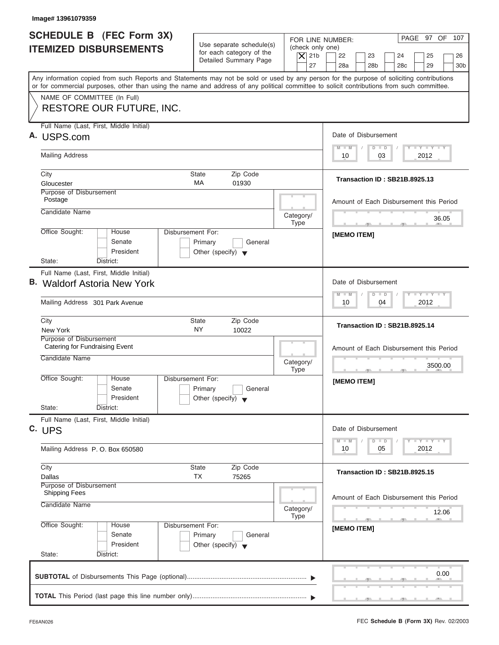| Image# 13961079359                                                                                                                                                                                                                                                                      |                                                                                        |                                                                  |                                                                                                                                                                                                                                                      |
|-----------------------------------------------------------------------------------------------------------------------------------------------------------------------------------------------------------------------------------------------------------------------------------------|----------------------------------------------------------------------------------------|------------------------------------------------------------------|------------------------------------------------------------------------------------------------------------------------------------------------------------------------------------------------------------------------------------------------------|
| <b>SCHEDULE B (FEC Form 3X)</b><br><b>ITEMIZED DISBURSEMENTS</b>                                                                                                                                                                                                                        | Use separate schedule(s)<br>for each category of the<br>Detailed Summary Page          | FOR LINE NUMBER:<br>(check only one)<br>$\overline{X}$ 21b<br>27 | PAGE 97 OF 107<br>22<br>23<br>24<br>25<br>26<br>28a<br>28 <sub>b</sub><br>29<br>28 <sub>c</sub><br>30 <sub>b</sub>                                                                                                                                   |
| Any information copied from such Reports and Statements may not be sold or used by any person for the purpose of soliciting contributions<br>or for commercial purposes, other than using the name and address of any political committee to solicit contributions from such committee. |                                                                                        |                                                                  |                                                                                                                                                                                                                                                      |
| NAME OF COMMITTEE (In Full)<br>RESTORE OUR FUTURE, INC.                                                                                                                                                                                                                                 |                                                                                        |                                                                  |                                                                                                                                                                                                                                                      |
| Full Name (Last, First, Middle Initial)<br>A. USPS.com                                                                                                                                                                                                                                  |                                                                                        |                                                                  | Date of Disbursement                                                                                                                                                                                                                                 |
| <b>Mailing Address</b>                                                                                                                                                                                                                                                                  |                                                                                        |                                                                  | $T - Y = T - Y = T - Y$<br>$M - M$<br>$D$ $D$<br>03<br>2012<br>10                                                                                                                                                                                    |
| City<br>Gloucester                                                                                                                                                                                                                                                                      | State<br>Zip Code<br>МA<br>01930                                                       |                                                                  | <b>Transaction ID: SB21B.8925.13</b>                                                                                                                                                                                                                 |
| Purpose of Disbursement<br>Postage                                                                                                                                                                                                                                                      |                                                                                        |                                                                  | Amount of Each Disbursement this Period                                                                                                                                                                                                              |
| Candidate Name                                                                                                                                                                                                                                                                          |                                                                                        | Category/<br><b>Type</b>                                         | 36.05<br><b>The Contract Contract Contract Contract</b>                                                                                                                                                                                              |
| Office Sought:<br>House<br>Senate<br>President<br>State:<br>District:                                                                                                                                                                                                                   | <b>Disbursement For:</b><br>Primary<br>General<br>Other (specify) $\blacktriangledown$ |                                                                  | [MEMO ITEM]                                                                                                                                                                                                                                          |
| Full Name (Last, First, Middle Initial)<br><b>B.</b> Waldorf Astoria New York                                                                                                                                                                                                           |                                                                                        |                                                                  | Date of Disbursement<br>$-1 - Y - 1 - Y - 1 - Y$<br>$M - M$<br>$D$ $D$                                                                                                                                                                               |
| Mailing Address 301 Park Avenue                                                                                                                                                                                                                                                         |                                                                                        |                                                                  | 2012<br>10<br>04                                                                                                                                                                                                                                     |
| City<br>New York                                                                                                                                                                                                                                                                        | Zip Code<br>State<br>NY<br>10022                                                       |                                                                  | Transaction ID: SB21B.8925.14                                                                                                                                                                                                                        |
| Purpose of Disbursement<br>Catering for Fundraising Event<br>Candidate Name                                                                                                                                                                                                             |                                                                                        | Category/<br><b>Type</b>                                         | Amount of Each Disbursement this Period<br>3500.00                                                                                                                                                                                                   |
| Office Sought:<br>House<br>Senate<br>President<br>State:<br>District:                                                                                                                                                                                                                   | Disbursement For:<br>Primary<br>General<br>Other (specify) $\blacktriangledown$        |                                                                  | [MEMO ITEM]                                                                                                                                                                                                                                          |
| Full Name (Last, First, Middle Initial)<br>C. UPS                                                                                                                                                                                                                                       |                                                                                        |                                                                  | Date of Disbursement<br>$\frac{1}{2}$ $\frac{1}{2}$ $\frac{1}{2}$ $\frac{1}{2}$ $\frac{1}{2}$ $\frac{1}{2}$ $\frac{1}{2}$ $\frac{1}{2}$ $\frac{1}{2}$ $\frac{1}{2}$ $\frac{1}{2}$ $\frac{1}{2}$ $\frac{1}{2}$<br>$M - M$<br>$\overline{D}$<br>$\Box$ |
| Mailing Address P.O. Box 650580                                                                                                                                                                                                                                                         |                                                                                        |                                                                  | 2012<br>10<br>05                                                                                                                                                                                                                                     |
| City<br>Dallas                                                                                                                                                                                                                                                                          | Zip Code<br>State<br>TX<br>75265                                                       |                                                                  | Transaction ID: SB21B.8925.15                                                                                                                                                                                                                        |
| Purpose of Disbursement<br><b>Shipping Fees</b><br>Candidate Name                                                                                                                                                                                                                       |                                                                                        | Category/<br>Type                                                | Amount of Each Disbursement this Period<br>12.06                                                                                                                                                                                                     |
| Office Sought:<br>House<br>Senate<br>President<br>State:<br>District:                                                                                                                                                                                                                   | Disbursement For:<br>Primary<br>General<br>Other (specify) $\blacktriangledown$        |                                                                  | $\sqrt{2}$<br>[MEMO ITEM]                                                                                                                                                                                                                            |
|                                                                                                                                                                                                                                                                                         |                                                                                        |                                                                  | 0.00                                                                                                                                                                                                                                                 |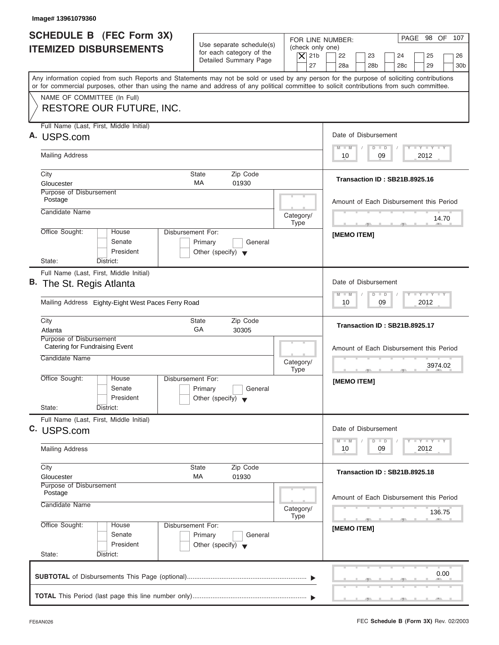| Image# 13961079360                                                                                                                                                                                                                                                                      |                                                                                 |                                                                  |                                                                                                                    |
|-----------------------------------------------------------------------------------------------------------------------------------------------------------------------------------------------------------------------------------------------------------------------------------------|---------------------------------------------------------------------------------|------------------------------------------------------------------|--------------------------------------------------------------------------------------------------------------------|
| <b>SCHEDULE B</b> (FEC Form 3X)<br><b>ITEMIZED DISBURSEMENTS</b>                                                                                                                                                                                                                        | Use separate schedule(s)<br>for each category of the<br>Detailed Summary Page   | FOR LINE NUMBER:<br>(check only one)<br>$\vert$ $\chi$ 21b<br>27 | PAGE 98 OF 107<br>22<br>23<br>24<br>25<br>26<br>28a<br>28 <sub>b</sub><br>29<br>28 <sub>c</sub><br>30 <sub>b</sub> |
| Any information copied from such Reports and Statements may not be sold or used by any person for the purpose of soliciting contributions<br>or for commercial purposes, other than using the name and address of any political committee to solicit contributions from such committee. |                                                                                 |                                                                  |                                                                                                                    |
| NAME OF COMMITTEE (In Full)<br><b>RESTORE OUR FUTURE, INC.</b>                                                                                                                                                                                                                          |                                                                                 |                                                                  |                                                                                                                    |
| Full Name (Last, First, Middle Initial)<br>A. USPS.com                                                                                                                                                                                                                                  |                                                                                 |                                                                  | Date of Disbursement                                                                                               |
| <b>Mailing Address</b>                                                                                                                                                                                                                                                                  |                                                                                 |                                                                  | $T - Y = T - Y = T - Y$<br>$D$ $D$<br>$M - M$<br>09<br>2012<br>10                                                  |
| City<br>Gloucester                                                                                                                                                                                                                                                                      | Zip Code<br>State<br>MA<br>01930                                                |                                                                  | Transaction ID: SB21B.8925.16                                                                                      |
| Purpose of Disbursement<br>Postage                                                                                                                                                                                                                                                      |                                                                                 |                                                                  | Amount of Each Disbursement this Period                                                                            |
| Candidate Name                                                                                                                                                                                                                                                                          |                                                                                 | Category/<br><b>Type</b>                                         | 14.70<br><b>The Contract Contract Contract Contract</b>                                                            |
| Office Sought:<br>House<br>Senate<br>President<br>State:<br>District:                                                                                                                                                                                                                   | Disbursement For:<br>Primary<br>General<br>Other (specify) $\blacktriangledown$ |                                                                  | [MEMO ITEM]                                                                                                        |
| Full Name (Last, First, Middle Initial)<br>B. The St. Regis Atlanta                                                                                                                                                                                                                     |                                                                                 |                                                                  | Date of Disbursement<br>$-1 - Y - 1 - Y - 1 - Y$<br>$D$ $D$<br>M<br>$-M$                                           |
| Mailing Address Eighty-Eight West Paces Ferry Road                                                                                                                                                                                                                                      |                                                                                 |                                                                  | 09<br>2012<br>10                                                                                                   |
| City<br>Atlanta                                                                                                                                                                                                                                                                         | Zip Code<br><b>State</b><br>GA<br>30305                                         |                                                                  | Transaction ID: SB21B.8925.17                                                                                      |
| Purpose of Disbursement<br>Catering for Fundraising Event<br>Candidate Name                                                                                                                                                                                                             |                                                                                 | Category/<br><b>Type</b>                                         | Amount of Each Disbursement this Period<br>3974.02                                                                 |
| Office Sought:<br>House<br>Senate<br>President<br>State:<br>District:                                                                                                                                                                                                                   | Disbursement For:<br>Primary<br>General<br>Other (specify) $\blacktriangledown$ |                                                                  | [MEMO ITEM]                                                                                                        |
| Full Name (Last, First, Middle Initial)<br>C. USPS.com                                                                                                                                                                                                                                  |                                                                                 |                                                                  | Date of Disbursement<br>$T - Y$ $T - Y$ $T - Y$<br>$M - M$<br>$\overline{D}$<br>$\Box$                             |
| <b>Mailing Address</b>                                                                                                                                                                                                                                                                  |                                                                                 |                                                                  | 2012<br>10<br>09                                                                                                   |
| City<br>Gloucester                                                                                                                                                                                                                                                                      | Zip Code<br><b>State</b><br>МA<br>01930                                         |                                                                  | <b>Transaction ID: SB21B.8925.18</b>                                                                               |
| Purpose of Disbursement<br>Postage<br>Candidate Name                                                                                                                                                                                                                                    |                                                                                 | Category/<br><b>Type</b>                                         | Amount of Each Disbursement this Period<br>136.75                                                                  |
| Office Sought:<br>House<br>Senate<br>President<br>State:<br>District:                                                                                                                                                                                                                   | Disbursement For:<br>Primary<br>General<br>Other (specify) $\blacktriangledown$ |                                                                  | - 51<br>[MEMO ITEM]                                                                                                |
|                                                                                                                                                                                                                                                                                         |                                                                                 |                                                                  | 0.00                                                                                                               |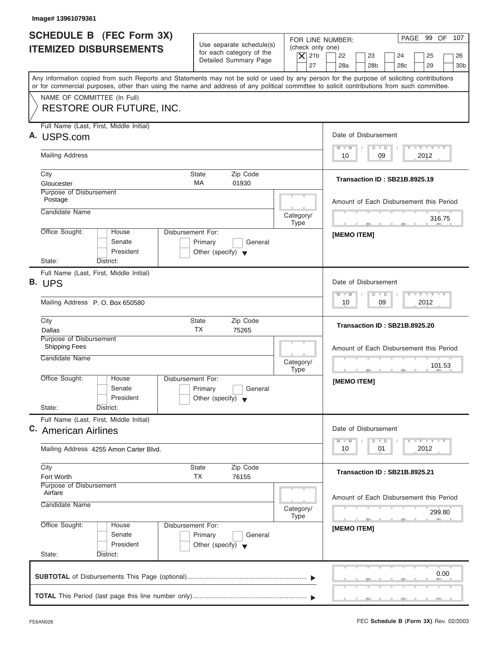| PAGE 99 OF 107<br>FOR LINE NUMBER:<br>Use separate schedule(s)<br>(check only one)<br>for each category of the<br>$\vert$ $\chi$ 21b<br>22<br>23<br>24<br>25<br>26<br>Detailed Summary Page<br>27<br>28a<br>28 <sub>b</sub><br>28 <sub>c</sub><br>29<br>Any information copied from such Reports and Statements may not be sold or used by any person for the purpose of soliciting contributions<br>or for commercial purposes, other than using the name and address of any political committee to solicit contributions from such committee.<br>NAME OF COMMITTEE (In Full)<br>RESTORE OUR FUTURE, INC.<br>Full Name (Last, First, Middle Initial)<br>Date of Disbursement<br>A. USPS.com<br>$T - Y$ $T - Y$ $T - Y$<br>$D$ $D$<br>$M - M$<br><b>Mailing Address</b><br>09<br>2012<br>10<br>Zip Code<br>City<br><b>State</b><br>Transaction ID: SB21B.8925.19<br>MA<br>Gloucester<br>01930<br>Purpose of Disbursement<br>Postage<br>Amount of Each Disbursement this Period<br>Candidate Name<br>Category/<br>316.75<br><b>Type</b><br><b>The Contract Contract Contract</b><br>$-7$<br>Office Sought:<br><b>Disbursement For:</b><br>House<br><b>IMEMO ITEMI</b><br>Senate<br>Primary<br>General<br>President<br>Other (specify) $\blacktriangledown$<br>State:<br>District:<br>Full Name (Last, First, Middle Initial)<br>Date of Disbursement<br>$-1 - Y - 1 - Y - 1 - Y$<br>$D$ $D$<br>$M - M$<br>09<br>2012<br>Mailing Address P.O. Box 650580<br>10<br>City<br><b>State</b><br>Zip Code<br><b>Transaction ID: SB21B.8925.20</b><br><b>TX</b><br>75265<br>Dallas<br>Purpose of Disbursement<br><b>Shipping Fees</b><br>Amount of Each Disbursement this Period<br>Candidate Name<br>Category/<br>101.53<br><b>Type</b><br>$-7$<br>Office Sought:<br>House<br>Disbursement For:<br>[MEMO ITEM]<br>Senate<br>Primary<br>General<br>President<br>Other (specify) $\blacktriangledown$<br>State:<br>District:<br>Full Name (Last, First, Middle Initial)<br>Date of Disbursement<br>C. American Airlines<br>$\mathbf{I}$ $\mathbf{Y}$ $\mathbf{I}$ $\mathbf{Y}$ $\mathbf{I}$ $\mathbf{Y}$<br>$M - M$<br>$\overline{D}$<br>$\Box$<br>2012<br>10<br>01<br>Mailing Address 4255 Amon Carter Blvd.<br>Zip Code<br>City<br><b>State</b><br>Transaction ID: SB21B.8925.21<br>TX<br>76155<br>Fort Worth<br>Purpose of Disbursement<br>Airfare<br>Amount of Each Disbursement this Period<br>Candidate Name<br>Category/<br>299.80<br><b>Type</b><br>$-7$<br>Office Sought:<br>Disbursement For:<br>House<br>[MEMO ITEM]<br>Senate<br>Primary<br>General<br>President<br>Other (specify) $\blacktriangledown$<br>State:<br>District:<br>0.00 | Image# 13961079361                                               |  |                 |
|------------------------------------------------------------------------------------------------------------------------------------------------------------------------------------------------------------------------------------------------------------------------------------------------------------------------------------------------------------------------------------------------------------------------------------------------------------------------------------------------------------------------------------------------------------------------------------------------------------------------------------------------------------------------------------------------------------------------------------------------------------------------------------------------------------------------------------------------------------------------------------------------------------------------------------------------------------------------------------------------------------------------------------------------------------------------------------------------------------------------------------------------------------------------------------------------------------------------------------------------------------------------------------------------------------------------------------------------------------------------------------------------------------------------------------------------------------------------------------------------------------------------------------------------------------------------------------------------------------------------------------------------------------------------------------------------------------------------------------------------------------------------------------------------------------------------------------------------------------------------------------------------------------------------------------------------------------------------------------------------------------------------------------------------------------------------------------------------------------------------------------------------------------------------------------------------------------------------------------------------------------------------------------------------------------------------------------------------------------------------------------------------------------------------------------------------------------------------------------------------------------------------------------------------------------------------------------------------------------------------------------------|------------------------------------------------------------------|--|-----------------|
|                                                                                                                                                                                                                                                                                                                                                                                                                                                                                                                                                                                                                                                                                                                                                                                                                                                                                                                                                                                                                                                                                                                                                                                                                                                                                                                                                                                                                                                                                                                                                                                                                                                                                                                                                                                                                                                                                                                                                                                                                                                                                                                                                                                                                                                                                                                                                                                                                                                                                                                                                                                                                                          | <b>SCHEDULE B (FEC Form 3X)</b><br><b>ITEMIZED DISBURSEMENTS</b> |  |                 |
|                                                                                                                                                                                                                                                                                                                                                                                                                                                                                                                                                                                                                                                                                                                                                                                                                                                                                                                                                                                                                                                                                                                                                                                                                                                                                                                                                                                                                                                                                                                                                                                                                                                                                                                                                                                                                                                                                                                                                                                                                                                                                                                                                                                                                                                                                                                                                                                                                                                                                                                                                                                                                                          |                                                                  |  | 30 <sub>b</sub> |
|                                                                                                                                                                                                                                                                                                                                                                                                                                                                                                                                                                                                                                                                                                                                                                                                                                                                                                                                                                                                                                                                                                                                                                                                                                                                                                                                                                                                                                                                                                                                                                                                                                                                                                                                                                                                                                                                                                                                                                                                                                                                                                                                                                                                                                                                                                                                                                                                                                                                                                                                                                                                                                          |                                                                  |  |                 |
|                                                                                                                                                                                                                                                                                                                                                                                                                                                                                                                                                                                                                                                                                                                                                                                                                                                                                                                                                                                                                                                                                                                                                                                                                                                                                                                                                                                                                                                                                                                                                                                                                                                                                                                                                                                                                                                                                                                                                                                                                                                                                                                                                                                                                                                                                                                                                                                                                                                                                                                                                                                                                                          |                                                                  |  |                 |
|                                                                                                                                                                                                                                                                                                                                                                                                                                                                                                                                                                                                                                                                                                                                                                                                                                                                                                                                                                                                                                                                                                                                                                                                                                                                                                                                                                                                                                                                                                                                                                                                                                                                                                                                                                                                                                                                                                                                                                                                                                                                                                                                                                                                                                                                                                                                                                                                                                                                                                                                                                                                                                          |                                                                  |  |                 |
|                                                                                                                                                                                                                                                                                                                                                                                                                                                                                                                                                                                                                                                                                                                                                                                                                                                                                                                                                                                                                                                                                                                                                                                                                                                                                                                                                                                                                                                                                                                                                                                                                                                                                                                                                                                                                                                                                                                                                                                                                                                                                                                                                                                                                                                                                                                                                                                                                                                                                                                                                                                                                                          |                                                                  |  |                 |
|                                                                                                                                                                                                                                                                                                                                                                                                                                                                                                                                                                                                                                                                                                                                                                                                                                                                                                                                                                                                                                                                                                                                                                                                                                                                                                                                                                                                                                                                                                                                                                                                                                                                                                                                                                                                                                                                                                                                                                                                                                                                                                                                                                                                                                                                                                                                                                                                                                                                                                                                                                                                                                          |                                                                  |  |                 |
|                                                                                                                                                                                                                                                                                                                                                                                                                                                                                                                                                                                                                                                                                                                                                                                                                                                                                                                                                                                                                                                                                                                                                                                                                                                                                                                                                                                                                                                                                                                                                                                                                                                                                                                                                                                                                                                                                                                                                                                                                                                                                                                                                                                                                                                                                                                                                                                                                                                                                                                                                                                                                                          |                                                                  |  |                 |
|                                                                                                                                                                                                                                                                                                                                                                                                                                                                                                                                                                                                                                                                                                                                                                                                                                                                                                                                                                                                                                                                                                                                                                                                                                                                                                                                                                                                                                                                                                                                                                                                                                                                                                                                                                                                                                                                                                                                                                                                                                                                                                                                                                                                                                                                                                                                                                                                                                                                                                                                                                                                                                          |                                                                  |  |                 |
|                                                                                                                                                                                                                                                                                                                                                                                                                                                                                                                                                                                                                                                                                                                                                                                                                                                                                                                                                                                                                                                                                                                                                                                                                                                                                                                                                                                                                                                                                                                                                                                                                                                                                                                                                                                                                                                                                                                                                                                                                                                                                                                                                                                                                                                                                                                                                                                                                                                                                                                                                                                                                                          |                                                                  |  |                 |
|                                                                                                                                                                                                                                                                                                                                                                                                                                                                                                                                                                                                                                                                                                                                                                                                                                                                                                                                                                                                                                                                                                                                                                                                                                                                                                                                                                                                                                                                                                                                                                                                                                                                                                                                                                                                                                                                                                                                                                                                                                                                                                                                                                                                                                                                                                                                                                                                                                                                                                                                                                                                                                          |                                                                  |  |                 |
|                                                                                                                                                                                                                                                                                                                                                                                                                                                                                                                                                                                                                                                                                                                                                                                                                                                                                                                                                                                                                                                                                                                                                                                                                                                                                                                                                                                                                                                                                                                                                                                                                                                                                                                                                                                                                                                                                                                                                                                                                                                                                                                                                                                                                                                                                                                                                                                                                                                                                                                                                                                                                                          |                                                                  |  |                 |
|                                                                                                                                                                                                                                                                                                                                                                                                                                                                                                                                                                                                                                                                                                                                                                                                                                                                                                                                                                                                                                                                                                                                                                                                                                                                                                                                                                                                                                                                                                                                                                                                                                                                                                                                                                                                                                                                                                                                                                                                                                                                                                                                                                                                                                                                                                                                                                                                                                                                                                                                                                                                                                          |                                                                  |  |                 |
|                                                                                                                                                                                                                                                                                                                                                                                                                                                                                                                                                                                                                                                                                                                                                                                                                                                                                                                                                                                                                                                                                                                                                                                                                                                                                                                                                                                                                                                                                                                                                                                                                                                                                                                                                                                                                                                                                                                                                                                                                                                                                                                                                                                                                                                                                                                                                                                                                                                                                                                                                                                                                                          |                                                                  |  |                 |
|                                                                                                                                                                                                                                                                                                                                                                                                                                                                                                                                                                                                                                                                                                                                                                                                                                                                                                                                                                                                                                                                                                                                                                                                                                                                                                                                                                                                                                                                                                                                                                                                                                                                                                                                                                                                                                                                                                                                                                                                                                                                                                                                                                                                                                                                                                                                                                                                                                                                                                                                                                                                                                          |                                                                  |  |                 |
|                                                                                                                                                                                                                                                                                                                                                                                                                                                                                                                                                                                                                                                                                                                                                                                                                                                                                                                                                                                                                                                                                                                                                                                                                                                                                                                                                                                                                                                                                                                                                                                                                                                                                                                                                                                                                                                                                                                                                                                                                                                                                                                                                                                                                                                                                                                                                                                                                                                                                                                                                                                                                                          |                                                                  |  |                 |
|                                                                                                                                                                                                                                                                                                                                                                                                                                                                                                                                                                                                                                                                                                                                                                                                                                                                                                                                                                                                                                                                                                                                                                                                                                                                                                                                                                                                                                                                                                                                                                                                                                                                                                                                                                                                                                                                                                                                                                                                                                                                                                                                                                                                                                                                                                                                                                                                                                                                                                                                                                                                                                          | B. UPS                                                           |  |                 |
|                                                                                                                                                                                                                                                                                                                                                                                                                                                                                                                                                                                                                                                                                                                                                                                                                                                                                                                                                                                                                                                                                                                                                                                                                                                                                                                                                                                                                                                                                                                                                                                                                                                                                                                                                                                                                                                                                                                                                                                                                                                                                                                                                                                                                                                                                                                                                                                                                                                                                                                                                                                                                                          |                                                                  |  |                 |
|                                                                                                                                                                                                                                                                                                                                                                                                                                                                                                                                                                                                                                                                                                                                                                                                                                                                                                                                                                                                                                                                                                                                                                                                                                                                                                                                                                                                                                                                                                                                                                                                                                                                                                                                                                                                                                                                                                                                                                                                                                                                                                                                                                                                                                                                                                                                                                                                                                                                                                                                                                                                                                          |                                                                  |  |                 |
|                                                                                                                                                                                                                                                                                                                                                                                                                                                                                                                                                                                                                                                                                                                                                                                                                                                                                                                                                                                                                                                                                                                                                                                                                                                                                                                                                                                                                                                                                                                                                                                                                                                                                                                                                                                                                                                                                                                                                                                                                                                                                                                                                                                                                                                                                                                                                                                                                                                                                                                                                                                                                                          |                                                                  |  |                 |
|                                                                                                                                                                                                                                                                                                                                                                                                                                                                                                                                                                                                                                                                                                                                                                                                                                                                                                                                                                                                                                                                                                                                                                                                                                                                                                                                                                                                                                                                                                                                                                                                                                                                                                                                                                                                                                                                                                                                                                                                                                                                                                                                                                                                                                                                                                                                                                                                                                                                                                                                                                                                                                          |                                                                  |  |                 |
|                                                                                                                                                                                                                                                                                                                                                                                                                                                                                                                                                                                                                                                                                                                                                                                                                                                                                                                                                                                                                                                                                                                                                                                                                                                                                                                                                                                                                                                                                                                                                                                                                                                                                                                                                                                                                                                                                                                                                                                                                                                                                                                                                                                                                                                                                                                                                                                                                                                                                                                                                                                                                                          |                                                                  |  |                 |
|                                                                                                                                                                                                                                                                                                                                                                                                                                                                                                                                                                                                                                                                                                                                                                                                                                                                                                                                                                                                                                                                                                                                                                                                                                                                                                                                                                                                                                                                                                                                                                                                                                                                                                                                                                                                                                                                                                                                                                                                                                                                                                                                                                                                                                                                                                                                                                                                                                                                                                                                                                                                                                          |                                                                  |  |                 |
|                                                                                                                                                                                                                                                                                                                                                                                                                                                                                                                                                                                                                                                                                                                                                                                                                                                                                                                                                                                                                                                                                                                                                                                                                                                                                                                                                                                                                                                                                                                                                                                                                                                                                                                                                                                                                                                                                                                                                                                                                                                                                                                                                                                                                                                                                                                                                                                                                                                                                                                                                                                                                                          |                                                                  |  |                 |
|                                                                                                                                                                                                                                                                                                                                                                                                                                                                                                                                                                                                                                                                                                                                                                                                                                                                                                                                                                                                                                                                                                                                                                                                                                                                                                                                                                                                                                                                                                                                                                                                                                                                                                                                                                                                                                                                                                                                                                                                                                                                                                                                                                                                                                                                                                                                                                                                                                                                                                                                                                                                                                          |                                                                  |  |                 |
|                                                                                                                                                                                                                                                                                                                                                                                                                                                                                                                                                                                                                                                                                                                                                                                                                                                                                                                                                                                                                                                                                                                                                                                                                                                                                                                                                                                                                                                                                                                                                                                                                                                                                                                                                                                                                                                                                                                                                                                                                                                                                                                                                                                                                                                                                                                                                                                                                                                                                                                                                                                                                                          |                                                                  |  |                 |
|                                                                                                                                                                                                                                                                                                                                                                                                                                                                                                                                                                                                                                                                                                                                                                                                                                                                                                                                                                                                                                                                                                                                                                                                                                                                                                                                                                                                                                                                                                                                                                                                                                                                                                                                                                                                                                                                                                                                                                                                                                                                                                                                                                                                                                                                                                                                                                                                                                                                                                                                                                                                                                          |                                                                  |  |                 |
|                                                                                                                                                                                                                                                                                                                                                                                                                                                                                                                                                                                                                                                                                                                                                                                                                                                                                                                                                                                                                                                                                                                                                                                                                                                                                                                                                                                                                                                                                                                                                                                                                                                                                                                                                                                                                                                                                                                                                                                                                                                                                                                                                                                                                                                                                                                                                                                                                                                                                                                                                                                                                                          |                                                                  |  |                 |
|                                                                                                                                                                                                                                                                                                                                                                                                                                                                                                                                                                                                                                                                                                                                                                                                                                                                                                                                                                                                                                                                                                                                                                                                                                                                                                                                                                                                                                                                                                                                                                                                                                                                                                                                                                                                                                                                                                                                                                                                                                                                                                                                                                                                                                                                                                                                                                                                                                                                                                                                                                                                                                          |                                                                  |  |                 |
|                                                                                                                                                                                                                                                                                                                                                                                                                                                                                                                                                                                                                                                                                                                                                                                                                                                                                                                                                                                                                                                                                                                                                                                                                                                                                                                                                                                                                                                                                                                                                                                                                                                                                                                                                                                                                                                                                                                                                                                                                                                                                                                                                                                                                                                                                                                                                                                                                                                                                                                                                                                                                                          |                                                                  |  |                 |
|                                                                                                                                                                                                                                                                                                                                                                                                                                                                                                                                                                                                                                                                                                                                                                                                                                                                                                                                                                                                                                                                                                                                                                                                                                                                                                                                                                                                                                                                                                                                                                                                                                                                                                                                                                                                                                                                                                                                                                                                                                                                                                                                                                                                                                                                                                                                                                                                                                                                                                                                                                                                                                          |                                                                  |  |                 |
|                                                                                                                                                                                                                                                                                                                                                                                                                                                                                                                                                                                                                                                                                                                                                                                                                                                                                                                                                                                                                                                                                                                                                                                                                                                                                                                                                                                                                                                                                                                                                                                                                                                                                                                                                                                                                                                                                                                                                                                                                                                                                                                                                                                                                                                                                                                                                                                                                                                                                                                                                                                                                                          |                                                                  |  |                 |
|                                                                                                                                                                                                                                                                                                                                                                                                                                                                                                                                                                                                                                                                                                                                                                                                                                                                                                                                                                                                                                                                                                                                                                                                                                                                                                                                                                                                                                                                                                                                                                                                                                                                                                                                                                                                                                                                                                                                                                                                                                                                                                                                                                                                                                                                                                                                                                                                                                                                                                                                                                                                                                          |                                                                  |  |                 |
|                                                                                                                                                                                                                                                                                                                                                                                                                                                                                                                                                                                                                                                                                                                                                                                                                                                                                                                                                                                                                                                                                                                                                                                                                                                                                                                                                                                                                                                                                                                                                                                                                                                                                                                                                                                                                                                                                                                                                                                                                                                                                                                                                                                                                                                                                                                                                                                                                                                                                                                                                                                                                                          |                                                                  |  |                 |
|                                                                                                                                                                                                                                                                                                                                                                                                                                                                                                                                                                                                                                                                                                                                                                                                                                                                                                                                                                                                                                                                                                                                                                                                                                                                                                                                                                                                                                                                                                                                                                                                                                                                                                                                                                                                                                                                                                                                                                                                                                                                                                                                                                                                                                                                                                                                                                                                                                                                                                                                                                                                                                          |                                                                  |  |                 |
|                                                                                                                                                                                                                                                                                                                                                                                                                                                                                                                                                                                                                                                                                                                                                                                                                                                                                                                                                                                                                                                                                                                                                                                                                                                                                                                                                                                                                                                                                                                                                                                                                                                                                                                                                                                                                                                                                                                                                                                                                                                                                                                                                                                                                                                                                                                                                                                                                                                                                                                                                                                                                                          |                                                                  |  |                 |
|                                                                                                                                                                                                                                                                                                                                                                                                                                                                                                                                                                                                                                                                                                                                                                                                                                                                                                                                                                                                                                                                                                                                                                                                                                                                                                                                                                                                                                                                                                                                                                                                                                                                                                                                                                                                                                                                                                                                                                                                                                                                                                                                                                                                                                                                                                                                                                                                                                                                                                                                                                                                                                          |                                                                  |  |                 |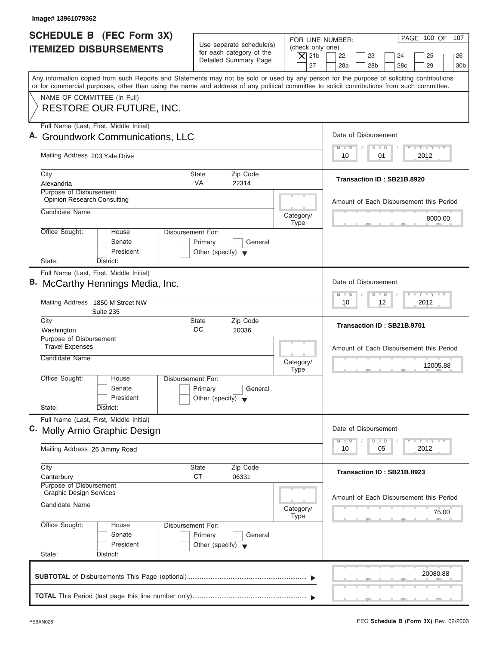| FOR LINE NUMBER:<br>Use separate schedule(s)<br>(check only one)<br>for each category of the<br>$\vert$ $\chi$ 21b<br>22<br>23<br>24<br>25<br>Detailed Summary Page<br>27<br>28a<br>28 <sub>b</sub><br>29<br>28 <sub>c</sub><br>Any information copied from such Reports and Statements may not be sold or used by any person for the purpose of soliciting contributions<br>or for commercial purposes, other than using the name and address of any political committee to solicit contributions from such committee.<br>NAME OF COMMITTEE (In Full)<br><b>RESTORE OUR FUTURE, INC.</b><br>Full Name (Last, First, Middle Initial)<br>Date of Disbursement<br>A. Groundwork Communications, LLC<br>$T - Y = T - Y = T - Y$<br>$M - M$<br>$D$ $D$<br>Mailing Address 203 Yale Drive<br>2012<br>10<br>01<br>City<br><b>State</b><br>Zip Code<br>Transaction ID: SB21B.8920<br><b>VA</b><br>Alexandria<br>22314<br><b>Purpose of Disbursement</b><br><b>Opinion Research Consulting</b><br>Amount of Each Disbursement this Period<br>Candidate Name<br>Category/<br>8000.00<br><b>Type</b><br>Office Sought:<br>Disbursement For:<br>House<br>Senate<br>Primary<br>General<br>President<br>Other (specify) $\blacktriangledown$<br>State:<br>District:<br>Full Name (Last, First, Middle Initial)<br>Date of Disbursement<br><b>LY LY LY</b><br>$\Box$<br>M<br>W<br>$\overline{D}$<br>Mailing Address 1850 M Street NW<br>12<br>2012<br>10<br>Suite 235<br>Zip Code<br>City<br><b>State</b><br>Transaction ID: SB21B.9701<br>DC<br>Washington<br>20036<br>Purpose of Disbursement<br><b>Travel Expenses</b><br>Amount of Each Disbursement this Period<br>Candidate Name<br>Category/<br>12005.88<br><b>Type</b><br>$-5$<br>Office Sought:<br>House<br>Disbursement For:<br>Senate<br>Primary<br>General<br>President<br>Other (specify)<br>State:<br>District:<br>Full Name (Last, First, Middle Initial)<br>Date of Disbursement<br>$T - Y$ $T - Y$<br>$- M$<br>M<br>D<br>$\Box$<br>2012<br>10<br>05<br>Mailing Address 26 Jimmy Road<br>Zip Code<br>City<br><b>State</b><br>Transaction ID: SB21B.8923<br>СT<br>06331<br>Canterbury<br>Purpose of Disbursement<br><b>Graphic Design Services</b><br>Amount of Each Disbursement this Period<br>Candidate Name<br>Category/<br>75.00<br><b>Type</b><br>Office Sought:<br>Disbursement For:<br>House<br>Senate<br>Primary<br>General<br>President<br>Other (specify) $\blacktriangledown$<br>State:<br>District:<br>20080.88 | Image# 13961079362                                               |  |                                          |
|-------------------------------------------------------------------------------------------------------------------------------------------------------------------------------------------------------------------------------------------------------------------------------------------------------------------------------------------------------------------------------------------------------------------------------------------------------------------------------------------------------------------------------------------------------------------------------------------------------------------------------------------------------------------------------------------------------------------------------------------------------------------------------------------------------------------------------------------------------------------------------------------------------------------------------------------------------------------------------------------------------------------------------------------------------------------------------------------------------------------------------------------------------------------------------------------------------------------------------------------------------------------------------------------------------------------------------------------------------------------------------------------------------------------------------------------------------------------------------------------------------------------------------------------------------------------------------------------------------------------------------------------------------------------------------------------------------------------------------------------------------------------------------------------------------------------------------------------------------------------------------------------------------------------------------------------------------------------------------------------------------------------------------------------------------------------------------------------------------------------------------------------------------------------------------------------------------------------------------------------------------------------------------------------------------------------------------------------------------------------------------------------------------------------------------------------------------------------------------|------------------------------------------------------------------|--|------------------------------------------|
|                                                                                                                                                                                                                                                                                                                                                                                                                                                                                                                                                                                                                                                                                                                                                                                                                                                                                                                                                                                                                                                                                                                                                                                                                                                                                                                                                                                                                                                                                                                                                                                                                                                                                                                                                                                                                                                                                                                                                                                                                                                                                                                                                                                                                                                                                                                                                                                                                                                                               | <b>SCHEDULE B</b> (FEC Form 3X)<br><b>ITEMIZED DISBURSEMENTS</b> |  | PAGE 100 OF 107<br>26<br>30 <sub>b</sub> |
|                                                                                                                                                                                                                                                                                                                                                                                                                                                                                                                                                                                                                                                                                                                                                                                                                                                                                                                                                                                                                                                                                                                                                                                                                                                                                                                                                                                                                                                                                                                                                                                                                                                                                                                                                                                                                                                                                                                                                                                                                                                                                                                                                                                                                                                                                                                                                                                                                                                                               |                                                                  |  |                                          |
|                                                                                                                                                                                                                                                                                                                                                                                                                                                                                                                                                                                                                                                                                                                                                                                                                                                                                                                                                                                                                                                                                                                                                                                                                                                                                                                                                                                                                                                                                                                                                                                                                                                                                                                                                                                                                                                                                                                                                                                                                                                                                                                                                                                                                                                                                                                                                                                                                                                                               |                                                                  |  |                                          |
|                                                                                                                                                                                                                                                                                                                                                                                                                                                                                                                                                                                                                                                                                                                                                                                                                                                                                                                                                                                                                                                                                                                                                                                                                                                                                                                                                                                                                                                                                                                                                                                                                                                                                                                                                                                                                                                                                                                                                                                                                                                                                                                                                                                                                                                                                                                                                                                                                                                                               |                                                                  |  |                                          |
|                                                                                                                                                                                                                                                                                                                                                                                                                                                                                                                                                                                                                                                                                                                                                                                                                                                                                                                                                                                                                                                                                                                                                                                                                                                                                                                                                                                                                                                                                                                                                                                                                                                                                                                                                                                                                                                                                                                                                                                                                                                                                                                                                                                                                                                                                                                                                                                                                                                                               |                                                                  |  |                                          |
|                                                                                                                                                                                                                                                                                                                                                                                                                                                                                                                                                                                                                                                                                                                                                                                                                                                                                                                                                                                                                                                                                                                                                                                                                                                                                                                                                                                                                                                                                                                                                                                                                                                                                                                                                                                                                                                                                                                                                                                                                                                                                                                                                                                                                                                                                                                                                                                                                                                                               |                                                                  |  |                                          |
|                                                                                                                                                                                                                                                                                                                                                                                                                                                                                                                                                                                                                                                                                                                                                                                                                                                                                                                                                                                                                                                                                                                                                                                                                                                                                                                                                                                                                                                                                                                                                                                                                                                                                                                                                                                                                                                                                                                                                                                                                                                                                                                                                                                                                                                                                                                                                                                                                                                                               |                                                                  |  |                                          |
|                                                                                                                                                                                                                                                                                                                                                                                                                                                                                                                                                                                                                                                                                                                                                                                                                                                                                                                                                                                                                                                                                                                                                                                                                                                                                                                                                                                                                                                                                                                                                                                                                                                                                                                                                                                                                                                                                                                                                                                                                                                                                                                                                                                                                                                                                                                                                                                                                                                                               |                                                                  |  |                                          |
|                                                                                                                                                                                                                                                                                                                                                                                                                                                                                                                                                                                                                                                                                                                                                                                                                                                                                                                                                                                                                                                                                                                                                                                                                                                                                                                                                                                                                                                                                                                                                                                                                                                                                                                                                                                                                                                                                                                                                                                                                                                                                                                                                                                                                                                                                                                                                                                                                                                                               |                                                                  |  |                                          |
|                                                                                                                                                                                                                                                                                                                                                                                                                                                                                                                                                                                                                                                                                                                                                                                                                                                                                                                                                                                                                                                                                                                                                                                                                                                                                                                                                                                                                                                                                                                                                                                                                                                                                                                                                                                                                                                                                                                                                                                                                                                                                                                                                                                                                                                                                                                                                                                                                                                                               |                                                                  |  |                                          |
|                                                                                                                                                                                                                                                                                                                                                                                                                                                                                                                                                                                                                                                                                                                                                                                                                                                                                                                                                                                                                                                                                                                                                                                                                                                                                                                                                                                                                                                                                                                                                                                                                                                                                                                                                                                                                                                                                                                                                                                                                                                                                                                                                                                                                                                                                                                                                                                                                                                                               | B. McCarthy Hennings Media, Inc.                                 |  |                                          |
|                                                                                                                                                                                                                                                                                                                                                                                                                                                                                                                                                                                                                                                                                                                                                                                                                                                                                                                                                                                                                                                                                                                                                                                                                                                                                                                                                                                                                                                                                                                                                                                                                                                                                                                                                                                                                                                                                                                                                                                                                                                                                                                                                                                                                                                                                                                                                                                                                                                                               |                                                                  |  |                                          |
|                                                                                                                                                                                                                                                                                                                                                                                                                                                                                                                                                                                                                                                                                                                                                                                                                                                                                                                                                                                                                                                                                                                                                                                                                                                                                                                                                                                                                                                                                                                                                                                                                                                                                                                                                                                                                                                                                                                                                                                                                                                                                                                                                                                                                                                                                                                                                                                                                                                                               |                                                                  |  |                                          |
|                                                                                                                                                                                                                                                                                                                                                                                                                                                                                                                                                                                                                                                                                                                                                                                                                                                                                                                                                                                                                                                                                                                                                                                                                                                                                                                                                                                                                                                                                                                                                                                                                                                                                                                                                                                                                                                                                                                                                                                                                                                                                                                                                                                                                                                                                                                                                                                                                                                                               |                                                                  |  |                                          |
|                                                                                                                                                                                                                                                                                                                                                                                                                                                                                                                                                                                                                                                                                                                                                                                                                                                                                                                                                                                                                                                                                                                                                                                                                                                                                                                                                                                                                                                                                                                                                                                                                                                                                                                                                                                                                                                                                                                                                                                                                                                                                                                                                                                                                                                                                                                                                                                                                                                                               |                                                                  |  |                                          |
|                                                                                                                                                                                                                                                                                                                                                                                                                                                                                                                                                                                                                                                                                                                                                                                                                                                                                                                                                                                                                                                                                                                                                                                                                                                                                                                                                                                                                                                                                                                                                                                                                                                                                                                                                                                                                                                                                                                                                                                                                                                                                                                                                                                                                                                                                                                                                                                                                                                                               |                                                                  |  |                                          |
|                                                                                                                                                                                                                                                                                                                                                                                                                                                                                                                                                                                                                                                                                                                                                                                                                                                                                                                                                                                                                                                                                                                                                                                                                                                                                                                                                                                                                                                                                                                                                                                                                                                                                                                                                                                                                                                                                                                                                                                                                                                                                                                                                                                                                                                                                                                                                                                                                                                                               |                                                                  |  |                                          |
|                                                                                                                                                                                                                                                                                                                                                                                                                                                                                                                                                                                                                                                                                                                                                                                                                                                                                                                                                                                                                                                                                                                                                                                                                                                                                                                                                                                                                                                                                                                                                                                                                                                                                                                                                                                                                                                                                                                                                                                                                                                                                                                                                                                                                                                                                                                                                                                                                                                                               | C. Molly Arnio Graphic Design                                    |  |                                          |
|                                                                                                                                                                                                                                                                                                                                                                                                                                                                                                                                                                                                                                                                                                                                                                                                                                                                                                                                                                                                                                                                                                                                                                                                                                                                                                                                                                                                                                                                                                                                                                                                                                                                                                                                                                                                                                                                                                                                                                                                                                                                                                                                                                                                                                                                                                                                                                                                                                                                               |                                                                  |  |                                          |
|                                                                                                                                                                                                                                                                                                                                                                                                                                                                                                                                                                                                                                                                                                                                                                                                                                                                                                                                                                                                                                                                                                                                                                                                                                                                                                                                                                                                                                                                                                                                                                                                                                                                                                                                                                                                                                                                                                                                                                                                                                                                                                                                                                                                                                                                                                                                                                                                                                                                               |                                                                  |  |                                          |
|                                                                                                                                                                                                                                                                                                                                                                                                                                                                                                                                                                                                                                                                                                                                                                                                                                                                                                                                                                                                                                                                                                                                                                                                                                                                                                                                                                                                                                                                                                                                                                                                                                                                                                                                                                                                                                                                                                                                                                                                                                                                                                                                                                                                                                                                                                                                                                                                                                                                               |                                                                  |  |                                          |
|                                                                                                                                                                                                                                                                                                                                                                                                                                                                                                                                                                                                                                                                                                                                                                                                                                                                                                                                                                                                                                                                                                                                                                                                                                                                                                                                                                                                                                                                                                                                                                                                                                                                                                                                                                                                                                                                                                                                                                                                                                                                                                                                                                                                                                                                                                                                                                                                                                                                               |                                                                  |  |                                          |
|                                                                                                                                                                                                                                                                                                                                                                                                                                                                                                                                                                                                                                                                                                                                                                                                                                                                                                                                                                                                                                                                                                                                                                                                                                                                                                                                                                                                                                                                                                                                                                                                                                                                                                                                                                                                                                                                                                                                                                                                                                                                                                                                                                                                                                                                                                                                                                                                                                                                               |                                                                  |  |                                          |
|                                                                                                                                                                                                                                                                                                                                                                                                                                                                                                                                                                                                                                                                                                                                                                                                                                                                                                                                                                                                                                                                                                                                                                                                                                                                                                                                                                                                                                                                                                                                                                                                                                                                                                                                                                                                                                                                                                                                                                                                                                                                                                                                                                                                                                                                                                                                                                                                                                                                               |                                                                  |  |                                          |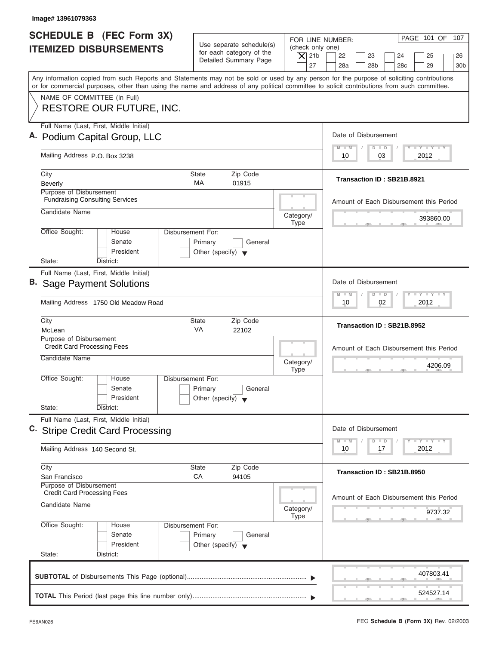| Image# 13961079363                                                                                                                                                                                                                                                                      |                                                                                 |                                                                  |                                                                                                                                          |
|-----------------------------------------------------------------------------------------------------------------------------------------------------------------------------------------------------------------------------------------------------------------------------------------|---------------------------------------------------------------------------------|------------------------------------------------------------------|------------------------------------------------------------------------------------------------------------------------------------------|
| <b>SCHEDULE B (FEC Form 3X)</b><br><b>ITEMIZED DISBURSEMENTS</b>                                                                                                                                                                                                                        | Use separate schedule(s)<br>for each category of the<br>Detailed Summary Page   | FOR LINE NUMBER:<br>(check only one)<br>$\overline{X}$ 21b<br>27 | PAGE 101 OF<br>107<br>22<br>23<br>24<br>25<br>26<br>28a<br>28 <sub>b</sub><br>28 <sub>c</sub><br>29<br>30 <sub>b</sub>                   |
| Any information copied from such Reports and Statements may not be sold or used by any person for the purpose of soliciting contributions<br>or for commercial purposes, other than using the name and address of any political committee to solicit contributions from such committee. |                                                                                 |                                                                  |                                                                                                                                          |
| NAME OF COMMITTEE (In Full)<br>RESTORE OUR FUTURE, INC.                                                                                                                                                                                                                                 |                                                                                 |                                                                  |                                                                                                                                          |
| Full Name (Last, First, Middle Initial)<br>A. Podium Capital Group, LLC                                                                                                                                                                                                                 |                                                                                 |                                                                  | Date of Disbursement                                                                                                                     |
| Mailing Address P.O. Box 3238                                                                                                                                                                                                                                                           |                                                                                 |                                                                  | $I - Y - I - Y - I - Y$<br>$M$ $M$<br>$D$ $D$<br>2012<br>10<br>03                                                                        |
| City<br>Beverly                                                                                                                                                                                                                                                                         | Zip Code<br>State<br><b>MA</b><br>01915                                         |                                                                  | Transaction ID: SB21B.8921                                                                                                               |
| Purpose of Disbursement<br><b>Fundraising Consulting Services</b>                                                                                                                                                                                                                       |                                                                                 |                                                                  | Amount of Each Disbursement this Period                                                                                                  |
| Candidate Name                                                                                                                                                                                                                                                                          |                                                                                 | Category/<br><b>Type</b>                                         | 393860.00                                                                                                                                |
| Office Sought:<br>House<br>Senate<br>President<br>State:<br>District:                                                                                                                                                                                                                   | Disbursement For:<br>Primary<br>General<br>Other (specify) $\blacktriangledown$ |                                                                  |                                                                                                                                          |
| Full Name (Last, First, Middle Initial)<br><b>B.</b> Sage Payment Solutions                                                                                                                                                                                                             |                                                                                 |                                                                  | Date of Disbursement<br>$-1$ $-1$ $-1$ $-1$ $-1$<br>$M - M$<br>$\overline{D}$<br>$\Box$<br>02                                            |
| Mailing Address 1750 Old Meadow Road<br>City                                                                                                                                                                                                                                            | <b>State</b><br>Zip Code                                                        |                                                                  | 2012<br>10<br>Transaction ID: SB21B.8952                                                                                                 |
| McLean<br>Purpose of Disbursement<br><b>Credit Card Processing Fees</b><br>Candidate Name                                                                                                                                                                                               | VA<br>22102                                                                     | Category/<br><b>Type</b>                                         | Amount of Each Disbursement this Period<br>4206.09<br>$-7$                                                                               |
| Office Sought:<br>House<br>Senate<br>President<br>State:<br>District:                                                                                                                                                                                                                   | Disbursement For:<br>Primary<br>General<br>Other (specify) $\blacktriangledown$ |                                                                  |                                                                                                                                          |
| Full Name (Last, First, Middle Initial)<br>C. Stripe Credit Card Processing                                                                                                                                                                                                             |                                                                                 |                                                                  | Date of Disbursement                                                                                                                     |
| Mailing Address 140 Second St.                                                                                                                                                                                                                                                          |                                                                                 |                                                                  | $\mathbf{I}$ $\mathbf{Y}$ $\mathbf{I}$ $\mathbf{Y}$ $\mathbf{I}$ $\mathbf{Y}$<br>$M - M$<br>$\overline{D}$<br>$\Box$<br>2012<br>10<br>17 |
| City<br>San Francisco                                                                                                                                                                                                                                                                   | <b>State</b><br>Zip Code<br>CA<br>94105                                         |                                                                  | Transaction ID: SB21B.8950                                                                                                               |
| Purpose of Disbursement<br><b>Credit Card Processing Fees</b><br>Candidate Name                                                                                                                                                                                                         |                                                                                 | Category/<br>Type                                                | Amount of Each Disbursement this Period<br>9737.32                                                                                       |
| Office Sought:<br>House<br>Senate<br>President<br>State:<br>District:                                                                                                                                                                                                                   | Disbursement For:<br>Primary<br>General<br>Other (specify) $\blacktriangledown$ |                                                                  |                                                                                                                                          |
|                                                                                                                                                                                                                                                                                         |                                                                                 |                                                                  | 407803.41                                                                                                                                |
|                                                                                                                                                                                                                                                                                         |                                                                                 |                                                                  | 524527.14                                                                                                                                |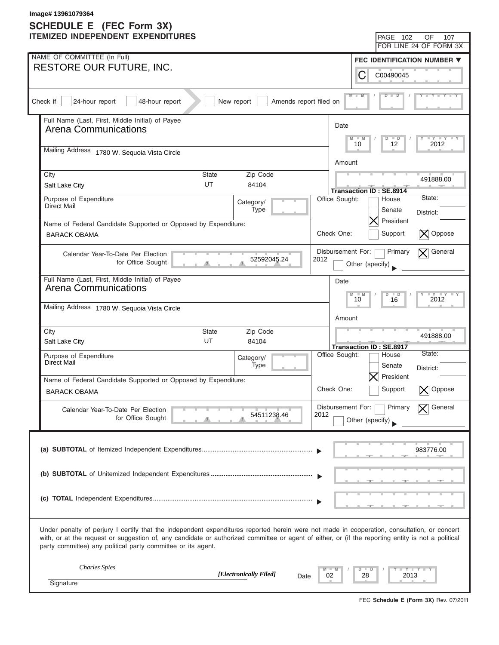| Image# 13961079364<br>SCHEDULE E (FEC Form 3X) |                                                                                                                                                                                                                                                                                                                                                                   |                                                                                                                                                                                             |  |  |  |
|------------------------------------------------|-------------------------------------------------------------------------------------------------------------------------------------------------------------------------------------------------------------------------------------------------------------------------------------------------------------------------------------------------------------------|---------------------------------------------------------------------------------------------------------------------------------------------------------------------------------------------|--|--|--|
|                                                | <b>ITEMIZED INDEPENDENT EXPENDITURES</b>                                                                                                                                                                                                                                                                                                                          | PAGE 102<br><b>OF</b><br>107                                                                                                                                                                |  |  |  |
|                                                |                                                                                                                                                                                                                                                                                                                                                                   | FOR LINE 24 OF FORM 3X                                                                                                                                                                      |  |  |  |
|                                                | NAME OF COMMITTEE (In Full)                                                                                                                                                                                                                                                                                                                                       | <b>FEC IDENTIFICATION NUMBER ▼</b>                                                                                                                                                          |  |  |  |
|                                                | <b>RESTORE OUR FUTURE, INC.</b>                                                                                                                                                                                                                                                                                                                                   | С<br>C00490045                                                                                                                                                                              |  |  |  |
|                                                | Check if<br>24-hour report<br>48-hour report<br>New report<br>Amends report filed on                                                                                                                                                                                                                                                                              | $M - M$<br>$\overline{\mathbf{D}}$                                                                                                                                                          |  |  |  |
|                                                | Full Name (Last, First, Middle Initial) of Payee<br>Arena Communications<br>Mailing Address 1780 W. Sequoia Vista Circle                                                                                                                                                                                                                                          | Date<br>$\begin{array}{c c c c c} \hline \textbf{I} & \textbf{Y} & \textbf{I} & \textbf{Y} & \textbf{I} & \textbf{Y} \\ \hline \end{array}$<br>$\Box$<br>M<br>$-M$<br>D<br>12<br>10<br>2012 |  |  |  |
|                                                |                                                                                                                                                                                                                                                                                                                                                                   | Amount                                                                                                                                                                                      |  |  |  |
|                                                | Zip Code<br>City<br><b>State</b><br>UT<br>Salt Lake City<br>84104                                                                                                                                                                                                                                                                                                 | 491888.00<br><b>Transaction ID: SE.8914</b>                                                                                                                                                 |  |  |  |
|                                                | Purpose of Expenditure<br>Category/<br><b>Direct Mail</b><br>Type                                                                                                                                                                                                                                                                                                 | State:<br>Office Sought:<br>House<br>Senate<br>District:                                                                                                                                    |  |  |  |
|                                                | Name of Federal Candidate Supported or Opposed by Expenditure:<br><b>BARACK OBAMA</b>                                                                                                                                                                                                                                                                             | President<br>Check One:<br>$\vert X \vert$ Oppose<br>Support                                                                                                                                |  |  |  |
|                                                | Calendar Year-To-Date Per Election<br>52592045.24<br>for Office Sought                                                                                                                                                                                                                                                                                            | Disbursement For:<br>$\overline{\mathsf{X}}$ General<br>Primary<br>2012<br>Other (specify)                                                                                                  |  |  |  |
|                                                | Full Name (Last, First, Middle Initial) of Payee<br><b>Arena Communications</b><br>Mailing Address 1780 W. Sequoia Vista Circle                                                                                                                                                                                                                                   | Date<br>$-Y - \Gamma Y$<br>M<br>$\Box$<br>D<br>10<br>16<br>2012                                                                                                                             |  |  |  |
|                                                |                                                                                                                                                                                                                                                                                                                                                                   | Amount                                                                                                                                                                                      |  |  |  |
|                                                | City<br>Zip Code<br>State<br>UT<br>Salt Lake City<br>84104                                                                                                                                                                                                                                                                                                        | 491888.00<br><b>Transaction ID: SE.8917</b>                                                                                                                                                 |  |  |  |
|                                                | Purpose of Expenditure<br>Category/<br>Direct Mail<br>Type                                                                                                                                                                                                                                                                                                        | State:<br>Office Sought:<br>House<br>Senate<br>District:<br>$ \mathsf{X} $ President                                                                                                        |  |  |  |
|                                                | Name of Federal Candidate Supported or Opposed by Expenditure:<br><b>BARACK OBAMA</b>                                                                                                                                                                                                                                                                             | Check One:<br>Support<br>Oppose                                                                                                                                                             |  |  |  |
|                                                | Calendar Year-To-Date Per Election<br>54511238.46<br>for Office Sought                                                                                                                                                                                                                                                                                            | Disbursement For:<br>Primary<br>General<br>2012<br>Other (specify)                                                                                                                          |  |  |  |
|                                                |                                                                                                                                                                                                                                                                                                                                                                   | 983776.00                                                                                                                                                                                   |  |  |  |
|                                                |                                                                                                                                                                                                                                                                                                                                                                   |                                                                                                                                                                                             |  |  |  |
|                                                |                                                                                                                                                                                                                                                                                                                                                                   |                                                                                                                                                                                             |  |  |  |
|                                                | Under penalty of perjury I certify that the independent expenditures reported herein were not made in cooperation, consultation, or concert<br>with, or at the request or suggestion of, any candidate or authorized committee or agent of either, or (if the reporting entity is not a political<br>party committee) any political party committee or its agent. |                                                                                                                                                                                             |  |  |  |
|                                                | <b>Charles</b> Spies<br>[Electronically Filed]<br>Date<br>Signature                                                                                                                                                                                                                                                                                               | Y Y T<br>02<br>28<br>2013                                                                                                                                                                   |  |  |  |
|                                                |                                                                                                                                                                                                                                                                                                                                                                   |                                                                                                                                                                                             |  |  |  |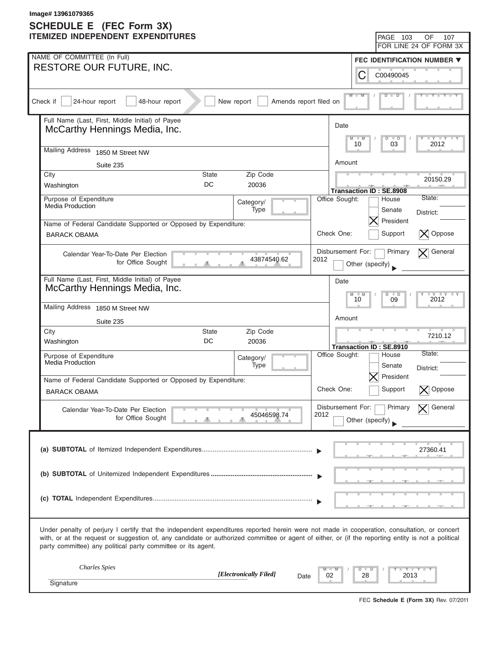|                                                                                                                                                                                                                                                                                                                                                                   | Image# 13961079365<br>SCHEDULE E (FEC Form 3X)                                       |                                                                                                                                                                                                                                                                                    |  |  |  |  |  |
|-------------------------------------------------------------------------------------------------------------------------------------------------------------------------------------------------------------------------------------------------------------------------------------------------------------------------------------------------------------------|--------------------------------------------------------------------------------------|------------------------------------------------------------------------------------------------------------------------------------------------------------------------------------------------------------------------------------------------------------------------------------|--|--|--|--|--|
|                                                                                                                                                                                                                                                                                                                                                                   | <b>ITEMIZED INDEPENDENT EXPENDITURES</b>                                             | <b>PAGE 103</b><br><b>OF</b><br>107                                                                                                                                                                                                                                                |  |  |  |  |  |
|                                                                                                                                                                                                                                                                                                                                                                   |                                                                                      | FOR LINE 24 OF FORM 3X                                                                                                                                                                                                                                                             |  |  |  |  |  |
|                                                                                                                                                                                                                                                                                                                                                                   | NAME OF COMMITTEE (In Full)                                                          | FEC IDENTIFICATION NUMBER $\blacktriangledown$                                                                                                                                                                                                                                     |  |  |  |  |  |
|                                                                                                                                                                                                                                                                                                                                                                   | <b>RESTORE OUR FUTURE, INC.</b>                                                      | C<br>C00490045                                                                                                                                                                                                                                                                     |  |  |  |  |  |
|                                                                                                                                                                                                                                                                                                                                                                   | 24-hour report<br>48-hour report<br>Check if<br>New report<br>Amends report filed on | $M - M$<br>ъ                                                                                                                                                                                                                                                                       |  |  |  |  |  |
|                                                                                                                                                                                                                                                                                                                                                                   | Full Name (Last, First, Middle Initial) of Payee<br>McCarthy Hennings Media, Inc.    | Date<br>$\begin{array}{c c c c c} \hline \textbf{I} & \textbf{I} & \textbf{I} & \textbf{I} & \textbf{I} & \textbf{I} \\ \hline \textbf{I} & \textbf{I} & \textbf{I} & \textbf{I} & \textbf{I} & \textbf{I} & \textbf{I} \\ \hline \end{array}$<br>M<br>$-M$<br>D<br>$\blacksquare$ |  |  |  |  |  |
|                                                                                                                                                                                                                                                                                                                                                                   | Mailing Address 1850 M Street NW                                                     | 03<br>10<br>2012                                                                                                                                                                                                                                                                   |  |  |  |  |  |
|                                                                                                                                                                                                                                                                                                                                                                   | Suite 235                                                                            | Amount                                                                                                                                                                                                                                                                             |  |  |  |  |  |
|                                                                                                                                                                                                                                                                                                                                                                   | Zip Code<br>City<br><b>State</b><br>DC<br>Washington<br>20036                        | 20150.29<br><b>Transaction ID: SE.8908</b>                                                                                                                                                                                                                                         |  |  |  |  |  |
|                                                                                                                                                                                                                                                                                                                                                                   | Purpose of Expenditure<br>Category/<br>Media Production<br>Type                      | State:<br>Office Sought:<br>House<br>Senate<br>District:                                                                                                                                                                                                                           |  |  |  |  |  |
|                                                                                                                                                                                                                                                                                                                                                                   | Name of Federal Candidate Supported or Opposed by Expenditure:                       | President                                                                                                                                                                                                                                                                          |  |  |  |  |  |
|                                                                                                                                                                                                                                                                                                                                                                   | <b>BARACK OBAMA</b>                                                                  | Check One:<br>$\vert X \vert$ Oppose<br>Support                                                                                                                                                                                                                                    |  |  |  |  |  |
|                                                                                                                                                                                                                                                                                                                                                                   | Calendar Year-To-Date Per Election<br>43874540.62<br>for Office Sought               | $\mathbf{\nabla}$ General<br>Disbursement For:<br>Primary<br>2012<br>Other (specify)                                                                                                                                                                                               |  |  |  |  |  |
|                                                                                                                                                                                                                                                                                                                                                                   | Full Name (Last, First, Middle Initial) of Payee<br>McCarthy Hennings Media, Inc.    | Date<br>$\Gamma Y$ $\Gamma Y$<br>M<br>$\Box$<br>D<br>10<br>09<br>2012                                                                                                                                                                                                              |  |  |  |  |  |
|                                                                                                                                                                                                                                                                                                                                                                   | Mailing Address 1850 M Street NW                                                     | Amount                                                                                                                                                                                                                                                                             |  |  |  |  |  |
|                                                                                                                                                                                                                                                                                                                                                                   | Suite 235<br>City<br>Zip Code<br>State                                               |                                                                                                                                                                                                                                                                                    |  |  |  |  |  |
|                                                                                                                                                                                                                                                                                                                                                                   | DC<br>Washington<br>20036                                                            | 7210.12<br>Transaction ID: SE.8910                                                                                                                                                                                                                                                 |  |  |  |  |  |
|                                                                                                                                                                                                                                                                                                                                                                   | Purpose of Expenditure<br>Category/<br>Media Production<br>Type                      | State:<br>Office Sought:<br>House<br>Senate<br>District:<br>$ \mathsf{X} $ President                                                                                                                                                                                               |  |  |  |  |  |
|                                                                                                                                                                                                                                                                                                                                                                   | Name of Federal Candidate Supported or Opposed by Expenditure:                       | Check One:<br>Support<br>Oppose                                                                                                                                                                                                                                                    |  |  |  |  |  |
|                                                                                                                                                                                                                                                                                                                                                                   | <b>BARACK OBAMA</b>                                                                  |                                                                                                                                                                                                                                                                                    |  |  |  |  |  |
|                                                                                                                                                                                                                                                                                                                                                                   | Calendar Year-To-Date Per Election<br>45046598.74<br>for Office Sought               | Disbursement For:<br>Primary<br>General<br>2012<br>Other (specify)                                                                                                                                                                                                                 |  |  |  |  |  |
|                                                                                                                                                                                                                                                                                                                                                                   |                                                                                      | 27360.41                                                                                                                                                                                                                                                                           |  |  |  |  |  |
|                                                                                                                                                                                                                                                                                                                                                                   |                                                                                      |                                                                                                                                                                                                                                                                                    |  |  |  |  |  |
|                                                                                                                                                                                                                                                                                                                                                                   |                                                                                      |                                                                                                                                                                                                                                                                                    |  |  |  |  |  |
| Under penalty of perjury I certify that the independent expenditures reported herein were not made in cooperation, consultation, or concert<br>with, or at the request or suggestion of, any candidate or authorized committee or agent of either, or (if the reporting entity is not a political<br>party committee) any political party committee or its agent. |                                                                                      |                                                                                                                                                                                                                                                                                    |  |  |  |  |  |
|                                                                                                                                                                                                                                                                                                                                                                   | <b>Charles</b> Spies<br>[Electronically Filed]<br>Date                               | Y Y T<br>02<br>28<br>2013                                                                                                                                                                                                                                                          |  |  |  |  |  |
|                                                                                                                                                                                                                                                                                                                                                                   | Signature                                                                            |                                                                                                                                                                                                                                                                                    |  |  |  |  |  |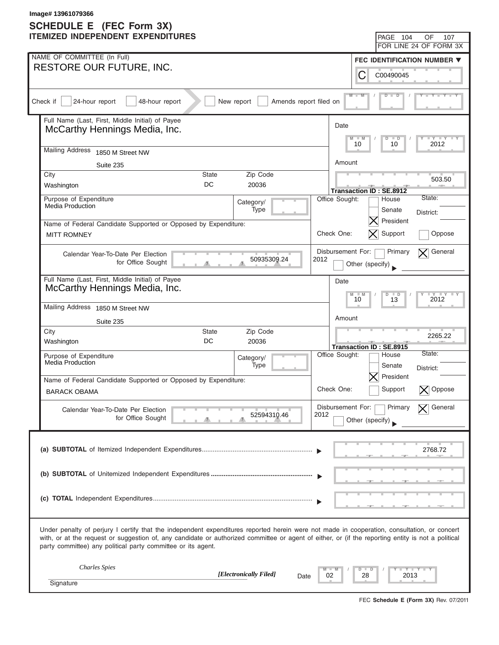| Image# 13961079366<br>SCHEDULE E (FEC Form 3X)                                                                                                                                                                                                                                                                                                                    |                                                                                      |                                                                          |                                 |  |  |  |
|-------------------------------------------------------------------------------------------------------------------------------------------------------------------------------------------------------------------------------------------------------------------------------------------------------------------------------------------------------------------|--------------------------------------------------------------------------------------|--------------------------------------------------------------------------|---------------------------------|--|--|--|
|                                                                                                                                                                                                                                                                                                                                                                   | <b>ITEMIZED INDEPENDENT EXPENDITURES</b>                                             | PAGE 104<br><b>OF</b>                                                    | 107                             |  |  |  |
|                                                                                                                                                                                                                                                                                                                                                                   |                                                                                      | FOR LINE 24 OF FORM 3X                                                   |                                 |  |  |  |
|                                                                                                                                                                                                                                                                                                                                                                   | NAME OF COMMITTEE (In Full)                                                          | FEC IDENTIFICATION NUMBER $\blacktriangledown$                           |                                 |  |  |  |
|                                                                                                                                                                                                                                                                                                                                                                   | <b>RESTORE OUR FUTURE, INC.</b>                                                      | C<br>C00490045                                                           |                                 |  |  |  |
|                                                                                                                                                                                                                                                                                                                                                                   | 24-hour report<br>48-hour report<br>Check if<br>New report<br>Amends report filed on | $M - M$<br>ъ                                                             |                                 |  |  |  |
|                                                                                                                                                                                                                                                                                                                                                                   | Full Name (Last, First, Middle Initial) of Payee<br>McCarthy Hennings Media, Inc.    | Date<br>M<br>$-M$<br>D<br>$\Box$                                         | $ \gamma$ $  \gamma$ $  \gamma$ |  |  |  |
|                                                                                                                                                                                                                                                                                                                                                                   | Mailing Address 1850 M Street NW                                                     | 10<br>10                                                                 | 2012                            |  |  |  |
|                                                                                                                                                                                                                                                                                                                                                                   | Suite 235                                                                            | Amount                                                                   |                                 |  |  |  |
|                                                                                                                                                                                                                                                                                                                                                                   | Zip Code<br>City<br><b>State</b><br>DC<br>Washington<br>20036                        | <b>Transaction ID: SE.8912</b>                                           | 503.50                          |  |  |  |
|                                                                                                                                                                                                                                                                                                                                                                   | Purpose of Expenditure<br>Category/<br>Media Production<br>Type                      | State:<br>Office Sought:<br>House<br>Senate<br>District:                 |                                 |  |  |  |
|                                                                                                                                                                                                                                                                                                                                                                   | Name of Federal Candidate Supported or Opposed by Expenditure:                       | President                                                                |                                 |  |  |  |
|                                                                                                                                                                                                                                                                                                                                                                   | <b>MITT ROMNEY</b>                                                                   | Support<br>Check One:                                                    | Oppose                          |  |  |  |
|                                                                                                                                                                                                                                                                                                                                                                   | Calendar Year-To-Date Per Election<br>50935309.24<br>for Office Sought               | Disbursement For:<br>Primary<br>$\bm{\nabla}$<br>2012<br>Other (specify) | General                         |  |  |  |
|                                                                                                                                                                                                                                                                                                                                                                   | Full Name (Last, First, Middle Initial) of Payee<br>McCarthy Hennings Media, Inc.    | Date<br>M<br>$\Box$<br>D<br>10<br>13                                     | $-Y - \Gamma Y$<br>2012         |  |  |  |
|                                                                                                                                                                                                                                                                                                                                                                   | Mailing Address 1850 M Street NW                                                     |                                                                          |                                 |  |  |  |
|                                                                                                                                                                                                                                                                                                                                                                   | Suite 235                                                                            | Amount                                                                   |                                 |  |  |  |
|                                                                                                                                                                                                                                                                                                                                                                   | City<br>Zip Code<br>State<br>DC<br>Washington<br>20036                               | Transaction ID: SE.8915                                                  | 2265.22                         |  |  |  |
|                                                                                                                                                                                                                                                                                                                                                                   | Purpose of Expenditure<br>Category/<br>Media Production<br>Type                      | State:<br>Office Sought:<br>House<br>Senate<br>District:                 |                                 |  |  |  |
|                                                                                                                                                                                                                                                                                                                                                                   | Name of Federal Candidate Supported or Opposed by Expenditure:                       | $ \mathsf{X} $ President                                                 |                                 |  |  |  |
|                                                                                                                                                                                                                                                                                                                                                                   | <b>BARACK OBAMA</b>                                                                  | Check One:<br>Support                                                    | Oppose                          |  |  |  |
|                                                                                                                                                                                                                                                                                                                                                                   | Calendar Year-To-Date Per Election<br>52594310.46<br>for Office Sought               | Disbursement For:<br>Primary<br>2012<br>Other (specify)                  | General                         |  |  |  |
|                                                                                                                                                                                                                                                                                                                                                                   |                                                                                      |                                                                          | 2768.72                         |  |  |  |
|                                                                                                                                                                                                                                                                                                                                                                   |                                                                                      |                                                                          |                                 |  |  |  |
|                                                                                                                                                                                                                                                                                                                                                                   |                                                                                      |                                                                          |                                 |  |  |  |
| Under penalty of perjury I certify that the independent expenditures reported herein were not made in cooperation, consultation, or concert<br>with, or at the request or suggestion of, any candidate or authorized committee or agent of either, or (if the reporting entity is not a political<br>party committee) any political party committee or its agent. |                                                                                      |                                                                          |                                 |  |  |  |
|                                                                                                                                                                                                                                                                                                                                                                   | <b>Charles</b> Spies<br>[Electronically Filed]<br>Date                               | Y Y T<br>02<br>28<br>2013                                                |                                 |  |  |  |
|                                                                                                                                                                                                                                                                                                                                                                   | Signature                                                                            |                                                                          |                                 |  |  |  |

FEC **Schedule E (Form 3X)** Rev. 07/2011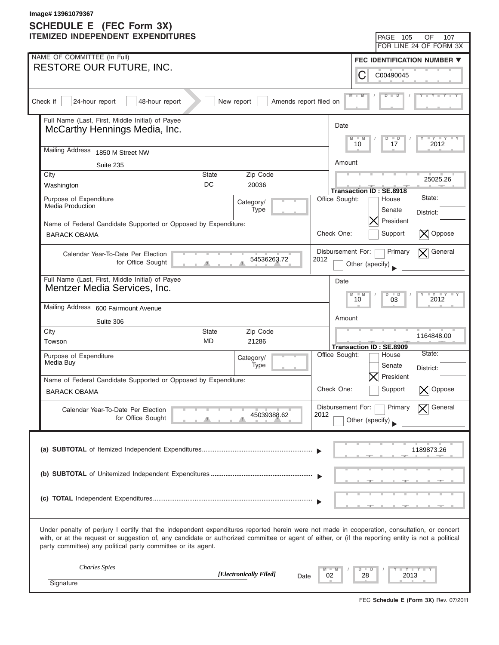| Image# 13961079367<br>SCHEDULE E (FEC Form 3X)                                                                                                                                                                                                                                                                                                                    |                                                                                       |                           |                                             |                                                                                                                                                                                                                                        |  |  |
|-------------------------------------------------------------------------------------------------------------------------------------------------------------------------------------------------------------------------------------------------------------------------------------------------------------------------------------------------------------------|---------------------------------------------------------------------------------------|---------------------------|---------------------------------------------|----------------------------------------------------------------------------------------------------------------------------------------------------------------------------------------------------------------------------------------|--|--|
|                                                                                                                                                                                                                                                                                                                                                                   | <b>ITEMIZED INDEPENDENT EXPENDITURES</b>                                              |                           | <b>PAGE 105</b>                             | <b>OF</b><br>107                                                                                                                                                                                                                       |  |  |
|                                                                                                                                                                                                                                                                                                                                                                   |                                                                                       |                           |                                             | FOR LINE 24 OF FORM 3X                                                                                                                                                                                                                 |  |  |
|                                                                                                                                                                                                                                                                                                                                                                   | NAME OF COMMITTEE (In Full)                                                           |                           |                                             | FEC IDENTIFICATION NUMBER $\blacktriangledown$                                                                                                                                                                                         |  |  |
|                                                                                                                                                                                                                                                                                                                                                                   | <b>RESTORE OUR FUTURE, INC.</b>                                                       |                           | C<br>C00490045                              |                                                                                                                                                                                                                                        |  |  |
|                                                                                                                                                                                                                                                                                                                                                                   | 24-hour report<br>48-hour report<br>Check if<br>New report<br>Amends report filed on  |                           | $M - M$<br>ъ                                |                                                                                                                                                                                                                                        |  |  |
|                                                                                                                                                                                                                                                                                                                                                                   | Full Name (Last, First, Middle Initial) of Payee<br>McCarthy Hennings Media, Inc.     | Date<br>M                 | $-M$<br>D<br>$\Box$                         | $\begin{array}{c c c c c} \hline \textbf{I} & \textbf{I} & \textbf{I} & \textbf{I} & \textbf{I} & \textbf{I} \\ \hline \textbf{I} & \textbf{I} & \textbf{I} & \textbf{I} & \textbf{I} & \textbf{I} & \textbf{I} \\ \hline \end{array}$ |  |  |
|                                                                                                                                                                                                                                                                                                                                                                   | Mailing Address 1850 M Street NW                                                      |                           | 10<br>17                                    | 2012                                                                                                                                                                                                                                   |  |  |
|                                                                                                                                                                                                                                                                                                                                                                   | Suite 235                                                                             | Amount                    |                                             |                                                                                                                                                                                                                                        |  |  |
|                                                                                                                                                                                                                                                                                                                                                                   | Zip Code<br>City<br><b>State</b><br>DC<br>Washington<br>20036                         |                           | <b>Transaction ID: SE.8918</b>              | 25025.26                                                                                                                                                                                                                               |  |  |
|                                                                                                                                                                                                                                                                                                                                                                   | Purpose of Expenditure<br>Category/<br>Media Production<br>Type                       | Office Sought:            | House<br>Senate                             | State:                                                                                                                                                                                                                                 |  |  |
|                                                                                                                                                                                                                                                                                                                                                                   | Name of Federal Candidate Supported or Opposed by Expenditure:                        |                           | President                                   | District:                                                                                                                                                                                                                              |  |  |
|                                                                                                                                                                                                                                                                                                                                                                   | <b>BARACK OBAMA</b>                                                                   | Check One:                | Support                                     | $\vert X \vert$ Oppose                                                                                                                                                                                                                 |  |  |
|                                                                                                                                                                                                                                                                                                                                                                   | Calendar Year-To-Date Per Election<br>54536263.72<br>for Office Sought                | Disbursement For:<br>2012 | Primary<br>Other (specify)                  | $\overline{\mathsf{X}}$ General                                                                                                                                                                                                        |  |  |
|                                                                                                                                                                                                                                                                                                                                                                   | Full Name (Last, First, Middle Initial) of Payee<br>Mentzer Media Services, Inc.      | Date                      | M<br>$\Box$<br>D<br>10<br>03                | $\Gamma Y$ $\Gamma Y$<br>2012                                                                                                                                                                                                          |  |  |
|                                                                                                                                                                                                                                                                                                                                                                   | Mailing Address 600 Fairmount Avenue                                                  |                           |                                             |                                                                                                                                                                                                                                        |  |  |
|                                                                                                                                                                                                                                                                                                                                                                   | Suite 306                                                                             | Amount                    |                                             |                                                                                                                                                                                                                                        |  |  |
|                                                                                                                                                                                                                                                                                                                                                                   | City<br>Zip Code<br>State<br><b>MD</b><br>Towson<br>21286                             |                           | Transaction ID: SE.8909                     | 1164848.00                                                                                                                                                                                                                             |  |  |
|                                                                                                                                                                                                                                                                                                                                                                   | Purpose of Expenditure<br>Category/<br>Media Buy<br>Type                              | Office Sought:            | House<br>Senate<br>$ \mathsf{X} $ President | State:<br>District:                                                                                                                                                                                                                    |  |  |
|                                                                                                                                                                                                                                                                                                                                                                   | Name of Federal Candidate Supported or Opposed by Expenditure:<br><b>BARACK OBAMA</b> | Check One:                | Support                                     | Oppose                                                                                                                                                                                                                                 |  |  |
|                                                                                                                                                                                                                                                                                                                                                                   |                                                                                       | Disbursement For:         | Primary                                     | General                                                                                                                                                                                                                                |  |  |
|                                                                                                                                                                                                                                                                                                                                                                   | Calendar Year-To-Date Per Election<br>45039388.62<br>for Office Sought                | 2012                      | Other (specify)                             |                                                                                                                                                                                                                                        |  |  |
|                                                                                                                                                                                                                                                                                                                                                                   |                                                                                       |                           |                                             | 1189873.26                                                                                                                                                                                                                             |  |  |
|                                                                                                                                                                                                                                                                                                                                                                   |                                                                                       |                           |                                             |                                                                                                                                                                                                                                        |  |  |
|                                                                                                                                                                                                                                                                                                                                                                   |                                                                                       |                           |                                             |                                                                                                                                                                                                                                        |  |  |
| Under penalty of perjury I certify that the independent expenditures reported herein were not made in cooperation, consultation, or concert<br>with, or at the request or suggestion of, any candidate or authorized committee or agent of either, or (if the reporting entity is not a political<br>party committee) any political party committee or its agent. |                                                                                       |                           |                                             |                                                                                                                                                                                                                                        |  |  |
|                                                                                                                                                                                                                                                                                                                                                                   | <b>Charles</b> Spies<br>[Electronically Filed]<br>Date                                | 02                        | 28                                          | Y Y T<br>2013                                                                                                                                                                                                                          |  |  |
|                                                                                                                                                                                                                                                                                                                                                                   | Signature                                                                             |                           |                                             |                                                                                                                                                                                                                                        |  |  |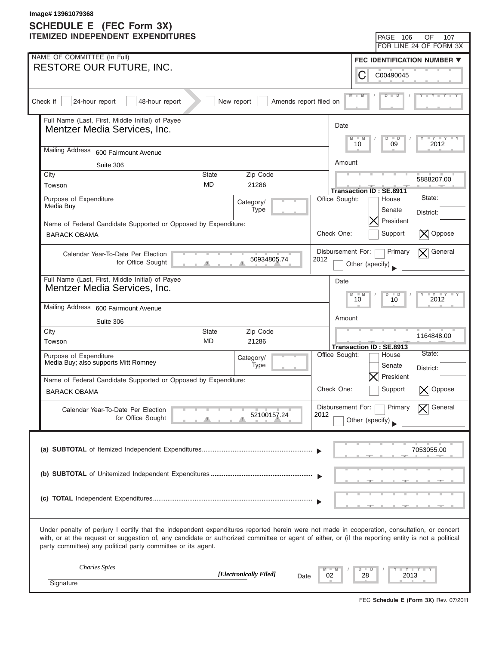| Image# 13961079368<br><b>SCHEDULE E</b> (FEC Form 3X) |                                                                                                                                                                                                                                                                                                                                                                   |                           |                 |                                         |                                 |  |
|-------------------------------------------------------|-------------------------------------------------------------------------------------------------------------------------------------------------------------------------------------------------------------------------------------------------------------------------------------------------------------------------------------------------------------------|---------------------------|-----------------|-----------------------------------------|---------------------------------|--|
|                                                       | <b>ITEMIZED INDEPENDENT EXPENDITURES</b>                                                                                                                                                                                                                                                                                                                          |                           |                 | PAGE 106                                | OF<br>107                       |  |
|                                                       |                                                                                                                                                                                                                                                                                                                                                                   |                           |                 |                                         | FOR LINE 24 OF FORM 3X          |  |
|                                                       | NAME OF COMMITTEE (In Full)<br><b>RESTORE OUR FUTURE, INC.</b>                                                                                                                                                                                                                                                                                                    |                           |                 |                                         | FEC IDENTIFICATION NUMBER ▼     |  |
|                                                       |                                                                                                                                                                                                                                                                                                                                                                   |                           | C               | C00490045                               |                                 |  |
|                                                       | 24-hour report<br>Check if<br>48-hour report<br>New report<br>Amends report filed on                                                                                                                                                                                                                                                                              |                           | $M - M$         | D                                       |                                 |  |
|                                                       | Full Name (Last, First, Middle Initial) of Payee<br>Mentzer Media Services, Inc.                                                                                                                                                                                                                                                                                  | Date<br>M                 | $-M$            | D<br>$\Box$                             | $ \gamma$ $  \gamma$ $  \gamma$ |  |
|                                                       | <b>Mailing Address</b><br>600 Fairmount Avenue                                                                                                                                                                                                                                                                                                                    |                           | 10              | 09                                      | 2012                            |  |
|                                                       | Suite 306                                                                                                                                                                                                                                                                                                                                                         | Amount                    |                 |                                         |                                 |  |
|                                                       | City<br>Zip Code<br><b>State</b><br><b>MD</b><br>Towson<br>21286                                                                                                                                                                                                                                                                                                  |                           |                 |                                         | 5888207.00                      |  |
|                                                       | Purpose of Expenditure<br>Category/                                                                                                                                                                                                                                                                                                                               | Office Sought:            |                 | <b>Transaction ID: SE.8911</b><br>House | State:                          |  |
|                                                       | Media Buy<br><b>Type</b>                                                                                                                                                                                                                                                                                                                                          |                           |                 | Senate<br>President                     | District:                       |  |
|                                                       | Name of Federal Candidate Supported or Opposed by Expenditure:<br><b>BARACK OBAMA</b>                                                                                                                                                                                                                                                                             | Check One:                |                 | Support                                 | $\vert X \vert$ Oppose          |  |
|                                                       | Calendar Year-To-Date Per Election<br>50934805.74<br>for Office Sought                                                                                                                                                                                                                                                                                            | Disbursement For:<br>2012 | Other (specify) | Primary                                 | $\overline{\mathsf{X}}$ General |  |
|                                                       | Full Name (Last, First, Middle Initial) of Payee<br>Mentzer Media Services, Inc.                                                                                                                                                                                                                                                                                  | Date                      | M<br>10         | $\Box$<br>D<br>10                       | $-Y - Y$<br>2012                |  |
|                                                       | Mailing Address 600 Fairmount Avenue                                                                                                                                                                                                                                                                                                                              |                           |                 |                                         |                                 |  |
|                                                       | Suite 306                                                                                                                                                                                                                                                                                                                                                         | Amount                    |                 |                                         |                                 |  |
|                                                       | City<br>Zip Code<br>State<br><b>MD</b><br>Towson<br>21286                                                                                                                                                                                                                                                                                                         |                           |                 | Transaction ID: SE.8913                 | 1164848.00                      |  |
|                                                       | Purpose of Expenditure<br>Category/<br>Media Buy; also supports Mitt Romney<br>Type                                                                                                                                                                                                                                                                               | Office Sought:            |                 | House<br>Senate                         | State:<br>District:             |  |
|                                                       | Name of Federal Candidate Supported or Opposed by Expenditure:                                                                                                                                                                                                                                                                                                    |                           |                 | $ \mathsf{X} $ President                |                                 |  |
|                                                       | <b>BARACK OBAMA</b>                                                                                                                                                                                                                                                                                                                                               | Check One:                |                 | Support                                 | Oppose                          |  |
|                                                       | Calendar Year-To-Date Per Election<br>52100157.24<br>for Office Sought                                                                                                                                                                                                                                                                                            | Disbursement For:<br>2012 | Other (specify) | Primary                                 | General                         |  |
|                                                       |                                                                                                                                                                                                                                                                                                                                                                   |                           |                 |                                         | 7053055.00                      |  |
|                                                       |                                                                                                                                                                                                                                                                                                                                                                   |                           |                 |                                         |                                 |  |
|                                                       |                                                                                                                                                                                                                                                                                                                                                                   |                           |                 |                                         |                                 |  |
|                                                       | Under penalty of perjury I certify that the independent expenditures reported herein were not made in cooperation, consultation, or concert<br>with, or at the request or suggestion of, any candidate or authorized committee or agent of either, or (if the reporting entity is not a political<br>party committee) any political party committee or its agent. |                           |                 |                                         |                                 |  |
|                                                       | <b>Charles</b> Spies<br>[Electronically Filed]<br>Date                                                                                                                                                                                                                                                                                                            | 02                        | 28              | 2013                                    | Y Y T                           |  |
|                                                       | Signature                                                                                                                                                                                                                                                                                                                                                         |                           |                 |                                         |                                 |  |